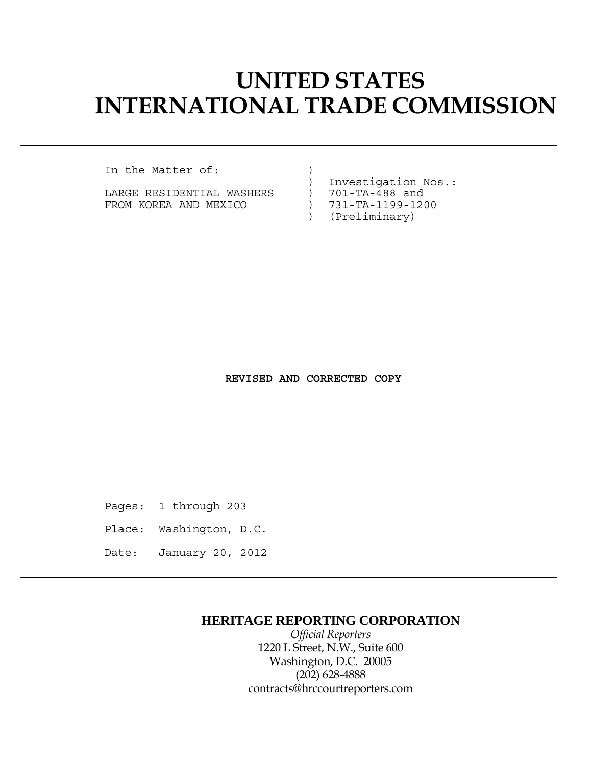# **UNITED STATES INTERNATIONAL TRADE COMMISSION**

In the Matter of:  $)$ 

LARGE RESIDENTIAL WASHERS FROM KOREA AND MEXICO ) 731-TA-1199-1200

) Investigation Nos.:

- 
- 
- ) (Preliminary)

 **REVISED AND CORRECTED COPY**

Pages: 1 through 203

- Place: Washington, D.C.
- Date: January 20, 2012

## **HERITAGE REPORTING CORPORATION**

 *Official Reporters* 1220 L Street, N.W., Suite 600 Washington, D.C. 20005 (202) 628-4888 contracts@hrccourtreporters.com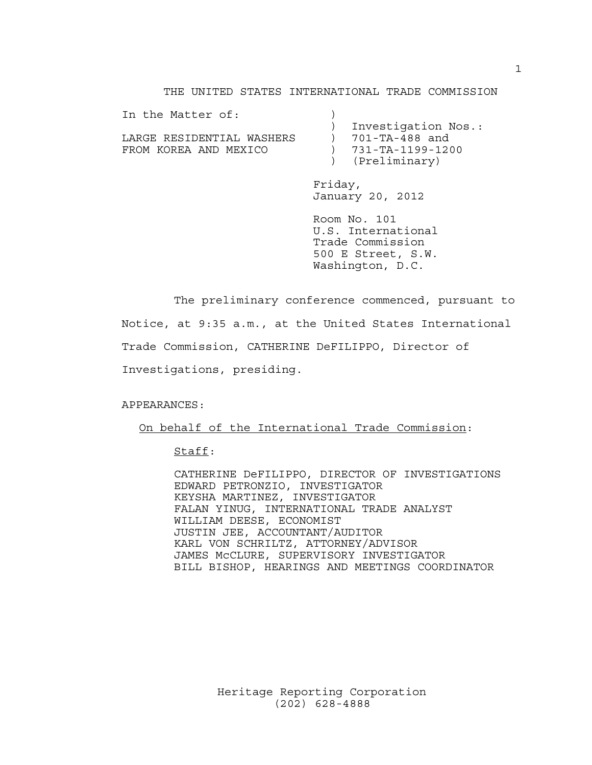#### THE UNITED STATES INTERNATIONAL TRADE COMMISSION

| In the Matter of:         |                     |
|---------------------------|---------------------|
|                           | Investigation Nos.: |
| LARGE RESIDENTIAL WASHERS | 701-TA-488 and      |
| FROM KOREA AND MEXICO     | ) 731-TA-1199-1200  |
|                           | (Preliminary)       |

 Friday, January 20, 2012

 Room No. 101 U.S. International Trade Commission 500 E Street, S.W. Washington, D.C.

 The preliminary conference commenced, pursuant to Notice, at 9:35 a.m., at the United States International Trade Commission, CATHERINE DeFILIPPO, Director of Investigations, presiding.

APPEARANCES:

On behalf of the International Trade Commission:

### Staff:

 CATHERINE DeFILIPPO, DIRECTOR OF INVESTIGATIONS EDWARD PETRONZIO, INVESTIGATOR KEYSHA MARTINEZ, INVESTIGATOR FALAN YINUG, INTERNATIONAL TRADE ANALYST WILLIAM DEESE, ECONOMIST JUSTIN JEE, ACCOUNTANT/AUDITOR KARL VON SCHRILTZ, ATTORNEY/ADVISOR JAMES McCLURE, SUPERVISORY INVESTIGATOR BILL BISHOP, HEARINGS AND MEETINGS COORDINATOR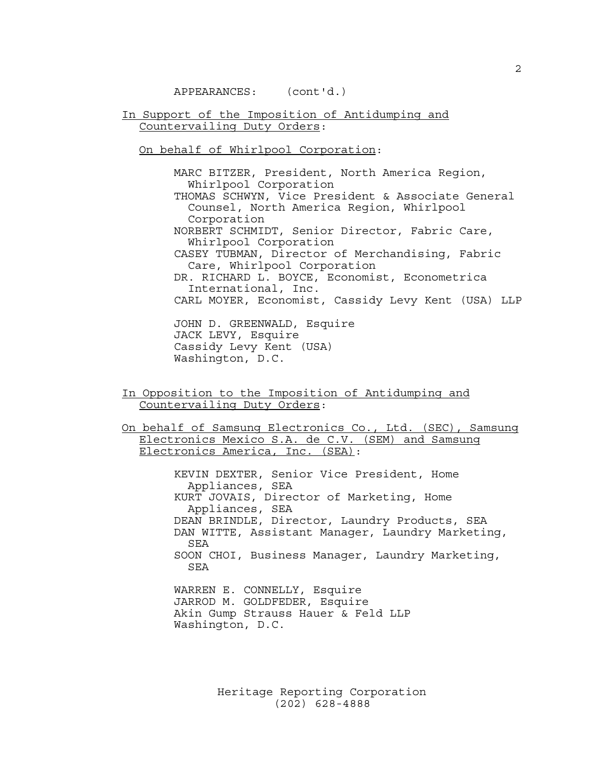APPEARANCES: (cont'd.)

In Support of the Imposition of Antidumping and Countervailing Duty Orders:

On behalf of Whirlpool Corporation:

 MARC BITZER, President, North America Region, Whirlpool Corporation THOMAS SCHWYN, Vice President & Associate General Counsel, North America Region, Whirlpool Corporation NORBERT SCHMIDT, Senior Director, Fabric Care, Whirlpool Corporation CASEY TUBMAN, Director of Merchandising, Fabric Care, Whirlpool Corporation DR. RICHARD L. BOYCE, Economist, Econometrica International, Inc. CARL MOYER, Economist, Cassidy Levy Kent (USA) LLP

 JOHN D. GREENWALD, Esquire JACK LEVY, Esquire Cassidy Levy Kent (USA) Washington, D.C.

In Opposition to the Imposition of Antidumping and Countervailing Duty Orders:

On behalf of Samsung Electronics Co., Ltd. (SEC), Samsung Electronics Mexico S.A. de C.V. (SEM) and Samsung Electronics America, Inc. (SEA):

> KEVIN DEXTER, Senior Vice President, Home Appliances, SEA KURT JOVAIS, Director of Marketing, Home Appliances, SEA DEAN BRINDLE, Director, Laundry Products, SEA DAN WITTE, Assistant Manager, Laundry Marketing, SEA SOON CHOI, Business Manager, Laundry Marketing, SEA WARREN E. CONNELLY, Esquire JARROD M. GOLDFEDER, Esquire

 Akin Gump Strauss Hauer & Feld LLP Washington, D.C.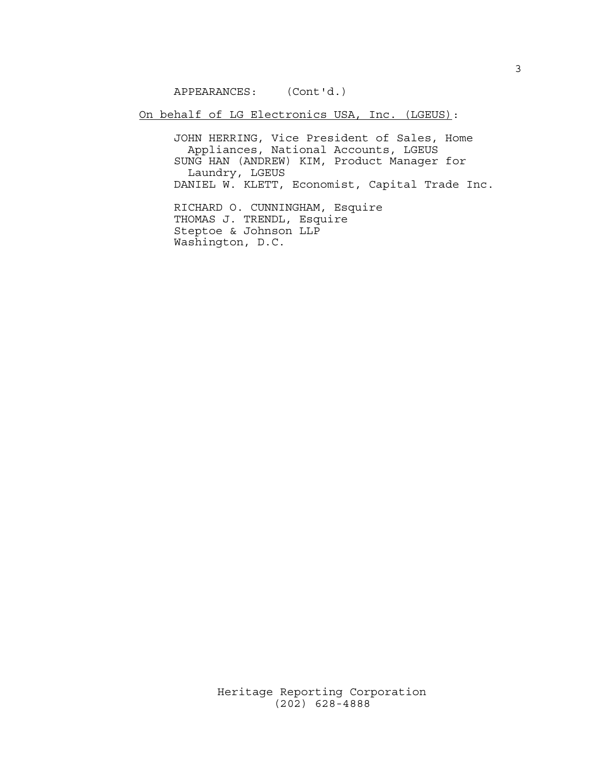APPEARANCES: (Cont'd.)

On behalf of LG Electronics USA, Inc. (LGEUS):

 JOHN HERRING, Vice President of Sales, Home Appliances, National Accounts, LGEUS SUNG HAN (ANDREW) KIM, Product Manager for Laundry, LGEUS DANIEL W. KLETT, Economist, Capital Trade Inc.

> RICHARD O. CUNNINGHAM, Esquire THOMAS J. TRENDL, Esquire Steptoe & Johnson LLP Washington, D.C.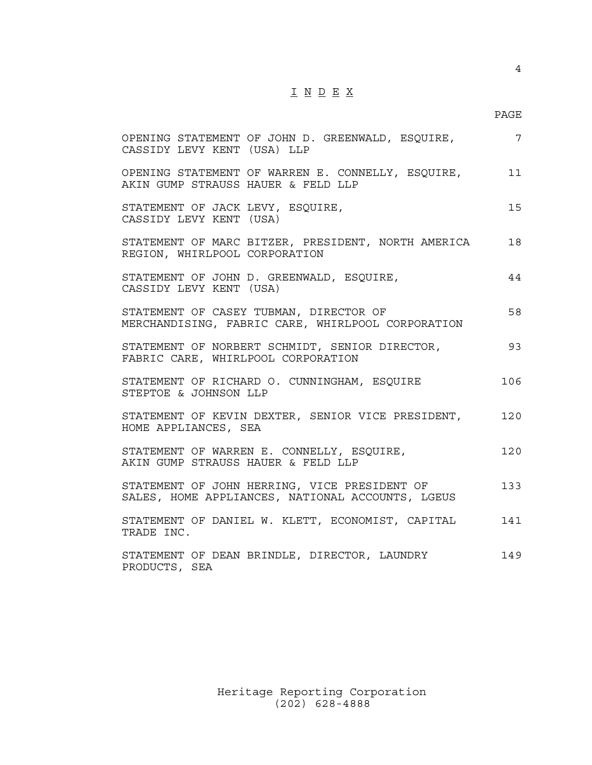## I N D E X

## en de la provincia de la provincia de la provincia de la provincia de la provincia de la provincia de la provi

| OPENING STATEMENT OF JOHN D. GREENWALD, ESQUIRE,<br>CASSIDY LEVY KENT (USA) LLP                  | $7\phantom{.0}$ |
|--------------------------------------------------------------------------------------------------|-----------------|
| OPENING STATEMENT OF WARREN E. CONNELLY, ESQUIRE, 11<br>AKIN GUMP STRAUSS HAUER & FELD LLP       |                 |
| STATEMENT OF JACK LEVY, ESQUIRE,<br>CASSIDY LEVY KENT (USA)                                      | 15              |
| STATEMENT OF MARC BITZER, PRESIDENT, NORTH AMERICA<br>REGION, WHIRLPOOL CORPORATION              | 18              |
| STATEMENT OF JOHN D. GREENWALD, ESQUIRE,<br>CASSIDY LEVY KENT (USA)                              | 44              |
| STATEMENT OF CASEY TUBMAN, DIRECTOR OF<br>MERCHANDISING, FABRIC CARE, WHIRLPOOL CORPORATION      | 58              |
| STATEMENT OF NORBERT SCHMIDT, SENIOR DIRECTOR,<br>FABRIC CARE, WHIRLPOOL CORPORATION             | 93              |
| STATEMENT OF RICHARD O. CUNNINGHAM, ESQUIRE<br>STEPTOE & JOHNSON LLP                             | 106             |
| STATEMENT OF KEVIN DEXTER, SENIOR VICE PRESIDENT,<br>HOME APPLIANCES, SEA                        | 120             |
| STATEMENT OF WARREN E. CONNELLY, ESQUIRE,<br>AKIN GUMP STRAUSS HAUER & FELD LLP                  | 120             |
| STATEMENT OF JOHN HERRING, VICE PRESIDENT OF<br>SALES, HOME APPLIANCES, NATIONAL ACCOUNTS, LGEUS | 133             |
| STATEMENT OF DANIEL W. KLETT, ECONOMIST, CAPITAL<br>TRADE INC.                                   | 141             |
| STATEMENT OF DEAN BRINDLE, DIRECTOR, LAUNDRY<br>PRODUCTS, SEA                                    | 149             |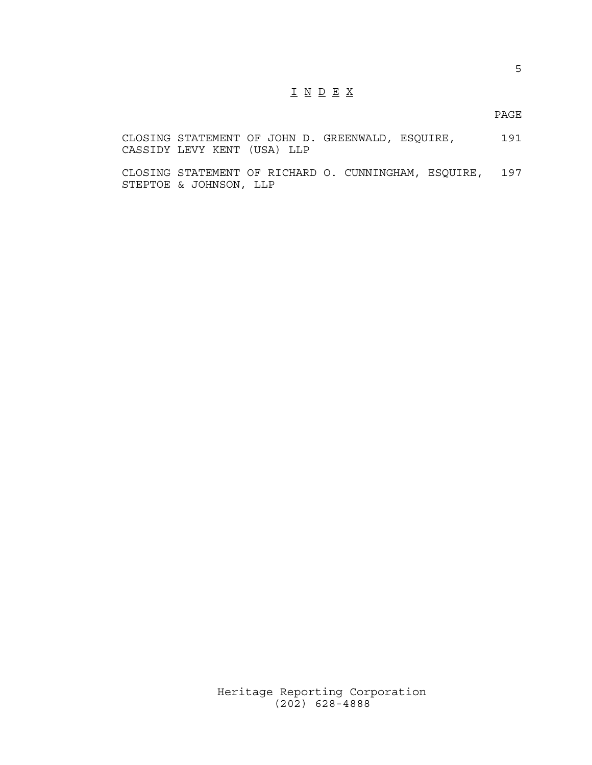## I N D E X

en de la provincia de la provincia de la provincia de la provincia de la provincia de la provincia de la provi

CLOSING STATEMENT OF JOHN D. GREENWALD, ESQUIRE, 191 CASSIDY LEVY KENT (USA) LLP

CLOSING STATEMENT OF RICHARD O. CUNNINGHAM, ESQUIRE, 197 STEPTOE & JOHNSON, LLP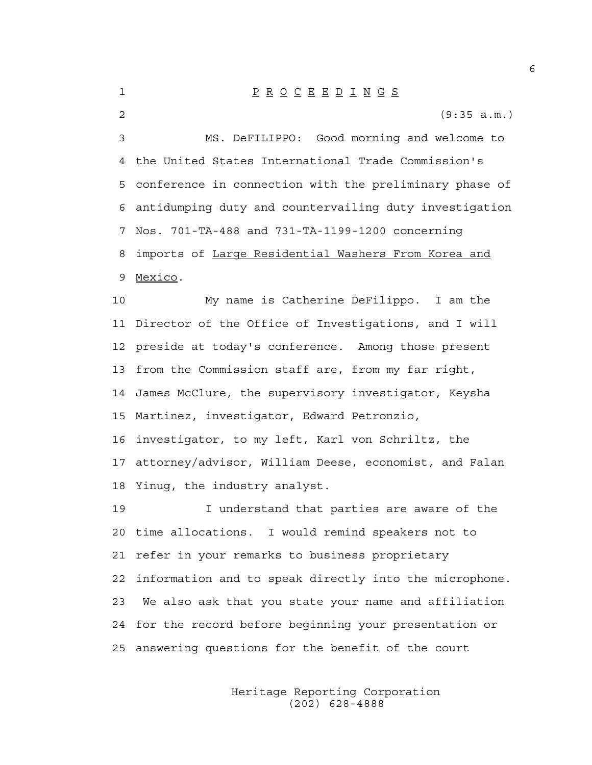### 1 P R O C E E D I N G S

2 (9:35 a.m.)

3 MS. DeFILIPPO: Good morning and welcome to 4 the United States International Trade Commission's 5 conference in connection with the preliminary phase of 6 antidumping duty and countervailing duty investigation 7 Nos. 701-TA-488 and 731-TA-1199-1200 concerning 8 imports of Large Residential Washers From Korea and 9 Mexico.

10 My name is Catherine DeFilippo. I am the 11 Director of the Office of Investigations, and I will 12 preside at today's conference. Among those present 13 from the Commission staff are, from my far right, 14 James McClure, the supervisory investigator, Keysha 15 Martinez, investigator, Edward Petronzio, 16 investigator, to my left, Karl von Schriltz, the 17 attorney/advisor, William Deese, economist, and Falan 18 Yinug, the industry analyst.

19 I understand that parties are aware of the 20 time allocations. I would remind speakers not to 21 refer in your remarks to business proprietary 22 information and to speak directly into the microphone. 23 We also ask that you state your name and affiliation 24 for the record before beginning your presentation or 25 answering questions for the benefit of the court

> Heritage Reporting Corporation (202) 628-4888

6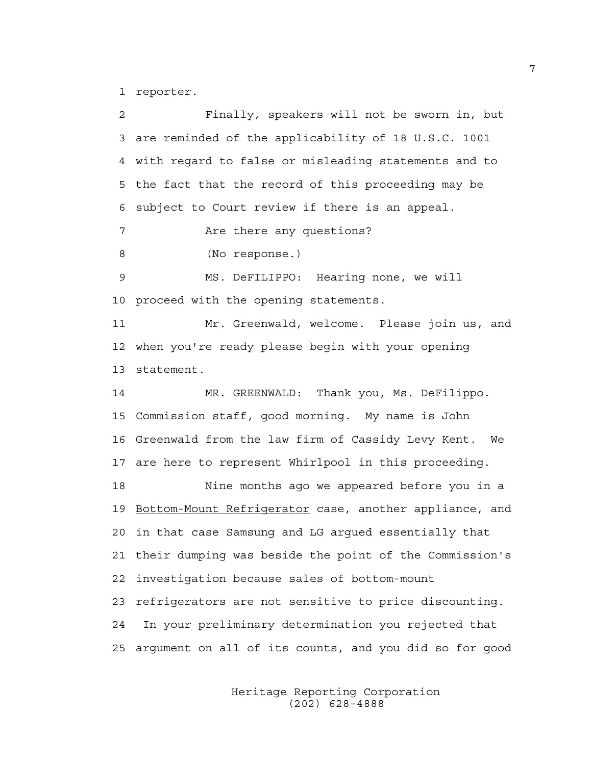1 reporter.

2 Finally, speakers will not be sworn in, but 3 are reminded of the applicability of 18 U.S.C. 1001 4 with regard to false or misleading statements and to 5 the fact that the record of this proceeding may be 6 subject to Court review if there is an appeal. 7 Are there any questions? 8 (No response.) 9 MS. DeFILIPPO: Hearing none, we will 10 proceed with the opening statements. 11 Mr. Greenwald, welcome. Please join us, and 12 when you're ready please begin with your opening 13 statement. 14 MR. GREENWALD: Thank you, Ms. DeFilippo. 15 Commission staff, good morning. My name is John 16 Greenwald from the law firm of Cassidy Levy Kent. We 17 are here to represent Whirlpool in this proceeding. 18 Nine months ago we appeared before you in a 19 Bottom-Mount Refrigerator case, another appliance, and 20 in that case Samsung and LG argued essentially that 21 their dumping was beside the point of the Commission's 22 investigation because sales of bottom-mount 23 refrigerators are not sensitive to price discounting. 24 In your preliminary determination you rejected that 25 argument on all of its counts, and you did so for good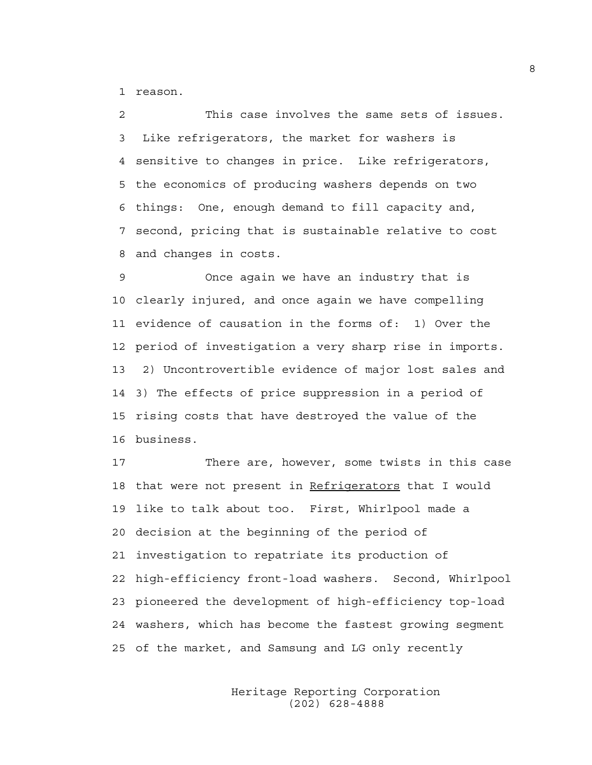1 reason.

2 This case involves the same sets of issues. 3 Like refrigerators, the market for washers is 4 sensitive to changes in price. Like refrigerators, 5 the economics of producing washers depends on two 6 things: One, enough demand to fill capacity and, 7 second, pricing that is sustainable relative to cost 8 and changes in costs.

9 Once again we have an industry that is 10 clearly injured, and once again we have compelling 11 evidence of causation in the forms of: 1) Over the 12 period of investigation a very sharp rise in imports. 13 2) Uncontrovertible evidence of major lost sales and 14 3) The effects of price suppression in a period of 15 rising costs that have destroyed the value of the 16 business.

17 There are, however, some twists in this case 18 that were not present in Refrigerators that I would 19 like to talk about too. First, Whirlpool made a 20 decision at the beginning of the period of 21 investigation to repatriate its production of 22 high-efficiency front-load washers. Second, Whirlpool 23 pioneered the development of high-efficiency top-load 24 washers, which has become the fastest growing segment 25 of the market, and Samsung and LG only recently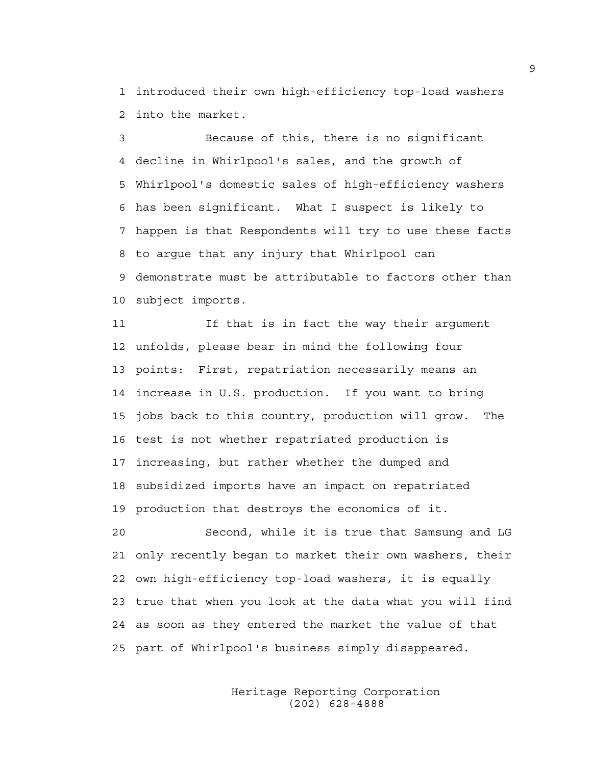1 introduced their own high-efficiency top-load washers 2 into the market.

3 Because of this, there is no significant 4 decline in Whirlpool's sales, and the growth of 5 Whirlpool's domestic sales of high-efficiency washers 6 has been significant. What I suspect is likely to 7 happen is that Respondents will try to use these facts 8 to argue that any injury that Whirlpool can 9 demonstrate must be attributable to factors other than 10 subject imports.

11 If that is in fact the way their argument 12 unfolds, please bear in mind the following four 13 points: First, repatriation necessarily means an 14 increase in U.S. production. If you want to bring 15 jobs back to this country, production will grow. The 16 test is not whether repatriated production is 17 increasing, but rather whether the dumped and 18 subsidized imports have an impact on repatriated 19 production that destroys the economics of it.

20 Second, while it is true that Samsung and LG 21 only recently began to market their own washers, their 22 own high-efficiency top-load washers, it is equally 23 true that when you look at the data what you will find 24 as soon as they entered the market the value of that 25 part of Whirlpool's business simply disappeared.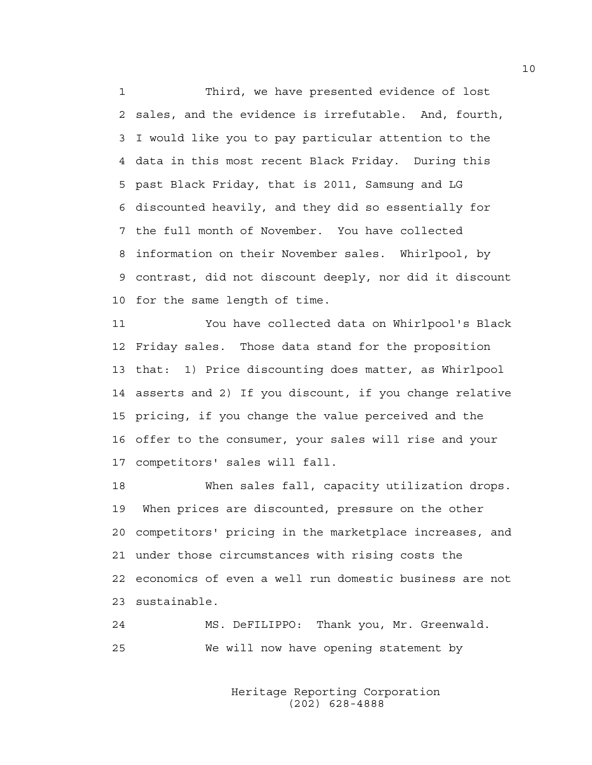1 Third, we have presented evidence of lost 2 sales, and the evidence is irrefutable. And, fourth, 3 I would like you to pay particular attention to the 4 data in this most recent Black Friday. During this 5 past Black Friday, that is 2011, Samsung and LG 6 discounted heavily, and they did so essentially for 7 the full month of November. You have collected 8 information on their November sales. Whirlpool, by 9 contrast, did not discount deeply, nor did it discount 10 for the same length of time.

11 You have collected data on Whirlpool's Black 12 Friday sales. Those data stand for the proposition 13 that: 1) Price discounting does matter, as Whirlpool 14 asserts and 2) If you discount, if you change relative 15 pricing, if you change the value perceived and the 16 offer to the consumer, your sales will rise and your 17 competitors' sales will fall.

18 When sales fall, capacity utilization drops. 19 When prices are discounted, pressure on the other 20 competitors' pricing in the marketplace increases, and 21 under those circumstances with rising costs the 22 economics of even a well run domestic business are not 23 sustainable.

24 MS. DeFILIPPO: Thank you, Mr. Greenwald. 25 We will now have opening statement by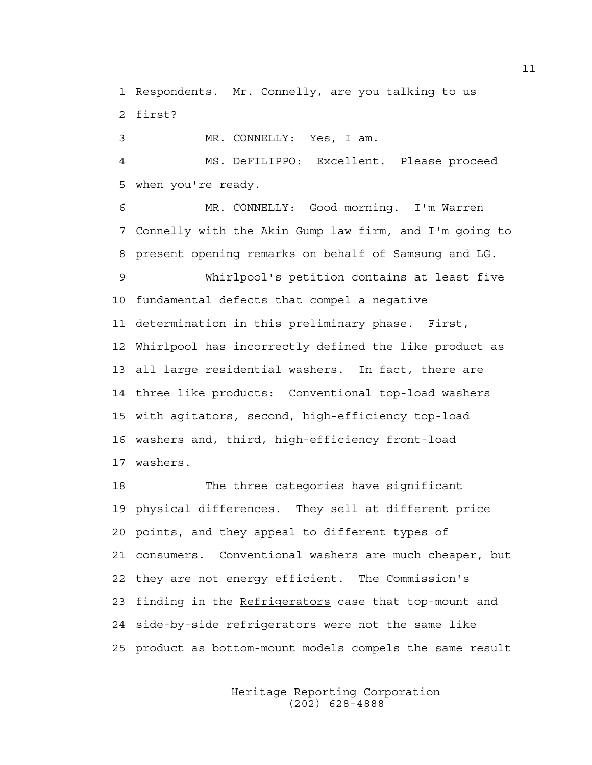1 Respondents. Mr. Connelly, are you talking to us 2 first?

3 MR. CONNELLY: Yes, I am.

4 MS. DeFILIPPO: Excellent. Please proceed 5 when you're ready.

6 MR. CONNELLY: Good morning. I'm Warren 7 Connelly with the Akin Gump law firm, and I'm going to 8 present opening remarks on behalf of Samsung and LG. 9 Whirlpool's petition contains at least five 10 fundamental defects that compel a negative 11 determination in this preliminary phase. First, 12 Whirlpool has incorrectly defined the like product as 13 all large residential washers. In fact, there are 14 three like products: Conventional top-load washers 15 with agitators, second, high-efficiency top-load 16 washers and, third, high-efficiency front-load 17 washers.

18 The three categories have significant 19 physical differences. They sell at different price 20 points, and they appeal to different types of 21 consumers. Conventional washers are much cheaper, but 22 they are not energy efficient. The Commission's 23 finding in the Refrigerators case that top-mount and 24 side-by-side refrigerators were not the same like 25 product as bottom-mount models compels the same result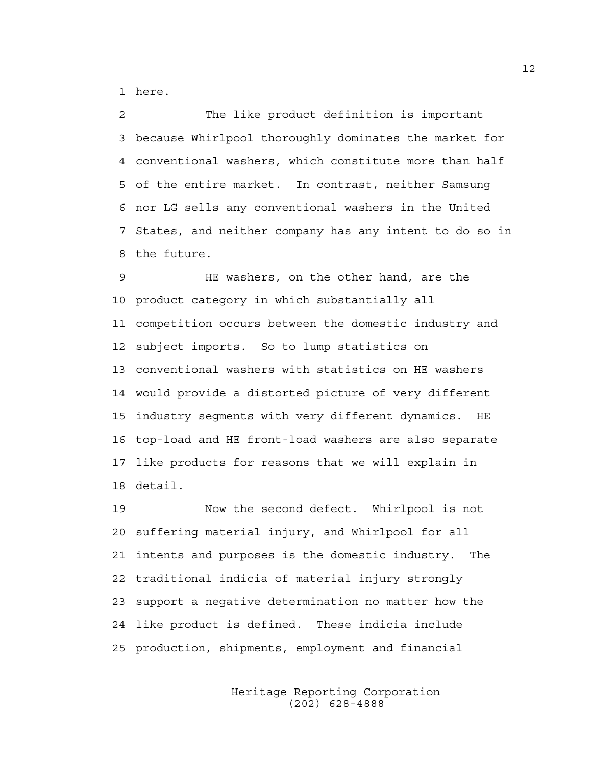1 here.

2 The like product definition is important 3 because Whirlpool thoroughly dominates the market for 4 conventional washers, which constitute more than half 5 of the entire market. In contrast, neither Samsung 6 nor LG sells any conventional washers in the United 7 States, and neither company has any intent to do so in 8 the future.

9 HE washers, on the other hand, are the 10 product category in which substantially all 11 competition occurs between the domestic industry and 12 subject imports. So to lump statistics on 13 conventional washers with statistics on HE washers 14 would provide a distorted picture of very different 15 industry segments with very different dynamics. HE 16 top-load and HE front-load washers are also separate 17 like products for reasons that we will explain in 18 detail.

19 Now the second defect. Whirlpool is not 20 suffering material injury, and Whirlpool for all 21 intents and purposes is the domestic industry. The 22 traditional indicia of material injury strongly 23 support a negative determination no matter how the 24 like product is defined. These indicia include 25 production, shipments, employment and financial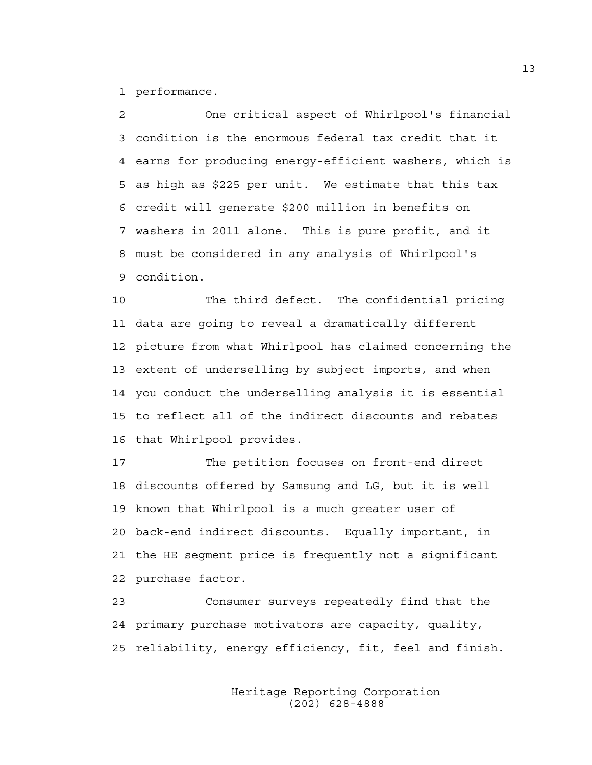1 performance.

2 One critical aspect of Whirlpool's financial 3 condition is the enormous federal tax credit that it 4 earns for producing energy-efficient washers, which is 5 as high as \$225 per unit. We estimate that this tax 6 credit will generate \$200 million in benefits on 7 washers in 2011 alone. This is pure profit, and it 8 must be considered in any analysis of Whirlpool's 9 condition.

10 The third defect. The confidential pricing 11 data are going to reveal a dramatically different 12 picture from what Whirlpool has claimed concerning the 13 extent of underselling by subject imports, and when 14 you conduct the underselling analysis it is essential 15 to reflect all of the indirect discounts and rebates 16 that Whirlpool provides.

17 The petition focuses on front-end direct 18 discounts offered by Samsung and LG, but it is well 19 known that Whirlpool is a much greater user of 20 back-end indirect discounts. Equally important, in 21 the HE segment price is frequently not a significant 22 purchase factor.

23 Consumer surveys repeatedly find that the 24 primary purchase motivators are capacity, quality, 25 reliability, energy efficiency, fit, feel and finish.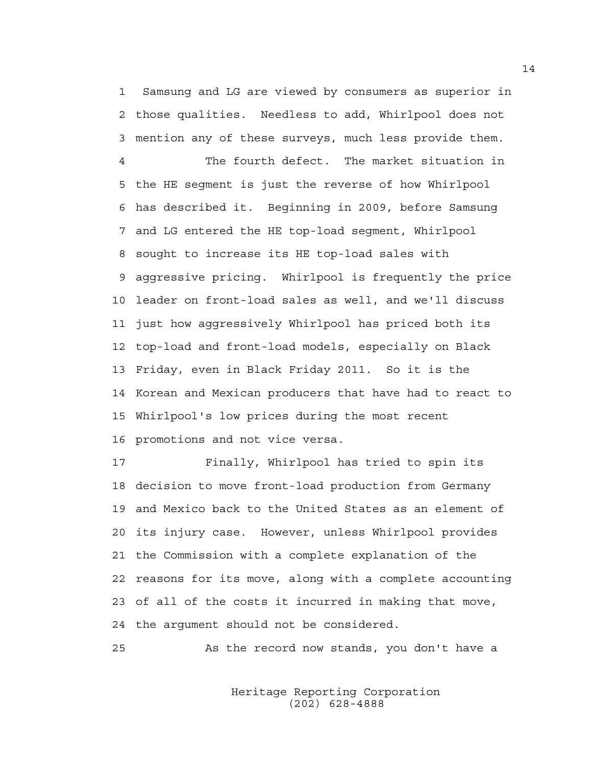1 Samsung and LG are viewed by consumers as superior in 2 those qualities. Needless to add, Whirlpool does not 3 mention any of these surveys, much less provide them.

4 The fourth defect. The market situation in 5 the HE segment is just the reverse of how Whirlpool 6 has described it. Beginning in 2009, before Samsung 7 and LG entered the HE top-load segment, Whirlpool 8 sought to increase its HE top-load sales with 9 aggressive pricing. Whirlpool is frequently the price 10 leader on front-load sales as well, and we'll discuss 11 just how aggressively Whirlpool has priced both its 12 top-load and front-load models, especially on Black 13 Friday, even in Black Friday 2011. So it is the 14 Korean and Mexican producers that have had to react to 15 Whirlpool's low prices during the most recent 16 promotions and not vice versa.

17 Finally, Whirlpool has tried to spin its 18 decision to move front-load production from Germany 19 and Mexico back to the United States as an element of 20 its injury case. However, unless Whirlpool provides 21 the Commission with a complete explanation of the 22 reasons for its move, along with a complete accounting 23 of all of the costs it incurred in making that move, 24 the argument should not be considered.

25 As the record now stands, you don't have a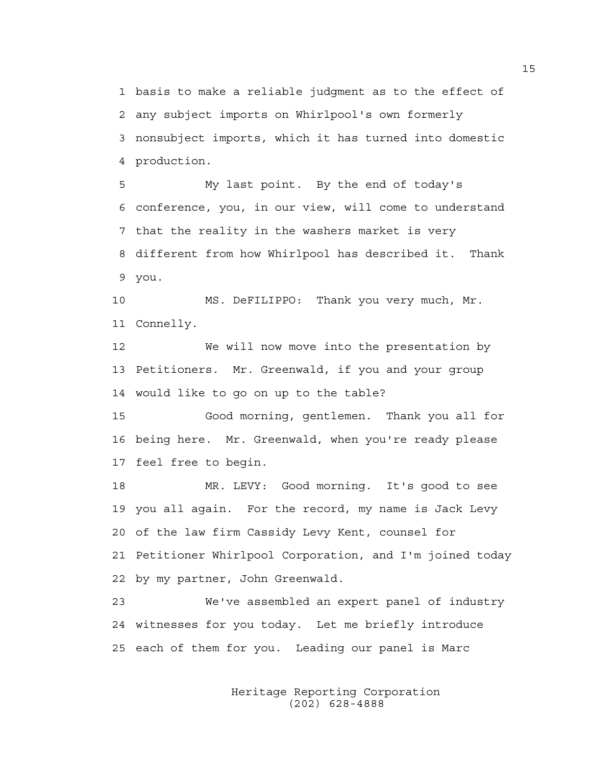1 basis to make a reliable judgment as to the effect of 2 any subject imports on Whirlpool's own formerly 3 nonsubject imports, which it has turned into domestic 4 production.

5 My last point. By the end of today's 6 conference, you, in our view, will come to understand 7 that the reality in the washers market is very 8 different from how Whirlpool has described it. Thank 9 you.

10 MS. DeFILIPPO: Thank you very much, Mr. 11 Connelly.

12 We will now move into the presentation by 13 Petitioners. Mr. Greenwald, if you and your group 14 would like to go on up to the table?

15 Good morning, gentlemen. Thank you all for 16 being here. Mr. Greenwald, when you're ready please 17 feel free to begin.

18 MR. LEVY: Good morning. It's good to see 19 you all again. For the record, my name is Jack Levy 20 of the law firm Cassidy Levy Kent, counsel for 21 Petitioner Whirlpool Corporation, and I'm joined today 22 by my partner, John Greenwald.

23 We've assembled an expert panel of industry 24 witnesses for you today. Let me briefly introduce 25 each of them for you. Leading our panel is Marc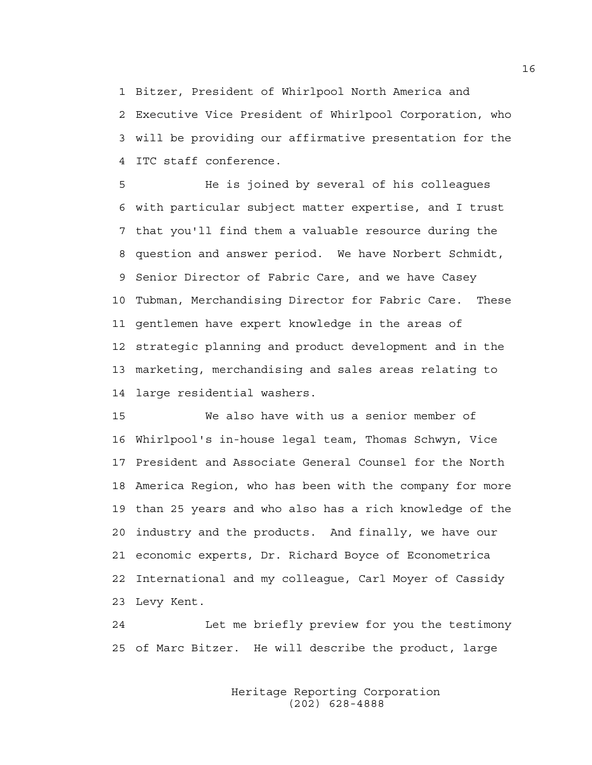1 Bitzer, President of Whirlpool North America and 2 Executive Vice President of Whirlpool Corporation, who 3 will be providing our affirmative presentation for the 4 ITC staff conference.

5 He is joined by several of his colleagues 6 with particular subject matter expertise, and I trust 7 that you'll find them a valuable resource during the 8 question and answer period. We have Norbert Schmidt, 9 Senior Director of Fabric Care, and we have Casey 10 Tubman, Merchandising Director for Fabric Care. These 11 gentlemen have expert knowledge in the areas of 12 strategic planning and product development and in the 13 marketing, merchandising and sales areas relating to 14 large residential washers.

15 We also have with us a senior member of 16 Whirlpool's in-house legal team, Thomas Schwyn, Vice 17 President and Associate General Counsel for the North 18 America Region, who has been with the company for more 19 than 25 years and who also has a rich knowledge of the 20 industry and the products. And finally, we have our 21 economic experts, Dr. Richard Boyce of Econometrica 22 International and my colleague, Carl Moyer of Cassidy 23 Levy Kent.

24 Let me briefly preview for you the testimony 25 of Marc Bitzer. He will describe the product, large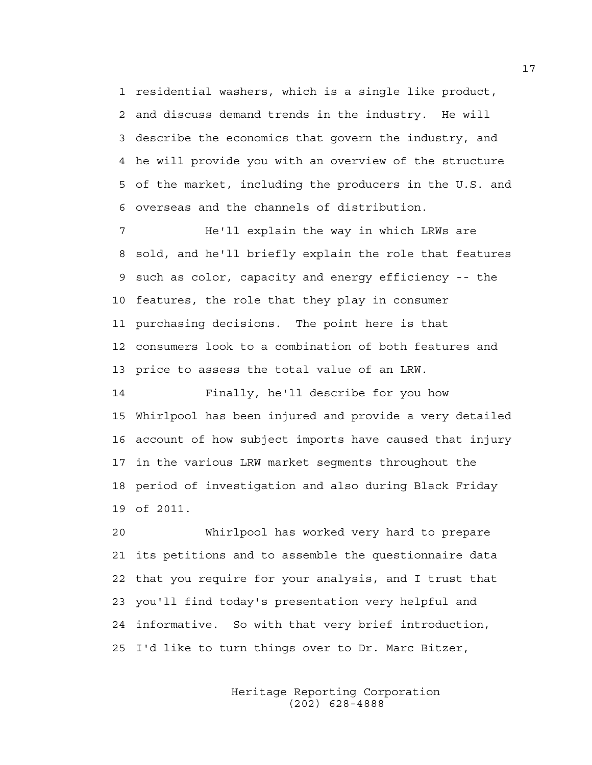1 residential washers, which is a single like product, 2 and discuss demand trends in the industry. He will 3 describe the economics that govern the industry, and 4 he will provide you with an overview of the structure 5 of the market, including the producers in the U.S. and 6 overseas and the channels of distribution.

7 He'll explain the way in which LRWs are 8 sold, and he'll briefly explain the role that features 9 such as color, capacity and energy efficiency -- the 10 features, the role that they play in consumer 11 purchasing decisions. The point here is that 12 consumers look to a combination of both features and 13 price to assess the total value of an LRW.

14 Finally, he'll describe for you how 15 Whirlpool has been injured and provide a very detailed 16 account of how subject imports have caused that injury 17 in the various LRW market segments throughout the 18 period of investigation and also during Black Friday 19 of 2011.

20 Whirlpool has worked very hard to prepare 21 its petitions and to assemble the questionnaire data 22 that you require for your analysis, and I trust that 23 you'll find today's presentation very helpful and 24 informative. So with that very brief introduction, 25 I'd like to turn things over to Dr. Marc Bitzer,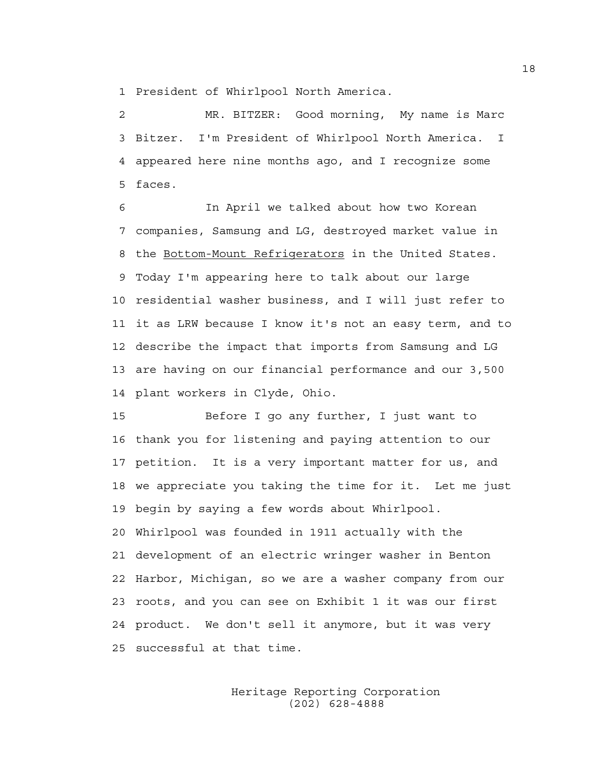1 President of Whirlpool North America.

2 MR. BITZER: Good morning, My name is Marc 3 Bitzer. I'm President of Whirlpool North America. I 4 appeared here nine months ago, and I recognize some 5 faces.

6 In April we talked about how two Korean 7 companies, Samsung and LG, destroyed market value in 8 the Bottom-Mount Refrigerators in the United States. 9 Today I'm appearing here to talk about our large 10 residential washer business, and I will just refer to 11 it as LRW because I know it's not an easy term, and to 12 describe the impact that imports from Samsung and LG 13 are having on our financial performance and our 3,500 14 plant workers in Clyde, Ohio.

15 Before I go any further, I just want to 16 thank you for listening and paying attention to our 17 petition. It is a very important matter for us, and 18 we appreciate you taking the time for it. Let me just 19 begin by saying a few words about Whirlpool. 20 Whirlpool was founded in 1911 actually with the 21 development of an electric wringer washer in Benton 22 Harbor, Michigan, so we are a washer company from our 23 roots, and you can see on Exhibit 1 it was our first 24 product. We don't sell it anymore, but it was very 25 successful at that time.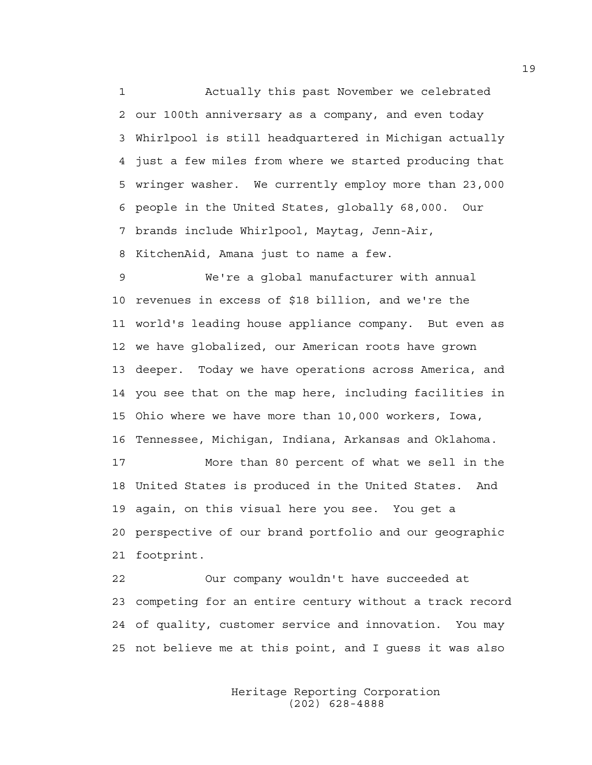1 Actually this past November we celebrated 2 our 100th anniversary as a company, and even today 3 Whirlpool is still headquartered in Michigan actually 4 just a few miles from where we started producing that 5 wringer washer. We currently employ more than 23,000 6 people in the United States, globally 68,000. Our 7 brands include Whirlpool, Maytag, Jenn-Air, 8 KitchenAid, Amana just to name a few.

9 We're a global manufacturer with annual 10 revenues in excess of \$18 billion, and we're the 11 world's leading house appliance company. But even as 12 we have globalized, our American roots have grown 13 deeper. Today we have operations across America, and 14 you see that on the map here, including facilities in 15 Ohio where we have more than 10,000 workers, Iowa, 16 Tennessee, Michigan, Indiana, Arkansas and Oklahoma.

17 More than 80 percent of what we sell in the 18 United States is produced in the United States. And 19 again, on this visual here you see. You get a 20 perspective of our brand portfolio and our geographic 21 footprint.

22 Our company wouldn't have succeeded at 23 competing for an entire century without a track record 24 of quality, customer service and innovation. You may 25 not believe me at this point, and I guess it was also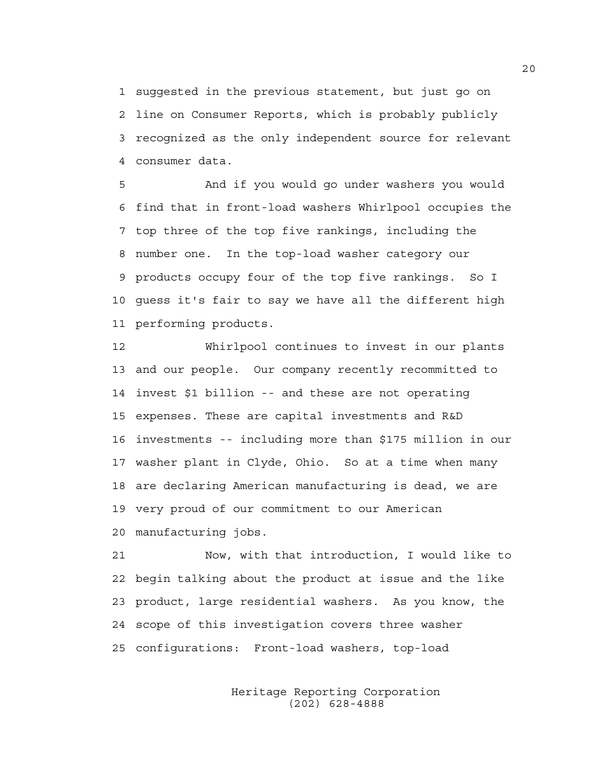1 suggested in the previous statement, but just go on 2 line on Consumer Reports, which is probably publicly 3 recognized as the only independent source for relevant 4 consumer data.

5 And if you would go under washers you would 6 find that in front-load washers Whirlpool occupies the 7 top three of the top five rankings, including the 8 number one. In the top-load washer category our 9 products occupy four of the top five rankings. So I 10 guess it's fair to say we have all the different high 11 performing products.

12 Whirlpool continues to invest in our plants 13 and our people. Our company recently recommitted to 14 invest \$1 billion -- and these are not operating 15 expenses. These are capital investments and R&D 16 investments -- including more than \$175 million in our 17 washer plant in Clyde, Ohio. So at a time when many 18 are declaring American manufacturing is dead, we are 19 very proud of our commitment to our American 20 manufacturing jobs.

21 Now, with that introduction, I would like to 22 begin talking about the product at issue and the like 23 product, large residential washers. As you know, the 24 scope of this investigation covers three washer 25 configurations: Front-load washers, top-load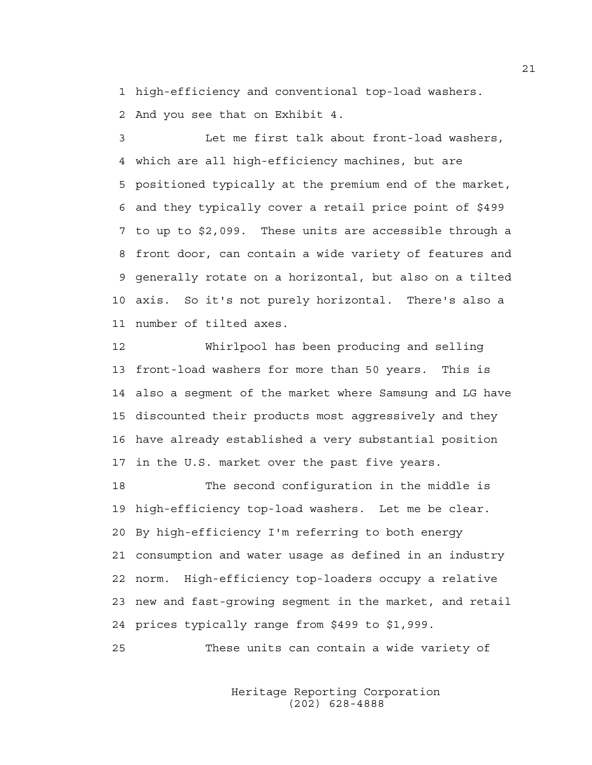1 high-efficiency and conventional top-load washers. 2 And you see that on Exhibit 4.

3 Let me first talk about front-load washers, 4 which are all high-efficiency machines, but are 5 positioned typically at the premium end of the market, 6 and they typically cover a retail price point of \$499 7 to up to \$2,099. These units are accessible through a 8 front door, can contain a wide variety of features and 9 generally rotate on a horizontal, but also on a tilted 10 axis. So it's not purely horizontal. There's also a 11 number of tilted axes.

12 Whirlpool has been producing and selling 13 front-load washers for more than 50 years. This is 14 also a segment of the market where Samsung and LG have 15 discounted their products most aggressively and they 16 have already established a very substantial position 17 in the U.S. market over the past five years.

18 The second configuration in the middle is 19 high-efficiency top-load washers. Let me be clear. 20 By high-efficiency I'm referring to both energy 21 consumption and water usage as defined in an industry 22 norm. High-efficiency top-loaders occupy a relative 23 new and fast-growing segment in the market, and retail 24 prices typically range from \$499 to \$1,999.

25 These units can contain a wide variety of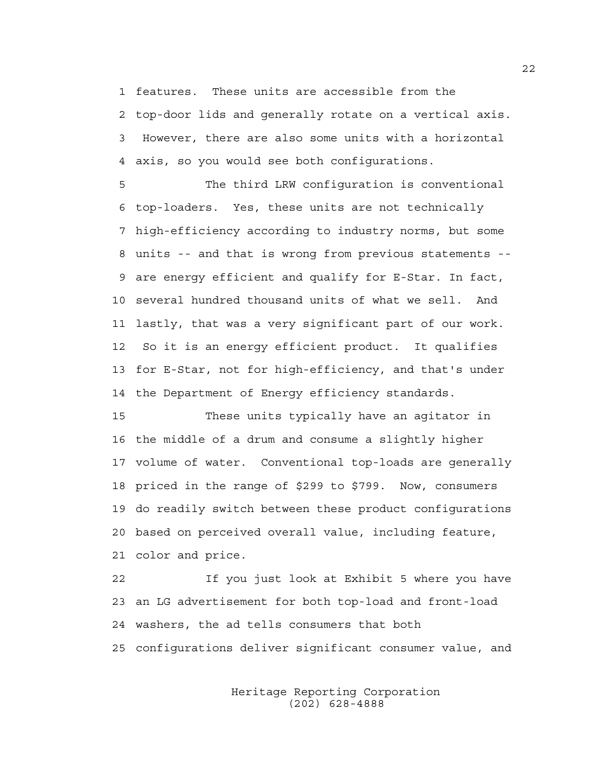1 features. These units are accessible from the

2 top-door lids and generally rotate on a vertical axis. 3 However, there are also some units with a horizontal 4 axis, so you would see both configurations.

5 The third LRW configuration is conventional 6 top-loaders. Yes, these units are not technically 7 high-efficiency according to industry norms, but some 8 units -- and that is wrong from previous statements -- 9 are energy efficient and qualify for E-Star. In fact, 10 several hundred thousand units of what we sell. And 11 lastly, that was a very significant part of our work. 12 So it is an energy efficient product. It qualifies 13 for E-Star, not for high-efficiency, and that's under 14 the Department of Energy efficiency standards.

15 These units typically have an agitator in 16 the middle of a drum and consume a slightly higher 17 volume of water. Conventional top-loads are generally 18 priced in the range of \$299 to \$799. Now, consumers 19 do readily switch between these product configurations 20 based on perceived overall value, including feature, 21 color and price.

22 If you just look at Exhibit 5 where you have 23 an LG advertisement for both top-load and front-load 24 washers, the ad tells consumers that both 25 configurations deliver significant consumer value, and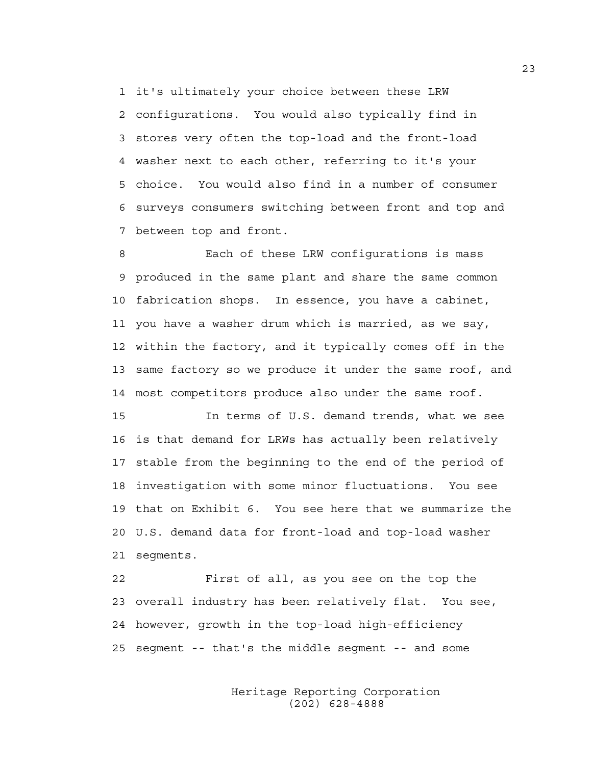1 it's ultimately your choice between these LRW 2 configurations. You would also typically find in 3 stores very often the top-load and the front-load 4 washer next to each other, referring to it's your 5 choice. You would also find in a number of consumer 6 surveys consumers switching between front and top and 7 between top and front.

8 Each of these LRW configurations is mass 9 produced in the same plant and share the same common 10 fabrication shops. In essence, you have a cabinet, 11 you have a washer drum which is married, as we say, 12 within the factory, and it typically comes off in the 13 same factory so we produce it under the same roof, and 14 most competitors produce also under the same roof.

15 In terms of U.S. demand trends, what we see 16 is that demand for LRWs has actually been relatively 17 stable from the beginning to the end of the period of 18 investigation with some minor fluctuations. You see 19 that on Exhibit 6. You see here that we summarize the 20 U.S. demand data for front-load and top-load washer 21 segments.

22 First of all, as you see on the top the 23 overall industry has been relatively flat. You see, 24 however, growth in the top-load high-efficiency 25 segment -- that's the middle segment -- and some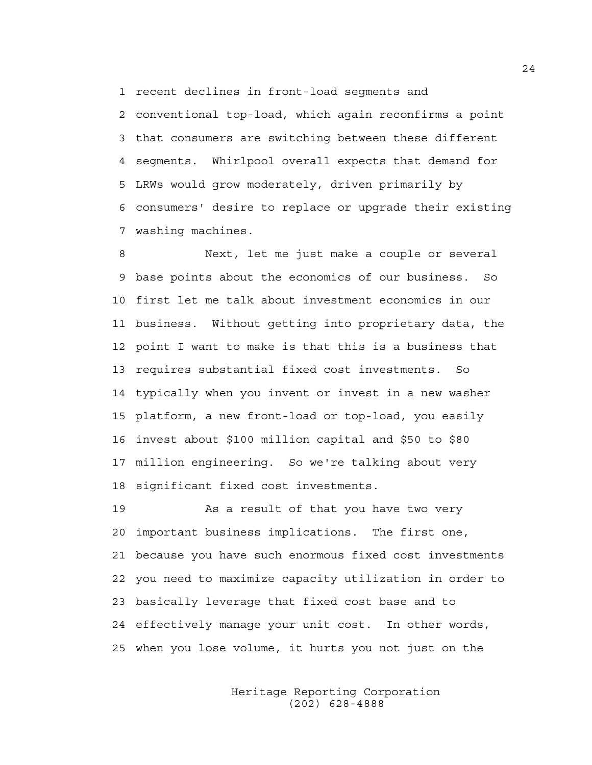1 recent declines in front-load segments and

2 conventional top-load, which again reconfirms a point 3 that consumers are switching between these different 4 segments. Whirlpool overall expects that demand for 5 LRWs would grow moderately, driven primarily by 6 consumers' desire to replace or upgrade their existing 7 washing machines.

8 Next, let me just make a couple or several 9 base points about the economics of our business. So 10 first let me talk about investment economics in our 11 business. Without getting into proprietary data, the 12 point I want to make is that this is a business that 13 requires substantial fixed cost investments. So 14 typically when you invent or invest in a new washer 15 platform, a new front-load or top-load, you easily 16 invest about \$100 million capital and \$50 to \$80 17 million engineering. So we're talking about very 18 significant fixed cost investments.

19 As a result of that you have two very 20 important business implications. The first one, 21 because you have such enormous fixed cost investments 22 you need to maximize capacity utilization in order to 23 basically leverage that fixed cost base and to 24 effectively manage your unit cost. In other words, 25 when you lose volume, it hurts you not just on the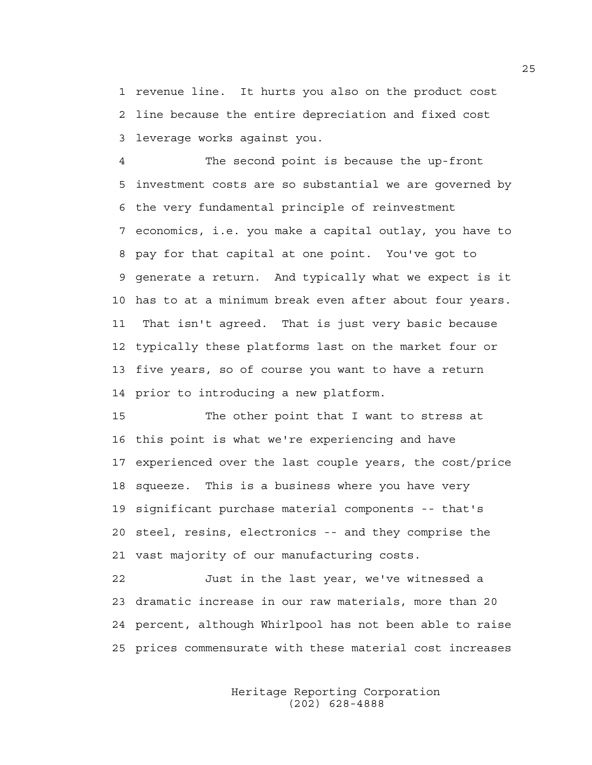1 revenue line. It hurts you also on the product cost 2 line because the entire depreciation and fixed cost 3 leverage works against you.

4 The second point is because the up-front 5 investment costs are so substantial we are governed by 6 the very fundamental principle of reinvestment 7 economics, i.e. you make a capital outlay, you have to 8 pay for that capital at one point. You've got to 9 generate a return. And typically what we expect is it 10 has to at a minimum break even after about four years. 11 That isn't agreed. That is just very basic because 12 typically these platforms last on the market four or 13 five years, so of course you want to have a return 14 prior to introducing a new platform.

15 The other point that I want to stress at 16 this point is what we're experiencing and have 17 experienced over the last couple years, the cost/price 18 squeeze. This is a business where you have very 19 significant purchase material components -- that's 20 steel, resins, electronics -- and they comprise the 21 vast majority of our manufacturing costs.

22 Just in the last year, we've witnessed a 23 dramatic increase in our raw materials, more than 20 24 percent, although Whirlpool has not been able to raise 25 prices commensurate with these material cost increases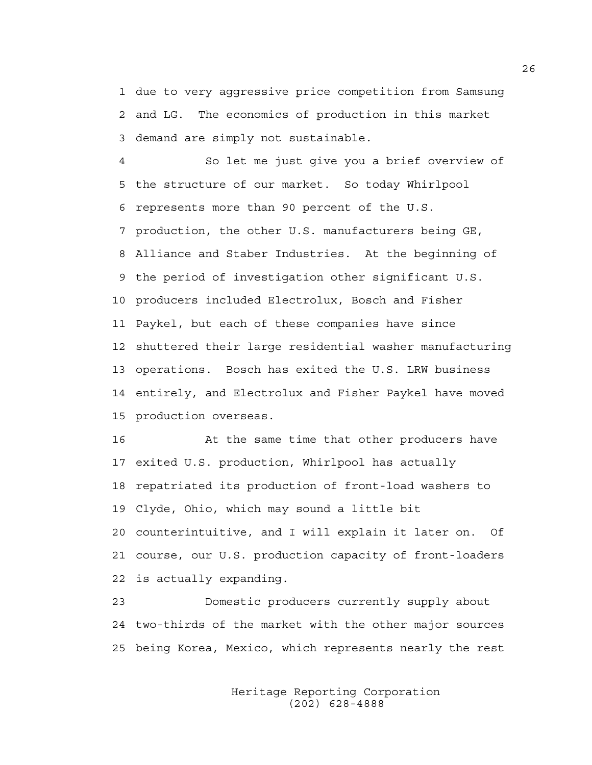1 due to very aggressive price competition from Samsung 2 and LG. The economics of production in this market 3 demand are simply not sustainable.

4 So let me just give you a brief overview of 5 the structure of our market. So today Whirlpool 6 represents more than 90 percent of the U.S. 7 production, the other U.S. manufacturers being GE, 8 Alliance and Staber Industries. At the beginning of 9 the period of investigation other significant U.S. 10 producers included Electrolux, Bosch and Fisher 11 Paykel, but each of these companies have since 12 shuttered their large residential washer manufacturing 13 operations. Bosch has exited the U.S. LRW business 14 entirely, and Electrolux and Fisher Paykel have moved 15 production overseas.

16 At the same time that other producers have 17 exited U.S. production, Whirlpool has actually 18 repatriated its production of front-load washers to 19 Clyde, Ohio, which may sound a little bit 20 counterintuitive, and I will explain it later on. Of 21 course, our U.S. production capacity of front-loaders 22 is actually expanding.

23 Domestic producers currently supply about 24 two-thirds of the market with the other major sources 25 being Korea, Mexico, which represents nearly the rest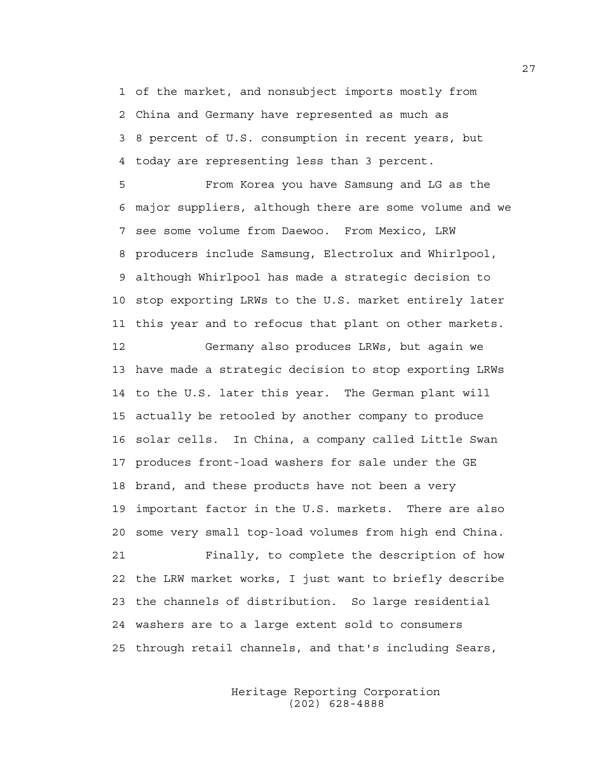1 of the market, and nonsubject imports mostly from 2 China and Germany have represented as much as 3 8 percent of U.S. consumption in recent years, but 4 today are representing less than 3 percent.

5 From Korea you have Samsung and LG as the 6 major suppliers, although there are some volume and we 7 see some volume from Daewoo. From Mexico, LRW 8 producers include Samsung, Electrolux and Whirlpool, 9 although Whirlpool has made a strategic decision to 10 stop exporting LRWs to the U.S. market entirely later 11 this year and to refocus that plant on other markets.

12 Germany also produces LRWs, but again we 13 have made a strategic decision to stop exporting LRWs 14 to the U.S. later this year. The German plant will 15 actually be retooled by another company to produce 16 solar cells. In China, a company called Little Swan 17 produces front-load washers for sale under the GE 18 brand, and these products have not been a very 19 important factor in the U.S. markets. There are also 20 some very small top-load volumes from high end China. 21 Finally, to complete the description of how 22 the LRW market works, I just want to briefly describe 23 the channels of distribution. So large residential 24 washers are to a large extent sold to consumers 25 through retail channels, and that's including Sears,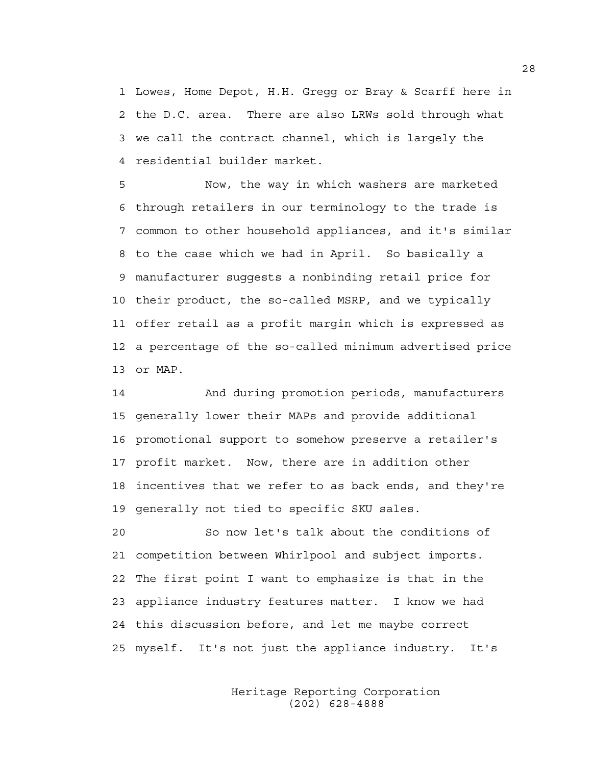1 Lowes, Home Depot, H.H. Gregg or Bray & Scarff here in 2 the D.C. area. There are also LRWs sold through what 3 we call the contract channel, which is largely the 4 residential builder market.

5 Now, the way in which washers are marketed 6 through retailers in our terminology to the trade is 7 common to other household appliances, and it's similar 8 to the case which we had in April. So basically a 9 manufacturer suggests a nonbinding retail price for 10 their product, the so-called MSRP, and we typically 11 offer retail as a profit margin which is expressed as 12 a percentage of the so-called minimum advertised price 13 or MAP.

14 And during promotion periods, manufacturers 15 generally lower their MAPs and provide additional 16 promotional support to somehow preserve a retailer's 17 profit market. Now, there are in addition other 18 incentives that we refer to as back ends, and they're 19 generally not tied to specific SKU sales.

20 So now let's talk about the conditions of 21 competition between Whirlpool and subject imports. 22 The first point I want to emphasize is that in the 23 appliance industry features matter. I know we had 24 this discussion before, and let me maybe correct 25 myself. It's not just the appliance industry. It's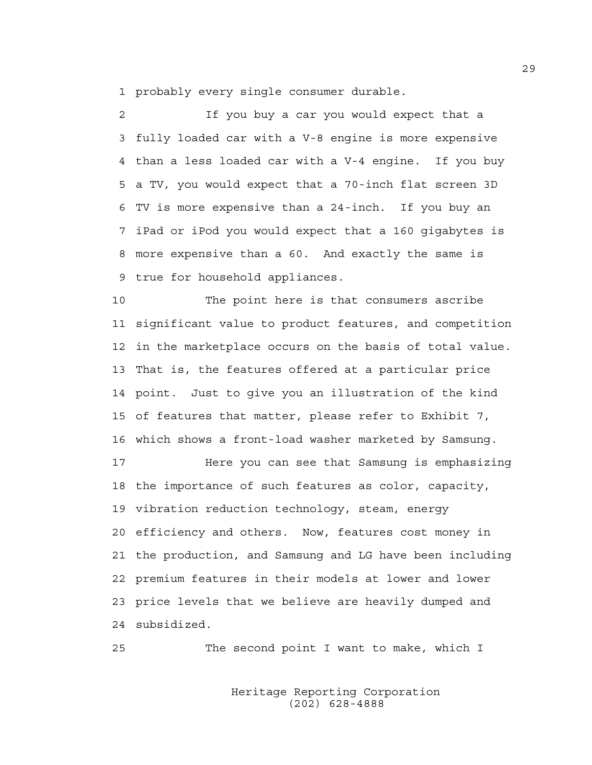1 probably every single consumer durable.

2 If you buy a car you would expect that a 3 fully loaded car with a V-8 engine is more expensive 4 than a less loaded car with a V-4 engine. If you buy 5 a TV, you would expect that a 70-inch flat screen 3D 6 TV is more expensive than a 24-inch. If you buy an 7 iPad or iPod you would expect that a 160 gigabytes is 8 more expensive than a 60. And exactly the same is 9 true for household appliances.

10 The point here is that consumers ascribe 11 significant value to product features, and competition 12 in the marketplace occurs on the basis of total value. 13 That is, the features offered at a particular price 14 point. Just to give you an illustration of the kind 15 of features that matter, please refer to Exhibit 7, 16 which shows a front-load washer marketed by Samsung.

17 Here you can see that Samsung is emphasizing 18 the importance of such features as color, capacity, 19 vibration reduction technology, steam, energy 20 efficiency and others. Now, features cost money in 21 the production, and Samsung and LG have been including 22 premium features in their models at lower and lower 23 price levels that we believe are heavily dumped and 24 subsidized.

25 The second point I want to make, which I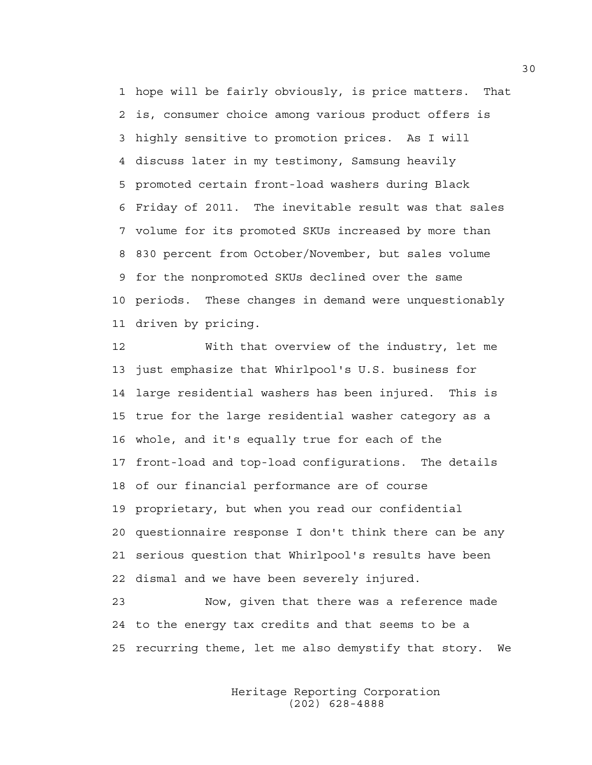1 hope will be fairly obviously, is price matters. That 2 is, consumer choice among various product offers is 3 highly sensitive to promotion prices. As I will 4 discuss later in my testimony, Samsung heavily 5 promoted certain front-load washers during Black 6 Friday of 2011. The inevitable result was that sales 7 volume for its promoted SKUs increased by more than 8 830 percent from October/November, but sales volume 9 for the nonpromoted SKUs declined over the same 10 periods. These changes in demand were unquestionably 11 driven by pricing.

12 With that overview of the industry, let me 13 just emphasize that Whirlpool's U.S. business for 14 large residential washers has been injured. This is 15 true for the large residential washer category as a 16 whole, and it's equally true for each of the 17 front-load and top-load configurations. The details 18 of our financial performance are of course 19 proprietary, but when you read our confidential 20 questionnaire response I don't think there can be any 21 serious question that Whirlpool's results have been 22 dismal and we have been severely injured.

23 Now, given that there was a reference made 24 to the energy tax credits and that seems to be a 25 recurring theme, let me also demystify that story. We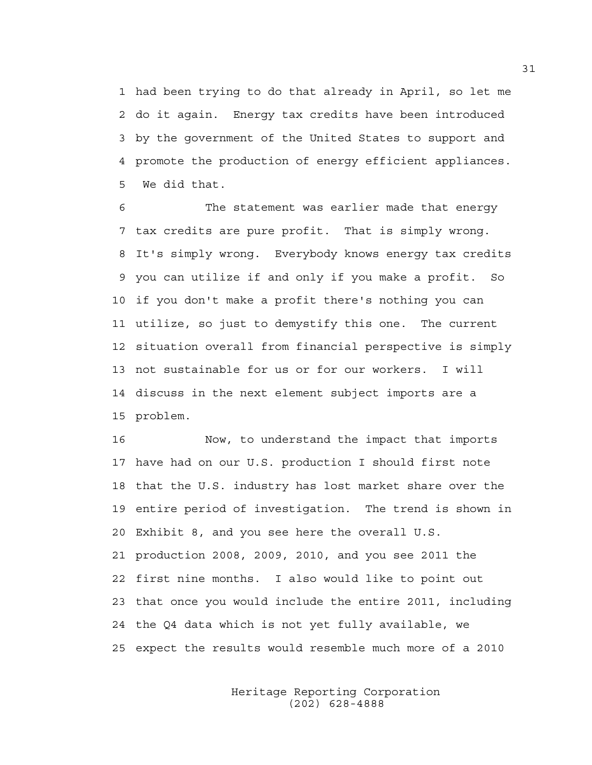1 had been trying to do that already in April, so let me 2 do it again. Energy tax credits have been introduced 3 by the government of the United States to support and 4 promote the production of energy efficient appliances. 5 We did that.

6 The statement was earlier made that energy 7 tax credits are pure profit. That is simply wrong. 8 It's simply wrong. Everybody knows energy tax credits 9 you can utilize if and only if you make a profit. So 10 if you don't make a profit there's nothing you can 11 utilize, so just to demystify this one. The current 12 situation overall from financial perspective is simply 13 not sustainable for us or for our workers. I will 14 discuss in the next element subject imports are a 15 problem.

16 Now, to understand the impact that imports 17 have had on our U.S. production I should first note 18 that the U.S. industry has lost market share over the 19 entire period of investigation. The trend is shown in 20 Exhibit 8, and you see here the overall U.S. 21 production 2008, 2009, 2010, and you see 2011 the 22 first nine months. I also would like to point out 23 that once you would include the entire 2011, including 24 the Q4 data which is not yet fully available, we 25 expect the results would resemble much more of a 2010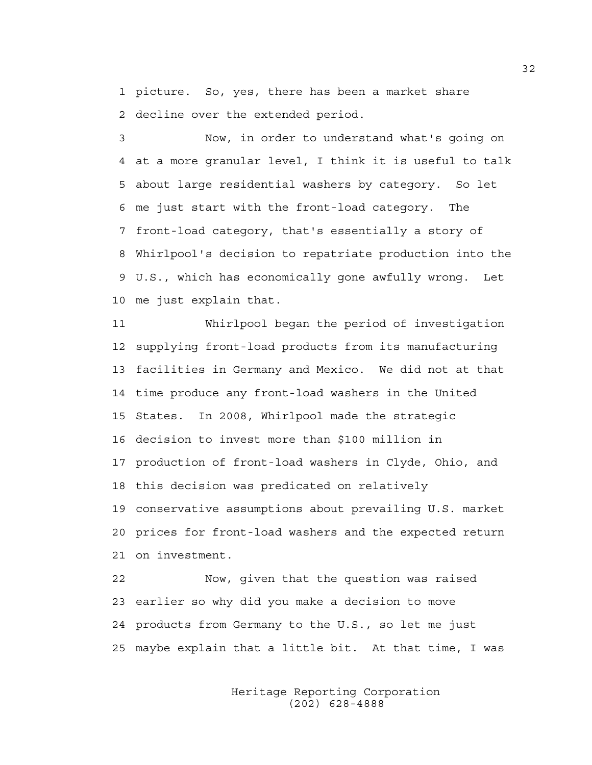1 picture. So, yes, there has been a market share 2 decline over the extended period.

3 Now, in order to understand what's going on 4 at a more granular level, I think it is useful to talk 5 about large residential washers by category. So let 6 me just start with the front-load category. The 7 front-load category, that's essentially a story of 8 Whirlpool's decision to repatriate production into the 9 U.S., which has economically gone awfully wrong. Let 10 me just explain that.

11 Whirlpool began the period of investigation 12 supplying front-load products from its manufacturing 13 facilities in Germany and Mexico. We did not at that 14 time produce any front-load washers in the United 15 States. In 2008, Whirlpool made the strategic 16 decision to invest more than \$100 million in 17 production of front-load washers in Clyde, Ohio, and 18 this decision was predicated on relatively 19 conservative assumptions about prevailing U.S. market 20 prices for front-load washers and the expected return 21 on investment.

22 Now, given that the question was raised 23 earlier so why did you make a decision to move 24 products from Germany to the U.S., so let me just 25 maybe explain that a little bit. At that time, I was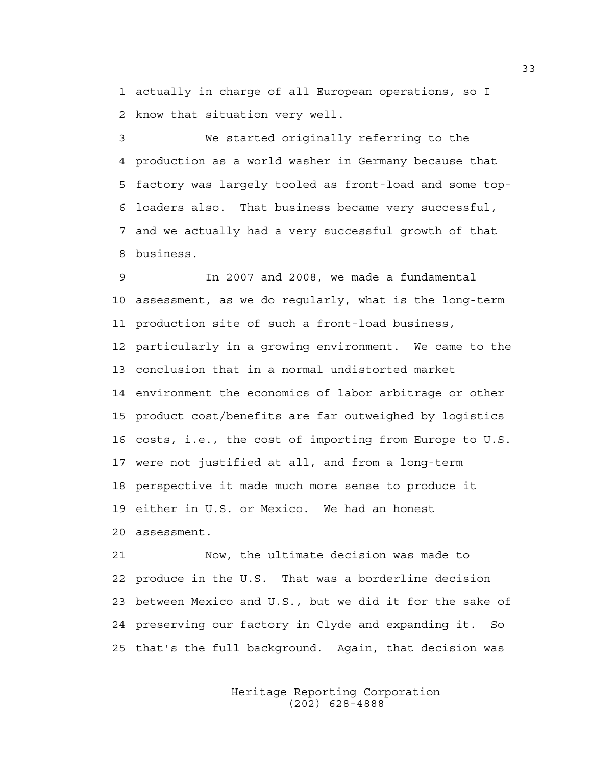1 actually in charge of all European operations, so I 2 know that situation very well.

3 We started originally referring to the 4 production as a world washer in Germany because that 5 factory was largely tooled as front-load and some top-6 loaders also. That business became very successful, 7 and we actually had a very successful growth of that 8 business.

9 In 2007 and 2008, we made a fundamental 10 assessment, as we do regularly, what is the long-term 11 production site of such a front-load business, 12 particularly in a growing environment. We came to the 13 conclusion that in a normal undistorted market 14 environment the economics of labor arbitrage or other 15 product cost/benefits are far outweighed by logistics 16 costs, i.e., the cost of importing from Europe to U.S. 17 were not justified at all, and from a long-term 18 perspective it made much more sense to produce it 19 either in U.S. or Mexico. We had an honest 20 assessment.

21 Now, the ultimate decision was made to 22 produce in the U.S. That was a borderline decision 23 between Mexico and U.S., but we did it for the sake of 24 preserving our factory in Clyde and expanding it. So 25 that's the full background. Again, that decision was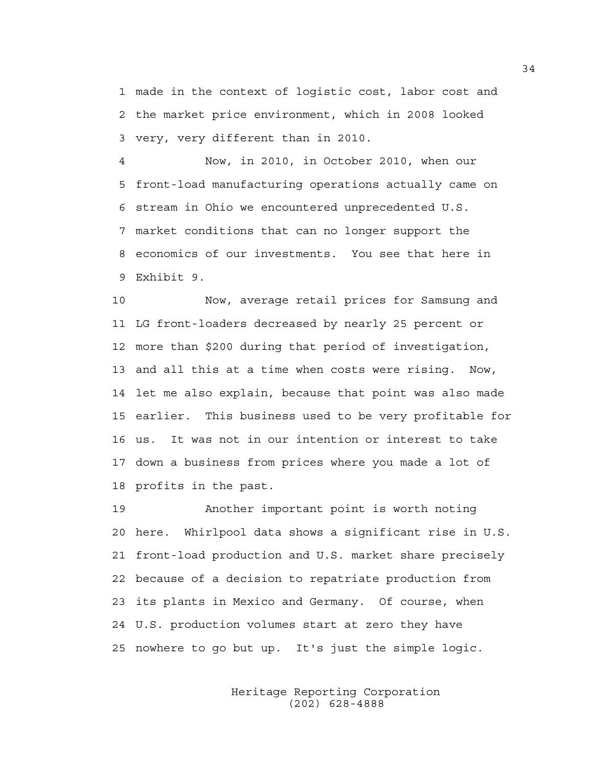1 made in the context of logistic cost, labor cost and 2 the market price environment, which in 2008 looked 3 very, very different than in 2010.

4 Now, in 2010, in October 2010, when our 5 front-load manufacturing operations actually came on 6 stream in Ohio we encountered unprecedented U.S. 7 market conditions that can no longer support the 8 economics of our investments. You see that here in 9 Exhibit 9.

10 Now, average retail prices for Samsung and 11 LG front-loaders decreased by nearly 25 percent or 12 more than \$200 during that period of investigation, 13 and all this at a time when costs were rising. Now, 14 let me also explain, because that point was also made 15 earlier. This business used to be very profitable for 16 us. It was not in our intention or interest to take 17 down a business from prices where you made a lot of 18 profits in the past.

19 Another important point is worth noting 20 here. Whirlpool data shows a significant rise in U.S. 21 front-load production and U.S. market share precisely 22 because of a decision to repatriate production from 23 its plants in Mexico and Germany. Of course, when 24 U.S. production volumes start at zero they have 25 nowhere to go but up. It's just the simple logic.

> Heritage Reporting Corporation (202) 628-4888

34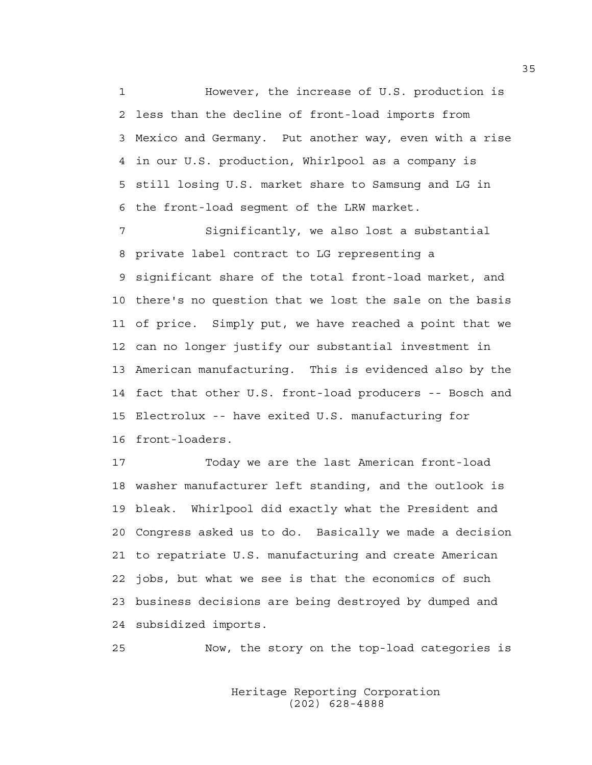1 However, the increase of U.S. production is 2 less than the decline of front-load imports from 3 Mexico and Germany. Put another way, even with a rise 4 in our U.S. production, Whirlpool as a company is 5 still losing U.S. market share to Samsung and LG in 6 the front-load segment of the LRW market.

7 Significantly, we also lost a substantial 8 private label contract to LG representing a 9 significant share of the total front-load market, and 10 there's no question that we lost the sale on the basis 11 of price. Simply put, we have reached a point that we 12 can no longer justify our substantial investment in 13 American manufacturing. This is evidenced also by the 14 fact that other U.S. front-load producers -- Bosch and 15 Electrolux -- have exited U.S. manufacturing for 16 front-loaders.

17 Today we are the last American front-load 18 washer manufacturer left standing, and the outlook is 19 bleak. Whirlpool did exactly what the President and 20 Congress asked us to do. Basically we made a decision 21 to repatriate U.S. manufacturing and create American 22 jobs, but what we see is that the economics of such 23 business decisions are being destroyed by dumped and 24 subsidized imports.

25 Now, the story on the top-load categories is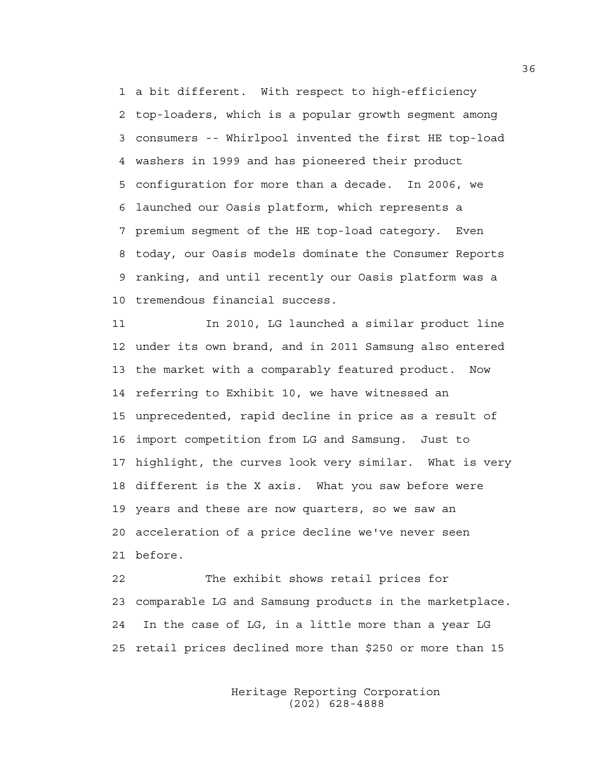1 a bit different. With respect to high-efficiency 2 top-loaders, which is a popular growth segment among 3 consumers -- Whirlpool invented the first HE top-load 4 washers in 1999 and has pioneered their product 5 configuration for more than a decade. In 2006, we 6 launched our Oasis platform, which represents a 7 premium segment of the HE top-load category. Even 8 today, our Oasis models dominate the Consumer Reports 9 ranking, and until recently our Oasis platform was a 10 tremendous financial success.

11 In 2010, LG launched a similar product line 12 under its own brand, and in 2011 Samsung also entered 13 the market with a comparably featured product. Now 14 referring to Exhibit 10, we have witnessed an 15 unprecedented, rapid decline in price as a result of 16 import competition from LG and Samsung. Just to 17 highlight, the curves look very similar. What is very 18 different is the X axis. What you saw before were 19 years and these are now quarters, so we saw an 20 acceleration of a price decline we've never seen 21 before.

22 The exhibit shows retail prices for 23 comparable LG and Samsung products in the marketplace. 24 In the case of LG, in a little more than a year LG 25 retail prices declined more than \$250 or more than 15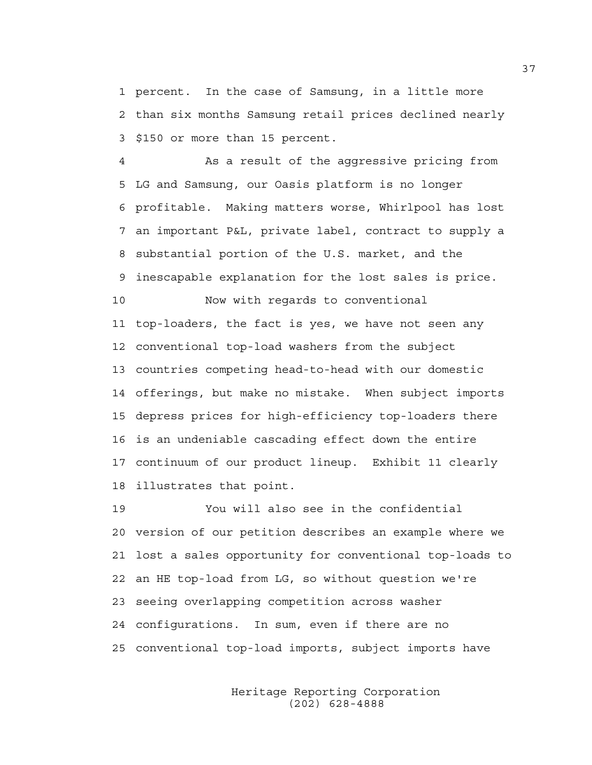1 percent. In the case of Samsung, in a little more 2 than six months Samsung retail prices declined nearly 3 \$150 or more than 15 percent.

4 As a result of the aggressive pricing from 5 LG and Samsung, our Oasis platform is no longer 6 profitable. Making matters worse, Whirlpool has lost 7 an important P&L, private label, contract to supply a 8 substantial portion of the U.S. market, and the 9 inescapable explanation for the lost sales is price. 10 Now with regards to conventional 11 top-loaders, the fact is yes, we have not seen any 12 conventional top-load washers from the subject 13 countries competing head-to-head with our domestic 14 offerings, but make no mistake. When subject imports 15 depress prices for high-efficiency top-loaders there 16 is an undeniable cascading effect down the entire 17 continuum of our product lineup. Exhibit 11 clearly 18 illustrates that point.

19 You will also see in the confidential 20 version of our petition describes an example where we 21 lost a sales opportunity for conventional top-loads to 22 an HE top-load from LG, so without question we're 23 seeing overlapping competition across washer 24 configurations. In sum, even if there are no 25 conventional top-load imports, subject imports have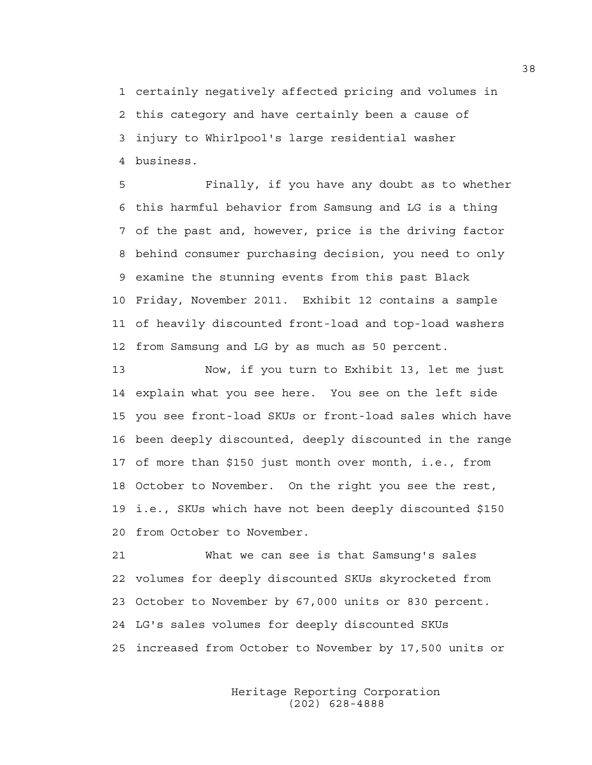1 certainly negatively affected pricing and volumes in 2 this category and have certainly been a cause of 3 injury to Whirlpool's large residential washer 4 business.

5 Finally, if you have any doubt as to whether 6 this harmful behavior from Samsung and LG is a thing 7 of the past and, however, price is the driving factor 8 behind consumer purchasing decision, you need to only 9 examine the stunning events from this past Black 10 Friday, November 2011. Exhibit 12 contains a sample 11 of heavily discounted front-load and top-load washers 12 from Samsung and LG by as much as 50 percent.

13 Now, if you turn to Exhibit 13, let me just 14 explain what you see here. You see on the left side 15 you see front-load SKUs or front-load sales which have 16 been deeply discounted, deeply discounted in the range 17 of more than \$150 just month over month, i.e., from 18 October to November. On the right you see the rest, 19 i.e., SKUs which have not been deeply discounted \$150 20 from October to November.

21 What we can see is that Samsung's sales 22 volumes for deeply discounted SKUs skyrocketed from 23 October to November by 67,000 units or 830 percent. 24 LG's sales volumes for deeply discounted SKUs 25 increased from October to November by 17,500 units or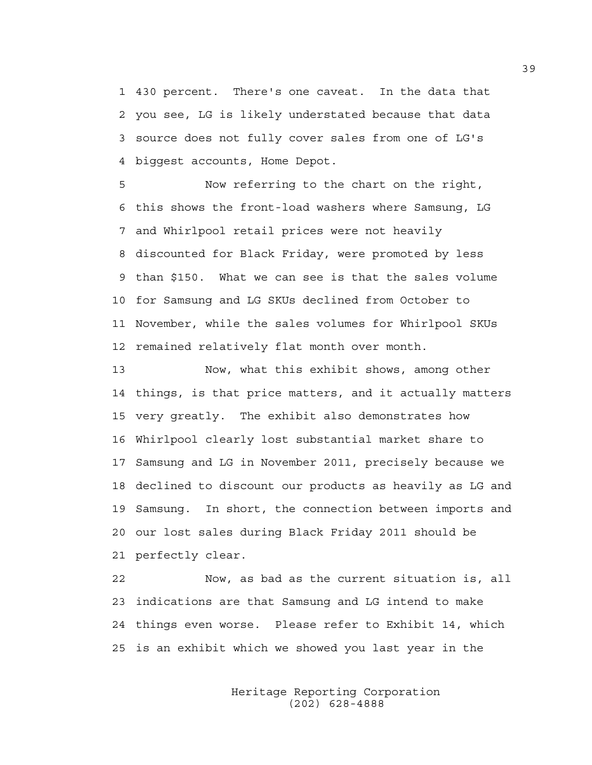1 430 percent. There's one caveat. In the data that 2 you see, LG is likely understated because that data 3 source does not fully cover sales from one of LG's 4 biggest accounts, Home Depot.

5 Now referring to the chart on the right, 6 this shows the front-load washers where Samsung, LG 7 and Whirlpool retail prices were not heavily 8 discounted for Black Friday, were promoted by less 9 than \$150. What we can see is that the sales volume 10 for Samsung and LG SKUs declined from October to 11 November, while the sales volumes for Whirlpool SKUs 12 remained relatively flat month over month.

13 Now, what this exhibit shows, among other 14 things, is that price matters, and it actually matters 15 very greatly. The exhibit also demonstrates how 16 Whirlpool clearly lost substantial market share to 17 Samsung and LG in November 2011, precisely because we 18 declined to discount our products as heavily as LG and 19 Samsung. In short, the connection between imports and 20 our lost sales during Black Friday 2011 should be 21 perfectly clear.

22 Now, as bad as the current situation is, all 23 indications are that Samsung and LG intend to make 24 things even worse. Please refer to Exhibit 14, which 25 is an exhibit which we showed you last year in the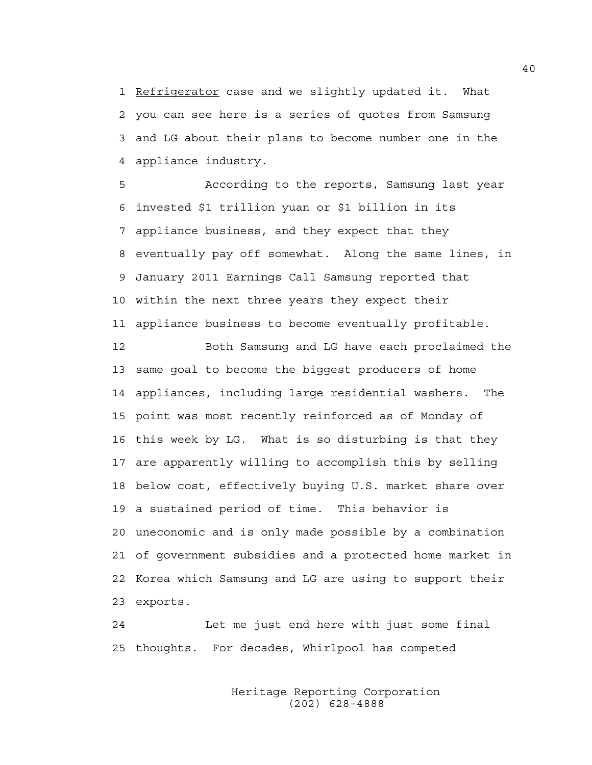1 Refrigerator case and we slightly updated it. What 2 you can see here is a series of quotes from Samsung 3 and LG about their plans to become number one in the 4 appliance industry.

5 According to the reports, Samsung last year 6 invested \$1 trillion yuan or \$1 billion in its 7 appliance business, and they expect that they 8 eventually pay off somewhat. Along the same lines, in 9 January 2011 Earnings Call Samsung reported that 10 within the next three years they expect their 11 appliance business to become eventually profitable.

12 Both Samsung and LG have each proclaimed the 13 same goal to become the biggest producers of home 14 appliances, including large residential washers. The 15 point was most recently reinforced as of Monday of 16 this week by LG. What is so disturbing is that they 17 are apparently willing to accomplish this by selling 18 below cost, effectively buying U.S. market share over 19 a sustained period of time. This behavior is 20 uneconomic and is only made possible by a combination 21 of government subsidies and a protected home market in 22 Korea which Samsung and LG are using to support their 23 exports.

24 Let me just end here with just some final 25 thoughts. For decades, Whirlpool has competed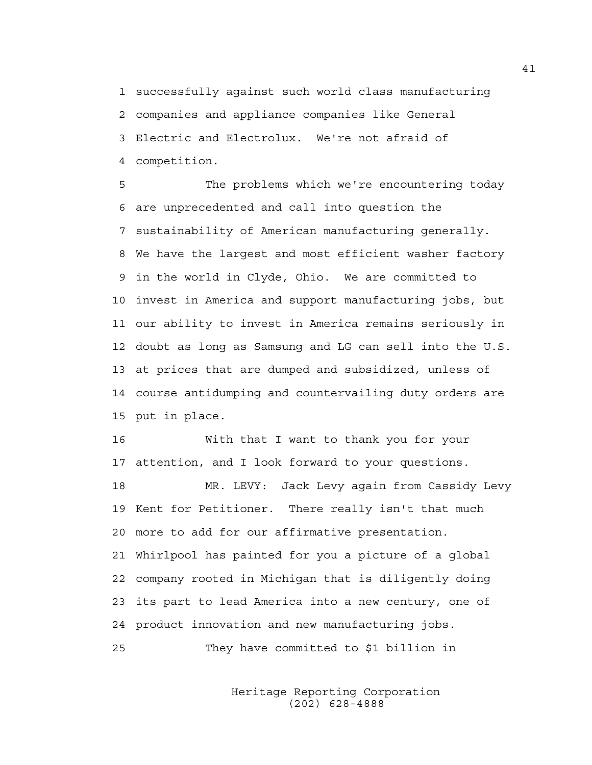1 successfully against such world class manufacturing 2 companies and appliance companies like General 3 Electric and Electrolux. We're not afraid of 4 competition.

5 The problems which we're encountering today 6 are unprecedented and call into question the 7 sustainability of American manufacturing generally. 8 We have the largest and most efficient washer factory 9 in the world in Clyde, Ohio. We are committed to 10 invest in America and support manufacturing jobs, but 11 our ability to invest in America remains seriously in 12 doubt as long as Samsung and LG can sell into the U.S. 13 at prices that are dumped and subsidized, unless of 14 course antidumping and countervailing duty orders are 15 put in place.

16 With that I want to thank you for your 17 attention, and I look forward to your questions.

18 MR. LEVY: Jack Levy again from Cassidy Levy 19 Kent for Petitioner. There really isn't that much 20 more to add for our affirmative presentation. 21 Whirlpool has painted for you a picture of a global 22 company rooted in Michigan that is diligently doing 23 its part to lead America into a new century, one of 24 product innovation and new manufacturing jobs. 25 They have committed to \$1 billion in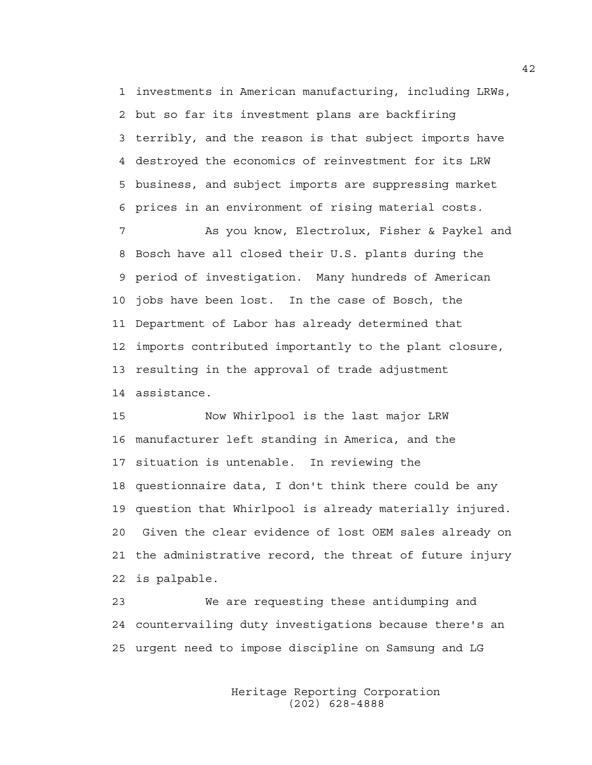1 investments in American manufacturing, including LRWs, 2 but so far its investment plans are backfiring 3 terribly, and the reason is that subject imports have 4 destroyed the economics of reinvestment for its LRW 5 business, and subject imports are suppressing market 6 prices in an environment of rising material costs.

7 As you know, Electrolux, Fisher & Paykel and 8 Bosch have all closed their U.S. plants during the 9 period of investigation. Many hundreds of American 10 jobs have been lost. In the case of Bosch, the 11 Department of Labor has already determined that 12 imports contributed importantly to the plant closure, 13 resulting in the approval of trade adjustment 14 assistance.

15 Now Whirlpool is the last major LRW 16 manufacturer left standing in America, and the 17 situation is untenable. In reviewing the 18 questionnaire data, I don't think there could be any 19 question that Whirlpool is already materially injured. 20 Given the clear evidence of lost OEM sales already on 21 the administrative record, the threat of future injury 22 is palpable.

23 We are requesting these antidumping and 24 countervailing duty investigations because there's an 25 urgent need to impose discipline on Samsung and LG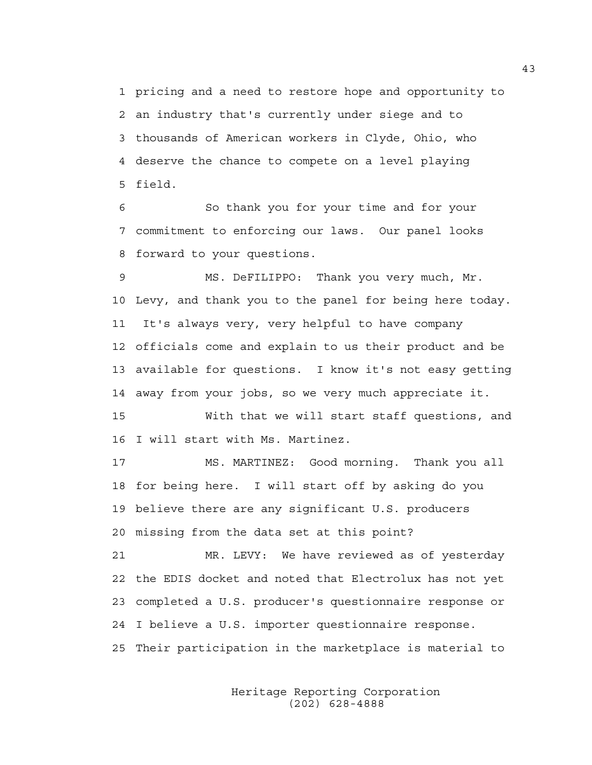1 pricing and a need to restore hope and opportunity to 2 an industry that's currently under siege and to 3 thousands of American workers in Clyde, Ohio, who 4 deserve the chance to compete on a level playing 5 field.

6 So thank you for your time and for your 7 commitment to enforcing our laws. Our panel looks 8 forward to your questions.

9 MS. DeFILIPPO: Thank you very much, Mr. 10 Levy, and thank you to the panel for being here today. 11 It's always very, very helpful to have company 12 officials come and explain to us their product and be 13 available for questions. I know it's not easy getting 14 away from your jobs, so we very much appreciate it.

15 With that we will start staff questions, and 16 I will start with Ms. Martinez.

17 MS. MARTINEZ: Good morning. Thank you all 18 for being here. I will start off by asking do you 19 believe there are any significant U.S. producers 20 missing from the data set at this point?

21 MR. LEVY: We have reviewed as of yesterday 22 the EDIS docket and noted that Electrolux has not yet 23 completed a U.S. producer's questionnaire response or 24 I believe a U.S. importer questionnaire response. 25 Their participation in the marketplace is material to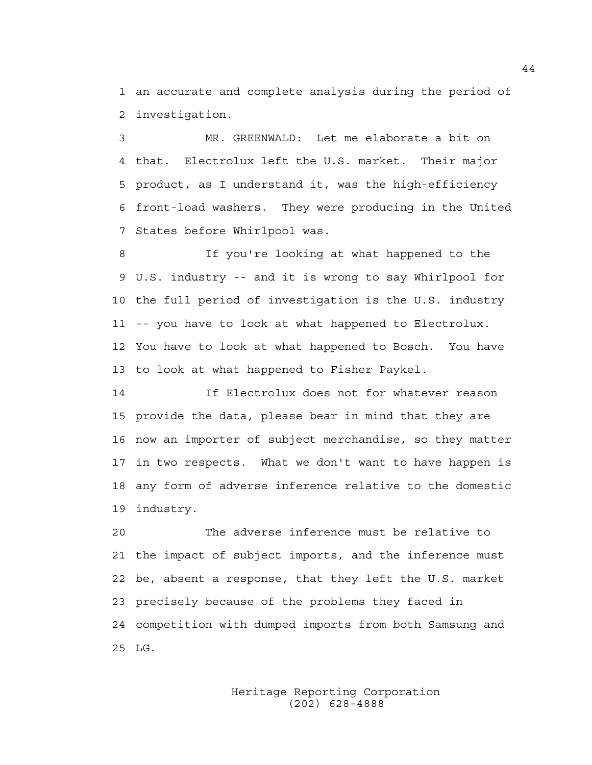1 an accurate and complete analysis during the period of 2 investigation.

3 MR. GREENWALD: Let me elaborate a bit on 4 that. Electrolux left the U.S. market. Their major 5 product, as I understand it, was the high-efficiency 6 front-load washers. They were producing in the United 7 States before Whirlpool was.

8 If you're looking at what happened to the 9 U.S. industry -- and it is wrong to say Whirlpool for 10 the full period of investigation is the U.S. industry 11 -- you have to look at what happened to Electrolux. 12 You have to look at what happened to Bosch. You have 13 to look at what happened to Fisher Paykel.

14 If Electrolux does not for whatever reason 15 provide the data, please bear in mind that they are 16 now an importer of subject merchandise, so they matter 17 in two respects. What we don't want to have happen is 18 any form of adverse inference relative to the domestic 19 industry.

20 The adverse inference must be relative to 21 the impact of subject imports, and the inference must 22 be, absent a response, that they left the U.S. market 23 precisely because of the problems they faced in 24 competition with dumped imports from both Samsung and 25 LG.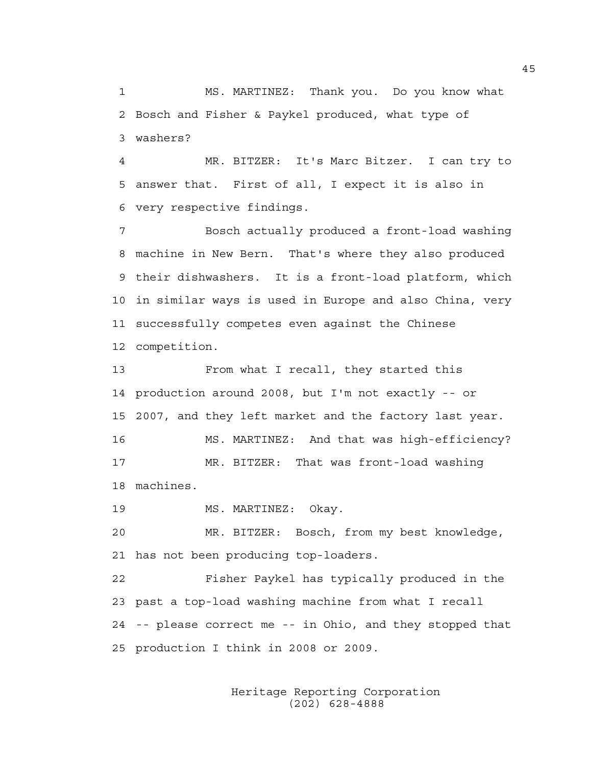1 MS. MARTINEZ: Thank you. Do you know what 2 Bosch and Fisher & Paykel produced, what type of 3 washers?

4 MR. BITZER: It's Marc Bitzer. I can try to 5 answer that. First of all, I expect it is also in 6 very respective findings.

7 Bosch actually produced a front-load washing 8 machine in New Bern. That's where they also produced 9 their dishwashers. It is a front-load platform, which 10 in similar ways is used in Europe and also China, very 11 successfully competes even against the Chinese 12 competition.

13 From what I recall, they started this 14 production around 2008, but I'm not exactly -- or 15 2007, and they left market and the factory last year. 16 MS. MARTINEZ: And that was high-efficiency? 17 MR. BITZER: That was front-load washing 18 machines.

19 MS. MARTINEZ: Okay.

20 MR. BITZER: Bosch, from my best knowledge, 21 has not been producing top-loaders.

22 Fisher Paykel has typically produced in the 23 past a top-load washing machine from what I recall 24 -- please correct me -- in Ohio, and they stopped that 25 production I think in 2008 or 2009.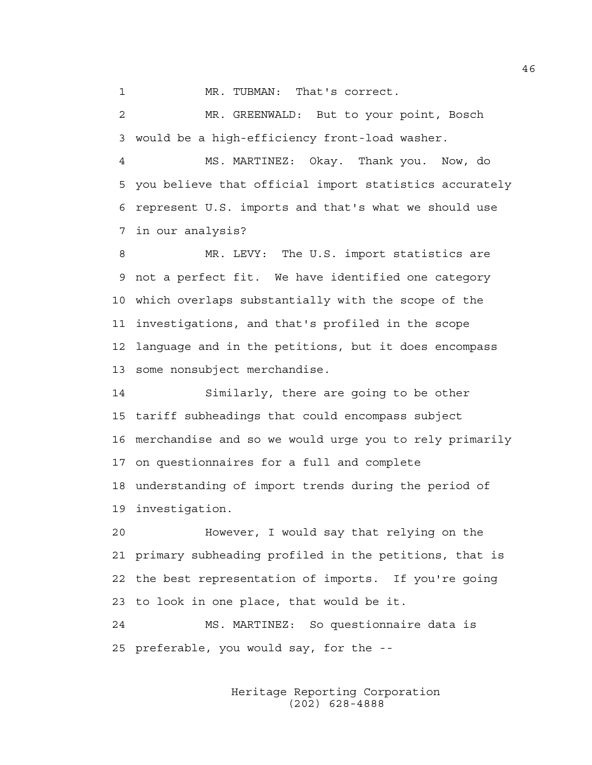1 MR. TUBMAN: That's correct.

2 MR. GREENWALD: But to your point, Bosch 3 would be a high-efficiency front-load washer.

4 MS. MARTINEZ: Okay. Thank you. Now, do 5 you believe that official import statistics accurately 6 represent U.S. imports and that's what we should use 7 in our analysis?

8 MR. LEVY: The U.S. import statistics are 9 not a perfect fit. We have identified one category 10 which overlaps substantially with the scope of the 11 investigations, and that's profiled in the scope 12 language and in the petitions, but it does encompass 13 some nonsubject merchandise.

14 Similarly, there are going to be other 15 tariff subheadings that could encompass subject 16 merchandise and so we would urge you to rely primarily 17 on questionnaires for a full and complete 18 understanding of import trends during the period of 19 investigation.

20 However, I would say that relying on the 21 primary subheading profiled in the petitions, that is 22 the best representation of imports. If you're going 23 to look in one place, that would be it.

24 MS. MARTINEZ: So questionnaire data is 25 preferable, you would say, for the --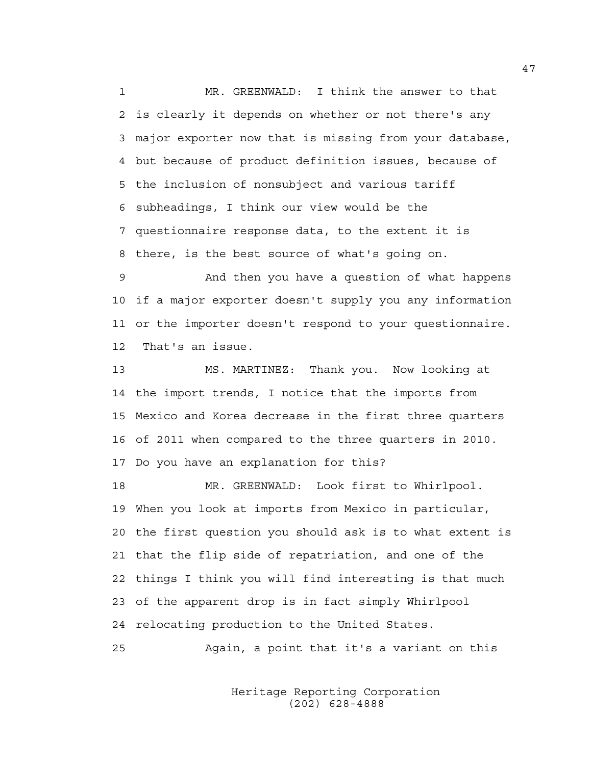1 MR. GREENWALD: I think the answer to that 2 is clearly it depends on whether or not there's any 3 major exporter now that is missing from your database, 4 but because of product definition issues, because of 5 the inclusion of nonsubject and various tariff 6 subheadings, I think our view would be the 7 questionnaire response data, to the extent it is 8 there, is the best source of what's going on.

9 And then you have a question of what happens 10 if a major exporter doesn't supply you any information 11 or the importer doesn't respond to your questionnaire. 12 That's an issue.

13 MS. MARTINEZ: Thank you. Now looking at 14 the import trends, I notice that the imports from 15 Mexico and Korea decrease in the first three quarters 16 of 2011 when compared to the three quarters in 2010. 17 Do you have an explanation for this?

18 MR. GREENWALD: Look first to Whirlpool. 19 When you look at imports from Mexico in particular, 20 the first question you should ask is to what extent is 21 that the flip side of repatriation, and one of the 22 things I think you will find interesting is that much 23 of the apparent drop is in fact simply Whirlpool 24 relocating production to the United States.

25 Again, a point that it's a variant on this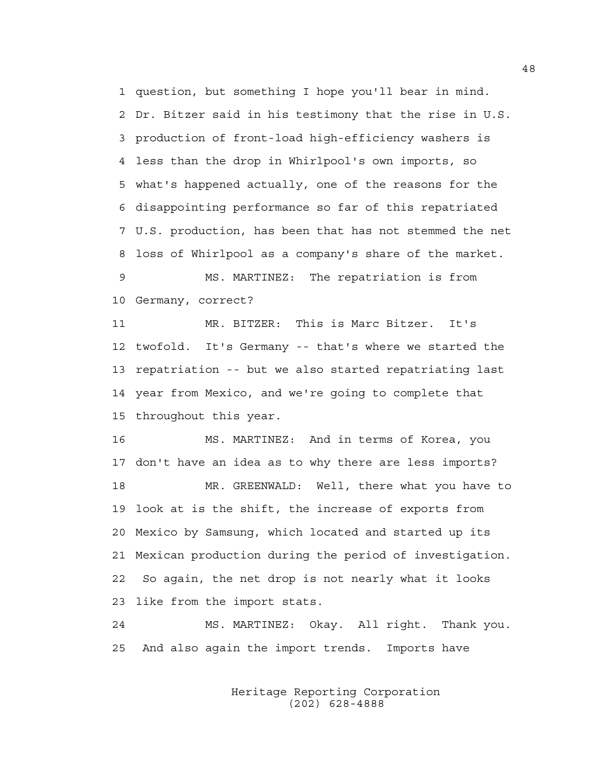1 question, but something I hope you'll bear in mind. 2 Dr. Bitzer said in his testimony that the rise in U.S. 3 production of front-load high-efficiency washers is 4 less than the drop in Whirlpool's own imports, so 5 what's happened actually, one of the reasons for the 6 disappointing performance so far of this repatriated 7 U.S. production, has been that has not stemmed the net 8 loss of Whirlpool as a company's share of the market. 9 MS. MARTINEZ: The repatriation is from

10 Germany, correct?

11 MR. BITZER: This is Marc Bitzer. It's 12 twofold. It's Germany -- that's where we started the 13 repatriation -- but we also started repatriating last 14 year from Mexico, and we're going to complete that 15 throughout this year.

16 MS. MARTINEZ: And in terms of Korea, you 17 don't have an idea as to why there are less imports? 18 MR. GREENWALD: Well, there what you have to 19 look at is the shift, the increase of exports from 20 Mexico by Samsung, which located and started up its 21 Mexican production during the period of investigation. 22 So again, the net drop is not nearly what it looks 23 like from the import stats.

24 MS. MARTINEZ: Okay. All right. Thank you. 25 And also again the import trends. Imports have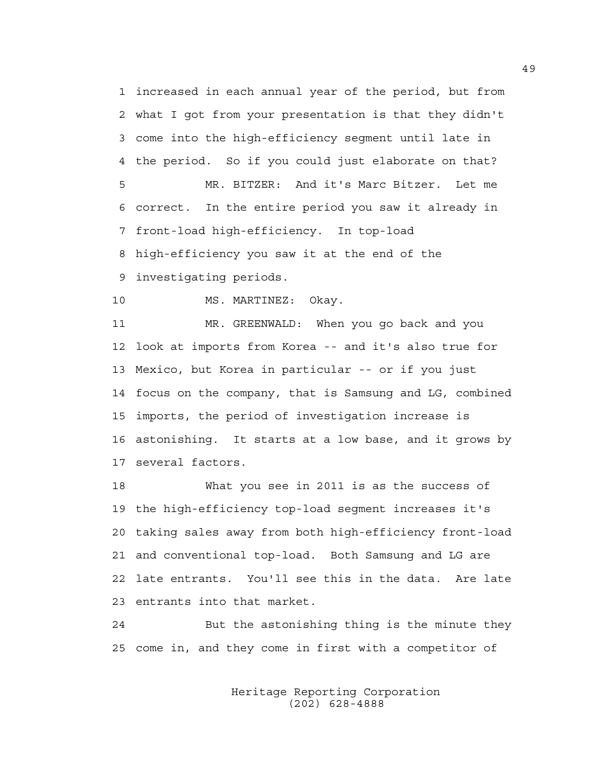1 increased in each annual year of the period, but from 2 what I got from your presentation is that they didn't 3 come into the high-efficiency segment until late in 4 the period. So if you could just elaborate on that? 5 MR. BITZER: And it's Marc Bitzer. Let me 6 correct. In the entire period you saw it already in 7 front-load high-efficiency. In top-load 8 high-efficiency you saw it at the end of the 9 investigating periods.

10 MS. MARTINEZ: Okay.

11 MR. GREENWALD: When you go back and you 12 look at imports from Korea -- and it's also true for 13 Mexico, but Korea in particular -- or if you just 14 focus on the company, that is Samsung and LG, combined 15 imports, the period of investigation increase is 16 astonishing. It starts at a low base, and it grows by 17 several factors.

18 What you see in 2011 is as the success of 19 the high-efficiency top-load segment increases it's 20 taking sales away from both high-efficiency front-load 21 and conventional top-load. Both Samsung and LG are 22 late entrants. You'll see this in the data. Are late 23 entrants into that market.

24 But the astonishing thing is the minute they 25 come in, and they come in first with a competitor of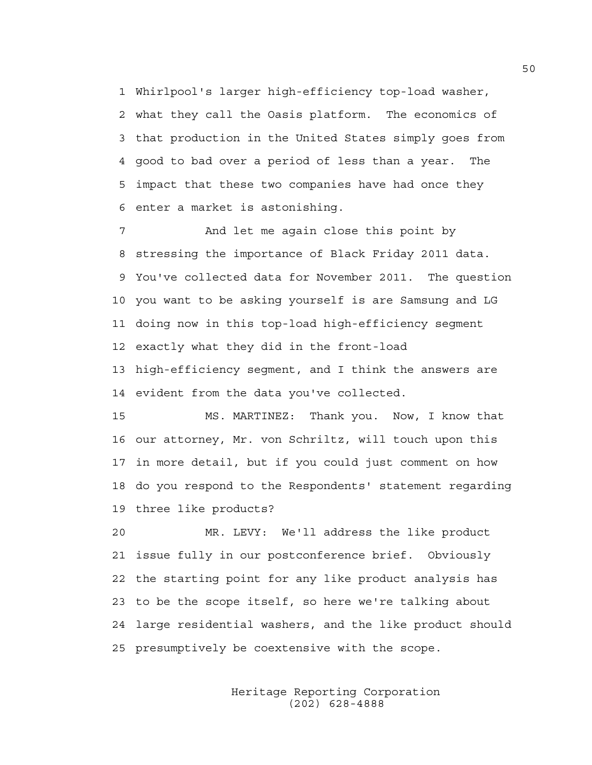1 Whirlpool's larger high-efficiency top-load washer, 2 what they call the Oasis platform. The economics of 3 that production in the United States simply goes from 4 good to bad over a period of less than a year. The 5 impact that these two companies have had once they 6 enter a market is astonishing.

7 And let me again close this point by 8 stressing the importance of Black Friday 2011 data. 9 You've collected data for November 2011. The question 10 you want to be asking yourself is are Samsung and LG 11 doing now in this top-load high-efficiency segment 12 exactly what they did in the front-load 13 high-efficiency segment, and I think the answers are 14 evident from the data you've collected.

15 MS. MARTINEZ: Thank you. Now, I know that 16 our attorney, Mr. von Schriltz, will touch upon this 17 in more detail, but if you could just comment on how 18 do you respond to the Respondents' statement regarding 19 three like products?

20 MR. LEVY: We'll address the like product 21 issue fully in our postconference brief. Obviously 22 the starting point for any like product analysis has 23 to be the scope itself, so here we're talking about 24 large residential washers, and the like product should 25 presumptively be coextensive with the scope.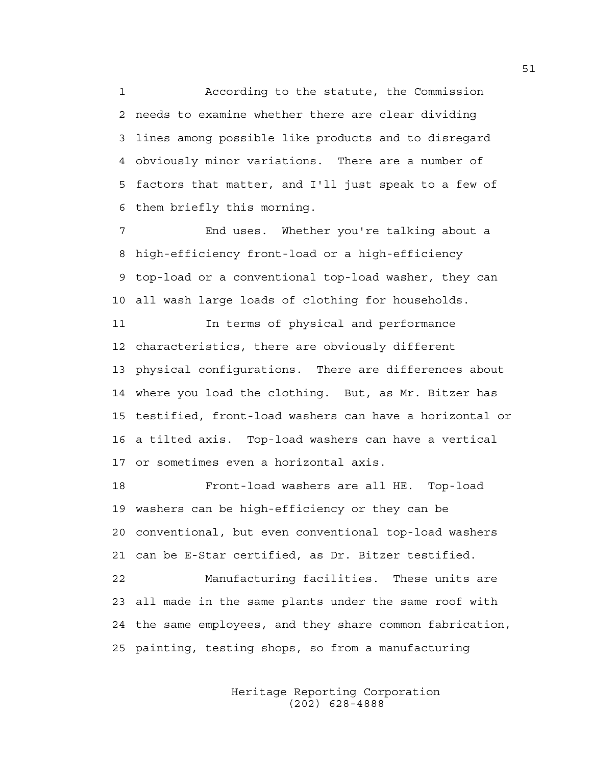1 According to the statute, the Commission 2 needs to examine whether there are clear dividing 3 lines among possible like products and to disregard 4 obviously minor variations. There are a number of 5 factors that matter, and I'll just speak to a few of 6 them briefly this morning.

7 End uses. Whether you're talking about a 8 high-efficiency front-load or a high-efficiency 9 top-load or a conventional top-load washer, they can 10 all wash large loads of clothing for households.

11 **In terms of physical and performance** 12 characteristics, there are obviously different 13 physical configurations. There are differences about 14 where you load the clothing. But, as Mr. Bitzer has 15 testified, front-load washers can have a horizontal or 16 a tilted axis. Top-load washers can have a vertical 17 or sometimes even a horizontal axis.

18 Front-load washers are all HE. Top-load 19 washers can be high-efficiency or they can be 20 conventional, but even conventional top-load washers 21 can be E-Star certified, as Dr. Bitzer testified.

22 Manufacturing facilities. These units are 23 all made in the same plants under the same roof with 24 the same employees, and they share common fabrication, 25 painting, testing shops, so from a manufacturing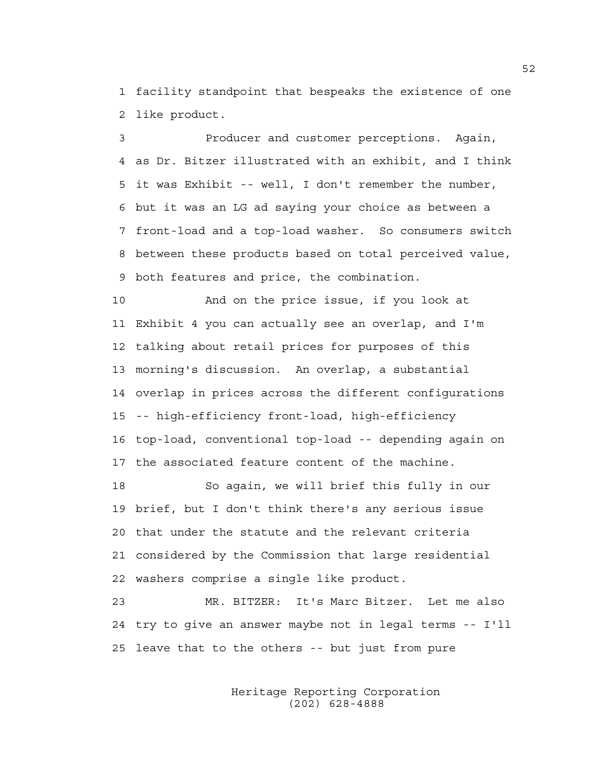1 facility standpoint that bespeaks the existence of one 2 like product.

3 Producer and customer perceptions. Again, 4 as Dr. Bitzer illustrated with an exhibit, and I think 5 it was Exhibit -- well, I don't remember the number, 6 but it was an LG ad saying your choice as between a 7 front-load and a top-load washer. So consumers switch 8 between these products based on total perceived value, 9 both features and price, the combination.

10 And on the price issue, if you look at 11 Exhibit 4 you can actually see an overlap, and I'm 12 talking about retail prices for purposes of this 13 morning's discussion. An overlap, a substantial 14 overlap in prices across the different configurations 15 -- high-efficiency front-load, high-efficiency 16 top-load, conventional top-load -- depending again on 17 the associated feature content of the machine.

18 So again, we will brief this fully in our 19 brief, but I don't think there's any serious issue 20 that under the statute and the relevant criteria 21 considered by the Commission that large residential 22 washers comprise a single like product.

23 MR. BITZER: It's Marc Bitzer. Let me also 24 try to give an answer maybe not in legal terms -- I'll 25 leave that to the others -- but just from pure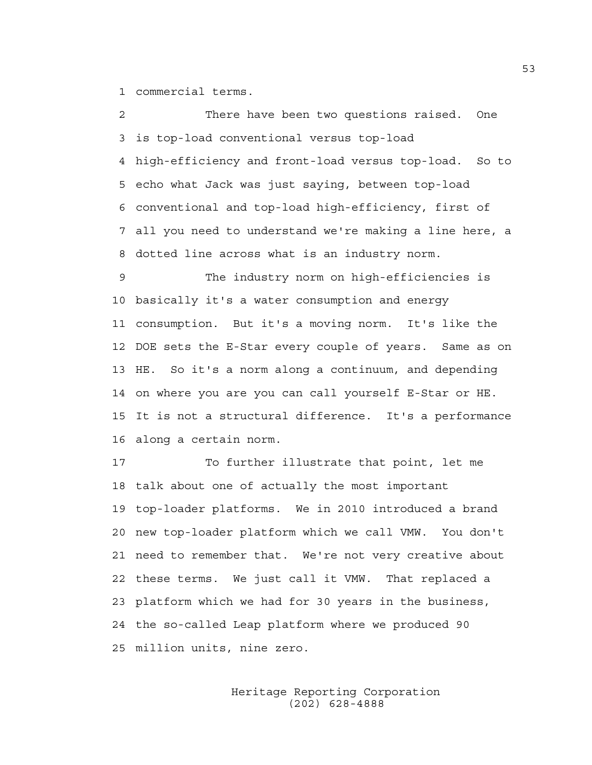1 commercial terms.

2 There have been two questions raised. One 3 is top-load conventional versus top-load 4 high-efficiency and front-load versus top-load. So to 5 echo what Jack was just saying, between top-load 6 conventional and top-load high-efficiency, first of 7 all you need to understand we're making a line here, a 8 dotted line across what is an industry norm. 9 The industry norm on high-efficiencies is 10 basically it's a water consumption and energy 11 consumption. But it's a moving norm. It's like the 12 DOE sets the E-Star every couple of years. Same as on

13 HE. So it's a norm along a continuum, and depending 14 on where you are you can call yourself E-Star or HE. 15 It is not a structural difference. It's a performance 16 along a certain norm.

17 To further illustrate that point, let me 18 talk about one of actually the most important 19 top-loader platforms. We in 2010 introduced a brand 20 new top-loader platform which we call VMW. You don't 21 need to remember that. We're not very creative about 22 these terms. We just call it VMW. That replaced a 23 platform which we had for 30 years in the business, 24 the so-called Leap platform where we produced 90 25 million units, nine zero.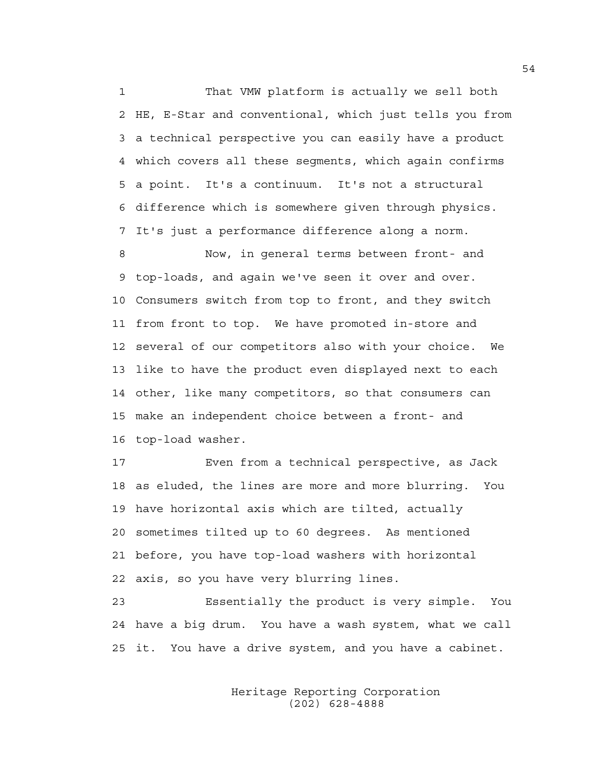1 That VMW platform is actually we sell both 2 HE, E-Star and conventional, which just tells you from 3 a technical perspective you can easily have a product 4 which covers all these segments, which again confirms 5 a point. It's a continuum. It's not a structural 6 difference which is somewhere given through physics. 7 It's just a performance difference along a norm.

8 Now, in general terms between front- and 9 top-loads, and again we've seen it over and over. 10 Consumers switch from top to front, and they switch 11 from front to top. We have promoted in-store and 12 several of our competitors also with your choice. We 13 like to have the product even displayed next to each 14 other, like many competitors, so that consumers can 15 make an independent choice between a front- and 16 top-load washer.

17 Even from a technical perspective, as Jack 18 as eluded, the lines are more and more blurring. You 19 have horizontal axis which are tilted, actually 20 sometimes tilted up to 60 degrees. As mentioned 21 before, you have top-load washers with horizontal 22 axis, so you have very blurring lines.

23 Essentially the product is very simple. You 24 have a big drum. You have a wash system, what we call 25 it. You have a drive system, and you have a cabinet.

> Heritage Reporting Corporation (202) 628-4888

54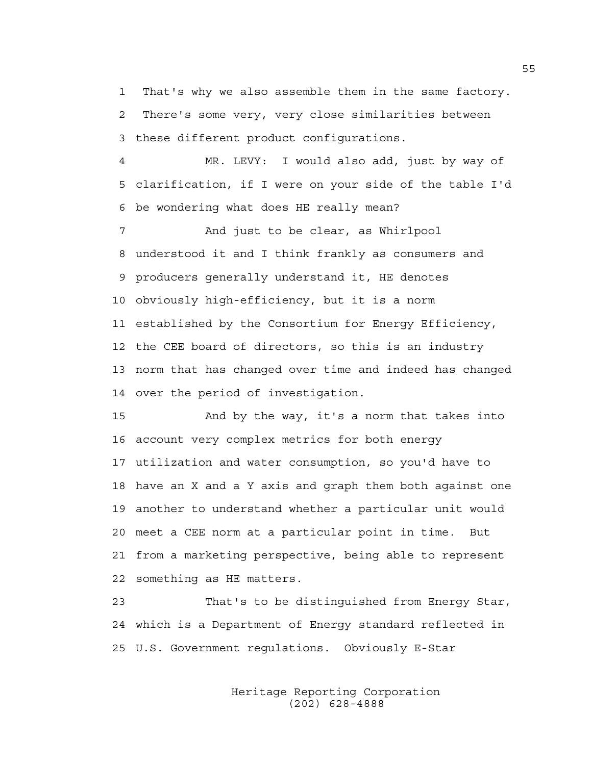1 That's why we also assemble them in the same factory. 2 There's some very, very close similarities between 3 these different product configurations.

4 MR. LEVY: I would also add, just by way of 5 clarification, if I were on your side of the table I'd 6 be wondering what does HE really mean?

7 And just to be clear, as Whirlpool 8 understood it and I think frankly as consumers and 9 producers generally understand it, HE denotes 10 obviously high-efficiency, but it is a norm 11 established by the Consortium for Energy Efficiency, 12 the CEE board of directors, so this is an industry 13 norm that has changed over time and indeed has changed 14 over the period of investigation.

15 And by the way, it's a norm that takes into 16 account very complex metrics for both energy 17 utilization and water consumption, so you'd have to 18 have an X and a Y axis and graph them both against one 19 another to understand whether a particular unit would 20 meet a CEE norm at a particular point in time. But 21 from a marketing perspective, being able to represent 22 something as HE matters.

23 That's to be distinguished from Energy Star, 24 which is a Department of Energy standard reflected in 25 U.S. Government regulations. Obviously E-Star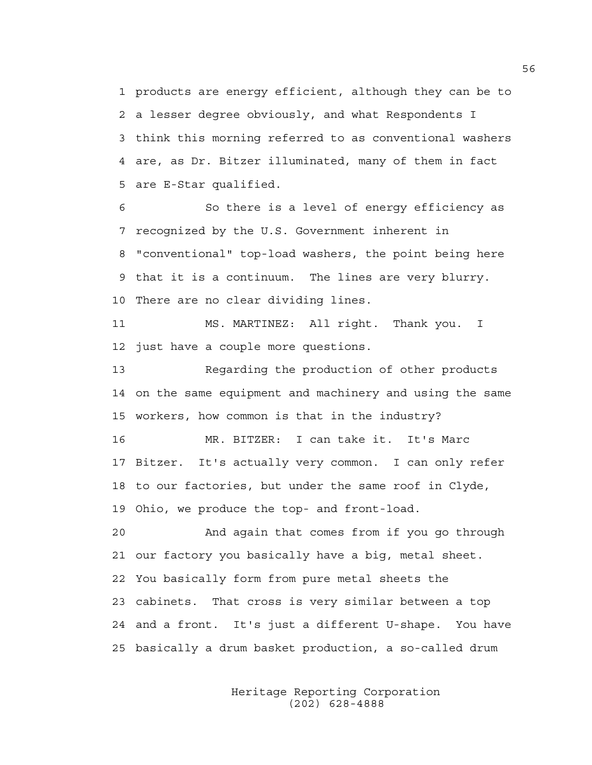1 products are energy efficient, although they can be to 2 a lesser degree obviously, and what Respondents I 3 think this morning referred to as conventional washers 4 are, as Dr. Bitzer illuminated, many of them in fact 5 are E-Star qualified.

6 So there is a level of energy efficiency as 7 recognized by the U.S. Government inherent in 8 "conventional" top-load washers, the point being here 9 that it is a continuum. The lines are very blurry. 10 There are no clear dividing lines.

11 MS. MARTINEZ: All right. Thank you. I 12 just have a couple more questions.

13 Regarding the production of other products 14 on the same equipment and machinery and using the same 15 workers, how common is that in the industry?

16 MR. BITZER: I can take it. It's Marc 17 Bitzer. It's actually very common. I can only refer 18 to our factories, but under the same roof in Clyde, 19 Ohio, we produce the top- and front-load.

20 And again that comes from if you go through 21 our factory you basically have a big, metal sheet. 22 You basically form from pure metal sheets the 23 cabinets. That cross is very similar between a top 24 and a front. It's just a different U-shape. You have 25 basically a drum basket production, a so-called drum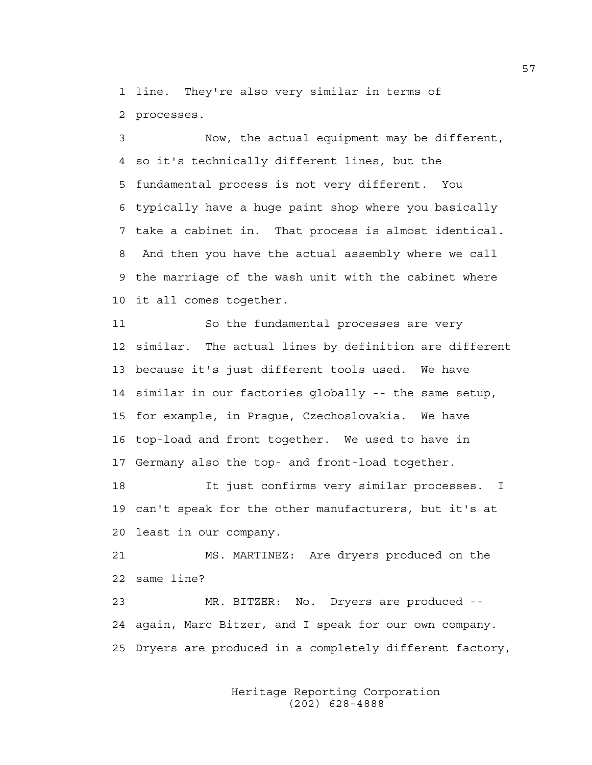1 line. They're also very similar in terms of 2 processes.

3 Now, the actual equipment may be different, 4 so it's technically different lines, but the 5 fundamental process is not very different. You 6 typically have a huge paint shop where you basically 7 take a cabinet in. That process is almost identical. 8 And then you have the actual assembly where we call 9 the marriage of the wash unit with the cabinet where 10 it all comes together.

11 So the fundamental processes are very 12 similar. The actual lines by definition are different 13 because it's just different tools used. We have 14 similar in our factories globally -- the same setup, 15 for example, in Prague, Czechoslovakia. We have 16 top-load and front together. We used to have in 17 Germany also the top- and front-load together.

18 It just confirms very similar processes. I 19 can't speak for the other manufacturers, but it's at 20 least in our company.

21 MS. MARTINEZ: Are dryers produced on the 22 same line?

23 MR. BITZER: No. Dryers are produced -- 24 again, Marc Bitzer, and I speak for our own company. 25 Dryers are produced in a completely different factory,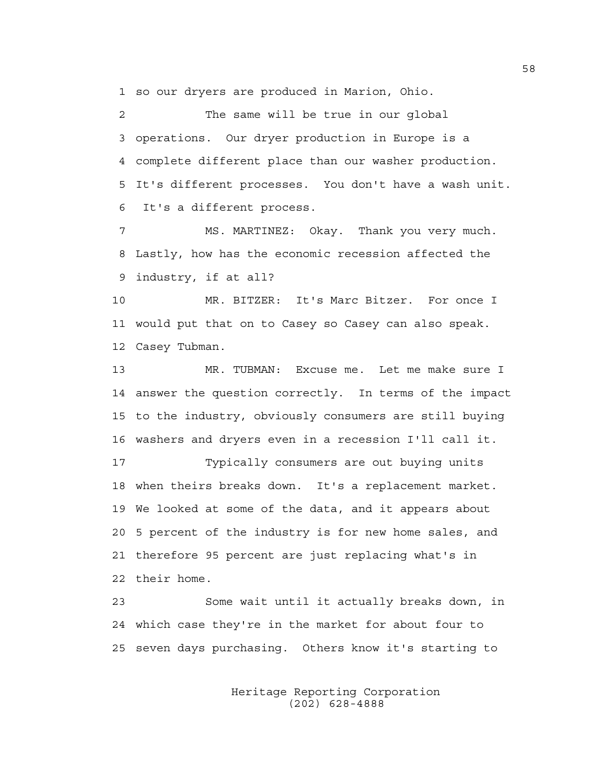1 so our dryers are produced in Marion, Ohio.

2 The same will be true in our global 3 operations. Our dryer production in Europe is a 4 complete different place than our washer production. 5 It's different processes. You don't have a wash unit. 6 It's a different process.

7 MS. MARTINEZ: Okay. Thank you very much. 8 Lastly, how has the economic recession affected the 9 industry, if at all?

10 MR. BITZER: It's Marc Bitzer. For once I 11 would put that on to Casey so Casey can also speak. 12 Casey Tubman.

13 MR. TUBMAN: Excuse me. Let me make sure I 14 answer the question correctly. In terms of the impact 15 to the industry, obviously consumers are still buying 16 washers and dryers even in a recession I'll call it.

17 Typically consumers are out buying units 18 when theirs breaks down. It's a replacement market. 19 We looked at some of the data, and it appears about 20 5 percent of the industry is for new home sales, and 21 therefore 95 percent are just replacing what's in 22 their home.

23 Some wait until it actually breaks down, in 24 which case they're in the market for about four to 25 seven days purchasing. Others know it's starting to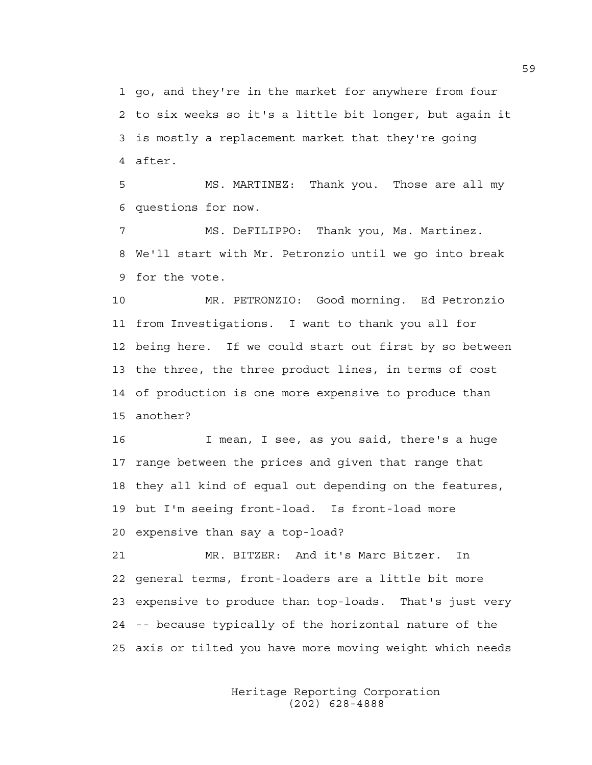1 go, and they're in the market for anywhere from four 2 to six weeks so it's a little bit longer, but again it 3 is mostly a replacement market that they're going 4 after.

5 MS. MARTINEZ: Thank you. Those are all my 6 questions for now.

7 MS. DeFILIPPO: Thank you, Ms. Martinez. 8 We'll start with Mr. Petronzio until we go into break 9 for the vote.

10 MR. PETRONZIO: Good morning. Ed Petronzio 11 from Investigations. I want to thank you all for 12 being here. If we could start out first by so between 13 the three, the three product lines, in terms of cost 14 of production is one more expensive to produce than 15 another?

16 I mean, I see, as you said, there's a huge 17 range between the prices and given that range that 18 they all kind of equal out depending on the features, 19 but I'm seeing front-load. Is front-load more 20 expensive than say a top-load?

21 MR. BITZER: And it's Marc Bitzer. In 22 general terms, front-loaders are a little bit more 23 expensive to produce than top-loads. That's just very 24 -- because typically of the horizontal nature of the 25 axis or tilted you have more moving weight which needs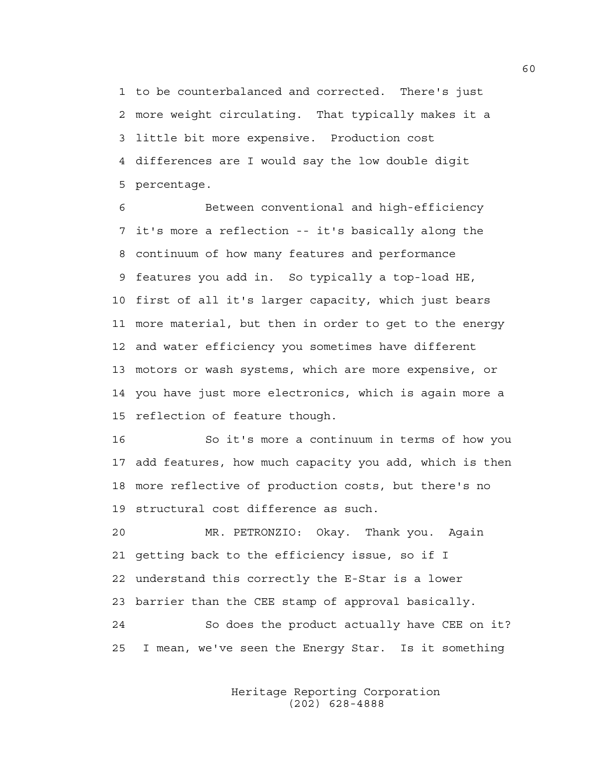1 to be counterbalanced and corrected. There's just 2 more weight circulating. That typically makes it a 3 little bit more expensive. Production cost 4 differences are I would say the low double digit 5 percentage.

6 Between conventional and high-efficiency 7 it's more a reflection -- it's basically along the 8 continuum of how many features and performance 9 features you add in. So typically a top-load HE, 10 first of all it's larger capacity, which just bears 11 more material, but then in order to get to the energy 12 and water efficiency you sometimes have different 13 motors or wash systems, which are more expensive, or 14 you have just more electronics, which is again more a 15 reflection of feature though.

16 So it's more a continuum in terms of how you 17 add features, how much capacity you add, which is then 18 more reflective of production costs, but there's no 19 structural cost difference as such.

20 MR. PETRONZIO: Okay. Thank you. Again 21 getting back to the efficiency issue, so if I 22 understand this correctly the E-Star is a lower 23 barrier than the CEE stamp of approval basically. 24 So does the product actually have CEE on it? 25 I mean, we've seen the Energy Star. Is it something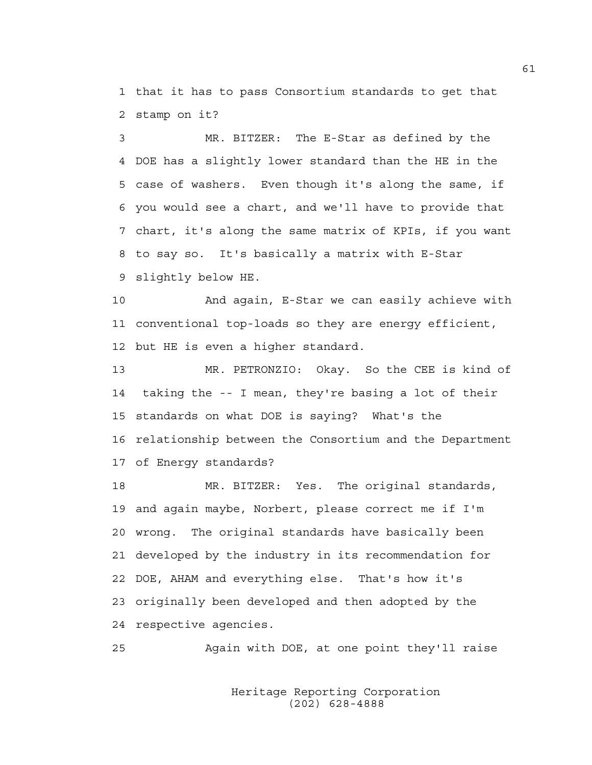1 that it has to pass Consortium standards to get that 2 stamp on it?

3 MR. BITZER: The E-Star as defined by the 4 DOE has a slightly lower standard than the HE in the 5 case of washers. Even though it's along the same, if 6 you would see a chart, and we'll have to provide that 7 chart, it's along the same matrix of KPIs, if you want 8 to say so. It's basically a matrix with E-Star 9 slightly below HE.

10 And again, E-Star we can easily achieve with 11 conventional top-loads so they are energy efficient, 12 but HE is even a higher standard.

13 MR. PETRONZIO: Okay. So the CEE is kind of 14 taking the -- I mean, they're basing a lot of their 15 standards on what DOE is saying? What's the 16 relationship between the Consortium and the Department 17 of Energy standards?

18 MR. BITZER: Yes. The original standards, 19 and again maybe, Norbert, please correct me if I'm 20 wrong. The original standards have basically been 21 developed by the industry in its recommendation for 22 DOE, AHAM and everything else. That's how it's 23 originally been developed and then adopted by the 24 respective agencies.

25 Again with DOE, at one point they'll raise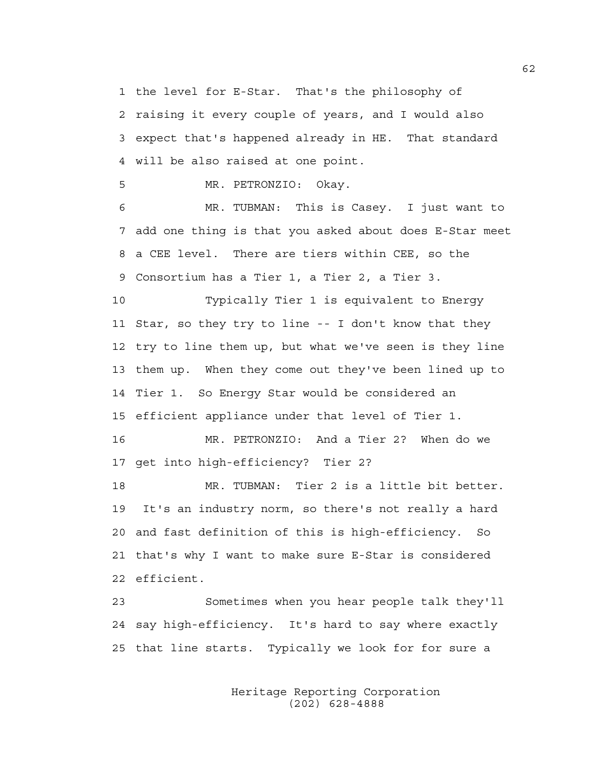1 the level for E-Star. That's the philosophy of

2 raising it every couple of years, and I would also 3 expect that's happened already in HE. That standard 4 will be also raised at one point.

5 MR. PETRONZIO: Okay.

6 MR. TUBMAN: This is Casey. I just want to 7 add one thing is that you asked about does E-Star meet 8 a CEE level. There are tiers within CEE, so the 9 Consortium has a Tier 1, a Tier 2, a Tier 3.

10 Typically Tier 1 is equivalent to Energy 11 Star, so they try to line -- I don't know that they 12 try to line them up, but what we've seen is they line 13 them up. When they come out they've been lined up to 14 Tier 1. So Energy Star would be considered an 15 efficient appliance under that level of Tier 1.

16 MR. PETRONZIO: And a Tier 2? When do we 17 get into high-efficiency? Tier 2?

18 MR. TUBMAN: Tier 2 is a little bit better. 19 It's an industry norm, so there's not really a hard 20 and fast definition of this is high-efficiency. So 21 that's why I want to make sure E-Star is considered 22 efficient.

23 Sometimes when you hear people talk they'll 24 say high-efficiency. It's hard to say where exactly 25 that line starts. Typically we look for for sure a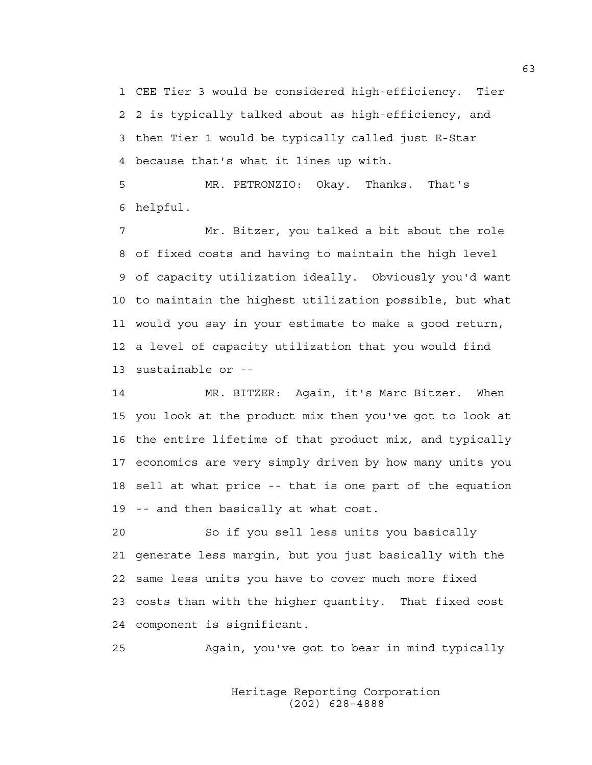1 CEE Tier 3 would be considered high-efficiency. Tier 2 2 is typically talked about as high-efficiency, and 3 then Tier 1 would be typically called just E-Star 4 because that's what it lines up with.

5 MR. PETRONZIO: Okay. Thanks. That's 6 helpful.

7 Mr. Bitzer, you talked a bit about the role 8 of fixed costs and having to maintain the high level 9 of capacity utilization ideally. Obviously you'd want 10 to maintain the highest utilization possible, but what 11 would you say in your estimate to make a good return, 12 a level of capacity utilization that you would find 13 sustainable or --

14 MR. BITZER: Again, it's Marc Bitzer. When 15 you look at the product mix then you've got to look at 16 the entire lifetime of that product mix, and typically 17 economics are very simply driven by how many units you 18 sell at what price -- that is one part of the equation 19 -- and then basically at what cost.

20 So if you sell less units you basically 21 generate less margin, but you just basically with the 22 same less units you have to cover much more fixed 23 costs than with the higher quantity. That fixed cost 24 component is significant.

25 Again, you've got to bear in mind typically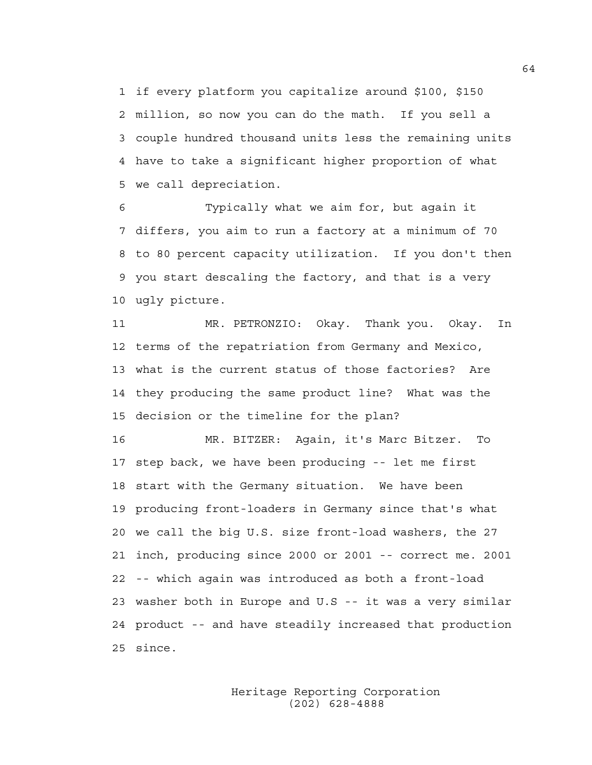1 if every platform you capitalize around \$100, \$150 2 million, so now you can do the math. If you sell a 3 couple hundred thousand units less the remaining units 4 have to take a significant higher proportion of what 5 we call depreciation.

6 Typically what we aim for, but again it 7 differs, you aim to run a factory at a minimum of 70 8 to 80 percent capacity utilization. If you don't then 9 you start descaling the factory, and that is a very 10 ugly picture.

11 MR. PETRONZIO: Okay. Thank you. Okay. In 12 terms of the repatriation from Germany and Mexico, 13 what is the current status of those factories? Are 14 they producing the same product line? What was the 15 decision or the timeline for the plan?

16 MR. BITZER: Again, it's Marc Bitzer. To 17 step back, we have been producing -- let me first 18 start with the Germany situation. We have been 19 producing front-loaders in Germany since that's what 20 we call the big U.S. size front-load washers, the 27 21 inch, producing since 2000 or 2001 -- correct me. 2001 22 -- which again was introduced as both a front-load 23 washer both in Europe and U.S -- it was a very similar 24 product -- and have steadily increased that production 25 since.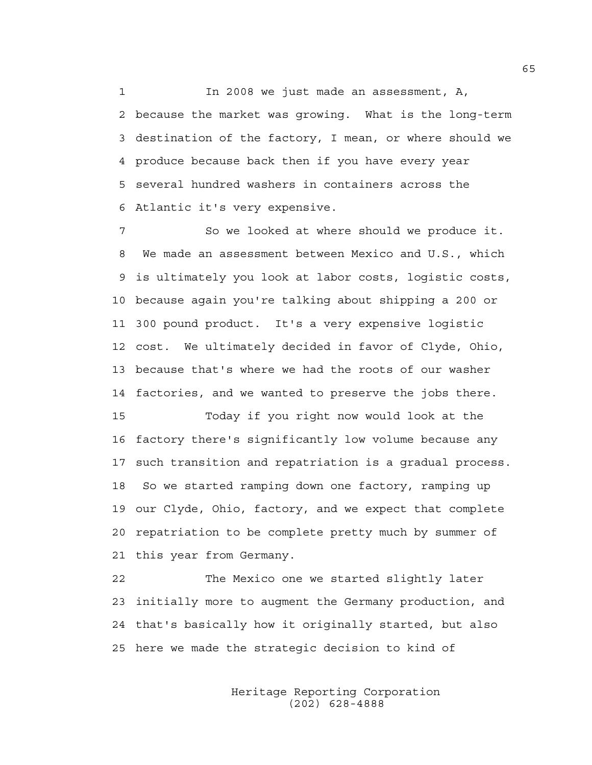1 In 2008 we just made an assessment, A, 2 because the market was growing. What is the long-term 3 destination of the factory, I mean, or where should we 4 produce because back then if you have every year 5 several hundred washers in containers across the 6 Atlantic it's very expensive.

7 So we looked at where should we produce it. 8 We made an assessment between Mexico and U.S., which 9 is ultimately you look at labor costs, logistic costs, 10 because again you're talking about shipping a 200 or 11 300 pound product. It's a very expensive logistic 12 cost. We ultimately decided in favor of Clyde, Ohio, 13 because that's where we had the roots of our washer 14 factories, and we wanted to preserve the jobs there.

15 Today if you right now would look at the 16 factory there's significantly low volume because any 17 such transition and repatriation is a gradual process. 18 So we started ramping down one factory, ramping up 19 our Clyde, Ohio, factory, and we expect that complete 20 repatriation to be complete pretty much by summer of 21 this year from Germany.

22 The Mexico one we started slightly later 23 initially more to augment the Germany production, and 24 that's basically how it originally started, but also 25 here we made the strategic decision to kind of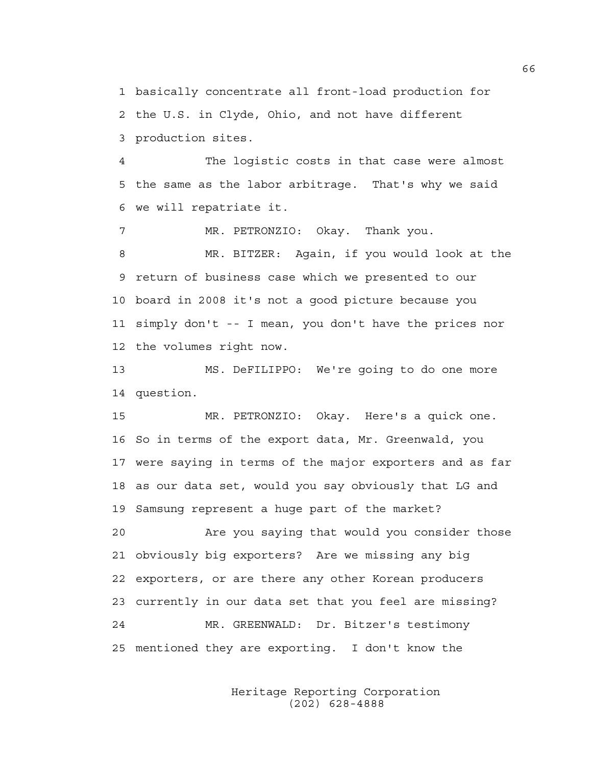1 basically concentrate all front-load production for 2 the U.S. in Clyde, Ohio, and not have different 3 production sites.

4 The logistic costs in that case were almost 5 the same as the labor arbitrage. That's why we said 6 we will repatriate it.

7 MR. PETRONZIO: Okay. Thank you. 8 MR. BITZER: Again, if you would look at the 9 return of business case which we presented to our 10 board in 2008 it's not a good picture because you 11 simply don't -- I mean, you don't have the prices nor 12 the volumes right now.

13 MS. DeFILIPPO: We're going to do one more 14 question.

15 MR. PETRONZIO: Okay. Here's a quick one. 16 So in terms of the export data, Mr. Greenwald, you 17 were saying in terms of the major exporters and as far 18 as our data set, would you say obviously that LG and 19 Samsung represent a huge part of the market?

20 Are you saying that would you consider those 21 obviously big exporters? Are we missing any big 22 exporters, or are there any other Korean producers 23 currently in our data set that you feel are missing? 24 MR. GREENWALD: Dr. Bitzer's testimony 25 mentioned they are exporting. I don't know the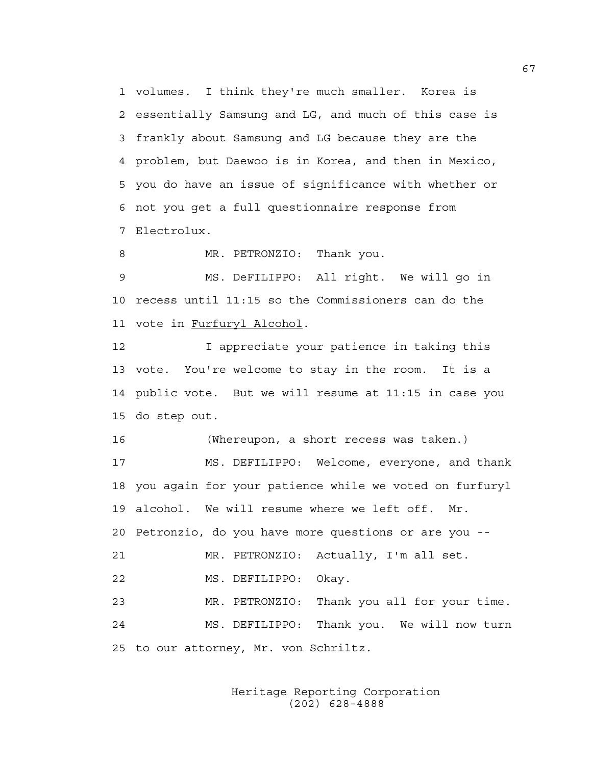1 volumes. I think they're much smaller. Korea is 2 essentially Samsung and LG, and much of this case is 3 frankly about Samsung and LG because they are the 4 problem, but Daewoo is in Korea, and then in Mexico, 5 you do have an issue of significance with whether or 6 not you get a full questionnaire response from 7 Electrolux.

8 MR. PETRONZIO: Thank you.

9 MS. DeFILIPPO: All right. We will go in 10 recess until 11:15 so the Commissioners can do the 11 vote in Furfuryl Alcohol.

12 I appreciate your patience in taking this 13 vote. You're welcome to stay in the room. It is a 14 public vote. But we will resume at 11:15 in case you 15 do step out.

16 (Whereupon, a short recess was taken.)

17 MS. DEFILIPPO: Welcome, everyone, and thank 18 you again for your patience while we voted on furfuryl 19 alcohol. We will resume where we left off. Mr. 20 Petronzio, do you have more questions or are you -- 21 MR. PETRONZIO: Actually, I'm all set. 22 MS. DEFILIPPO: Okay. 23 MR. PETRONZIO: Thank you all for your time.

24 MS. DEFILIPPO: Thank you. We will now turn 25 to our attorney, Mr. von Schriltz.

> Heritage Reporting Corporation (202) 628-4888

67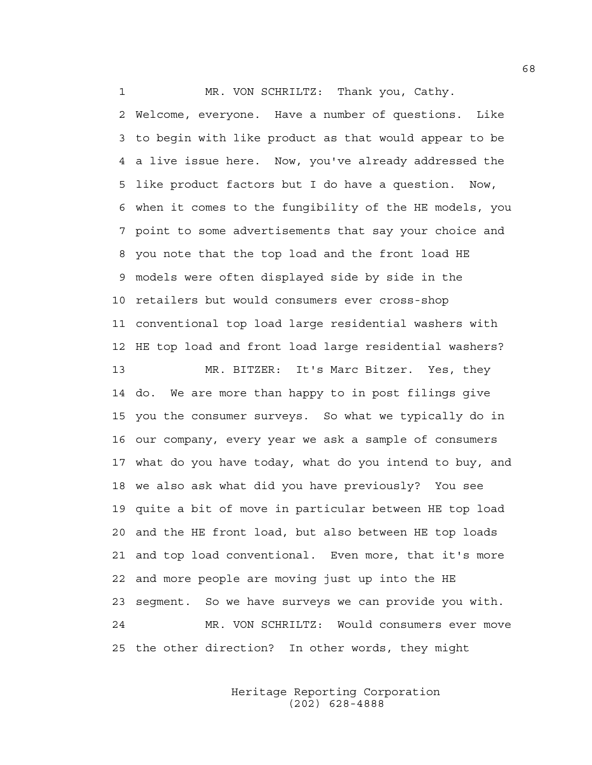1 MR. VON SCHRILTZ: Thank you, Cathy.

2 Welcome, everyone. Have a number of questions. Like 3 to begin with like product as that would appear to be 4 a live issue here. Now, you've already addressed the 5 like product factors but I do have a question. Now, 6 when it comes to the fungibility of the HE models, you 7 point to some advertisements that say your choice and 8 you note that the top load and the front load HE 9 models were often displayed side by side in the 10 retailers but would consumers ever cross-shop 11 conventional top load large residential washers with 12 HE top load and front load large residential washers?

13 MR. BITZER: It's Marc Bitzer. Yes, they 14 do. We are more than happy to in post filings give 15 you the consumer surveys. So what we typically do in 16 our company, every year we ask a sample of consumers 17 what do you have today, what do you intend to buy, and 18 we also ask what did you have previously? You see 19 quite a bit of move in particular between HE top load 20 and the HE front load, but also between HE top loads 21 and top load conventional. Even more, that it's more 22 and more people are moving just up into the HE 23 segment. So we have surveys we can provide you with. 24 MR. VON SCHRILTZ: Would consumers ever move 25 the other direction? In other words, they might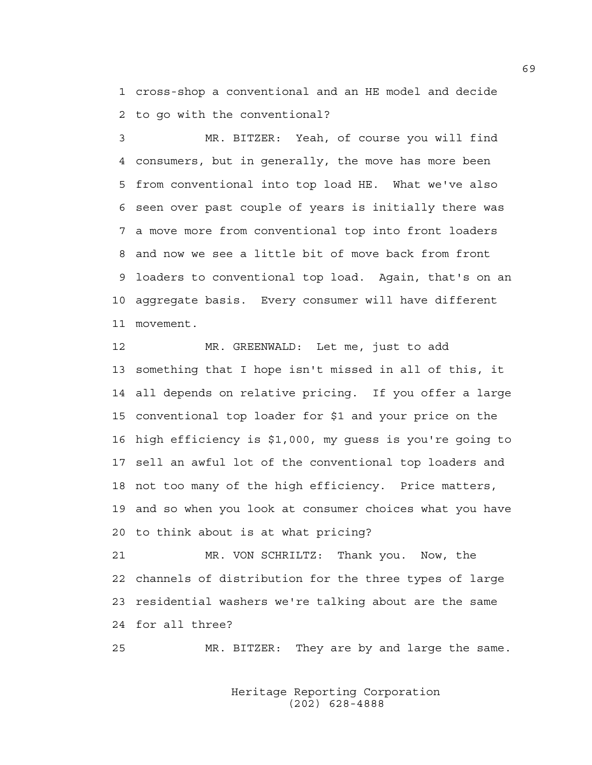1 cross-shop a conventional and an HE model and decide 2 to go with the conventional?

3 MR. BITZER: Yeah, of course you will find 4 consumers, but in generally, the move has more been 5 from conventional into top load HE. What we've also 6 seen over past couple of years is initially there was 7 a move more from conventional top into front loaders 8 and now we see a little bit of move back from front 9 loaders to conventional top load. Again, that's on an 10 aggregate basis. Every consumer will have different 11 movement.

12 MR. GREENWALD: Let me, just to add 13 something that I hope isn't missed in all of this, it 14 all depends on relative pricing. If you offer a large 15 conventional top loader for \$1 and your price on the 16 high efficiency is \$1,000, my guess is you're going to 17 sell an awful lot of the conventional top loaders and 18 not too many of the high efficiency. Price matters, 19 and so when you look at consumer choices what you have 20 to think about is at what pricing?

21 MR. VON SCHRILTZ: Thank you. Now, the 22 channels of distribution for the three types of large 23 residential washers we're talking about are the same 24 for all three?

25 MR. BITZER: They are by and large the same.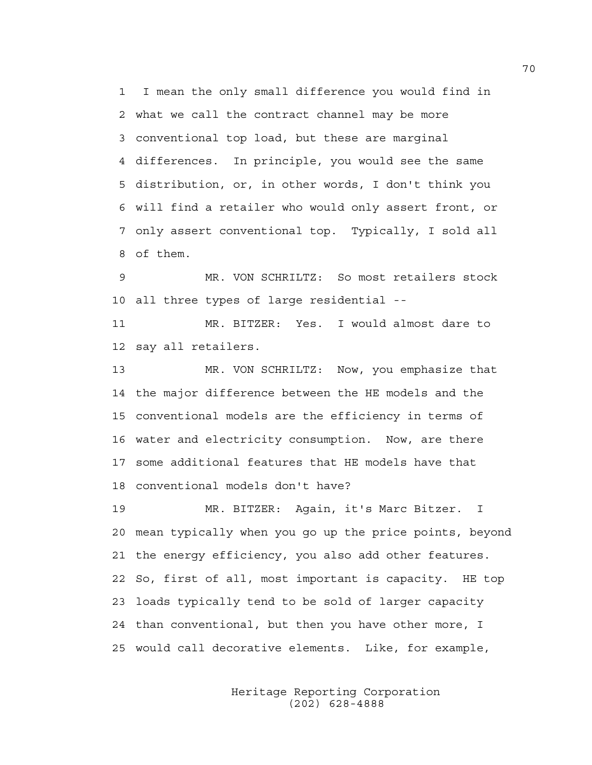1 I mean the only small difference you would find in 2 what we call the contract channel may be more 3 conventional top load, but these are marginal 4 differences. In principle, you would see the same 5 distribution, or, in other words, I don't think you 6 will find a retailer who would only assert front, or 7 only assert conventional top. Typically, I sold all 8 of them.

9 MR. VON SCHRILTZ: So most retailers stock 10 all three types of large residential --

11 MR. BITZER: Yes. I would almost dare to 12 say all retailers.

13 MR. VON SCHRILTZ: Now, you emphasize that 14 the major difference between the HE models and the 15 conventional models are the efficiency in terms of 16 water and electricity consumption. Now, are there 17 some additional features that HE models have that 18 conventional models don't have?

19 MR. BITZER: Again, it's Marc Bitzer. I 20 mean typically when you go up the price points, beyond 21 the energy efficiency, you also add other features. 22 So, first of all, most important is capacity. HE top 23 loads typically tend to be sold of larger capacity 24 than conventional, but then you have other more, I 25 would call decorative elements. Like, for example,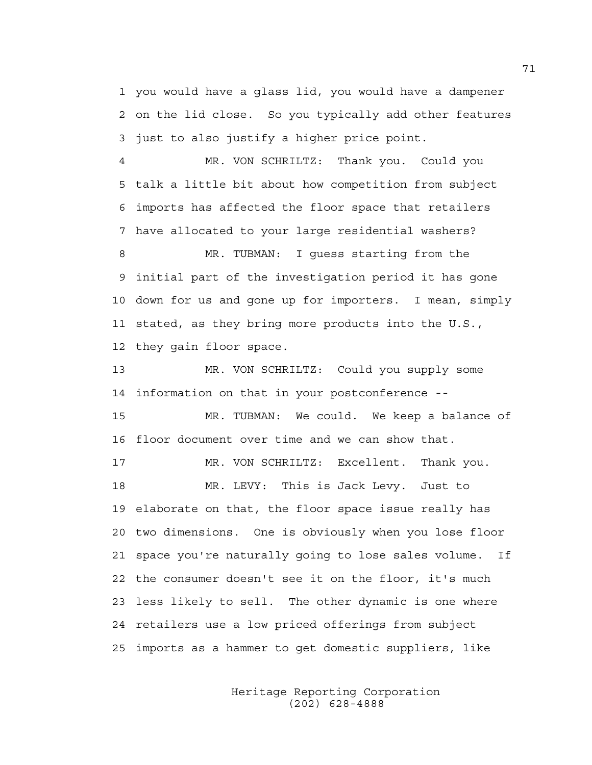1 you would have a glass lid, you would have a dampener 2 on the lid close. So you typically add other features 3 just to also justify a higher price point.

4 MR. VON SCHRILTZ: Thank you. Could you 5 talk a little bit about how competition from subject 6 imports has affected the floor space that retailers 7 have allocated to your large residential washers?

8 MR. TUBMAN: I guess starting from the 9 initial part of the investigation period it has gone 10 down for us and gone up for importers. I mean, simply 11 stated, as they bring more products into the U.S., 12 they gain floor space.

13 MR. VON SCHRILTZ: Could you supply some 14 information on that in your postconference --

15 MR. TUBMAN: We could. We keep a balance of 16 floor document over time and we can show that.

17 MR. VON SCHRILTZ: Excellent. Thank you. 18 MR. LEVY: This is Jack Levy. Just to 19 elaborate on that, the floor space issue really has 20 two dimensions. One is obviously when you lose floor 21 space you're naturally going to lose sales volume. If 22 the consumer doesn't see it on the floor, it's much 23 less likely to sell. The other dynamic is one where 24 retailers use a low priced offerings from subject 25 imports as a hammer to get domestic suppliers, like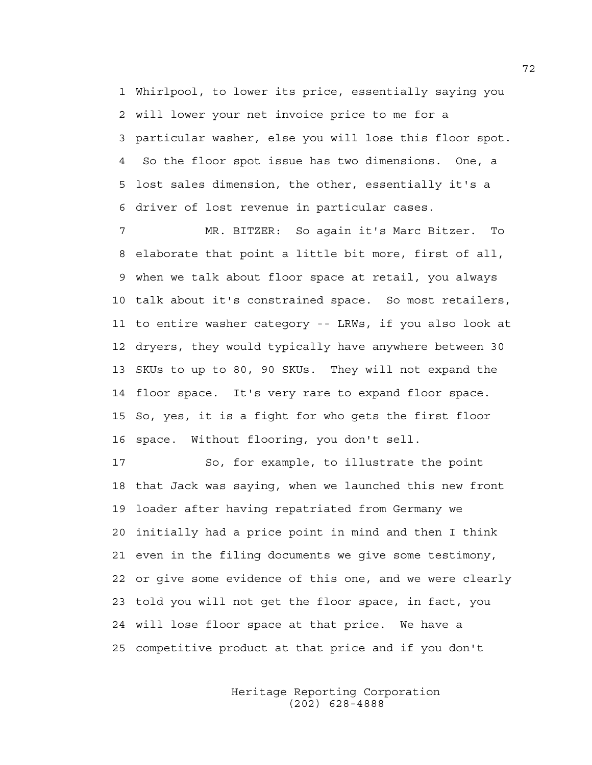1 Whirlpool, to lower its price, essentially saying you 2 will lower your net invoice price to me for a 3 particular washer, else you will lose this floor spot. 4 So the floor spot issue has two dimensions. One, a 5 lost sales dimension, the other, essentially it's a 6 driver of lost revenue in particular cases.

7 MR. BITZER: So again it's Marc Bitzer. To 8 elaborate that point a little bit more, first of all, 9 when we talk about floor space at retail, you always 10 talk about it's constrained space. So most retailers, 11 to entire washer category -- LRWs, if you also look at 12 dryers, they would typically have anywhere between 30 13 SKUs to up to 80, 90 SKUs. They will not expand the 14 floor space. It's very rare to expand floor space. 15 So, yes, it is a fight for who gets the first floor 16 space. Without flooring, you don't sell.

17 So, for example, to illustrate the point 18 that Jack was saying, when we launched this new front 19 loader after having repatriated from Germany we 20 initially had a price point in mind and then I think 21 even in the filing documents we give some testimony, 22 or give some evidence of this one, and we were clearly 23 told you will not get the floor space, in fact, you 24 will lose floor space at that price. We have a 25 competitive product at that price and if you don't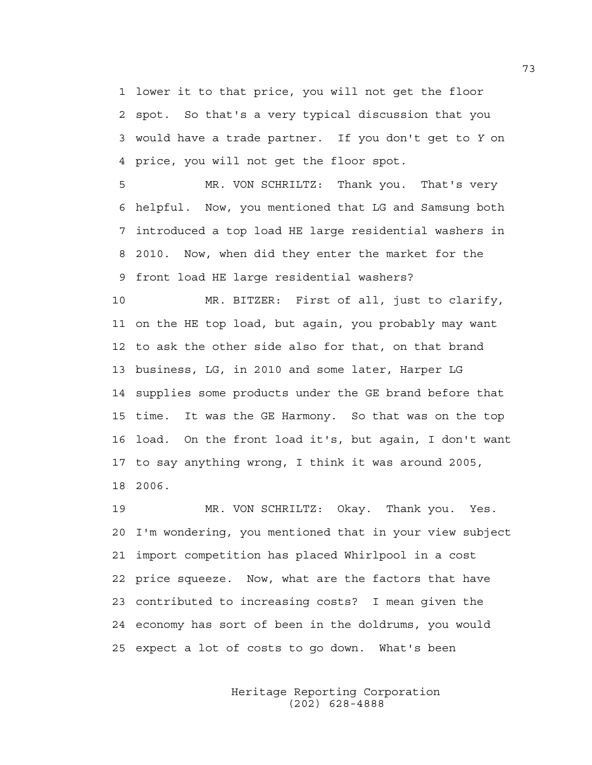1 lower it to that price, you will not get the floor 2 spot. So that's a very typical discussion that you 3 would have a trade partner. If you don't get to *Y* on 4 price, you will not get the floor spot.

5 MR. VON SCHRILTZ: Thank you. That's very 6 helpful. Now, you mentioned that LG and Samsung both 7 introduced a top load HE large residential washers in 8 2010. Now, when did they enter the market for the 9 front load HE large residential washers?

10 MR. BITZER: First of all, just to clarify, 11 on the HE top load, but again, you probably may want 12 to ask the other side also for that, on that brand 13 business, LG, in 2010 and some later, Harper LG 14 supplies some products under the GE brand before that 15 time. It was the GE Harmony. So that was on the top 16 load. On the front load it's, but again, I don't want 17 to say anything wrong, I think it was around 2005, 18 2006.

19 MR. VON SCHRILTZ: Okay. Thank you. Yes. 20 I'm wondering, you mentioned that in your view subject 21 import competition has placed Whirlpool in a cost 22 price squeeze. Now, what are the factors that have 23 contributed to increasing costs? I mean given the 24 economy has sort of been in the doldrums, you would 25 expect a lot of costs to go down. What's been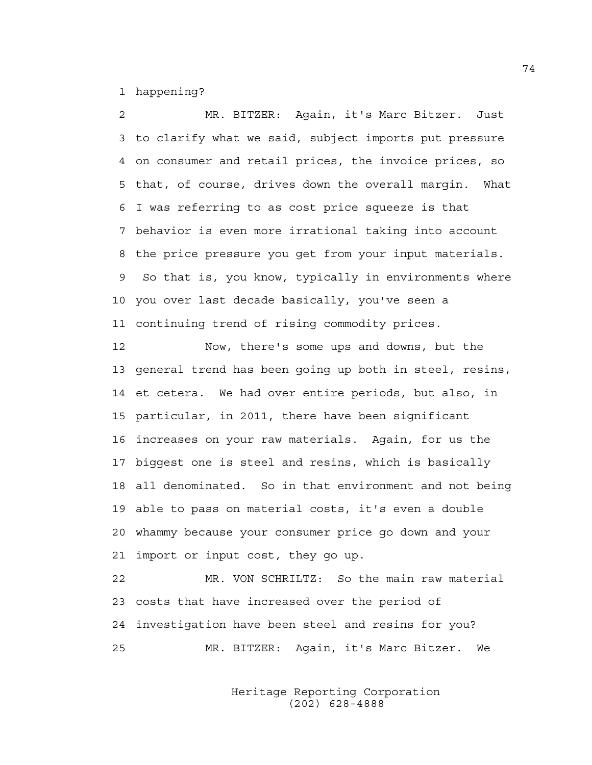1 happening?

2 MR. BITZER: Again, it's Marc Bitzer. Just 3 to clarify what we said, subject imports put pressure 4 on consumer and retail prices, the invoice prices, so 5 that, of course, drives down the overall margin. What 6 I was referring to as cost price squeeze is that 7 behavior is even more irrational taking into account 8 the price pressure you get from your input materials. 9 So that is, you know, typically in environments where 10 you over last decade basically, you've seen a 11 continuing trend of rising commodity prices.

12 Now, there's some ups and downs, but the 13 general trend has been going up both in steel, resins, 14 et cetera. We had over entire periods, but also, in 15 particular, in 2011, there have been significant 16 increases on your raw materials. Again, for us the 17 biggest one is steel and resins, which is basically 18 all denominated. So in that environment and not being 19 able to pass on material costs, it's even a double 20 whammy because your consumer price go down and your 21 import or input cost, they go up.

22 MR. VON SCHRILTZ: So the main raw material 23 costs that have increased over the period of 24 investigation have been steel and resins for you? 25 MR. BITZER: Again, it's Marc Bitzer. We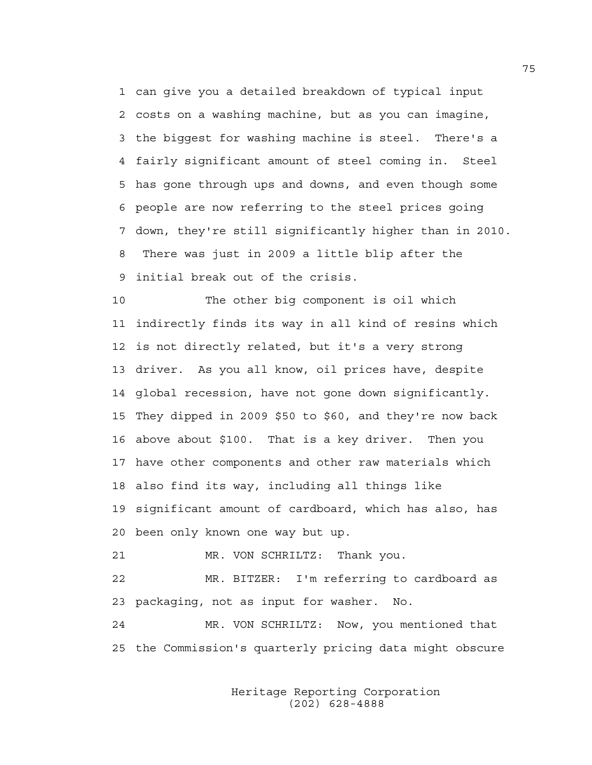1 can give you a detailed breakdown of typical input 2 costs on a washing machine, but as you can imagine, 3 the biggest for washing machine is steel. There's a 4 fairly significant amount of steel coming in. Steel 5 has gone through ups and downs, and even though some 6 people are now referring to the steel prices going 7 down, they're still significantly higher than in 2010. 8 There was just in 2009 a little blip after the 9 initial break out of the crisis.

10 The other big component is oil which 11 indirectly finds its way in all kind of resins which 12 is not directly related, but it's a very strong 13 driver. As you all know, oil prices have, despite 14 global recession, have not gone down significantly. 15 They dipped in 2009 \$50 to \$60, and they're now back 16 above about \$100. That is a key driver. Then you 17 have other components and other raw materials which 18 also find its way, including all things like 19 significant amount of cardboard, which has also, has 20 been only known one way but up.

21 MR. VON SCHRILTZ: Thank you.

22 MR. BITZER: I'm referring to cardboard as 23 packaging, not as input for washer. No.

24 MR. VON SCHRILTZ: Now, you mentioned that 25 the Commission's quarterly pricing data might obscure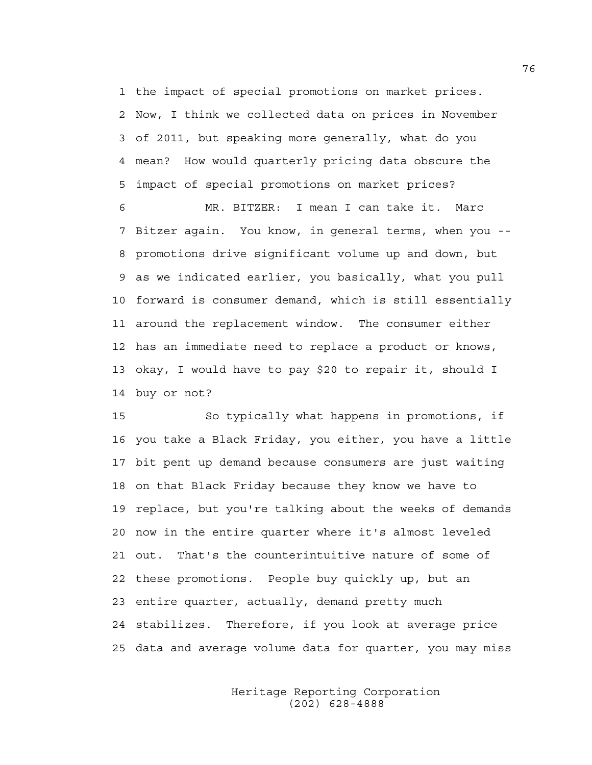1 the impact of special promotions on market prices. 2 Now, I think we collected data on prices in November 3 of 2011, but speaking more generally, what do you 4 mean? How would quarterly pricing data obscure the 5 impact of special promotions on market prices?

6 MR. BITZER: I mean I can take it. Marc 7 Bitzer again. You know, in general terms, when you -- 8 promotions drive significant volume up and down, but 9 as we indicated earlier, you basically, what you pull 10 forward is consumer demand, which is still essentially 11 around the replacement window. The consumer either 12 has an immediate need to replace a product or knows, 13 okay, I would have to pay \$20 to repair it, should I 14 buy or not?

15 So typically what happens in promotions, if 16 you take a Black Friday, you either, you have a little 17 bit pent up demand because consumers are just waiting 18 on that Black Friday because they know we have to 19 replace, but you're talking about the weeks of demands 20 now in the entire quarter where it's almost leveled 21 out. That's the counterintuitive nature of some of 22 these promotions. People buy quickly up, but an 23 entire quarter, actually, demand pretty much 24 stabilizes. Therefore, if you look at average price 25 data and average volume data for quarter, you may miss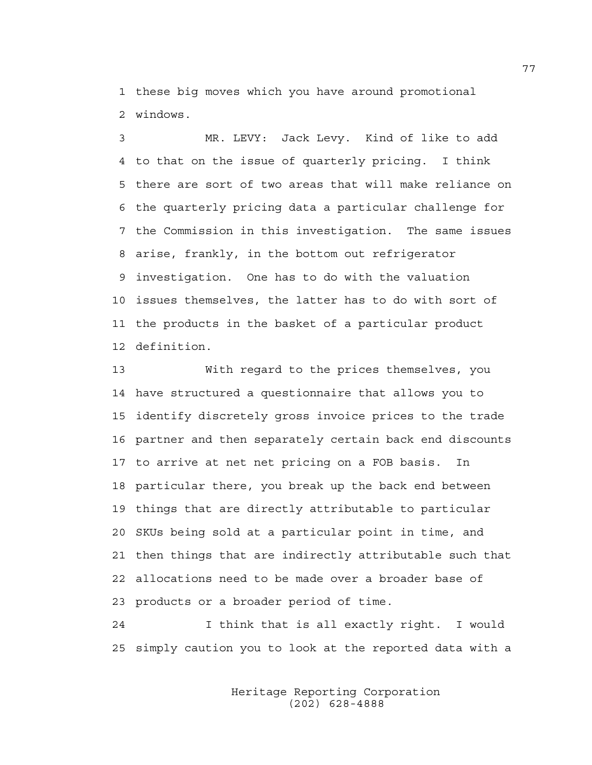1 these big moves which you have around promotional 2 windows.

3 MR. LEVY: Jack Levy. Kind of like to add 4 to that on the issue of quarterly pricing. I think 5 there are sort of two areas that will make reliance on 6 the quarterly pricing data a particular challenge for 7 the Commission in this investigation. The same issues 8 arise, frankly, in the bottom out refrigerator 9 investigation. One has to do with the valuation 10 issues themselves, the latter has to do with sort of 11 the products in the basket of a particular product 12 definition.

13 With regard to the prices themselves, you 14 have structured a questionnaire that allows you to 15 identify discretely gross invoice prices to the trade 16 partner and then separately certain back end discounts 17 to arrive at net net pricing on a FOB basis. In 18 particular there, you break up the back end between 19 things that are directly attributable to particular 20 SKUs being sold at a particular point in time, and 21 then things that are indirectly attributable such that 22 allocations need to be made over a broader base of 23 products or a broader period of time.

24 I think that is all exactly right. I would 25 simply caution you to look at the reported data with a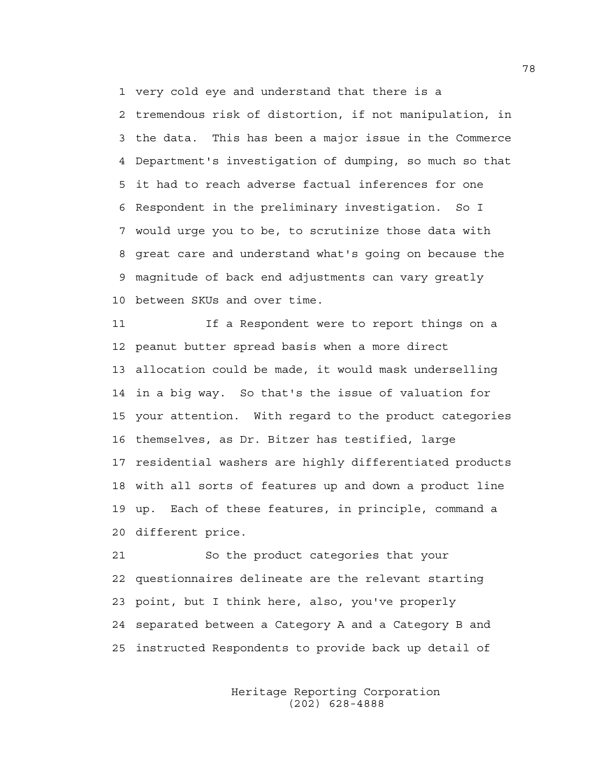1 very cold eye and understand that there is a

2 tremendous risk of distortion, if not manipulation, in 3 the data. This has been a major issue in the Commerce 4 Department's investigation of dumping, so much so that 5 it had to reach adverse factual inferences for one 6 Respondent in the preliminary investigation. So I 7 would urge you to be, to scrutinize those data with 8 great care and understand what's going on because the 9 magnitude of back end adjustments can vary greatly 10 between SKUs and over time.

11 If a Respondent were to report things on a 12 peanut butter spread basis when a more direct 13 allocation could be made, it would mask underselling 14 in a big way. So that's the issue of valuation for 15 your attention. With regard to the product categories 16 themselves, as Dr. Bitzer has testified, large 17 residential washers are highly differentiated products 18 with all sorts of features up and down a product line 19 up. Each of these features, in principle, command a 20 different price.

21 So the product categories that your 22 questionnaires delineate are the relevant starting 23 point, but I think here, also, you've properly 24 separated between a Category A and a Category B and 25 instructed Respondents to provide back up detail of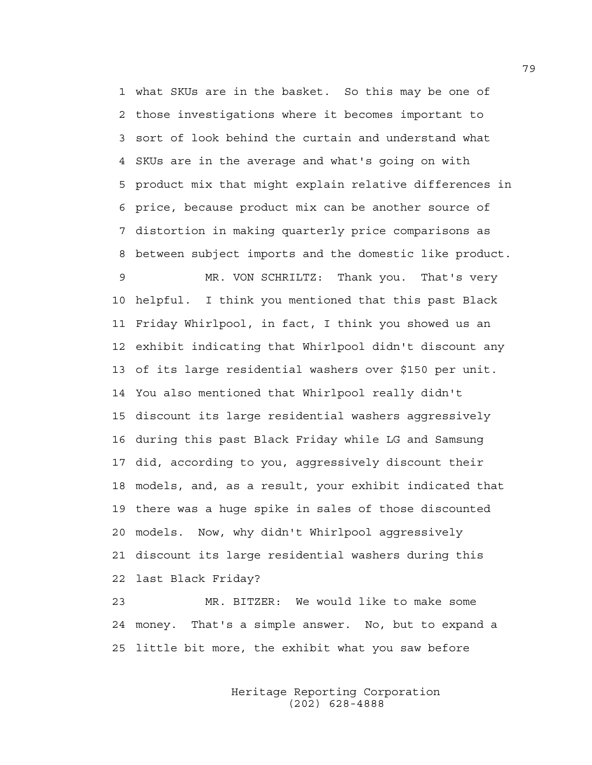1 what SKUs are in the basket. So this may be one of 2 those investigations where it becomes important to 3 sort of look behind the curtain and understand what 4 SKUs are in the average and what's going on with 5 product mix that might explain relative differences in 6 price, because product mix can be another source of 7 distortion in making quarterly price comparisons as 8 between subject imports and the domestic like product.

9 MR. VON SCHRILTZ: Thank you. That's very 10 helpful. I think you mentioned that this past Black 11 Friday Whirlpool, in fact, I think you showed us an 12 exhibit indicating that Whirlpool didn't discount any 13 of its large residential washers over \$150 per unit. 14 You also mentioned that Whirlpool really didn't 15 discount its large residential washers aggressively 16 during this past Black Friday while LG and Samsung 17 did, according to you, aggressively discount their 18 models, and, as a result, your exhibit indicated that 19 there was a huge spike in sales of those discounted 20 models. Now, why didn't Whirlpool aggressively 21 discount its large residential washers during this 22 last Black Friday?

23 MR. BITZER: We would like to make some 24 money. That's a simple answer. No, but to expand a 25 little bit more, the exhibit what you saw before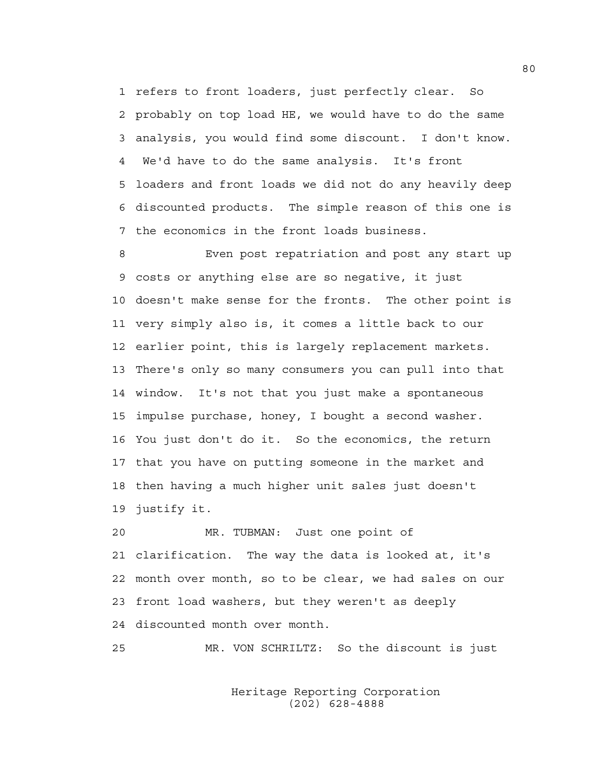1 refers to front loaders, just perfectly clear. So 2 probably on top load HE, we would have to do the same 3 analysis, you would find some discount. I don't know. 4 We'd have to do the same analysis. It's front 5 loaders and front loads we did not do any heavily deep 6 discounted products. The simple reason of this one is 7 the economics in the front loads business.

8 Even post repatriation and post any start up 9 costs or anything else are so negative, it just 10 doesn't make sense for the fronts. The other point is 11 very simply also is, it comes a little back to our 12 earlier point, this is largely replacement markets. 13 There's only so many consumers you can pull into that 14 window. It's not that you just make a spontaneous 15 impulse purchase, honey, I bought a second washer. 16 You just don't do it. So the economics, the return 17 that you have on putting someone in the market and 18 then having a much higher unit sales just doesn't 19 justify it.

20 MR. TUBMAN: Just one point of 21 clarification. The way the data is looked at, it's 22 month over month, so to be clear, we had sales on our 23 front load washers, but they weren't as deeply 24 discounted month over month.

25 MR. VON SCHRILTZ: So the discount is just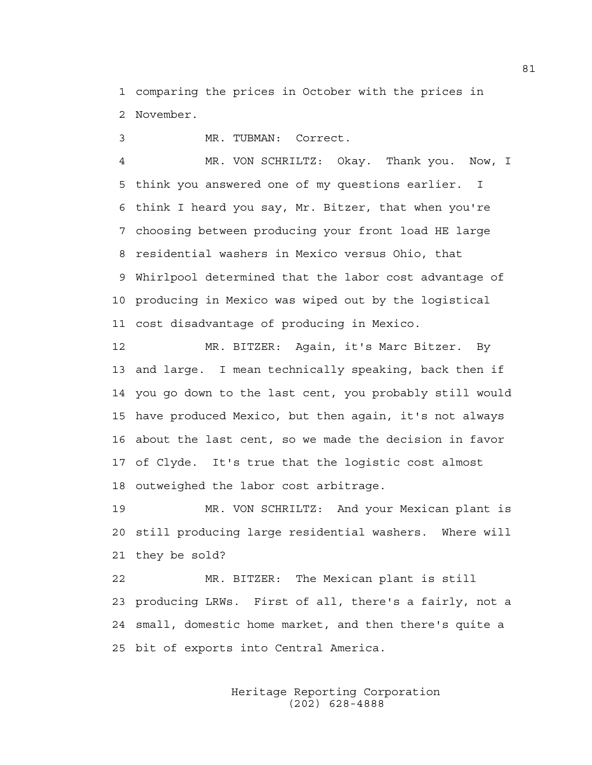1 comparing the prices in October with the prices in 2 November.

3 MR. TUBMAN: Correct.

4 MR. VON SCHRILTZ: Okay. Thank you. Now, I 5 think you answered one of my questions earlier. I 6 think I heard you say, Mr. Bitzer, that when you're 7 choosing between producing your front load HE large 8 residential washers in Mexico versus Ohio, that 9 Whirlpool determined that the labor cost advantage of 10 producing in Mexico was wiped out by the logistical 11 cost disadvantage of producing in Mexico.

12 MR. BITZER: Again, it's Marc Bitzer. By 13 and large. I mean technically speaking, back then if 14 you go down to the last cent, you probably still would 15 have produced Mexico, but then again, it's not always 16 about the last cent, so we made the decision in favor 17 of Clyde. It's true that the logistic cost almost 18 outweighed the labor cost arbitrage.

19 MR. VON SCHRILTZ: And your Mexican plant is 20 still producing large residential washers. Where will 21 they be sold?

22 MR. BITZER: The Mexican plant is still 23 producing LRWs. First of all, there's a fairly, not a 24 small, domestic home market, and then there's quite a 25 bit of exports into Central America.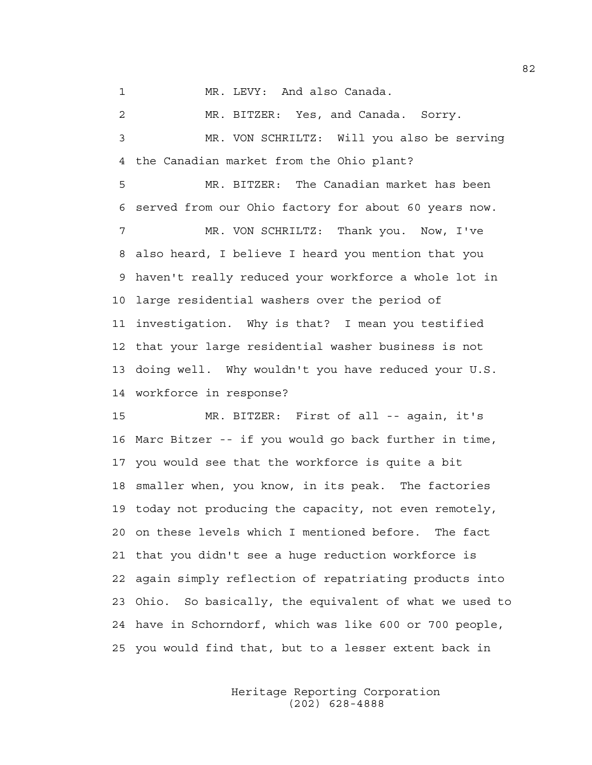1 MR. LEVY: And also Canada.

2 MR. BITZER: Yes, and Canada. Sorry. 3 MR. VON SCHRILTZ: Will you also be serving 4 the Canadian market from the Ohio plant?

5 MR. BITZER: The Canadian market has been 6 served from our Ohio factory for about 60 years now. 7 MR. VON SCHRILTZ: Thank you. Now, I've 8 also heard, I believe I heard you mention that you 9 haven't really reduced your workforce a whole lot in 10 large residential washers over the period of 11 investigation. Why is that? I mean you testified 12 that your large residential washer business is not 13 doing well. Why wouldn't you have reduced your U.S. 14 workforce in response?

15 MR. BITZER: First of all -- again, it's 16 Marc Bitzer -- if you would go back further in time, 17 you would see that the workforce is quite a bit 18 smaller when, you know, in its peak. The factories 19 today not producing the capacity, not even remotely, 20 on these levels which I mentioned before. The fact 21 that you didn't see a huge reduction workforce is 22 again simply reflection of repatriating products into 23 Ohio. So basically, the equivalent of what we used to 24 have in Schorndorf, which was like 600 or 700 people, 25 you would find that, but to a lesser extent back in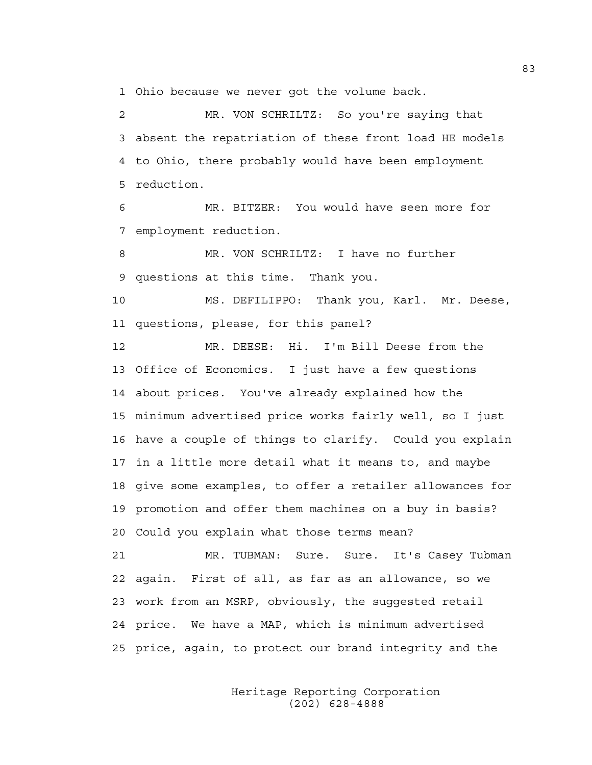1 Ohio because we never got the volume back.

2 MR. VON SCHRILTZ: So you're saying that 3 absent the repatriation of these front load HE models 4 to Ohio, there probably would have been employment 5 reduction.

6 MR. BITZER: You would have seen more for 7 employment reduction.

8 MR. VON SCHRILTZ: I have no further 9 questions at this time. Thank you.

10 MS. DEFILIPPO: Thank you, Karl. Mr. Deese, 11 questions, please, for this panel?

12 MR. DEESE: Hi. I'm Bill Deese from the 13 Office of Economics. I just have a few questions 14 about prices. You've already explained how the 15 minimum advertised price works fairly well, so I just 16 have a couple of things to clarify. Could you explain 17 in a little more detail what it means to, and maybe 18 give some examples, to offer a retailer allowances for 19 promotion and offer them machines on a buy in basis? 20 Could you explain what those terms mean?

21 MR. TUBMAN: Sure. Sure. It's Casey Tubman 22 again. First of all, as far as an allowance, so we 23 work from an MSRP, obviously, the suggested retail 24 price. We have a MAP, which is minimum advertised 25 price, again, to protect our brand integrity and the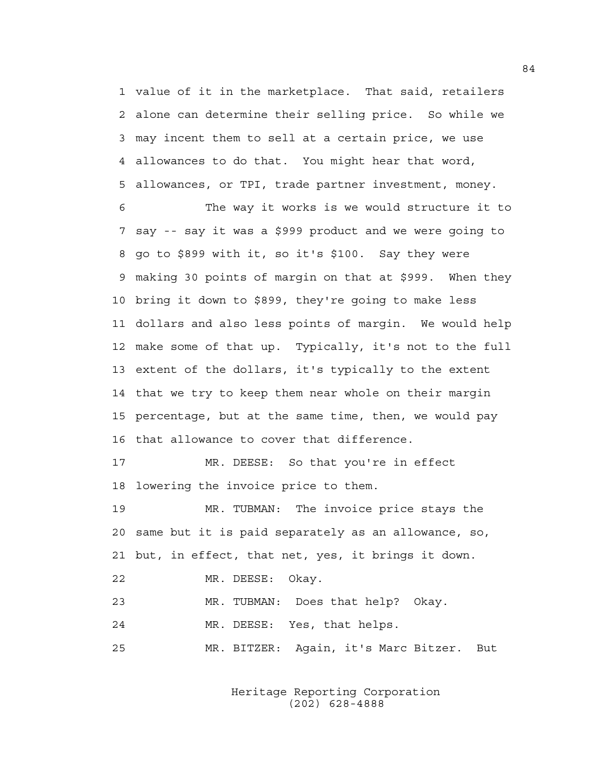1 value of it in the marketplace. That said, retailers 2 alone can determine their selling price. So while we 3 may incent them to sell at a certain price, we use 4 allowances to do that. You might hear that word, 5 allowances, or TPI, trade partner investment, money.

6 The way it works is we would structure it to 7 say -- say it was a \$999 product and we were going to 8 go to \$899 with it, so it's \$100. Say they were 9 making 30 points of margin on that at \$999. When they 10 bring it down to \$899, they're going to make less 11 dollars and also less points of margin. We would help 12 make some of that up. Typically, it's not to the full 13 extent of the dollars, it's typically to the extent 14 that we try to keep them near whole on their margin 15 percentage, but at the same time, then, we would pay 16 that allowance to cover that difference.

17 MR. DEESE: So that you're in effect 18 lowering the invoice price to them.

19 MR. TUBMAN: The invoice price stays the 20 same but it is paid separately as an allowance, so, 21 but, in effect, that net, yes, it brings it down.

22 MR. DEESE: Okay.

23 MR. TUBMAN: Does that help? Okay. 24 MR. DEESE: Yes, that helps. 25 MR. BITZER: Again, it's Marc Bitzer. But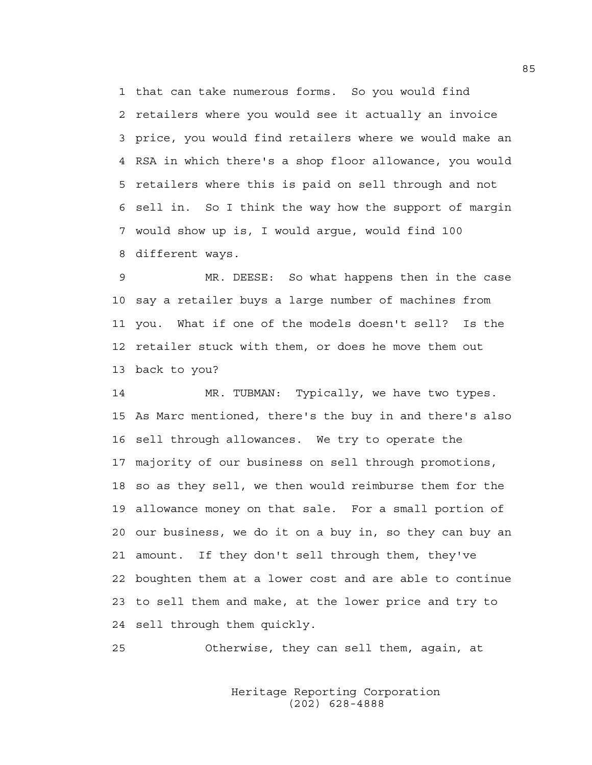1 that can take numerous forms. So you would find 2 retailers where you would see it actually an invoice 3 price, you would find retailers where we would make an 4 RSA in which there's a shop floor allowance, you would 5 retailers where this is paid on sell through and not 6 sell in. So I think the way how the support of margin 7 would show up is, I would argue, would find 100 8 different ways.

9 MR. DEESE: So what happens then in the case 10 say a retailer buys a large number of machines from 11 you. What if one of the models doesn't sell? Is the 12 retailer stuck with them, or does he move them out 13 back to you?

14 MR. TUBMAN: Typically, we have two types. 15 As Marc mentioned, there's the buy in and there's also 16 sell through allowances. We try to operate the 17 majority of our business on sell through promotions, 18 so as they sell, we then would reimburse them for the 19 allowance money on that sale. For a small portion of 20 our business, we do it on a buy in, so they can buy an 21 amount. If they don't sell through them, they've 22 boughten them at a lower cost and are able to continue 23 to sell them and make, at the lower price and try to 24 sell through them quickly.

25 Otherwise, they can sell them, again, at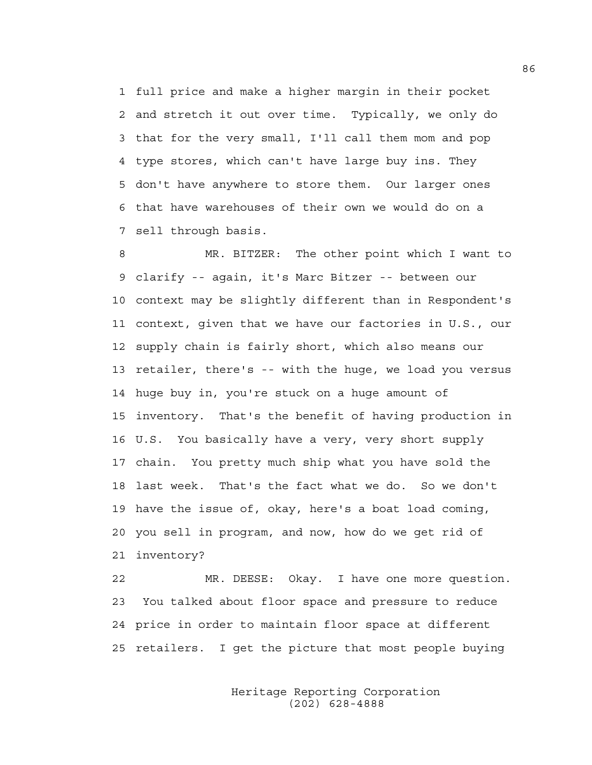1 full price and make a higher margin in their pocket 2 and stretch it out over time. Typically, we only do 3 that for the very small, I'll call them mom and pop 4 type stores, which can't have large buy ins. They 5 don't have anywhere to store them. Our larger ones 6 that have warehouses of their own we would do on a 7 sell through basis.

8 MR. BITZER: The other point which I want to 9 clarify -- again, it's Marc Bitzer -- between our 10 context may be slightly different than in Respondent's 11 context, given that we have our factories in U.S., our 12 supply chain is fairly short, which also means our 13 retailer, there's -- with the huge, we load you versus 14 huge buy in, you're stuck on a huge amount of 15 inventory. That's the benefit of having production in 16 U.S. You basically have a very, very short supply 17 chain. You pretty much ship what you have sold the 18 last week. That's the fact what we do. So we don't 19 have the issue of, okay, here's a boat load coming, 20 you sell in program, and now, how do we get rid of 21 inventory?

22 MR. DEESE: Okay. I have one more question. 23 You talked about floor space and pressure to reduce 24 price in order to maintain floor space at different 25 retailers. I get the picture that most people buying

> Heritage Reporting Corporation (202) 628-4888

86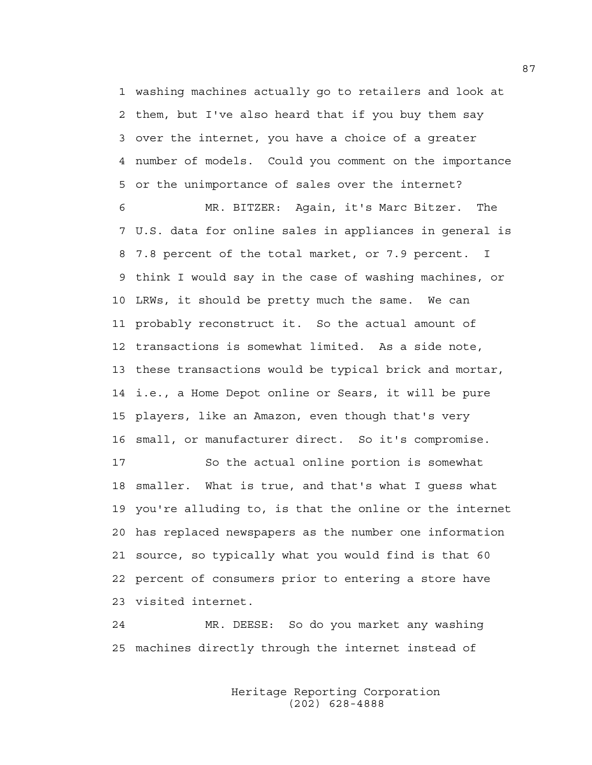1 washing machines actually go to retailers and look at 2 them, but I've also heard that if you buy them say 3 over the internet, you have a choice of a greater 4 number of models. Could you comment on the importance 5 or the unimportance of sales over the internet?

6 MR. BITZER: Again, it's Marc Bitzer. The 7 U.S. data for online sales in appliances in general is 8 7.8 percent of the total market, or 7.9 percent. I 9 think I would say in the case of washing machines, or 10 LRWs, it should be pretty much the same. We can 11 probably reconstruct it. So the actual amount of 12 transactions is somewhat limited. As a side note, 13 these transactions would be typical brick and mortar, 14 i.e., a Home Depot online or Sears, it will be pure 15 players, like an Amazon, even though that's very 16 small, or manufacturer direct. So it's compromise.

17 So the actual online portion is somewhat 18 smaller. What is true, and that's what I guess what 19 you're alluding to, is that the online or the internet 20 has replaced newspapers as the number one information 21 source, so typically what you would find is that 60 22 percent of consumers prior to entering a store have 23 visited internet.

24 MR. DEESE: So do you market any washing 25 machines directly through the internet instead of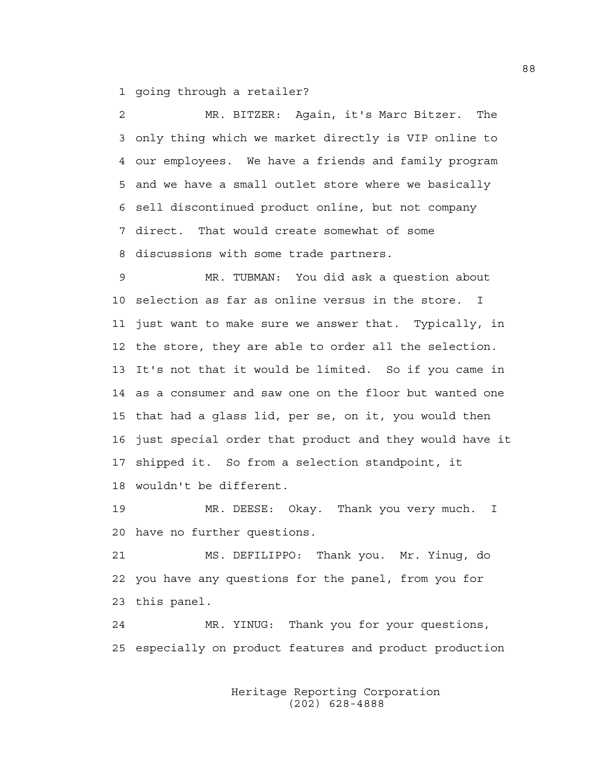1 going through a retailer?

2 MR. BITZER: Again, it's Marc Bitzer. The 3 only thing which we market directly is VIP online to 4 our employees. We have a friends and family program 5 and we have a small outlet store where we basically 6 sell discontinued product online, but not company 7 direct. That would create somewhat of some 8 discussions with some trade partners.

9 MR. TUBMAN: You did ask a question about 10 selection as far as online versus in the store. I 11 just want to make sure we answer that. Typically, in 12 the store, they are able to order all the selection. 13 It's not that it would be limited. So if you came in 14 as a consumer and saw one on the floor but wanted one 15 that had a glass lid, per se, on it, you would then 16 just special order that product and they would have it 17 shipped it. So from a selection standpoint, it 18 wouldn't be different.

19 MR. DEESE: Okay. Thank you very much. I 20 have no further questions.

21 MS. DEFILIPPO: Thank you. Mr. Yinug, do 22 you have any questions for the panel, from you for 23 this panel.

24 MR. YINUG: Thank you for your questions, 25 especially on product features and product production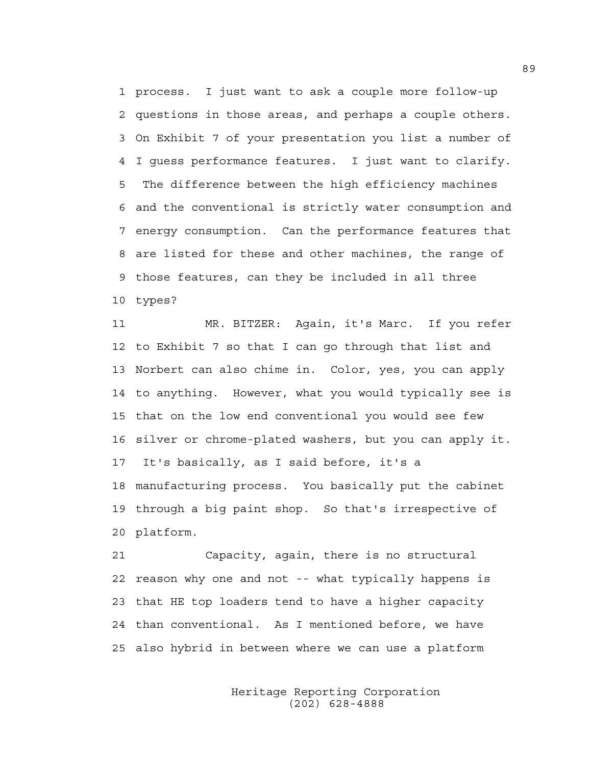1 process. I just want to ask a couple more follow-up 2 questions in those areas, and perhaps a couple others. 3 On Exhibit 7 of your presentation you list a number of 4 I guess performance features. I just want to clarify. 5 The difference between the high efficiency machines 6 and the conventional is strictly water consumption and 7 energy consumption. Can the performance features that 8 are listed for these and other machines, the range of 9 those features, can they be included in all three 10 types?

11 MR. BITZER: Again, it's Marc. If you refer 12 to Exhibit 7 so that I can go through that list and 13 Norbert can also chime in. Color, yes, you can apply 14 to anything. However, what you would typically see is 15 that on the low end conventional you would see few 16 silver or chrome-plated washers, but you can apply it. 17 It's basically, as I said before, it's a 18 manufacturing process. You basically put the cabinet 19 through a big paint shop. So that's irrespective of 20 platform.

21 Capacity, again, there is no structural 22 reason why one and not -- what typically happens is 23 that HE top loaders tend to have a higher capacity 24 than conventional. As I mentioned before, we have 25 also hybrid in between where we can use a platform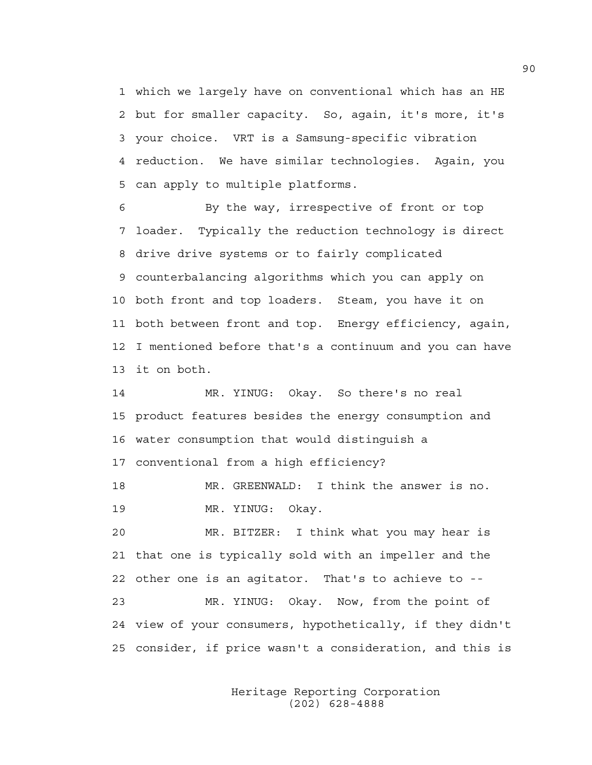1 which we largely have on conventional which has an HE 2 but for smaller capacity. So, again, it's more, it's 3 your choice. VRT is a Samsung-specific vibration 4 reduction. We have similar technologies. Again, you 5 can apply to multiple platforms.

6 By the way, irrespective of front or top 7 loader. Typically the reduction technology is direct 8 drive drive systems or to fairly complicated 9 counterbalancing algorithms which you can apply on 10 both front and top loaders. Steam, you have it on 11 both between front and top. Energy efficiency, again, 12 I mentioned before that's a continuum and you can have 13 it on both.

14 MR. YINUG: Okay. So there's no real 15 product features besides the energy consumption and 16 water consumption that would distinguish a 17 conventional from a high efficiency?

18 MR. GREENWALD: I think the answer is no. 19 MR. YINUG: Okay.

20 MR. BITZER: I think what you may hear is 21 that one is typically sold with an impeller and the 22 other one is an agitator. That's to achieve to --

23 MR. YINUG: Okay. Now, from the point of 24 view of your consumers, hypothetically, if they didn't 25 consider, if price wasn't a consideration, and this is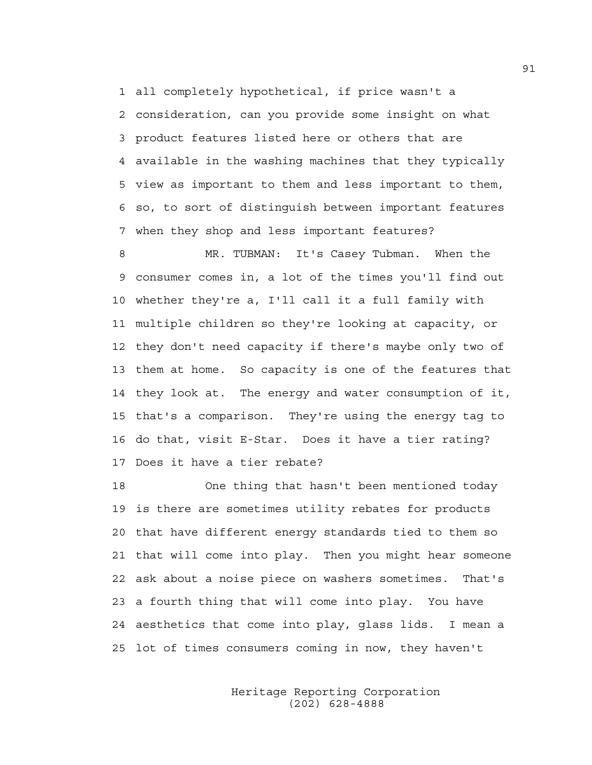1 all completely hypothetical, if price wasn't a 2 consideration, can you provide some insight on what 3 product features listed here or others that are 4 available in the washing machines that they typically 5 view as important to them and less important to them, 6 so, to sort of distinguish between important features 7 when they shop and less important features?

8 MR. TUBMAN: It's Casey Tubman. When the 9 consumer comes in, a lot of the times you'll find out 10 whether they're a, I'll call it a full family with 11 multiple children so they're looking at capacity, or 12 they don't need capacity if there's maybe only two of 13 them at home. So capacity is one of the features that 14 they look at. The energy and water consumption of it, 15 that's a comparison. They're using the energy tag to 16 do that, visit E-Star. Does it have a tier rating? 17 Does it have a tier rebate?

18 One thing that hasn't been mentioned today 19 is there are sometimes utility rebates for products 20 that have different energy standards tied to them so 21 that will come into play. Then you might hear someone 22 ask about a noise piece on washers sometimes. That's 23 a fourth thing that will come into play. You have 24 aesthetics that come into play, glass lids. I mean a 25 lot of times consumers coming in now, they haven't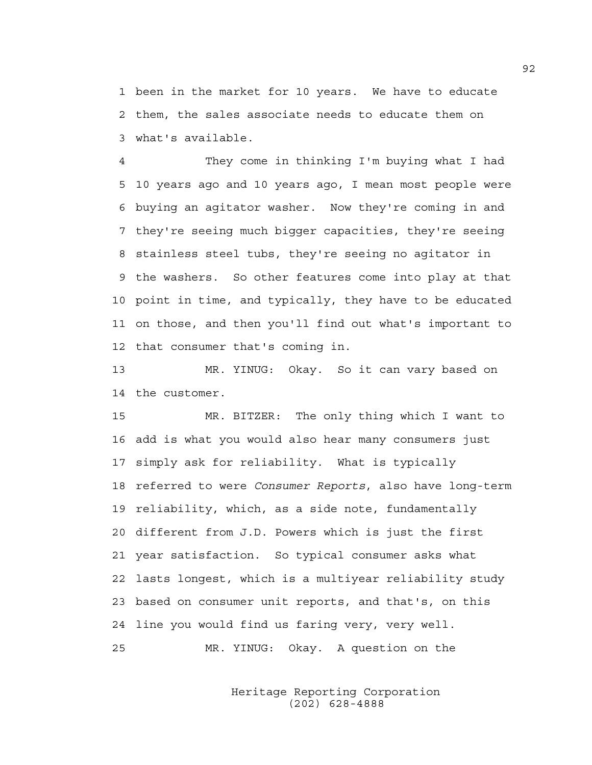1 been in the market for 10 years. We have to educate 2 them, the sales associate needs to educate them on 3 what's available.

4 They come in thinking I'm buying what I had 5 10 years ago and 10 years ago, I mean most people were 6 buying an agitator washer. Now they're coming in and 7 they're seeing much bigger capacities, they're seeing 8 stainless steel tubs, they're seeing no agitator in 9 the washers. So other features come into play at that 10 point in time, and typically, they have to be educated 11 on those, and then you'll find out what's important to 12 that consumer that's coming in.

13 MR. YINUG: Okay. So it can vary based on 14 the customer.

15 MR. BITZER: The only thing which I want to 16 add is what you would also hear many consumers just 17 simply ask for reliability. What is typically 18 referred to were *Consumer Reports*, also have long-term 19 reliability, which, as a side note, fundamentally 20 different from J.D. Powers which is just the first 21 year satisfaction. So typical consumer asks what 22 lasts longest, which is a multiyear reliability study 23 based on consumer unit reports, and that's, on this 24 line you would find us faring very, very well. 25 MR. YINUG: Okay. A question on the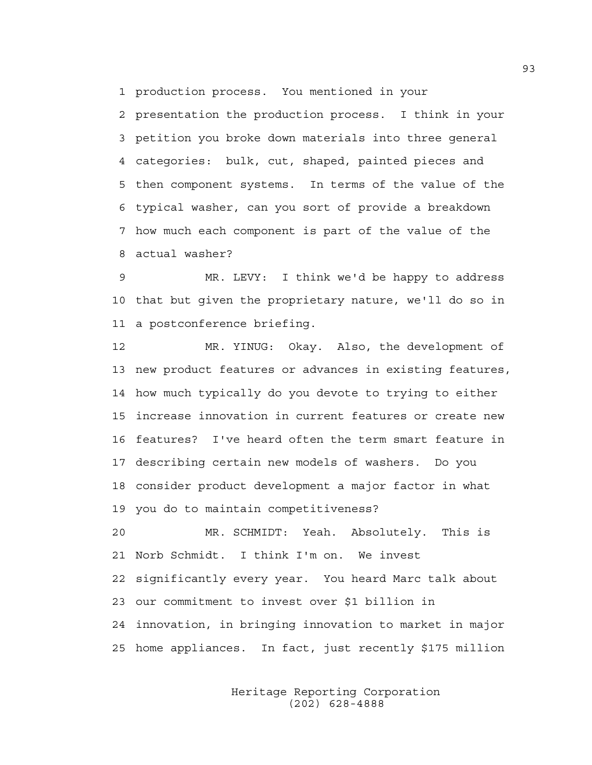1 production process. You mentioned in your

2 presentation the production process. I think in your 3 petition you broke down materials into three general 4 categories: bulk, cut, shaped, painted pieces and 5 then component systems. In terms of the value of the 6 typical washer, can you sort of provide a breakdown 7 how much each component is part of the value of the 8 actual washer?

9 MR. LEVY: I think we'd be happy to address 10 that but given the proprietary nature, we'll do so in 11 a postconference briefing.

12 MR. YINUG: Okay. Also, the development of 13 new product features or advances in existing features, 14 how much typically do you devote to trying to either 15 increase innovation in current features or create new 16 features? I've heard often the term smart feature in 17 describing certain new models of washers. Do you 18 consider product development a major factor in what 19 you do to maintain competitiveness?

20 MR. SCHMIDT: Yeah. Absolutely. This is 21 Norb Schmidt. I think I'm on. We invest 22 significantly every year. You heard Marc talk about 23 our commitment to invest over \$1 billion in 24 innovation, in bringing innovation to market in major 25 home appliances. In fact, just recently \$175 million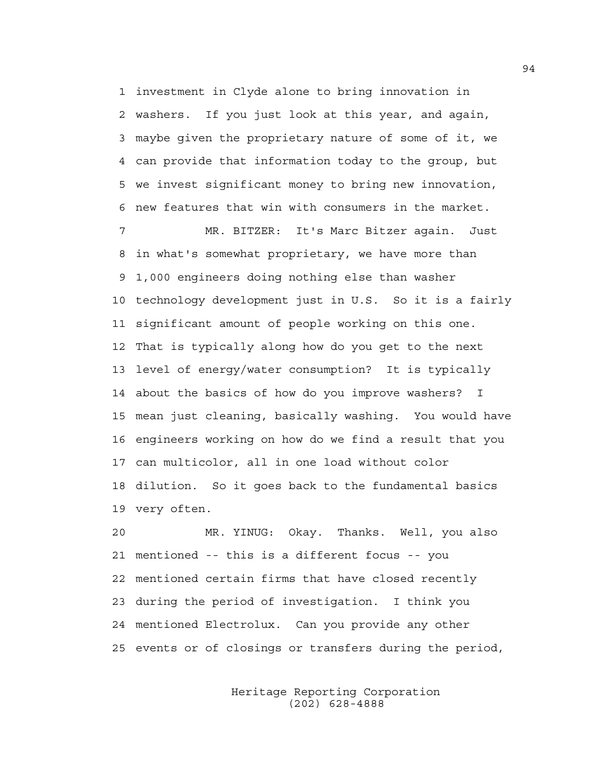1 investment in Clyde alone to bring innovation in 2 washers. If you just look at this year, and again, 3 maybe given the proprietary nature of some of it, we 4 can provide that information today to the group, but 5 we invest significant money to bring new innovation, 6 new features that win with consumers in the market.

7 MR. BITZER: It's Marc Bitzer again. Just 8 in what's somewhat proprietary, we have more than 9 1,000 engineers doing nothing else than washer 10 technology development just in U.S. So it is a fairly 11 significant amount of people working on this one. 12 That is typically along how do you get to the next 13 level of energy/water consumption? It is typically 14 about the basics of how do you improve washers? I 15 mean just cleaning, basically washing. You would have 16 engineers working on how do we find a result that you 17 can multicolor, all in one load without color 18 dilution. So it goes back to the fundamental basics 19 very often.

20 MR. YINUG: Okay. Thanks. Well, you also 21 mentioned -- this is a different focus -- you 22 mentioned certain firms that have closed recently 23 during the period of investigation. I think you 24 mentioned Electrolux. Can you provide any other 25 events or of closings or transfers during the period,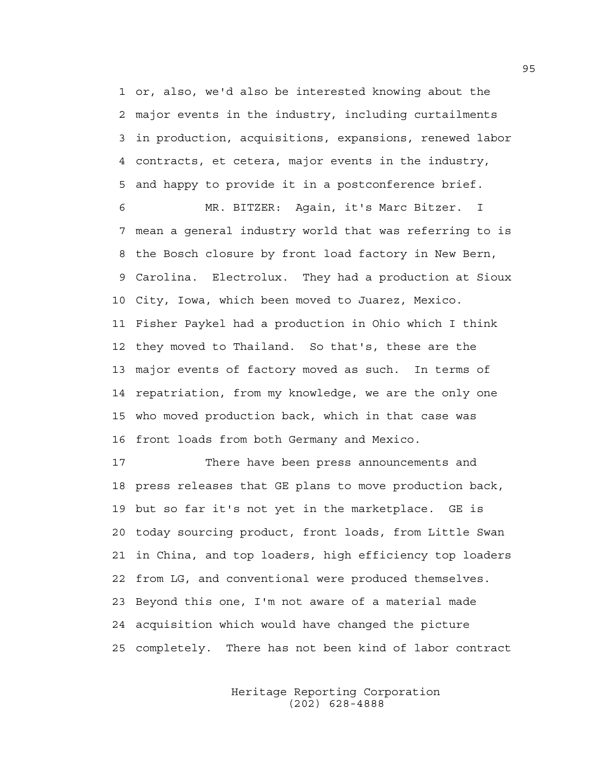1 or, also, we'd also be interested knowing about the 2 major events in the industry, including curtailments 3 in production, acquisitions, expansions, renewed labor 4 contracts, et cetera, major events in the industry, 5 and happy to provide it in a postconference brief.

6 MR. BITZER: Again, it's Marc Bitzer. I 7 mean a general industry world that was referring to is 8 the Bosch closure by front load factory in New Bern, 9 Carolina. Electrolux. They had a production at Sioux 10 City, Iowa, which been moved to Juarez, Mexico. 11 Fisher Paykel had a production in Ohio which I think 12 they moved to Thailand. So that's, these are the 13 major events of factory moved as such. In terms of 14 repatriation, from my knowledge, we are the only one 15 who moved production back, which in that case was 16 front loads from both Germany and Mexico.

17 There have been press announcements and 18 press releases that GE plans to move production back, 19 but so far it's not yet in the marketplace. GE is 20 today sourcing product, front loads, from Little Swan 21 in China, and top loaders, high efficiency top loaders 22 from LG, and conventional were produced themselves. 23 Beyond this one, I'm not aware of a material made 24 acquisition which would have changed the picture 25 completely. There has not been kind of labor contract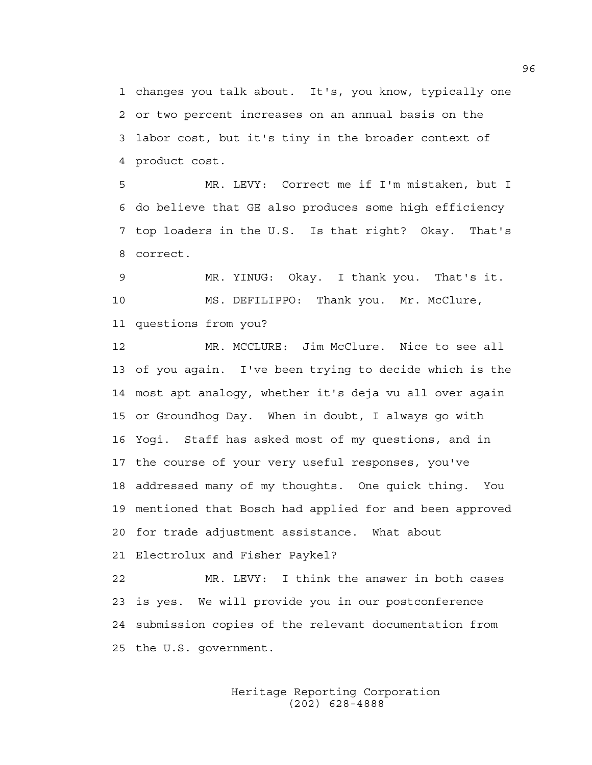1 changes you talk about. It's, you know, typically one 2 or two percent increases on an annual basis on the 3 labor cost, but it's tiny in the broader context of 4 product cost.

5 MR. LEVY: Correct me if I'm mistaken, but I 6 do believe that GE also produces some high efficiency 7 top loaders in the U.S. Is that right? Okay. That's 8 correct.

9 MR. YINUG: Okay. I thank you. That's it. 10 MS. DEFILIPPO: Thank you. Mr. McClure, 11 questions from you?

12 MR. MCCLURE: Jim McClure. Nice to see all 13 of you again. I've been trying to decide which is the 14 most apt analogy, whether it's deja vu all over again 15 or Groundhog Day. When in doubt, I always go with 16 Yogi. Staff has asked most of my questions, and in 17 the course of your very useful responses, you've 18 addressed many of my thoughts. One quick thing. You 19 mentioned that Bosch had applied for and been approved 20 for trade adjustment assistance. What about 21 Electrolux and Fisher Paykel?

22 MR. LEVY: I think the answer in both cases 23 is yes. We will provide you in our postconference 24 submission copies of the relevant documentation from 25 the U.S. government.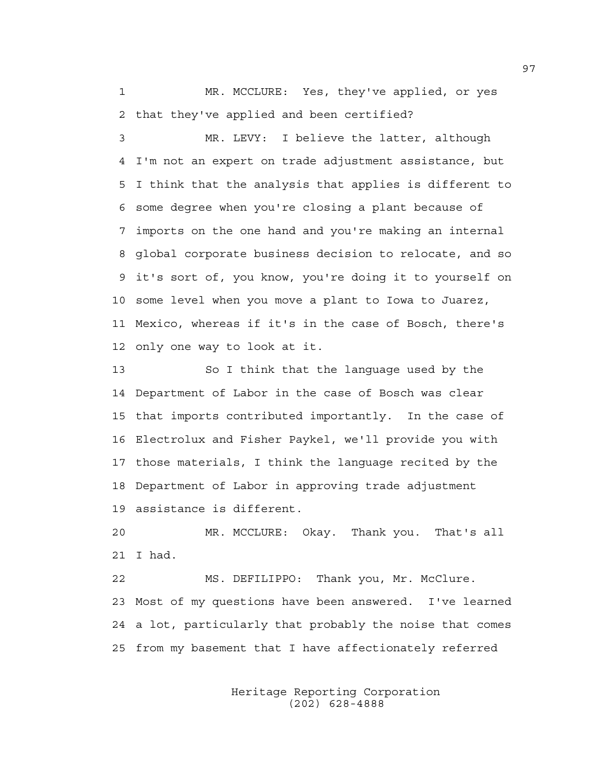1 MR. MCCLURE: Yes, they've applied, or yes 2 that they've applied and been certified?

3 MR. LEVY: I believe the latter, although 4 I'm not an expert on trade adjustment assistance, but 5 I think that the analysis that applies is different to 6 some degree when you're closing a plant because of 7 imports on the one hand and you're making an internal 8 global corporate business decision to relocate, and so 9 it's sort of, you know, you're doing it to yourself on 10 some level when you move a plant to Iowa to Juarez, 11 Mexico, whereas if it's in the case of Bosch, there's 12 only one way to look at it.

13 So I think that the language used by the 14 Department of Labor in the case of Bosch was clear 15 that imports contributed importantly. In the case of 16 Electrolux and Fisher Paykel, we'll provide you with 17 those materials, I think the language recited by the 18 Department of Labor in approving trade adjustment 19 assistance is different.

20 MR. MCCLURE: Okay. Thank you. That's all 21 I had.

22 MS. DEFILIPPO: Thank you, Mr. McClure. 23 Most of my questions have been answered. I've learned 24 a lot, particularly that probably the noise that comes 25 from my basement that I have affectionately referred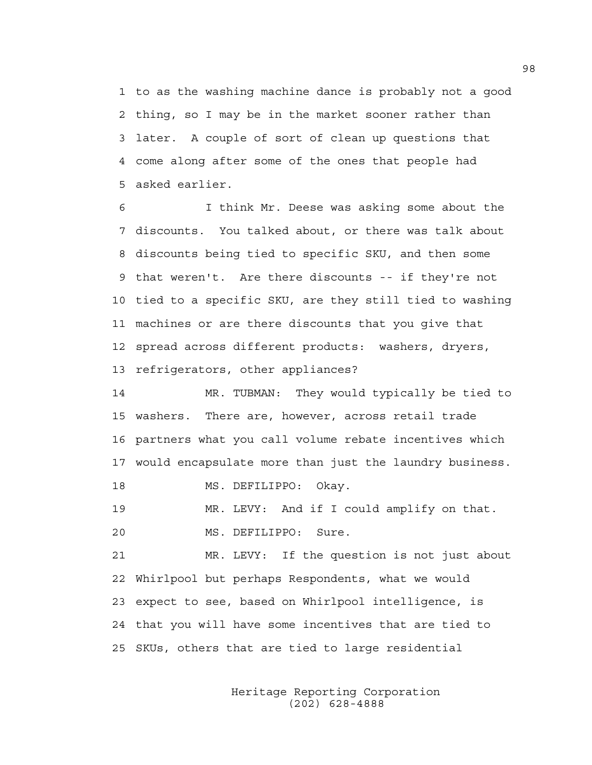1 to as the washing machine dance is probably not a good 2 thing, so I may be in the market sooner rather than 3 later. A couple of sort of clean up questions that 4 come along after some of the ones that people had 5 asked earlier.

6 I think Mr. Deese was asking some about the 7 discounts. You talked about, or there was talk about 8 discounts being tied to specific SKU, and then some 9 that weren't. Are there discounts -- if they're not 10 tied to a specific SKU, are they still tied to washing 11 machines or are there discounts that you give that 12 spread across different products: washers, dryers, 13 refrigerators, other appliances?

14 MR. TUBMAN: They would typically be tied to 15 washers. There are, however, across retail trade 16 partners what you call volume rebate incentives which 17 would encapsulate more than just the laundry business.

18 MS. DEFILIPPO: Okay.

19 MR. LEVY: And if I could amplify on that. 20 MS. DEFILIPPO: Sure.

21 MR. LEVY: If the question is not just about 22 Whirlpool but perhaps Respondents, what we would 23 expect to see, based on Whirlpool intelligence, is 24 that you will have some incentives that are tied to 25 SKUs, others that are tied to large residential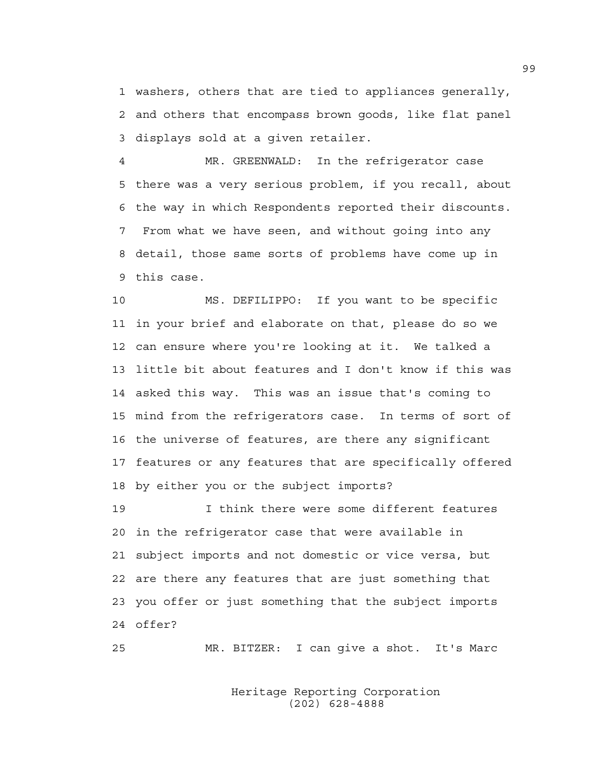1 washers, others that are tied to appliances generally, 2 and others that encompass brown goods, like flat panel 3 displays sold at a given retailer.

4 MR. GREENWALD: In the refrigerator case 5 there was a very serious problem, if you recall, about 6 the way in which Respondents reported their discounts. 7 From what we have seen, and without going into any 8 detail, those same sorts of problems have come up in 9 this case.

10 MS. DEFILIPPO: If you want to be specific 11 in your brief and elaborate on that, please do so we 12 can ensure where you're looking at it. We talked a 13 little bit about features and I don't know if this was 14 asked this way. This was an issue that's coming to 15 mind from the refrigerators case. In terms of sort of 16 the universe of features, are there any significant 17 features or any features that are specifically offered 18 by either you or the subject imports?

19 I think there were some different features 20 in the refrigerator case that were available in 21 subject imports and not domestic or vice versa, but 22 are there any features that are just something that 23 you offer or just something that the subject imports 24 offer?

25 MR. BITZER: I can give a shot. It's Marc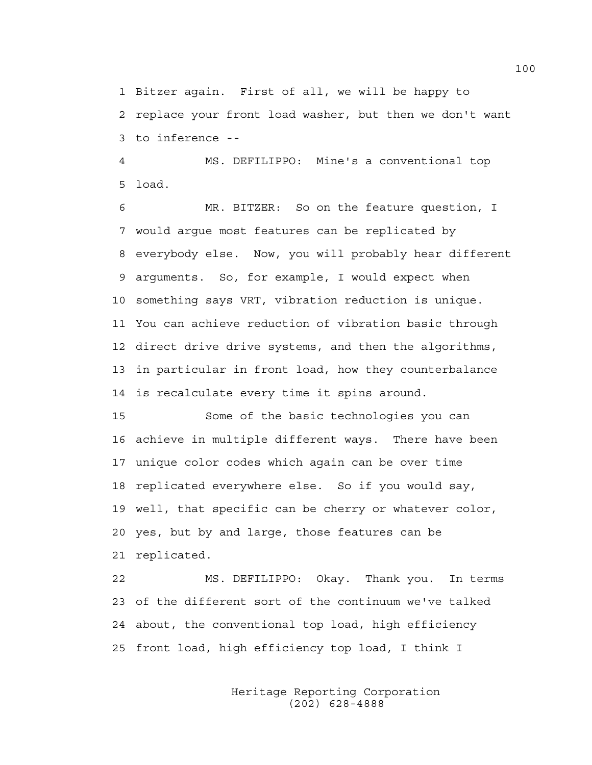1 Bitzer again. First of all, we will be happy to 2 replace your front load washer, but then we don't want 3 to inference --

4 MS. DEFILIPPO: Mine's a conventional top 5 load.

6 MR. BITZER: So on the feature question, I 7 would argue most features can be replicated by 8 everybody else. Now, you will probably hear different 9 arguments. So, for example, I would expect when 10 something says VRT, vibration reduction is unique. 11 You can achieve reduction of vibration basic through 12 direct drive drive systems, and then the algorithms, 13 in particular in front load, how they counterbalance 14 is recalculate every time it spins around.

15 Some of the basic technologies you can 16 achieve in multiple different ways. There have been 17 unique color codes which again can be over time 18 replicated everywhere else. So if you would say, 19 well, that specific can be cherry or whatever color, 20 yes, but by and large, those features can be 21 replicated.

22 MS. DEFILIPPO: Okay. Thank you. In terms 23 of the different sort of the continuum we've talked 24 about, the conventional top load, high efficiency 25 front load, high efficiency top load, I think I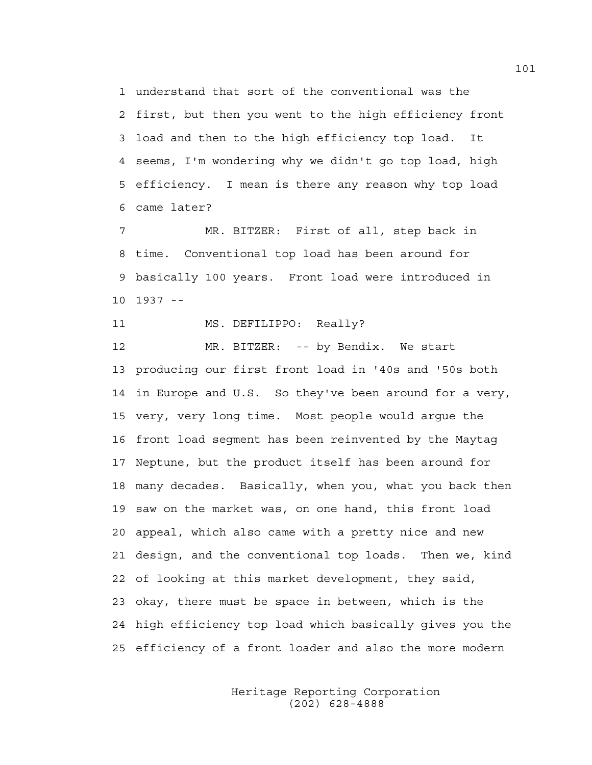1 understand that sort of the conventional was the 2 first, but then you went to the high efficiency front 3 load and then to the high efficiency top load. It 4 seems, I'm wondering why we didn't go top load, high 5 efficiency. I mean is there any reason why top load 6 came later?

7 MR. BITZER: First of all, step back in 8 time. Conventional top load has been around for 9 basically 100 years. Front load were introduced in 10 1937 --

11 MS. DEFILIPPO: Really?

12 MR. BITZER: -- by Bendix. We start 13 producing our first front load in '40s and '50s both 14 in Europe and U.S. So they've been around for a very, 15 very, very long time. Most people would argue the 16 front load segment has been reinvented by the Maytag 17 Neptune, but the product itself has been around for 18 many decades. Basically, when you, what you back then 19 saw on the market was, on one hand, this front load 20 appeal, which also came with a pretty nice and new 21 design, and the conventional top loads. Then we, kind 22 of looking at this market development, they said, 23 okay, there must be space in between, which is the 24 high efficiency top load which basically gives you the 25 efficiency of a front loader and also the more modern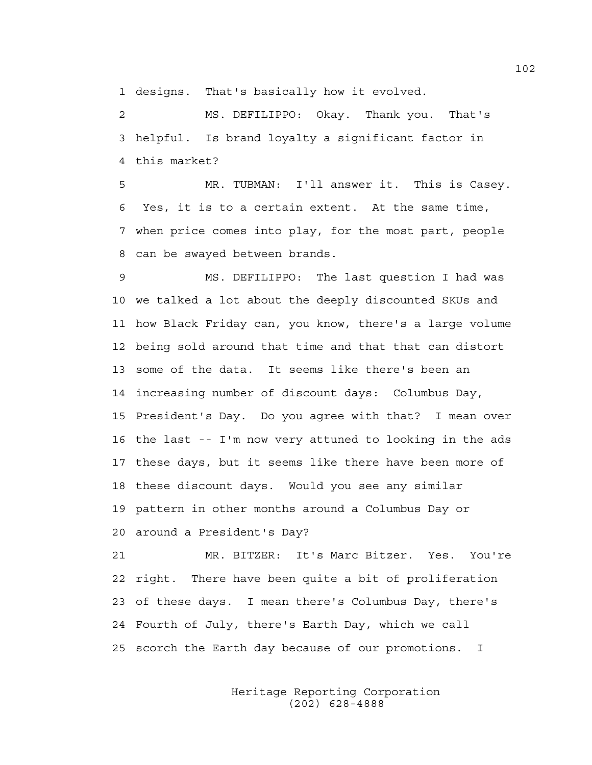1 designs. That's basically how it evolved.

2 MS. DEFILIPPO: Okay. Thank you. That's 3 helpful. Is brand loyalty a significant factor in 4 this market?

5 MR. TUBMAN: I'll answer it. This is Casey. 6 Yes, it is to a certain extent. At the same time, 7 when price comes into play, for the most part, people 8 can be swayed between brands.

9 MS. DEFILIPPO: The last question I had was 10 we talked a lot about the deeply discounted SKUs and 11 how Black Friday can, you know, there's a large volume 12 being sold around that time and that that can distort 13 some of the data. It seems like there's been an 14 increasing number of discount days: Columbus Day, 15 President's Day. Do you agree with that? I mean over 16 the last -- I'm now very attuned to looking in the ads 17 these days, but it seems like there have been more of 18 these discount days. Would you see any similar 19 pattern in other months around a Columbus Day or 20 around a President's Day?

21 MR. BITZER: It's Marc Bitzer. Yes. You're 22 right. There have been quite a bit of proliferation 23 of these days. I mean there's Columbus Day, there's 24 Fourth of July, there's Earth Day, which we call 25 scorch the Earth day because of our promotions. I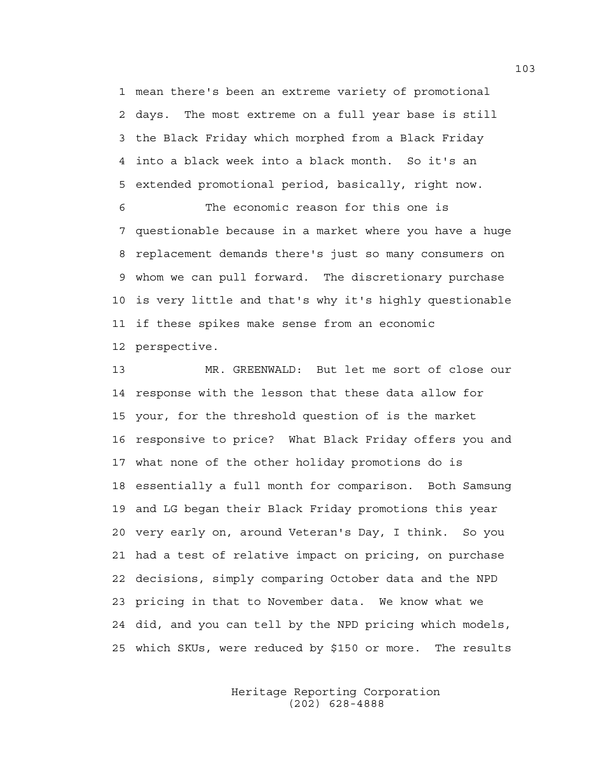1 mean there's been an extreme variety of promotional 2 days. The most extreme on a full year base is still 3 the Black Friday which morphed from a Black Friday 4 into a black week into a black month. So it's an 5 extended promotional period, basically, right now.

6 The economic reason for this one is 7 questionable because in a market where you have a huge 8 replacement demands there's just so many consumers on 9 whom we can pull forward. The discretionary purchase 10 is very little and that's why it's highly questionable 11 if these spikes make sense from an economic 12 perspective.

13 MR. GREENWALD: But let me sort of close our 14 response with the lesson that these data allow for 15 your, for the threshold question of is the market 16 responsive to price? What Black Friday offers you and 17 what none of the other holiday promotions do is 18 essentially a full month for comparison. Both Samsung 19 and LG began their Black Friday promotions this year 20 very early on, around Veteran's Day, I think. So you 21 had a test of relative impact on pricing, on purchase 22 decisions, simply comparing October data and the NPD 23 pricing in that to November data. We know what we 24 did, and you can tell by the NPD pricing which models, 25 which SKUs, were reduced by \$150 or more. The results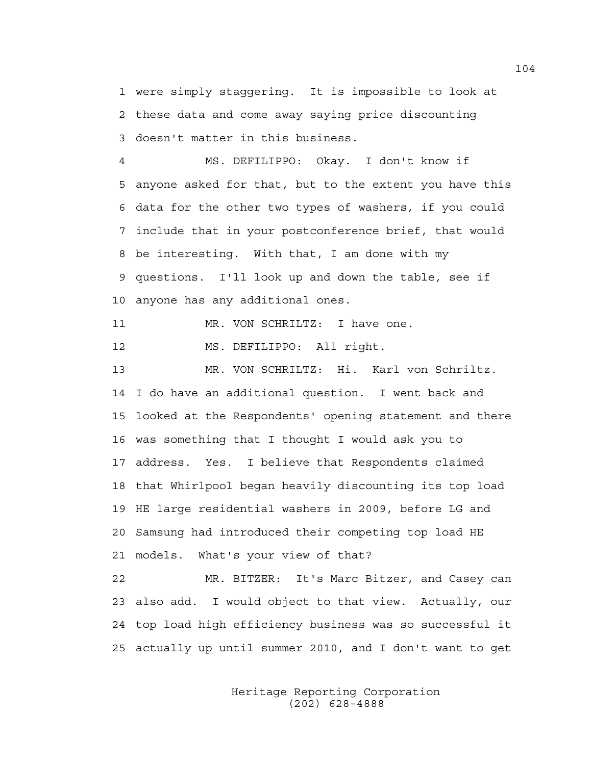1 were simply staggering. It is impossible to look at 2 these data and come away saying price discounting 3 doesn't matter in this business.

4 MS. DEFILIPPO: Okay. I don't know if 5 anyone asked for that, but to the extent you have this 6 data for the other two types of washers, if you could 7 include that in your postconference brief, that would 8 be interesting. With that, I am done with my 9 questions. I'll look up and down the table, see if 10 anyone has any additional ones.

11 MR. VON SCHRILTZ: I have one.

12 MS. DEFILIPPO: All right.

13 MR. VON SCHRILTZ: Hi. Karl von Schriltz. 14 I do have an additional question. I went back and 15 looked at the Respondents' opening statement and there 16 was something that I thought I would ask you to 17 address. Yes. I believe that Respondents claimed 18 that Whirlpool began heavily discounting its top load 19 HE large residential washers in 2009, before LG and 20 Samsung had introduced their competing top load HE 21 models. What's your view of that?

22 MR. BITZER: It's Marc Bitzer, and Casey can 23 also add. I would object to that view. Actually, our 24 top load high efficiency business was so successful it 25 actually up until summer 2010, and I don't want to get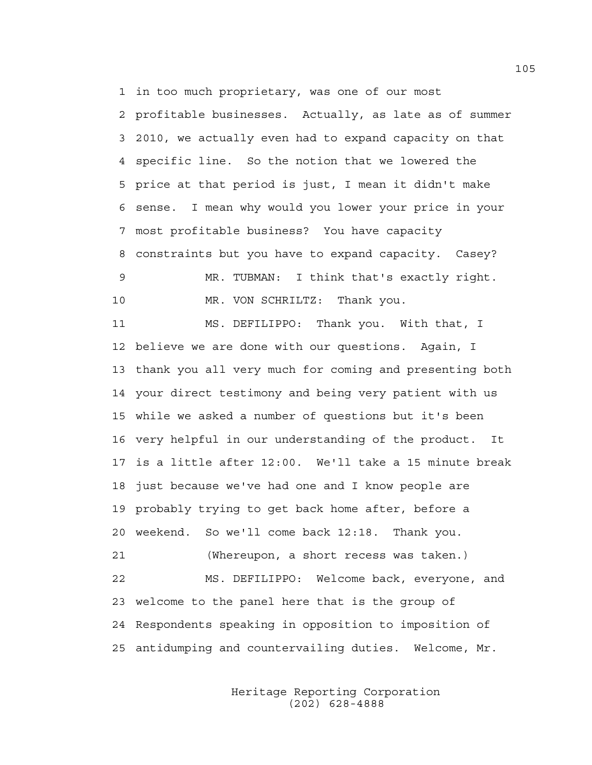1 in too much proprietary, was one of our most 2 profitable businesses. Actually, as late as of summer 3 2010, we actually even had to expand capacity on that 4 specific line. So the notion that we lowered the 5 price at that period is just, I mean it didn't make 6 sense. I mean why would you lower your price in your 7 most profitable business? You have capacity 8 constraints but you have to expand capacity. Casey? 9 MR. TUBMAN: I think that's exactly right. 10 MR. VON SCHRILTZ: Thank you.

11 MS. DEFILIPPO: Thank you. With that, I 12 believe we are done with our questions. Again, I 13 thank you all very much for coming and presenting both 14 your direct testimony and being very patient with us 15 while we asked a number of questions but it's been 16 very helpful in our understanding of the product. It 17 is a little after 12:00. We'll take a 15 minute break 18 just because we've had one and I know people are 19 probably trying to get back home after, before a 20 weekend. So we'll come back 12:18. Thank you. 21 (Whereupon, a short recess was taken.) 22 MS. DEFILIPPO: Welcome back, everyone, and 23 welcome to the panel here that is the group of 24 Respondents speaking in opposition to imposition of 25 antidumping and countervailing duties. Welcome, Mr.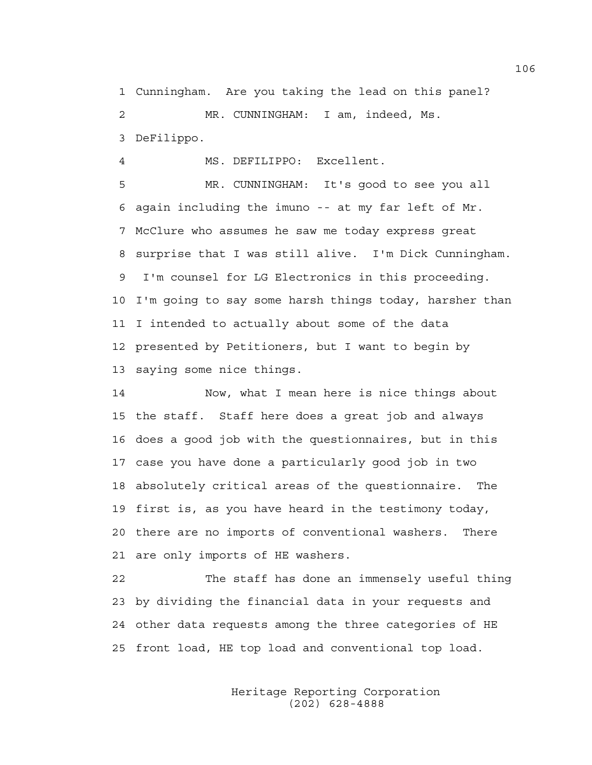1 Cunningham. Are you taking the lead on this panel? 2 MR. CUNNINGHAM: I am, indeed, Ms. 3 DeFilippo.

4 MS. DEFILIPPO: Excellent.

5 MR. CUNNINGHAM: It's good to see you all 6 again including the imuno -- at my far left of Mr. 7 McClure who assumes he saw me today express great 8 surprise that I was still alive. I'm Dick Cunningham. 9 I'm counsel for LG Electronics in this proceeding. 10 I'm going to say some harsh things today, harsher than 11 I intended to actually about some of the data 12 presented by Petitioners, but I want to begin by 13 saying some nice things.

14 Now, what I mean here is nice things about 15 the staff. Staff here does a great job and always 16 does a good job with the questionnaires, but in this 17 case you have done a particularly good job in two 18 absolutely critical areas of the questionnaire. The 19 first is, as you have heard in the testimony today, 20 there are no imports of conventional washers. There 21 are only imports of HE washers.

22 The staff has done an immensely useful thing 23 by dividing the financial data in your requests and 24 other data requests among the three categories of HE 25 front load, HE top load and conventional top load.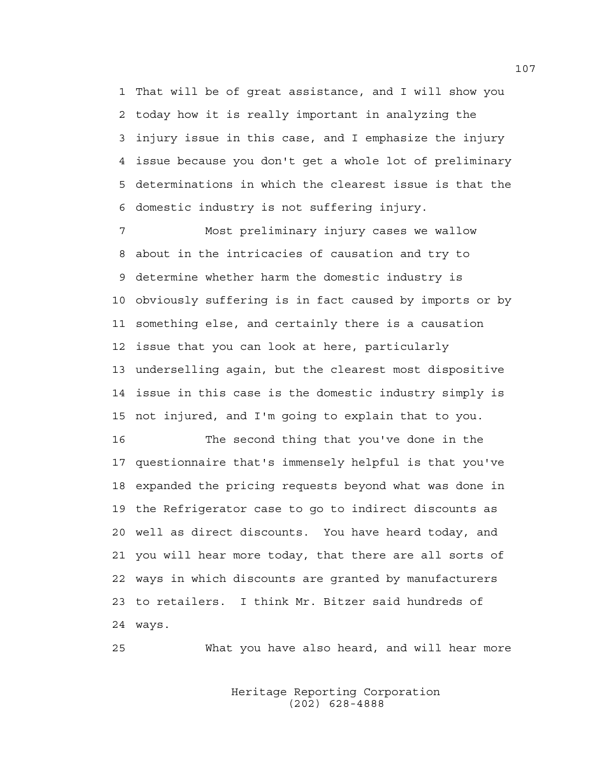1 That will be of great assistance, and I will show you 2 today how it is really important in analyzing the 3 injury issue in this case, and I emphasize the injury 4 issue because you don't get a whole lot of preliminary 5 determinations in which the clearest issue is that the 6 domestic industry is not suffering injury.

7 Most preliminary injury cases we wallow 8 about in the intricacies of causation and try to 9 determine whether harm the domestic industry is 10 obviously suffering is in fact caused by imports or by 11 something else, and certainly there is a causation 12 issue that you can look at here, particularly 13 underselling again, but the clearest most dispositive 14 issue in this case is the domestic industry simply is 15 not injured, and I'm going to explain that to you.

16 The second thing that you've done in the 17 questionnaire that's immensely helpful is that you've 18 expanded the pricing requests beyond what was done in 19 the Refrigerator case to go to indirect discounts as 20 well as direct discounts. You have heard today, and 21 you will hear more today, that there are all sorts of 22 ways in which discounts are granted by manufacturers 23 to retailers. I think Mr. Bitzer said hundreds of 24 ways.

25 What you have also heard, and will hear more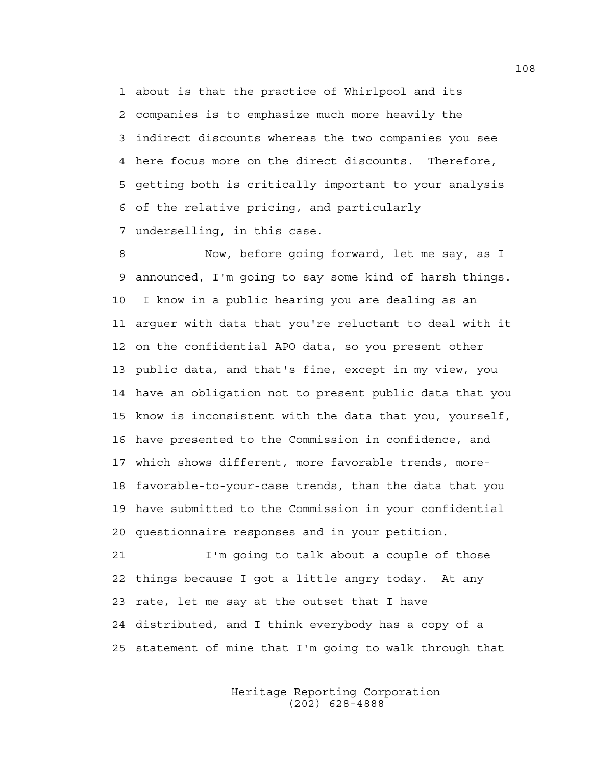1 about is that the practice of Whirlpool and its 2 companies is to emphasize much more heavily the 3 indirect discounts whereas the two companies you see 4 here focus more on the direct discounts. Therefore, 5 getting both is critically important to your analysis 6 of the relative pricing, and particularly 7 underselling, in this case.

8 Now, before going forward, let me say, as I 9 announced, I'm going to say some kind of harsh things. 10 I know in a public hearing you are dealing as an 11 arguer with data that you're reluctant to deal with it 12 on the confidential APO data, so you present other 13 public data, and that's fine, except in my view, you 14 have an obligation not to present public data that you 15 know is inconsistent with the data that you, yourself, 16 have presented to the Commission in confidence, and 17 which shows different, more favorable trends, more-18 favorable-to-your-case trends, than the data that you 19 have submitted to the Commission in your confidential 20 questionnaire responses and in your petition.

21 I'm going to talk about a couple of those 22 things because I got a little angry today. At any 23 rate, let me say at the outset that I have 24 distributed, and I think everybody has a copy of a 25 statement of mine that I'm going to walk through that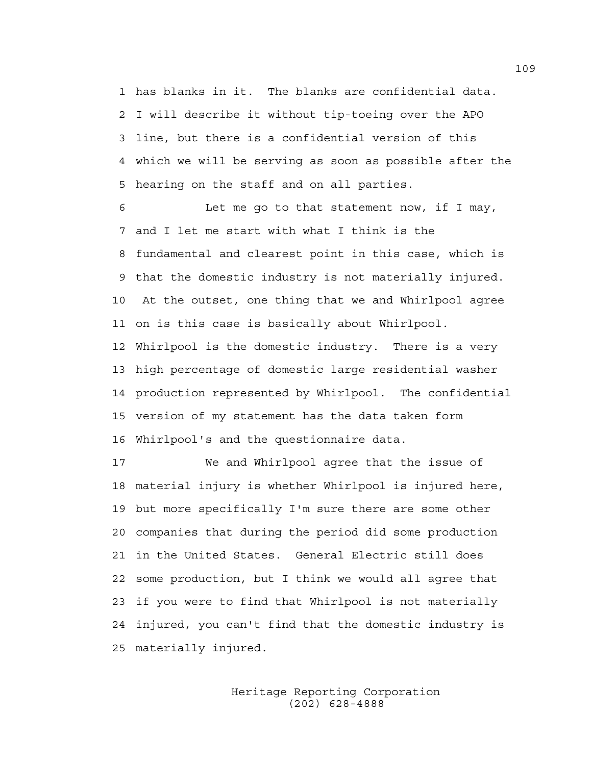1 has blanks in it. The blanks are confidential data. 2 I will describe it without tip-toeing over the APO 3 line, but there is a confidential version of this 4 which we will be serving as soon as possible after the 5 hearing on the staff and on all parties.

6 Let me go to that statement now, if I may, 7 and I let me start with what I think is the 8 fundamental and clearest point in this case, which is 9 that the domestic industry is not materially injured. 10 At the outset, one thing that we and Whirlpool agree 11 on is this case is basically about Whirlpool. 12 Whirlpool is the domestic industry. There is a very 13 high percentage of domestic large residential washer 14 production represented by Whirlpool. The confidential 15 version of my statement has the data taken form 16 Whirlpool's and the questionnaire data.

17 We and Whirlpool agree that the issue of 18 material injury is whether Whirlpool is injured here, 19 but more specifically I'm sure there are some other 20 companies that during the period did some production 21 in the United States. General Electric still does 22 some production, but I think we would all agree that 23 if you were to find that Whirlpool is not materially 24 injured, you can't find that the domestic industry is 25 materially injured.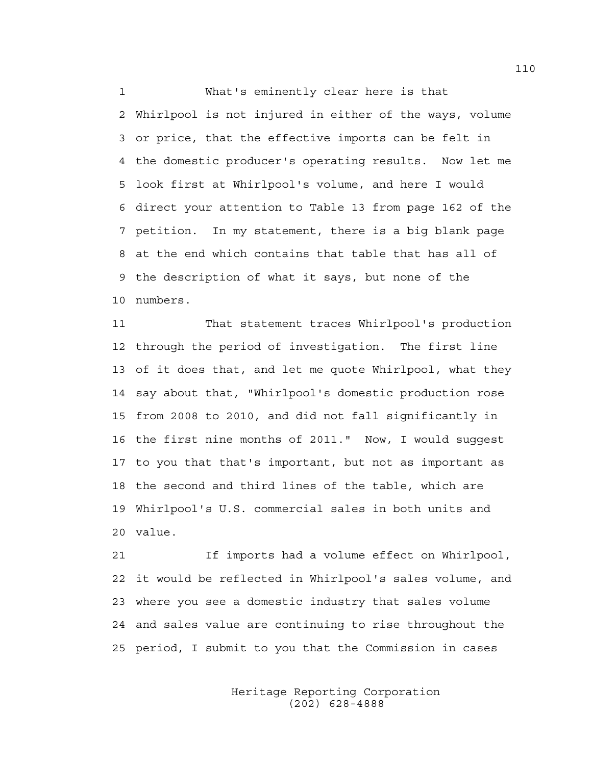1 What's eminently clear here is that 2 Whirlpool is not injured in either of the ways, volume 3 or price, that the effective imports can be felt in 4 the domestic producer's operating results. Now let me 5 look first at Whirlpool's volume, and here I would 6 direct your attention to Table 13 from page 162 of the 7 petition. In my statement, there is a big blank page 8 at the end which contains that table that has all of 9 the description of what it says, but none of the 10 numbers.

11 That statement traces Whirlpool's production 12 through the period of investigation. The first line 13 of it does that, and let me quote Whirlpool, what they 14 say about that, "Whirlpool's domestic production rose 15 from 2008 to 2010, and did not fall significantly in 16 the first nine months of 2011." Now, I would suggest 17 to you that that's important, but not as important as 18 the second and third lines of the table, which are 19 Whirlpool's U.S. commercial sales in both units and 20 value.

21 If imports had a volume effect on Whirlpool, 22 it would be reflected in Whirlpool's sales volume, and 23 where you see a domestic industry that sales volume 24 and sales value are continuing to rise throughout the 25 period, I submit to you that the Commission in cases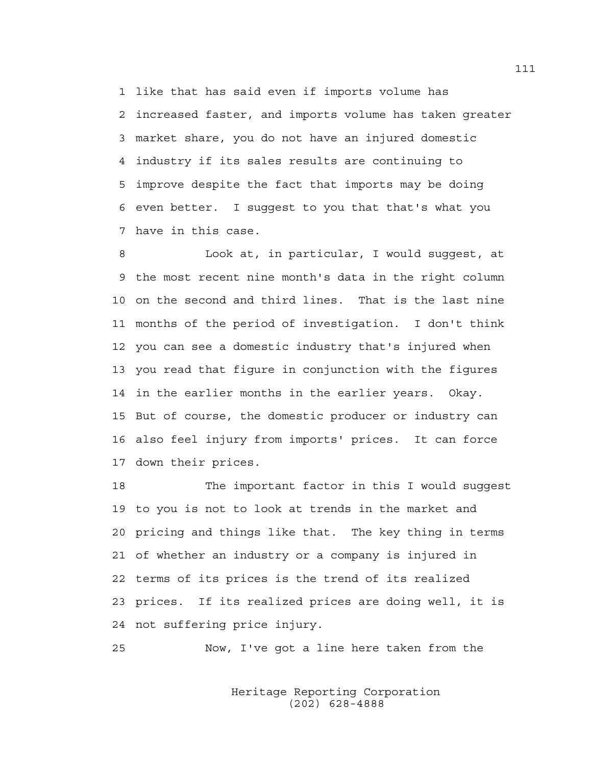1 like that has said even if imports volume has 2 increased faster, and imports volume has taken greater 3 market share, you do not have an injured domestic 4 industry if its sales results are continuing to 5 improve despite the fact that imports may be doing 6 even better. I suggest to you that that's what you 7 have in this case.

8 Look at, in particular, I would suggest, at 9 the most recent nine month's data in the right column 10 on the second and third lines. That is the last nine 11 months of the period of investigation. I don't think 12 you can see a domestic industry that's injured when 13 you read that figure in conjunction with the figures 14 in the earlier months in the earlier years. Okay. 15 But of course, the domestic producer or industry can 16 also feel injury from imports' prices. It can force 17 down their prices.

18 The important factor in this I would suggest 19 to you is not to look at trends in the market and 20 pricing and things like that. The key thing in terms 21 of whether an industry or a company is injured in 22 terms of its prices is the trend of its realized 23 prices. If its realized prices are doing well, it is 24 not suffering price injury.

25 Now, I've got a line here taken from the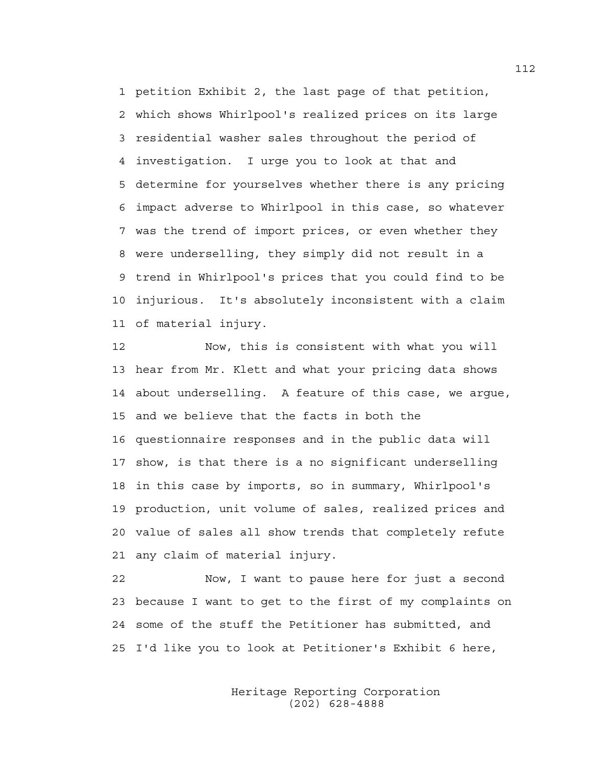1 petition Exhibit 2, the last page of that petition, 2 which shows Whirlpool's realized prices on its large 3 residential washer sales throughout the period of 4 investigation. I urge you to look at that and 5 determine for yourselves whether there is any pricing 6 impact adverse to Whirlpool in this case, so whatever 7 was the trend of import prices, or even whether they 8 were underselling, they simply did not result in a 9 trend in Whirlpool's prices that you could find to be 10 injurious. It's absolutely inconsistent with a claim 11 of material injury.

12 Now, this is consistent with what you will 13 hear from Mr. Klett and what your pricing data shows 14 about underselling. A feature of this case, we argue, 15 and we believe that the facts in both the 16 questionnaire responses and in the public data will 17 show, is that there is a no significant underselling 18 in this case by imports, so in summary, Whirlpool's 19 production, unit volume of sales, realized prices and 20 value of sales all show trends that completely refute 21 any claim of material injury.

22 Now, I want to pause here for just a second 23 because I want to get to the first of my complaints on 24 some of the stuff the Petitioner has submitted, and 25 I'd like you to look at Petitioner's Exhibit 6 here,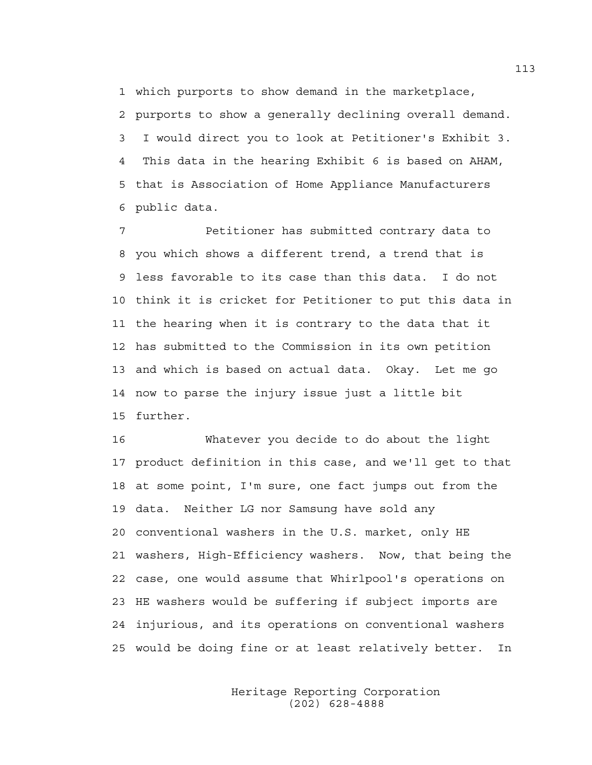1 which purports to show demand in the marketplace,

2 purports to show a generally declining overall demand. 3 I would direct you to look at Petitioner's Exhibit 3. 4 This data in the hearing Exhibit 6 is based on AHAM, 5 that is Association of Home Appliance Manufacturers 6 public data.

7 Petitioner has submitted contrary data to 8 you which shows a different trend, a trend that is 9 less favorable to its case than this data. I do not 10 think it is cricket for Petitioner to put this data in 11 the hearing when it is contrary to the data that it 12 has submitted to the Commission in its own petition 13 and which is based on actual data. Okay. Let me go 14 now to parse the injury issue just a little bit 15 further.

16 Whatever you decide to do about the light 17 product definition in this case, and we'll get to that 18 at some point, I'm sure, one fact jumps out from the 19 data. Neither LG nor Samsung have sold any 20 conventional washers in the U.S. market, only HE 21 washers, High-Efficiency washers. Now, that being the 22 case, one would assume that Whirlpool's operations on 23 HE washers would be suffering if subject imports are 24 injurious, and its operations on conventional washers 25 would be doing fine or at least relatively better. In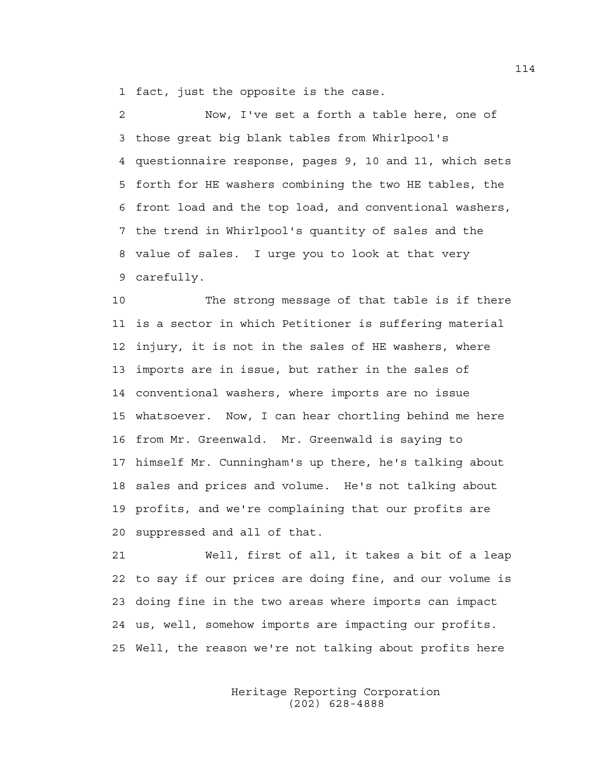1 fact, just the opposite is the case.

2 Now, I've set a forth a table here, one of 3 those great big blank tables from Whirlpool's 4 questionnaire response, pages 9, 10 and 11, which sets 5 forth for HE washers combining the two HE tables, the 6 front load and the top load, and conventional washers, 7 the trend in Whirlpool's quantity of sales and the 8 value of sales. I urge you to look at that very 9 carefully.

10 The strong message of that table is if there 11 is a sector in which Petitioner is suffering material 12 injury, it is not in the sales of HE washers, where 13 imports are in issue, but rather in the sales of 14 conventional washers, where imports are no issue 15 whatsoever. Now, I can hear chortling behind me here 16 from Mr. Greenwald. Mr. Greenwald is saying to 17 himself Mr. Cunningham's up there, he's talking about 18 sales and prices and volume. He's not talking about 19 profits, and we're complaining that our profits are 20 suppressed and all of that.

21 Well, first of all, it takes a bit of a leap 22 to say if our prices are doing fine, and our volume is 23 doing fine in the two areas where imports can impact 24 us, well, somehow imports are impacting our profits. 25 Well, the reason we're not talking about profits here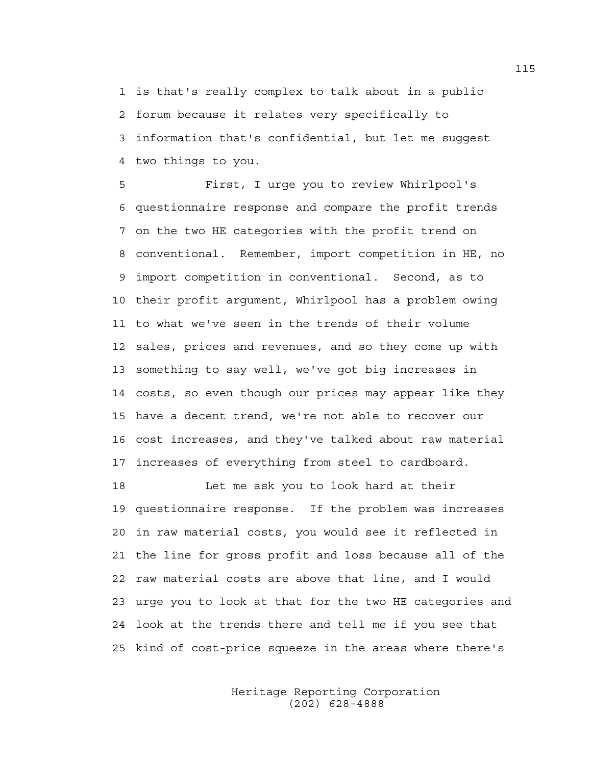1 is that's really complex to talk about in a public 2 forum because it relates very specifically to 3 information that's confidential, but let me suggest 4 two things to you.

5 First, I urge you to review Whirlpool's 6 questionnaire response and compare the profit trends 7 on the two HE categories with the profit trend on 8 conventional. Remember, import competition in HE, no 9 import competition in conventional. Second, as to 10 their profit argument, Whirlpool has a problem owing 11 to what we've seen in the trends of their volume 12 sales, prices and revenues, and so they come up with 13 something to say well, we've got big increases in 14 costs, so even though our prices may appear like they 15 have a decent trend, we're not able to recover our 16 cost increases, and they've talked about raw material 17 increases of everything from steel to cardboard.

18 Let me ask you to look hard at their 19 questionnaire response. If the problem was increases 20 in raw material costs, you would see it reflected in 21 the line for gross profit and loss because all of the 22 raw material costs are above that line, and I would 23 urge you to look at that for the two HE categories and 24 look at the trends there and tell me if you see that 25 kind of cost-price squeeze in the areas where there's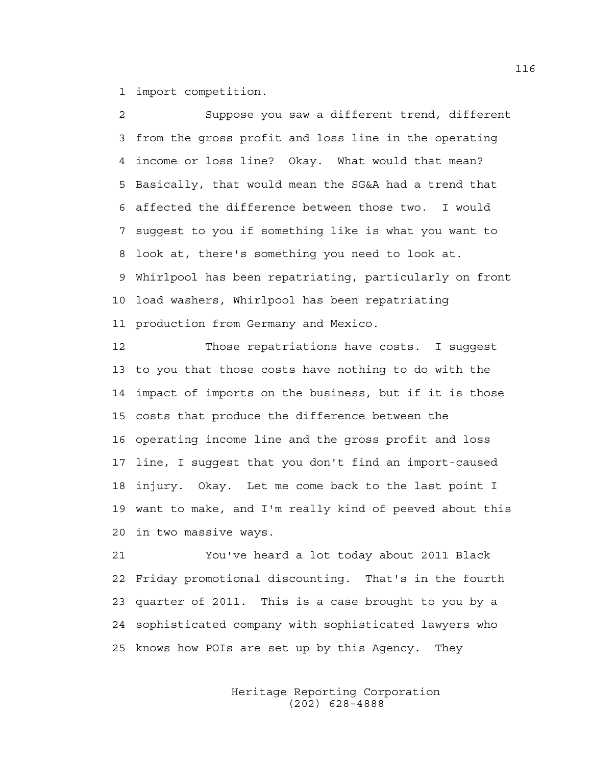1 import competition.

2 Suppose you saw a different trend, different 3 from the gross profit and loss line in the operating 4 income or loss line? Okay. What would that mean? 5 Basically, that would mean the SG&A had a trend that 6 affected the difference between those two. I would 7 suggest to you if something like is what you want to 8 look at, there's something you need to look at. 9 Whirlpool has been repatriating, particularly on front 10 load washers, Whirlpool has been repatriating 11 production from Germany and Mexico.

12 Those repatriations have costs. I suggest 13 to you that those costs have nothing to do with the 14 impact of imports on the business, but if it is those 15 costs that produce the difference between the 16 operating income line and the gross profit and loss 17 line, I suggest that you don't find an import-caused 18 injury. Okay. Let me come back to the last point I 19 want to make, and I'm really kind of peeved about this 20 in two massive ways.

21 You've heard a lot today about 2011 Black 22 Friday promotional discounting. That's in the fourth 23 quarter of 2011. This is a case brought to you by a 24 sophisticated company with sophisticated lawyers who 25 knows how POIs are set up by this Agency. They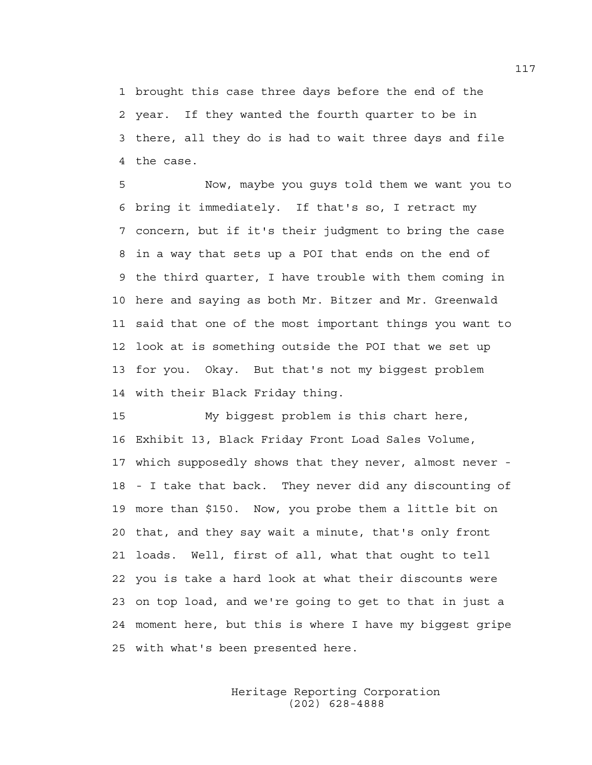1 brought this case three days before the end of the 2 year. If they wanted the fourth quarter to be in 3 there, all they do is had to wait three days and file 4 the case.

5 Now, maybe you guys told them we want you to 6 bring it immediately. If that's so, I retract my 7 concern, but if it's their judgment to bring the case 8 in a way that sets up a POI that ends on the end of 9 the third quarter, I have trouble with them coming in 10 here and saying as both Mr. Bitzer and Mr. Greenwald 11 said that one of the most important things you want to 12 look at is something outside the POI that we set up 13 for you. Okay. But that's not my biggest problem 14 with their Black Friday thing.

15 My biggest problem is this chart here, 16 Exhibit 13, Black Friday Front Load Sales Volume, 17 which supposedly shows that they never, almost never - 18 - I take that back. They never did any discounting of 19 more than \$150. Now, you probe them a little bit on 20 that, and they say wait a minute, that's only front 21 loads. Well, first of all, what that ought to tell 22 you is take a hard look at what their discounts were 23 on top load, and we're going to get to that in just a 24 moment here, but this is where I have my biggest gripe 25 with what's been presented here.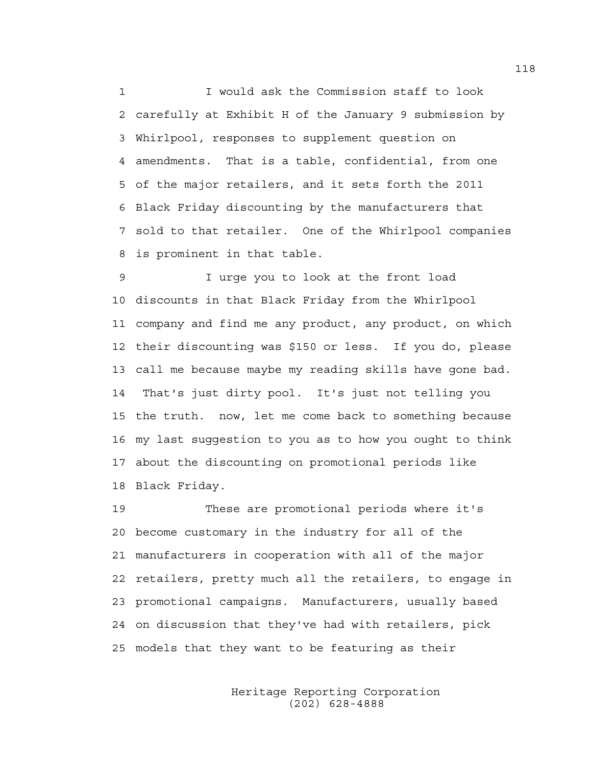1 I would ask the Commission staff to look 2 carefully at Exhibit H of the January 9 submission by 3 Whirlpool, responses to supplement question on 4 amendments. That is a table, confidential, from one 5 of the major retailers, and it sets forth the 2011 6 Black Friday discounting by the manufacturers that 7 sold to that retailer. One of the Whirlpool companies 8 is prominent in that table.

9 I urge you to look at the front load 10 discounts in that Black Friday from the Whirlpool 11 company and find me any product, any product, on which 12 their discounting was \$150 or less. If you do, please 13 call me because maybe my reading skills have gone bad. 14 That's just dirty pool. It's just not telling you 15 the truth. now, let me come back to something because 16 my last suggestion to you as to how you ought to think 17 about the discounting on promotional periods like 18 Black Friday.

19 These are promotional periods where it's 20 become customary in the industry for all of the 21 manufacturers in cooperation with all of the major 22 retailers, pretty much all the retailers, to engage in 23 promotional campaigns. Manufacturers, usually based 24 on discussion that they've had with retailers, pick 25 models that they want to be featuring as their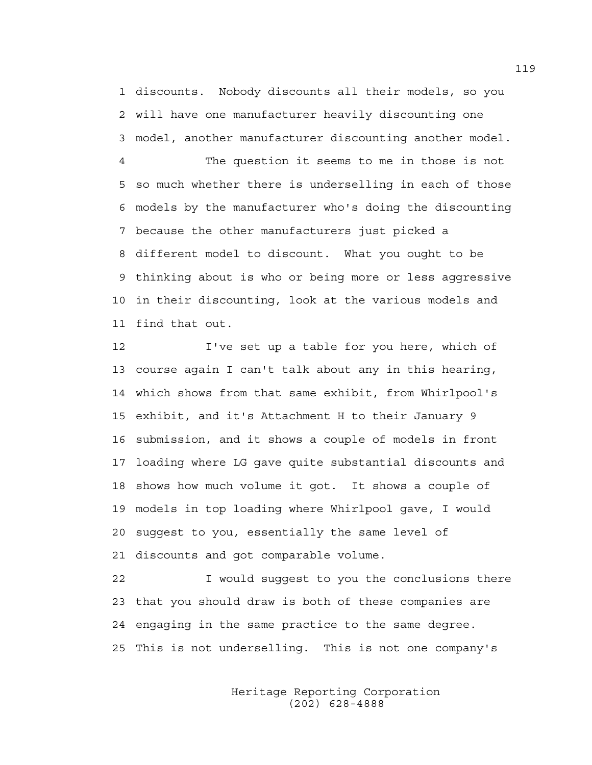1 discounts. Nobody discounts all their models, so you 2 will have one manufacturer heavily discounting one 3 model, another manufacturer discounting another model.

4 The question it seems to me in those is not 5 so much whether there is underselling in each of those 6 models by the manufacturer who's doing the discounting 7 because the other manufacturers just picked a 8 different model to discount. What you ought to be 9 thinking about is who or being more or less aggressive 10 in their discounting, look at the various models and 11 find that out.

12 I've set up a table for you here, which of 13 course again I can't talk about any in this hearing, 14 which shows from that same exhibit, from Whirlpool's 15 exhibit, and it's Attachment H to their January 9 16 submission, and it shows a couple of models in front 17 loading where LG gave quite substantial discounts and 18 shows how much volume it got. It shows a couple of 19 models in top loading where Whirlpool gave, I would 20 suggest to you, essentially the same level of 21 discounts and got comparable volume.

22 I would suggest to you the conclusions there 23 that you should draw is both of these companies are 24 engaging in the same practice to the same degree. 25 This is not underselling. This is not one company's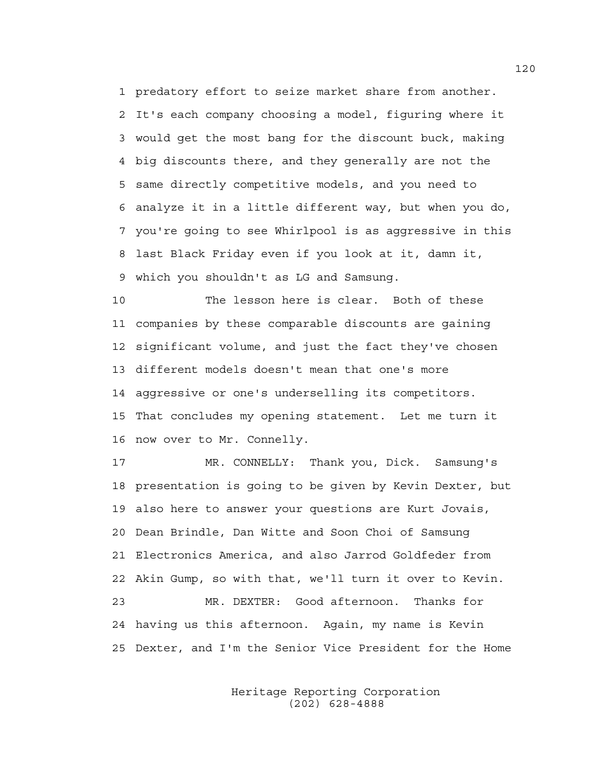1 predatory effort to seize market share from another. 2 It's each company choosing a model, figuring where it 3 would get the most bang for the discount buck, making 4 big discounts there, and they generally are not the 5 same directly competitive models, and you need to 6 analyze it in a little different way, but when you do, 7 you're going to see Whirlpool is as aggressive in this 8 last Black Friday even if you look at it, damn it, 9 which you shouldn't as LG and Samsung.

10 The lesson here is clear. Both of these 11 companies by these comparable discounts are gaining 12 significant volume, and just the fact they've chosen 13 different models doesn't mean that one's more 14 aggressive or one's underselling its competitors. 15 That concludes my opening statement. Let me turn it 16 now over to Mr. Connelly.

17 MR. CONNELLY: Thank you, Dick. Samsung's 18 presentation is going to be given by Kevin Dexter, but 19 also here to answer your questions are Kurt Jovais, 20 Dean Brindle, Dan Witte and Soon Choi of Samsung 21 Electronics America, and also Jarrod Goldfeder from 22 Akin Gump, so with that, we'll turn it over to Kevin. 23 MR. DEXTER: Good afternoon. Thanks for 24 having us this afternoon. Again, my name is Kevin 25 Dexter, and I'm the Senior Vice President for the Home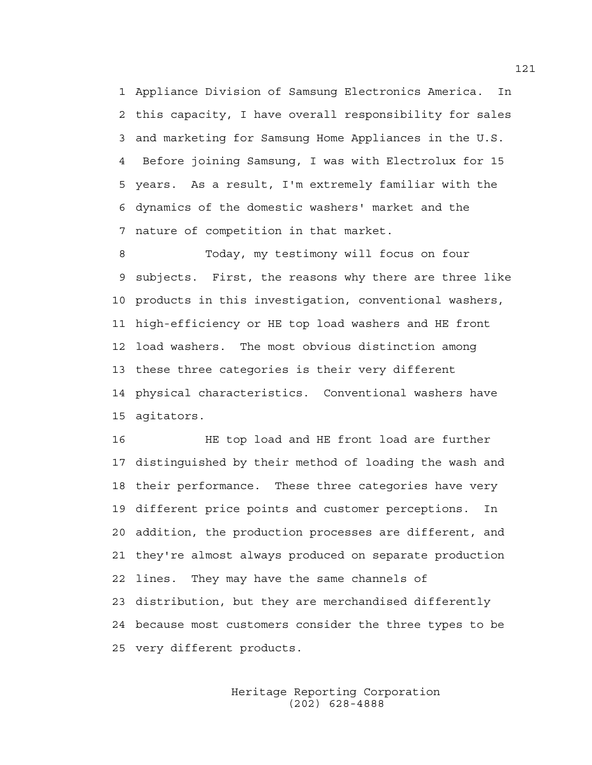1 Appliance Division of Samsung Electronics America. In 2 this capacity, I have overall responsibility for sales 3 and marketing for Samsung Home Appliances in the U.S. 4 Before joining Samsung, I was with Electrolux for 15 5 years. As a result, I'm extremely familiar with the 6 dynamics of the domestic washers' market and the 7 nature of competition in that market.

8 Today, my testimony will focus on four 9 subjects. First, the reasons why there are three like 10 products in this investigation, conventional washers, 11 high-efficiency or HE top load washers and HE front 12 load washers. The most obvious distinction among 13 these three categories is their very different 14 physical characteristics. Conventional washers have 15 agitators.

16 HE top load and HE front load are further 17 distinguished by their method of loading the wash and 18 their performance. These three categories have very 19 different price points and customer perceptions. In 20 addition, the production processes are different, and 21 they're almost always produced on separate production 22 lines. They may have the same channels of 23 distribution, but they are merchandised differently 24 because most customers consider the three types to be 25 very different products.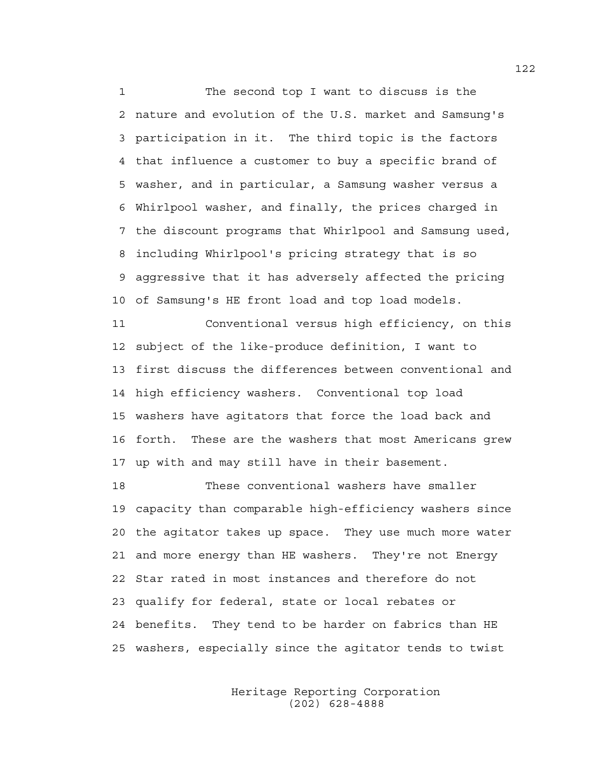1 The second top I want to discuss is the 2 nature and evolution of the U.S. market and Samsung's 3 participation in it. The third topic is the factors 4 that influence a customer to buy a specific brand of 5 washer, and in particular, a Samsung washer versus a 6 Whirlpool washer, and finally, the prices charged in 7 the discount programs that Whirlpool and Samsung used, 8 including Whirlpool's pricing strategy that is so 9 aggressive that it has adversely affected the pricing 10 of Samsung's HE front load and top load models.

11 Conventional versus high efficiency, on this 12 subject of the like-produce definition, I want to 13 first discuss the differences between conventional and 14 high efficiency washers. Conventional top load 15 washers have agitators that force the load back and 16 forth. These are the washers that most Americans grew 17 up with and may still have in their basement.

18 These conventional washers have smaller 19 capacity than comparable high-efficiency washers since 20 the agitator takes up space. They use much more water 21 and more energy than HE washers. They're not Energy 22 Star rated in most instances and therefore do not 23 qualify for federal, state or local rebates or 24 benefits. They tend to be harder on fabrics than HE 25 washers, especially since the agitator tends to twist

> Heritage Reporting Corporation (202) 628-4888

122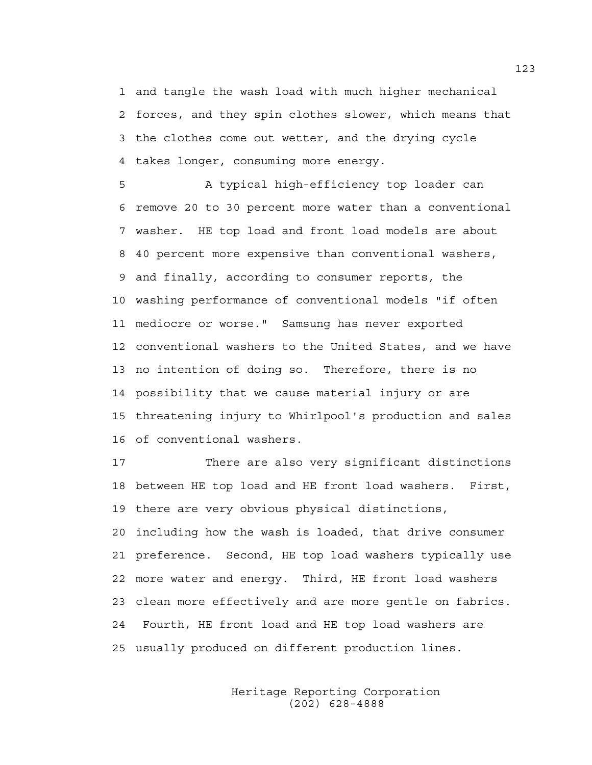1 and tangle the wash load with much higher mechanical 2 forces, and they spin clothes slower, which means that 3 the clothes come out wetter, and the drying cycle 4 takes longer, consuming more energy.

5 A typical high-efficiency top loader can 6 remove 20 to 30 percent more water than a conventional 7 washer. HE top load and front load models are about 8 40 percent more expensive than conventional washers, 9 and finally, according to consumer reports, the 10 washing performance of conventional models "if often 11 mediocre or worse." Samsung has never exported 12 conventional washers to the United States, and we have 13 no intention of doing so. Therefore, there is no 14 possibility that we cause material injury or are 15 threatening injury to Whirlpool's production and sales 16 of conventional washers.

17 There are also very significant distinctions 18 between HE top load and HE front load washers. First, 19 there are very obvious physical distinctions, 20 including how the wash is loaded, that drive consumer 21 preference. Second, HE top load washers typically use 22 more water and energy. Third, HE front load washers 23 clean more effectively and are more gentle on fabrics. 24 Fourth, HE front load and HE top load washers are 25 usually produced on different production lines.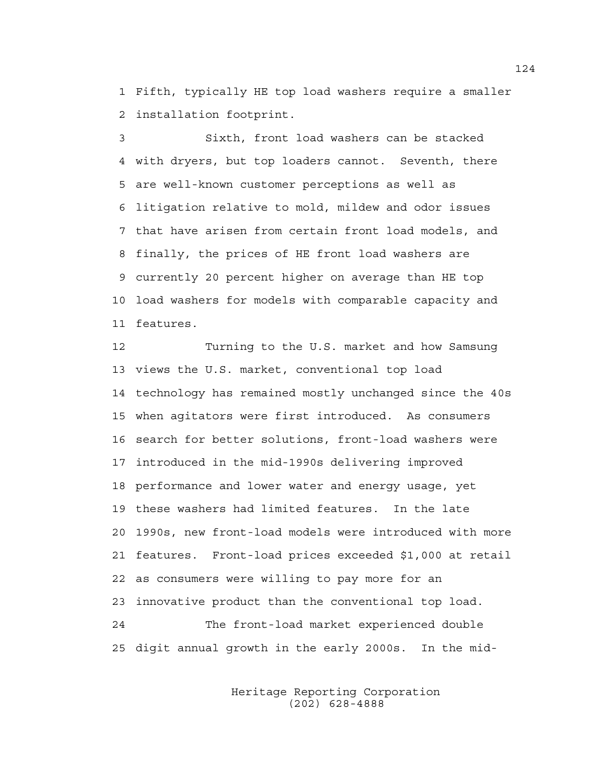1 Fifth, typically HE top load washers require a smaller 2 installation footprint.

3 Sixth, front load washers can be stacked 4 with dryers, but top loaders cannot. Seventh, there 5 are well-known customer perceptions as well as 6 litigation relative to mold, mildew and odor issues 7 that have arisen from certain front load models, and 8 finally, the prices of HE front load washers are 9 currently 20 percent higher on average than HE top 10 load washers for models with comparable capacity and 11 features.

12 Turning to the U.S. market and how Samsung 13 views the U.S. market, conventional top load 14 technology has remained mostly unchanged since the 40s 15 when agitators were first introduced. As consumers 16 search for better solutions, front-load washers were 17 introduced in the mid-1990s delivering improved 18 performance and lower water and energy usage, yet 19 these washers had limited features. In the late 20 1990s, new front-load models were introduced with more 21 features. Front-load prices exceeded \$1,000 at retail 22 as consumers were willing to pay more for an 23 innovative product than the conventional top load. 24 The front-load market experienced double 25 digit annual growth in the early 2000s. In the mid-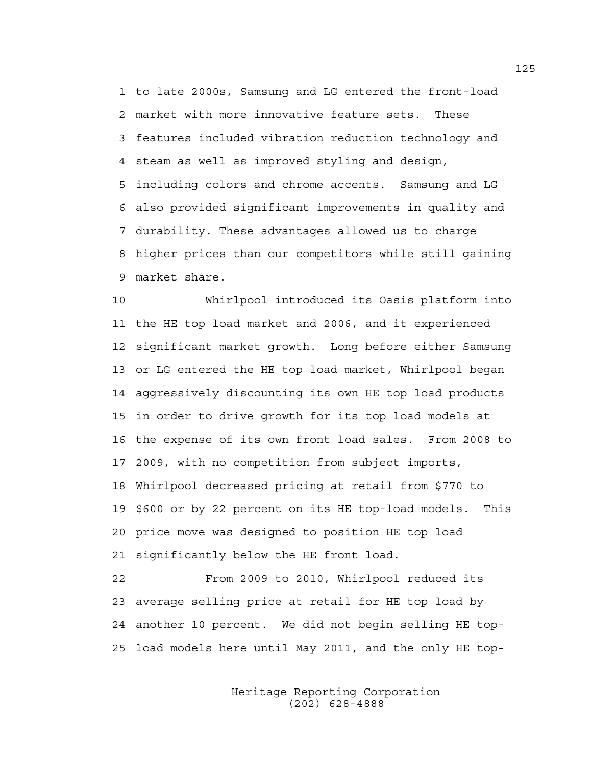1 to late 2000s, Samsung and LG entered the front-load 2 market with more innovative feature sets. These 3 features included vibration reduction technology and 4 steam as well as improved styling and design, 5 including colors and chrome accents. Samsung and LG 6 also provided significant improvements in quality and 7 durability. These advantages allowed us to charge 8 higher prices than our competitors while still gaining 9 market share.

10 Whirlpool introduced its Oasis platform into 11 the HE top load market and 2006, and it experienced 12 significant market growth. Long before either Samsung 13 or LG entered the HE top load market, Whirlpool began 14 aggressively discounting its own HE top load products 15 in order to drive growth for its top load models at 16 the expense of its own front load sales. From 2008 to 17 2009, with no competition from subject imports, 18 Whirlpool decreased pricing at retail from \$770 to 19 \$600 or by 22 percent on its HE top-load models. This 20 price move was designed to position HE top load 21 significantly below the HE front load.

22 From 2009 to 2010, Whirlpool reduced its 23 average selling price at retail for HE top load by 24 another 10 percent. We did not begin selling HE top-25 load models here until May 2011, and the only HE top-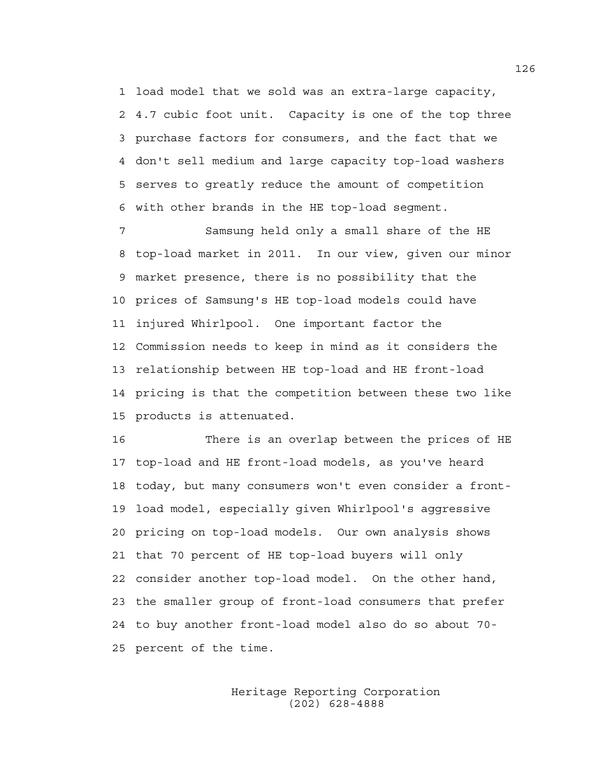1 load model that we sold was an extra-large capacity, 2 4.7 cubic foot unit. Capacity is one of the top three 3 purchase factors for consumers, and the fact that we 4 don't sell medium and large capacity top-load washers 5 serves to greatly reduce the amount of competition 6 with other brands in the HE top-load segment.

7 Samsung held only a small share of the HE 8 top-load market in 2011. In our view, given our minor 9 market presence, there is no possibility that the 10 prices of Samsung's HE top-load models could have 11 injured Whirlpool. One important factor the 12 Commission needs to keep in mind as it considers the 13 relationship between HE top-load and HE front-load 14 pricing is that the competition between these two like 15 products is attenuated.

16 There is an overlap between the prices of HE 17 top-load and HE front-load models, as you've heard 18 today, but many consumers won't even consider a front-19 load model, especially given Whirlpool's aggressive 20 pricing on top-load models. Our own analysis shows 21 that 70 percent of HE top-load buyers will only 22 consider another top-load model. On the other hand, 23 the smaller group of front-load consumers that prefer 24 to buy another front-load model also do so about 70- 25 percent of the time.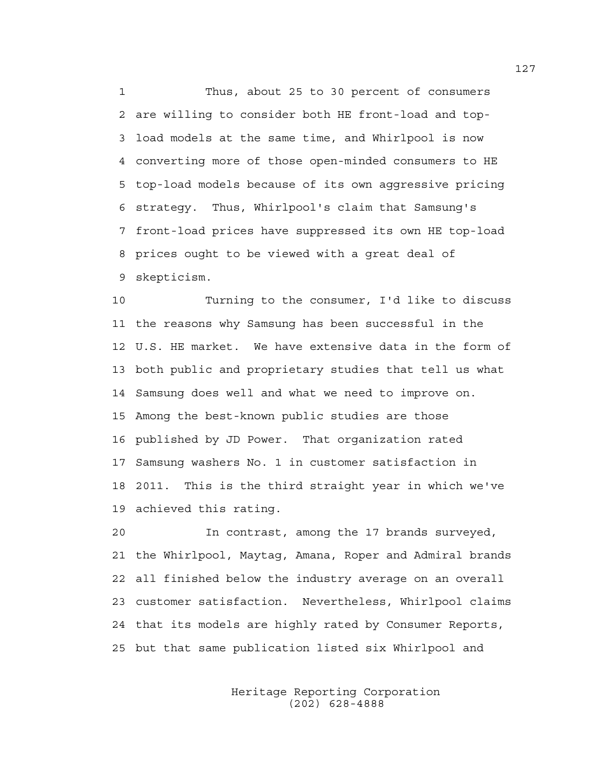1 Thus, about 25 to 30 percent of consumers 2 are willing to consider both HE front-load and top-3 load models at the same time, and Whirlpool is now 4 converting more of those open-minded consumers to HE 5 top-load models because of its own aggressive pricing 6 strategy. Thus, Whirlpool's claim that Samsung's 7 front-load prices have suppressed its own HE top-load 8 prices ought to be viewed with a great deal of 9 skepticism.

10 Turning to the consumer, I'd like to discuss 11 the reasons why Samsung has been successful in the 12 U.S. HE market. We have extensive data in the form of 13 both public and proprietary studies that tell us what 14 Samsung does well and what we need to improve on. 15 Among the best-known public studies are those 16 published by JD Power. That organization rated 17 Samsung washers No. 1 in customer satisfaction in 18 2011. This is the third straight year in which we've 19 achieved this rating.

20 In contrast, among the 17 brands surveyed, 21 the Whirlpool, Maytag, Amana, Roper and Admiral brands 22 all finished below the industry average on an overall 23 customer satisfaction. Nevertheless, Whirlpool claims 24 that its models are highly rated by Consumer Reports, 25 but that same publication listed six Whirlpool and

> Heritage Reporting Corporation (202) 628-4888

127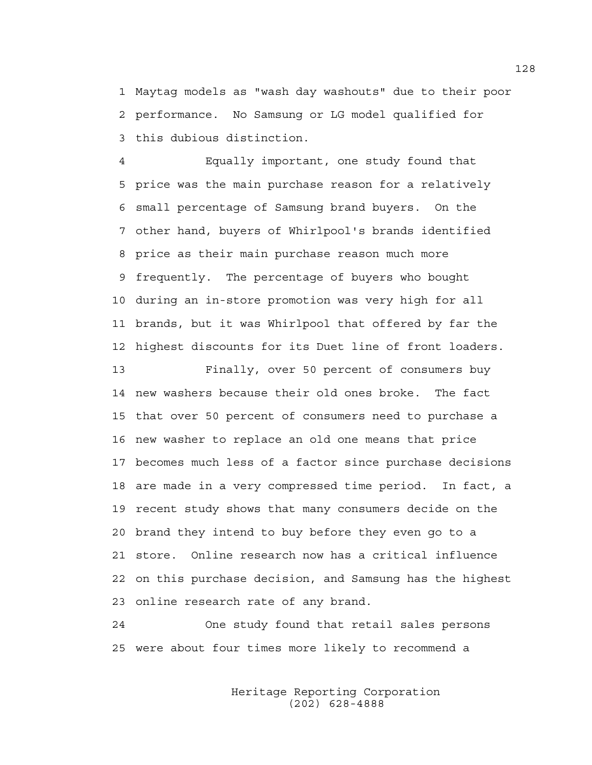1 Maytag models as "wash day washouts" due to their poor 2 performance. No Samsung or LG model qualified for 3 this dubious distinction.

4 Equally important, one study found that 5 price was the main purchase reason for a relatively 6 small percentage of Samsung brand buyers. On the 7 other hand, buyers of Whirlpool's brands identified 8 price as their main purchase reason much more 9 frequently. The percentage of buyers who bought 10 during an in-store promotion was very high for all 11 brands, but it was Whirlpool that offered by far the 12 highest discounts for its Duet line of front loaders.

13 Finally, over 50 percent of consumers buy 14 new washers because their old ones broke. The fact 15 that over 50 percent of consumers need to purchase a 16 new washer to replace an old one means that price 17 becomes much less of a factor since purchase decisions 18 are made in a very compressed time period. In fact, a 19 recent study shows that many consumers decide on the 20 brand they intend to buy before they even go to a 21 store. Online research now has a critical influence 22 on this purchase decision, and Samsung has the highest 23 online research rate of any brand.

24 One study found that retail sales persons 25 were about four times more likely to recommend a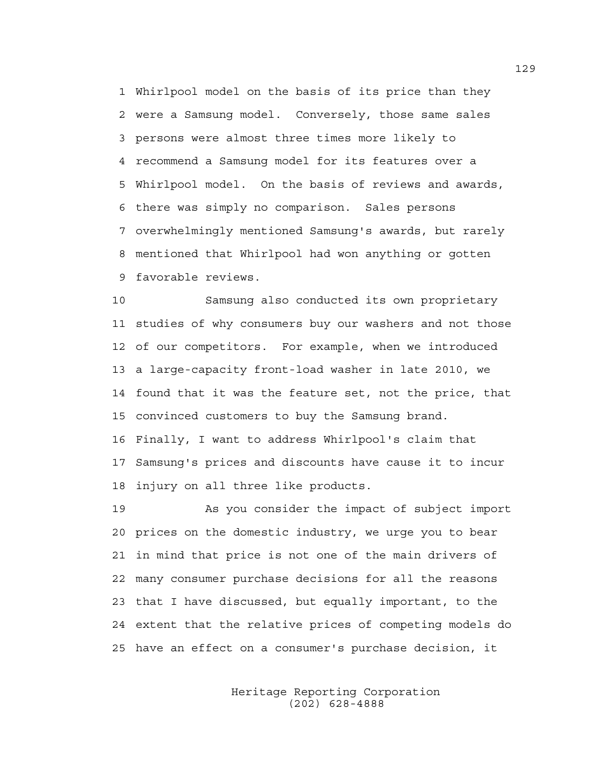1 Whirlpool model on the basis of its price than they 2 were a Samsung model. Conversely, those same sales 3 persons were almost three times more likely to 4 recommend a Samsung model for its features over a 5 Whirlpool model. On the basis of reviews and awards, 6 there was simply no comparison. Sales persons 7 overwhelmingly mentioned Samsung's awards, but rarely 8 mentioned that Whirlpool had won anything or gotten 9 favorable reviews.

10 Samsung also conducted its own proprietary 11 studies of why consumers buy our washers and not those 12 of our competitors. For example, when we introduced 13 a large-capacity front-load washer in late 2010, we 14 found that it was the feature set, not the price, that 15 convinced customers to buy the Samsung brand. 16 Finally, I want to address Whirlpool's claim that 17 Samsung's prices and discounts have cause it to incur 18 injury on all three like products.

19 As you consider the impact of subject import 20 prices on the domestic industry, we urge you to bear 21 in mind that price is not one of the main drivers of 22 many consumer purchase decisions for all the reasons 23 that I have discussed, but equally important, to the 24 extent that the relative prices of competing models do 25 have an effect on a consumer's purchase decision, it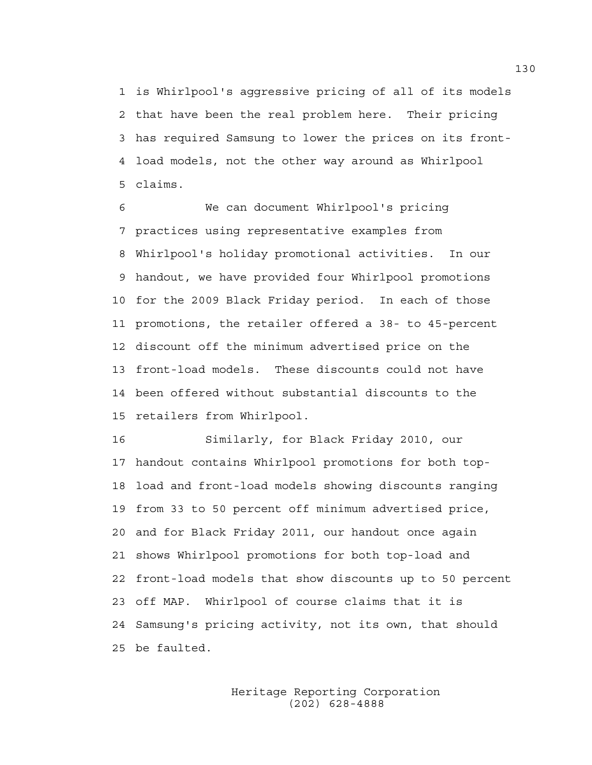1 is Whirlpool's aggressive pricing of all of its models 2 that have been the real problem here. Their pricing 3 has required Samsung to lower the prices on its front-4 load models, not the other way around as Whirlpool 5 claims.

6 We can document Whirlpool's pricing 7 practices using representative examples from 8 Whirlpool's holiday promotional activities. In our 9 handout, we have provided four Whirlpool promotions 10 for the 2009 Black Friday period. In each of those 11 promotions, the retailer offered a 38- to 45-percent 12 discount off the minimum advertised price on the 13 front-load models. These discounts could not have 14 been offered without substantial discounts to the 15 retailers from Whirlpool.

16 Similarly, for Black Friday 2010, our 17 handout contains Whirlpool promotions for both top-18 load and front-load models showing discounts ranging 19 from 33 to 50 percent off minimum advertised price, 20 and for Black Friday 2011, our handout once again 21 shows Whirlpool promotions for both top-load and 22 front-load models that show discounts up to 50 percent 23 off MAP. Whirlpool of course claims that it is 24 Samsung's pricing activity, not its own, that should 25 be faulted.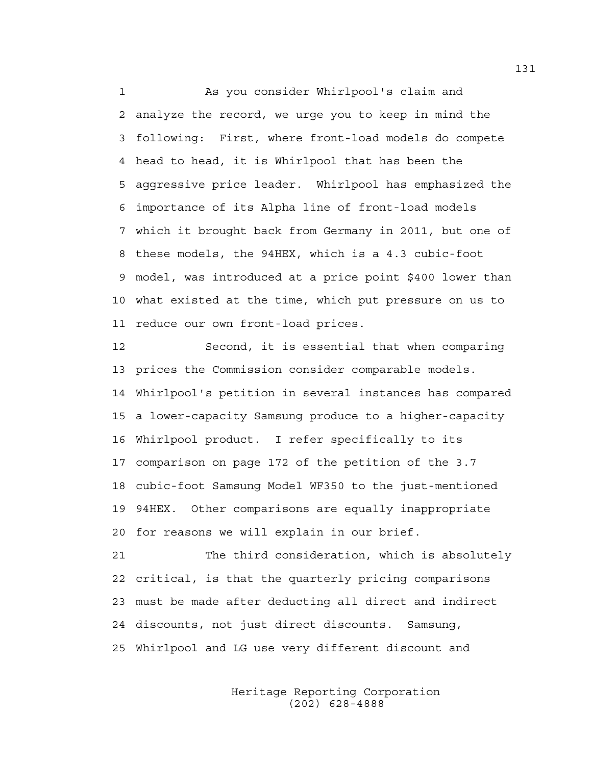1 As you consider Whirlpool's claim and 2 analyze the record, we urge you to keep in mind the 3 following: First, where front-load models do compete 4 head to head, it is Whirlpool that has been the 5 aggressive price leader. Whirlpool has emphasized the 6 importance of its Alpha line of front-load models 7 which it brought back from Germany in 2011, but one of 8 these models, the 94HEX, which is a 4.3 cubic-foot 9 model, was introduced at a price point \$400 lower than 10 what existed at the time, which put pressure on us to 11 reduce our own front-load prices.

12 Second, it is essential that when comparing 13 prices the Commission consider comparable models. 14 Whirlpool's petition in several instances has compared 15 a lower-capacity Samsung produce to a higher-capacity 16 Whirlpool product. I refer specifically to its 17 comparison on page 172 of the petition of the 3.7 18 cubic-foot Samsung Model WF350 to the just-mentioned 19 94HEX. Other comparisons are equally inappropriate 20 for reasons we will explain in our brief.

21 The third consideration, which is absolutely 22 critical, is that the quarterly pricing comparisons 23 must be made after deducting all direct and indirect 24 discounts, not just direct discounts. Samsung, 25 Whirlpool and LG use very different discount and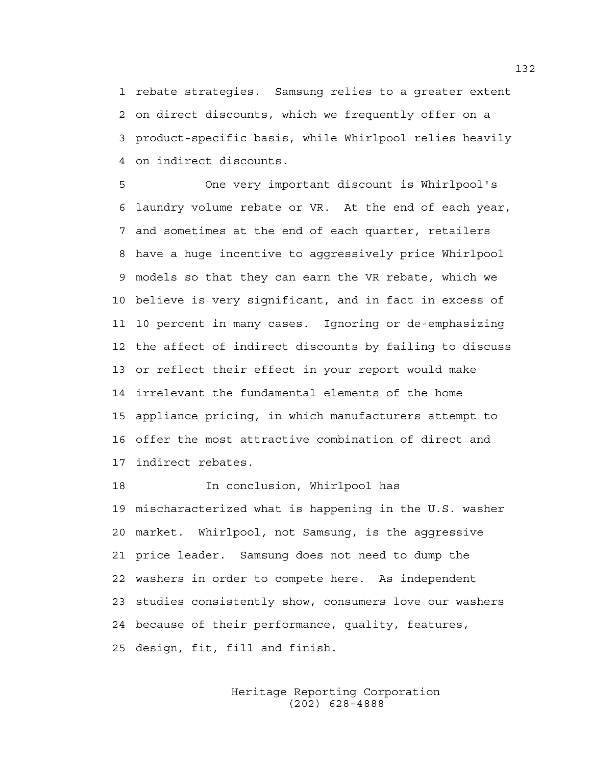1 rebate strategies. Samsung relies to a greater extent 2 on direct discounts, which we frequently offer on a 3 product-specific basis, while Whirlpool relies heavily 4 on indirect discounts.

5 One very important discount is Whirlpool's 6 laundry volume rebate or VR. At the end of each year, 7 and sometimes at the end of each quarter, retailers 8 have a huge incentive to aggressively price Whirlpool 9 models so that they can earn the VR rebate, which we 10 believe is very significant, and in fact in excess of 11 10 percent in many cases. Ignoring or de-emphasizing 12 the affect of indirect discounts by failing to discuss 13 or reflect their effect in your report would make 14 irrelevant the fundamental elements of the home 15 appliance pricing, in which manufacturers attempt to 16 offer the most attractive combination of direct and 17 indirect rebates.

18 In conclusion, Whirlpool has 19 mischaracterized what is happening in the U.S. washer 20 market. Whirlpool, not Samsung, is the aggressive 21 price leader. Samsung does not need to dump the 22 washers in order to compete here. As independent 23 studies consistently show, consumers love our washers 24 because of their performance, quality, features, 25 design, fit, fill and finish.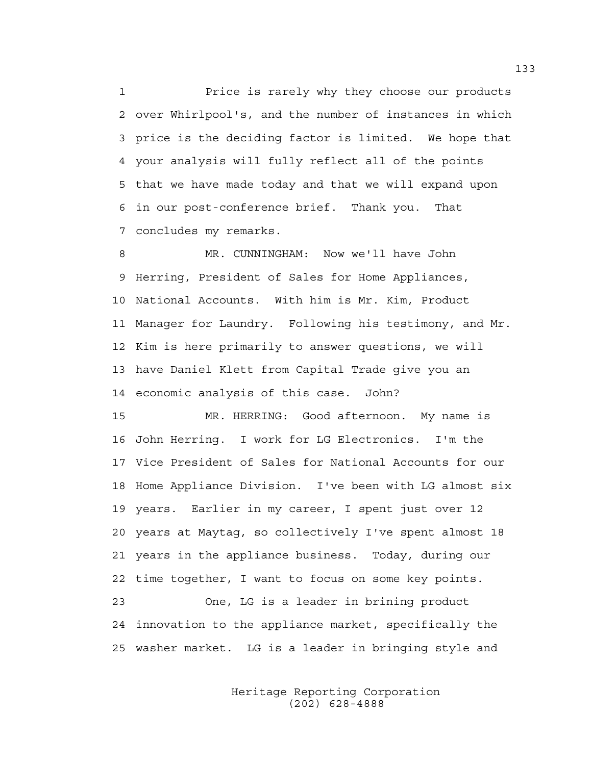1 Price is rarely why they choose our products 2 over Whirlpool's, and the number of instances in which 3 price is the deciding factor is limited. We hope that 4 your analysis will fully reflect all of the points 5 that we have made today and that we will expand upon 6 in our post-conference brief. Thank you. That 7 concludes my remarks.

8 MR. CUNNINGHAM: Now we'll have John 9 Herring, President of Sales for Home Appliances, 10 National Accounts. With him is Mr. Kim, Product 11 Manager for Laundry. Following his testimony, and Mr. 12 Kim is here primarily to answer questions, we will 13 have Daniel Klett from Capital Trade give you an 14 economic analysis of this case. John?

15 MR. HERRING: Good afternoon. My name is 16 John Herring. I work for LG Electronics. I'm the 17 Vice President of Sales for National Accounts for our 18 Home Appliance Division. I've been with LG almost six 19 years. Earlier in my career, I spent just over 12 20 years at Maytag, so collectively I've spent almost 18 21 years in the appliance business. Today, during our 22 time together, I want to focus on some key points. 23 One, LG is a leader in brining product 24 innovation to the appliance market, specifically the 25 washer market. LG is a leader in bringing style and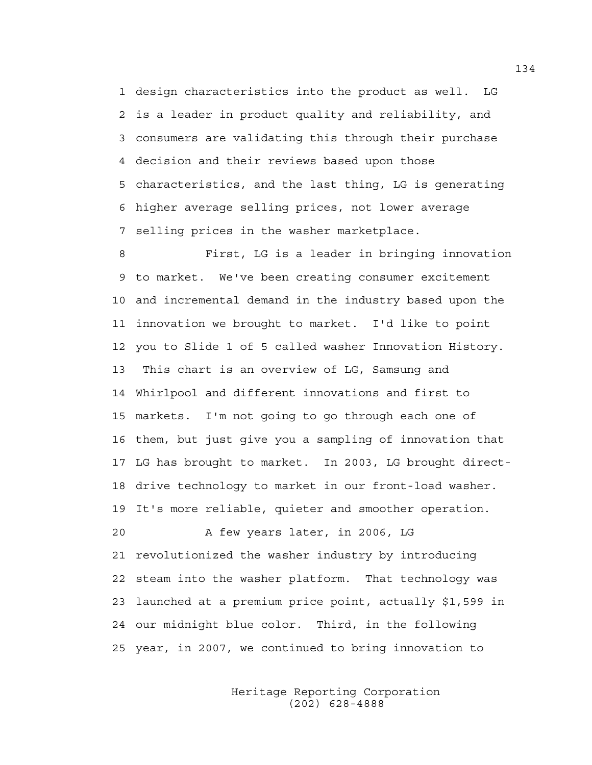1 design characteristics into the product as well. LG 2 is a leader in product quality and reliability, and 3 consumers are validating this through their purchase 4 decision and their reviews based upon those 5 characteristics, and the last thing, LG is generating 6 higher average selling prices, not lower average 7 selling prices in the washer marketplace.

8 First, LG is a leader in bringing innovation 9 to market. We've been creating consumer excitement 10 and incremental demand in the industry based upon the 11 innovation we brought to market. I'd like to point 12 you to Slide 1 of 5 called washer Innovation History. 13 This chart is an overview of LG, Samsung and 14 Whirlpool and different innovations and first to 15 markets. I'm not going to go through each one of 16 them, but just give you a sampling of innovation that 17 LG has brought to market. In 2003, LG brought direct-18 drive technology to market in our front-load washer. 19 It's more reliable, quieter and smoother operation. 20 A few years later, in 2006, LG 21 revolutionized the washer industry by introducing 22 steam into the washer platform. That technology was 23 launched at a premium price point, actually \$1,599 in 24 our midnight blue color. Third, in the following 25 year, in 2007, we continued to bring innovation to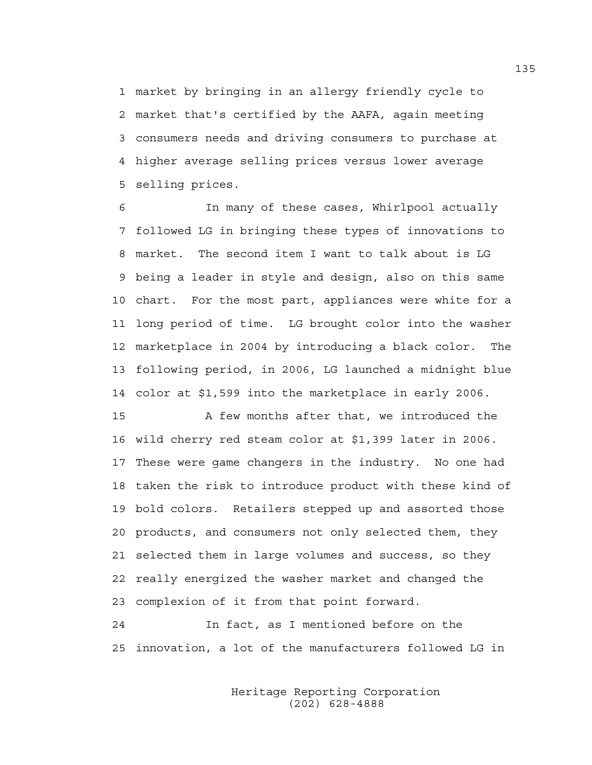1 market by bringing in an allergy friendly cycle to 2 market that's certified by the AAFA, again meeting 3 consumers needs and driving consumers to purchase at 4 higher average selling prices versus lower average 5 selling prices.

6 In many of these cases, Whirlpool actually 7 followed LG in bringing these types of innovations to 8 market. The second item I want to talk about is LG 9 being a leader in style and design, also on this same 10 chart. For the most part, appliances were white for a 11 long period of time. LG brought color into the washer 12 marketplace in 2004 by introducing a black color. The 13 following period, in 2006, LG launched a midnight blue 14 color at \$1,599 into the marketplace in early 2006.

15 A few months after that, we introduced the 16 wild cherry red steam color at \$1,399 later in 2006. 17 These were game changers in the industry. No one had 18 taken the risk to introduce product with these kind of 19 bold colors. Retailers stepped up and assorted those 20 products, and consumers not only selected them, they 21 selected them in large volumes and success, so they 22 really energized the washer market and changed the 23 complexion of it from that point forward.

24 In fact, as I mentioned before on the 25 innovation, a lot of the manufacturers followed LG in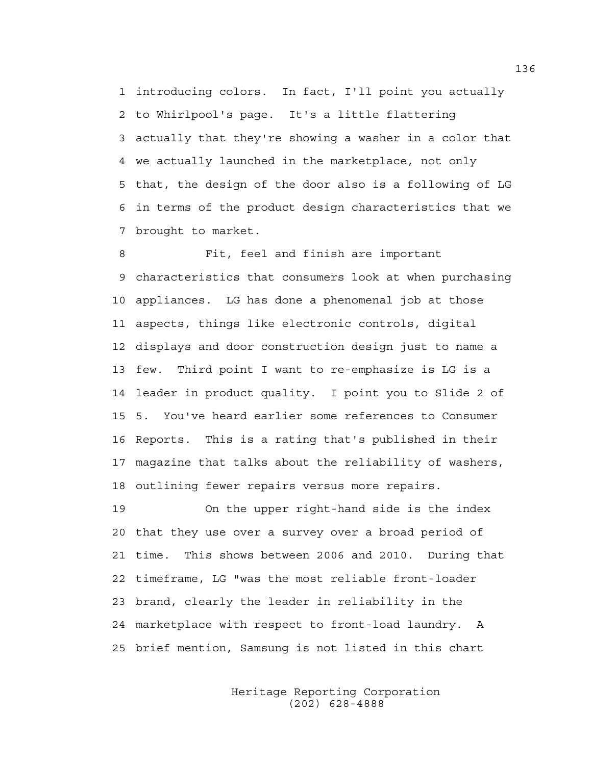1 introducing colors. In fact, I'll point you actually 2 to Whirlpool's page. It's a little flattering 3 actually that they're showing a washer in a color that 4 we actually launched in the marketplace, not only 5 that, the design of the door also is a following of LG 6 in terms of the product design characteristics that we 7 brought to market.

8 Fit, feel and finish are important 9 characteristics that consumers look at when purchasing 10 appliances. LG has done a phenomenal job at those 11 aspects, things like electronic controls, digital 12 displays and door construction design just to name a 13 few. Third point I want to re-emphasize is LG is a 14 leader in product quality. I point you to Slide 2 of 15 5. You've heard earlier some references to Consumer 16 Reports. This is a rating that's published in their 17 magazine that talks about the reliability of washers, 18 outlining fewer repairs versus more repairs.

19 On the upper right-hand side is the index 20 that they use over a survey over a broad period of 21 time. This shows between 2006 and 2010. During that 22 timeframe, LG "was the most reliable front-loader 23 brand, clearly the leader in reliability in the 24 marketplace with respect to front-load laundry. A 25 brief mention, Samsung is not listed in this chart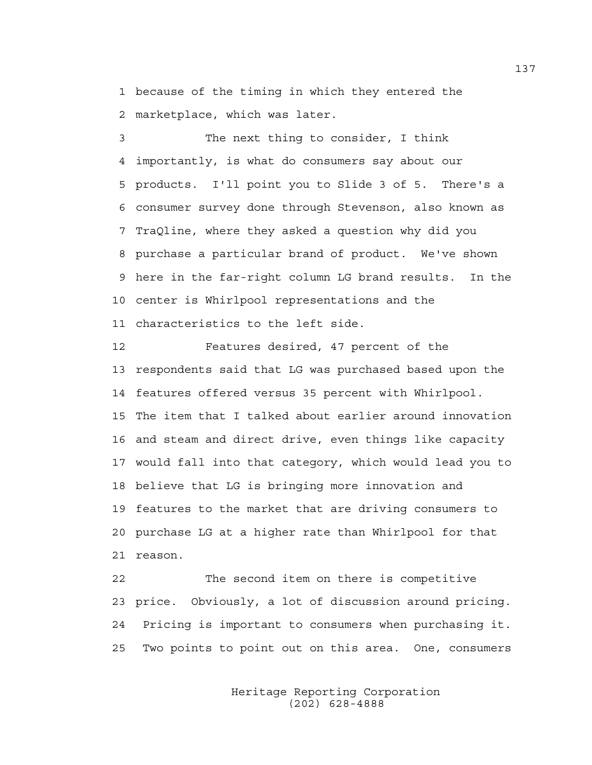1 because of the timing in which they entered the 2 marketplace, which was later.

3 The next thing to consider, I think 4 importantly, is what do consumers say about our 5 products. I'll point you to Slide 3 of 5. There's a 6 consumer survey done through Stevenson, also known as 7 TraQline, where they asked a question why did you 8 purchase a particular brand of product. We've shown 9 here in the far-right column LG brand results. In the 10 center is Whirlpool representations and the 11 characteristics to the left side.

12 Features desired, 47 percent of the 13 respondents said that LG was purchased based upon the 14 features offered versus 35 percent with Whirlpool. 15 The item that I talked about earlier around innovation 16 and steam and direct drive, even things like capacity 17 would fall into that category, which would lead you to 18 believe that LG is bringing more innovation and 19 features to the market that are driving consumers to 20 purchase LG at a higher rate than Whirlpool for that 21 reason.

22 The second item on there is competitive 23 price. Obviously, a lot of discussion around pricing. 24 Pricing is important to consumers when purchasing it. 25 Two points to point out on this area. One, consumers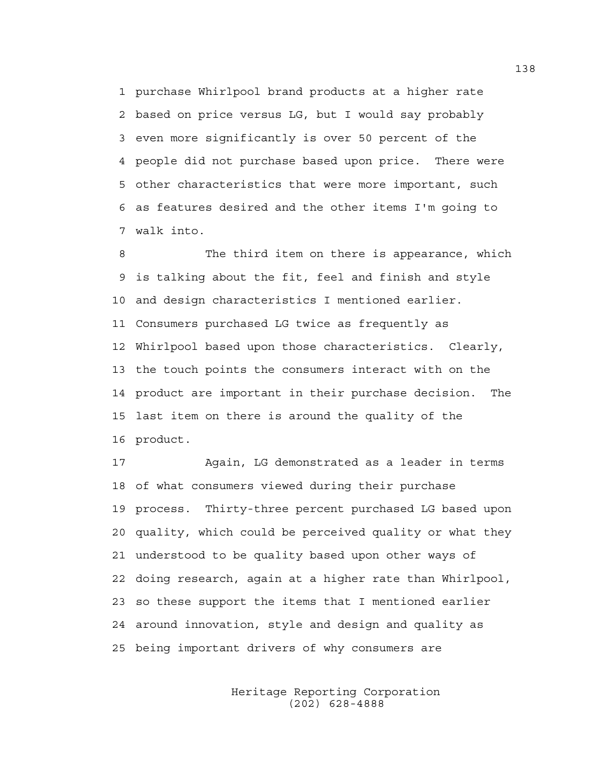1 purchase Whirlpool brand products at a higher rate 2 based on price versus LG, but I would say probably 3 even more significantly is over 50 percent of the 4 people did not purchase based upon price. There were 5 other characteristics that were more important, such 6 as features desired and the other items I'm going to 7 walk into.

8 The third item on there is appearance, which 9 is talking about the fit, feel and finish and style 10 and design characteristics I mentioned earlier. 11 Consumers purchased LG twice as frequently as 12 Whirlpool based upon those characteristics. Clearly, 13 the touch points the consumers interact with on the 14 product are important in their purchase decision. The 15 last item on there is around the quality of the 16 product.

17 Again, LG demonstrated as a leader in terms 18 of what consumers viewed during their purchase 19 process. Thirty-three percent purchased LG based upon 20 quality, which could be perceived quality or what they 21 understood to be quality based upon other ways of 22 doing research, again at a higher rate than Whirlpool, 23 so these support the items that I mentioned earlier 24 around innovation, style and design and quality as 25 being important drivers of why consumers are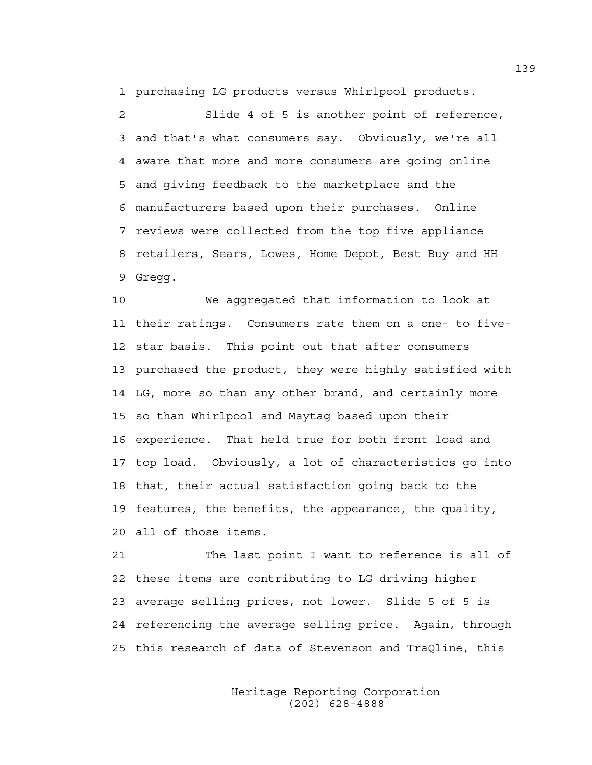1 purchasing LG products versus Whirlpool products.

2 Slide 4 of 5 is another point of reference, 3 and that's what consumers say. Obviously, we're all 4 aware that more and more consumers are going online 5 and giving feedback to the marketplace and the 6 manufacturers based upon their purchases. Online 7 reviews were collected from the top five appliance 8 retailers, Sears, Lowes, Home Depot, Best Buy and HH 9 Gregg.

10 We aggregated that information to look at 11 their ratings. Consumers rate them on a one- to five-12 star basis. This point out that after consumers 13 purchased the product, they were highly satisfied with 14 LG, more so than any other brand, and certainly more 15 so than Whirlpool and Maytag based upon their 16 experience. That held true for both front load and 17 top load. Obviously, a lot of characteristics go into 18 that, their actual satisfaction going back to the 19 features, the benefits, the appearance, the quality, 20 all of those items.

21 The last point I want to reference is all of 22 these items are contributing to LG driving higher 23 average selling prices, not lower. Slide 5 of 5 is 24 referencing the average selling price. Again, through 25 this research of data of Stevenson and TraQline, this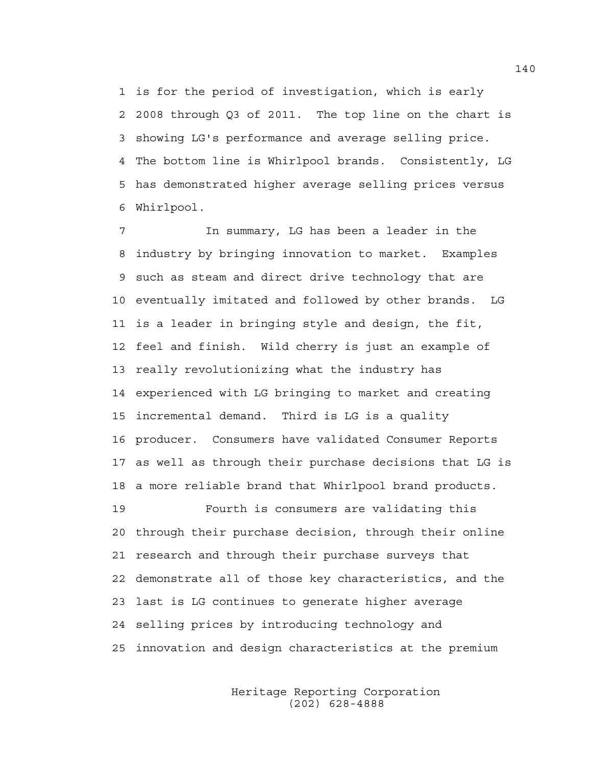1 is for the period of investigation, which is early 2 2008 through Q3 of 2011. The top line on the chart is 3 showing LG's performance and average selling price. 4 The bottom line is Whirlpool brands. Consistently, LG 5 has demonstrated higher average selling prices versus 6 Whirlpool.

7 In summary, LG has been a leader in the 8 industry by bringing innovation to market. Examples 9 such as steam and direct drive technology that are 10 eventually imitated and followed by other brands. LG 11 is a leader in bringing style and design, the fit, 12 feel and finish. Wild cherry is just an example of 13 really revolutionizing what the industry has 14 experienced with LG bringing to market and creating 15 incremental demand. Third is LG is a quality 16 producer. Consumers have validated Consumer Reports 17 as well as through their purchase decisions that LG is 18 a more reliable brand that Whirlpool brand products. 19 Fourth is consumers are validating this 20 through their purchase decision, through their online

21 research and through their purchase surveys that 22 demonstrate all of those key characteristics, and the 23 last is LG continues to generate higher average 24 selling prices by introducing technology and 25 innovation and design characteristics at the premium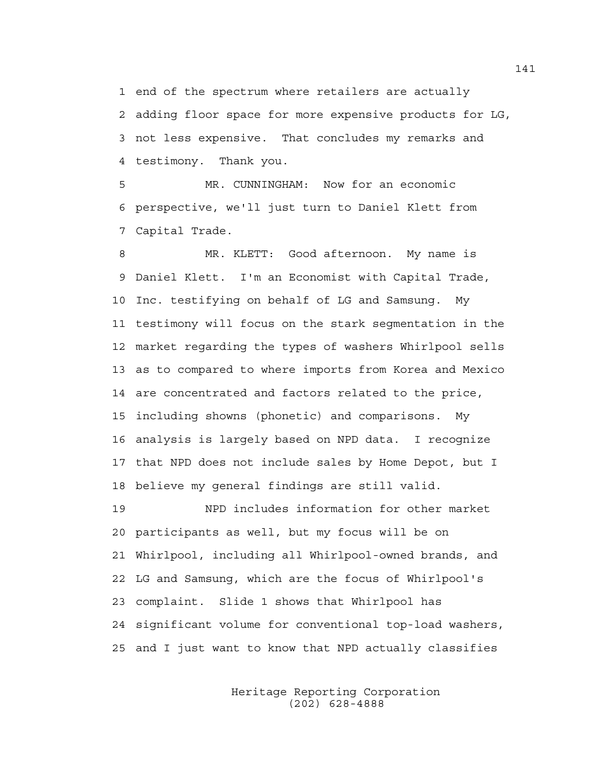1 end of the spectrum where retailers are actually

2 adding floor space for more expensive products for LG, 3 not less expensive. That concludes my remarks and 4 testimony. Thank you.

5 MR. CUNNINGHAM: Now for an economic 6 perspective, we'll just turn to Daniel Klett from 7 Capital Trade.

8 MR. KLETT: Good afternoon. My name is 9 Daniel Klett. I'm an Economist with Capital Trade, 10 Inc. testifying on behalf of LG and Samsung. My 11 testimony will focus on the stark segmentation in the 12 market regarding the types of washers Whirlpool sells 13 as to compared to where imports from Korea and Mexico 14 are concentrated and factors related to the price, 15 including showns (phonetic) and comparisons. My 16 analysis is largely based on NPD data. I recognize 17 that NPD does not include sales by Home Depot, but I 18 believe my general findings are still valid.

19 NPD includes information for other market 20 participants as well, but my focus will be on 21 Whirlpool, including all Whirlpool-owned brands, and 22 LG and Samsung, which are the focus of Whirlpool's 23 complaint. Slide 1 shows that Whirlpool has 24 significant volume for conventional top-load washers, 25 and I just want to know that NPD actually classifies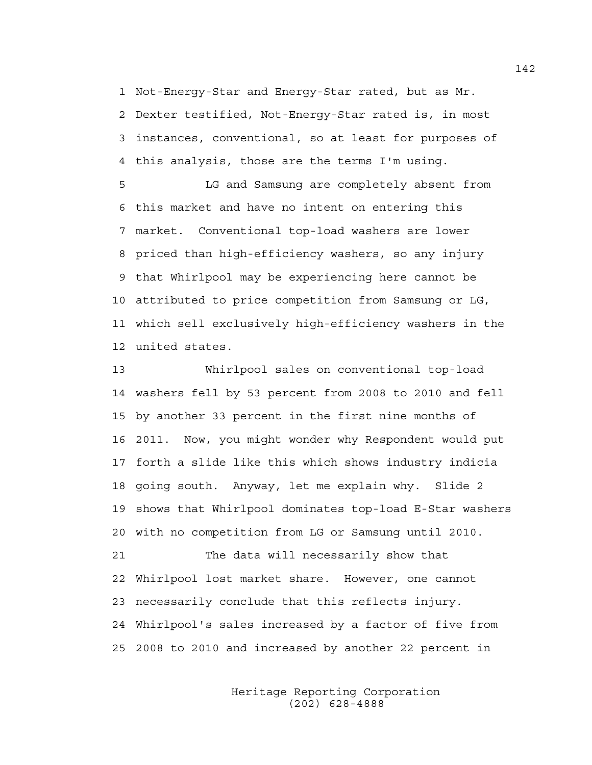1 Not-Energy-Star and Energy-Star rated, but as Mr. 2 Dexter testified, Not-Energy-Star rated is, in most 3 instances, conventional, so at least for purposes of 4 this analysis, those are the terms I'm using.

5 LG and Samsung are completely absent from 6 this market and have no intent on entering this 7 market. Conventional top-load washers are lower 8 priced than high-efficiency washers, so any injury 9 that Whirlpool may be experiencing here cannot be 10 attributed to price competition from Samsung or LG, 11 which sell exclusively high-efficiency washers in the 12 united states.

13 Whirlpool sales on conventional top-load 14 washers fell by 53 percent from 2008 to 2010 and fell 15 by another 33 percent in the first nine months of 16 2011. Now, you might wonder why Respondent would put 17 forth a slide like this which shows industry indicia 18 going south. Anyway, let me explain why. Slide 2 19 shows that Whirlpool dominates top-load E-Star washers 20 with no competition from LG or Samsung until 2010. 21 The data will necessarily show that

22 Whirlpool lost market share. However, one cannot 23 necessarily conclude that this reflects injury. 24 Whirlpool's sales increased by a factor of five from 25 2008 to 2010 and increased by another 22 percent in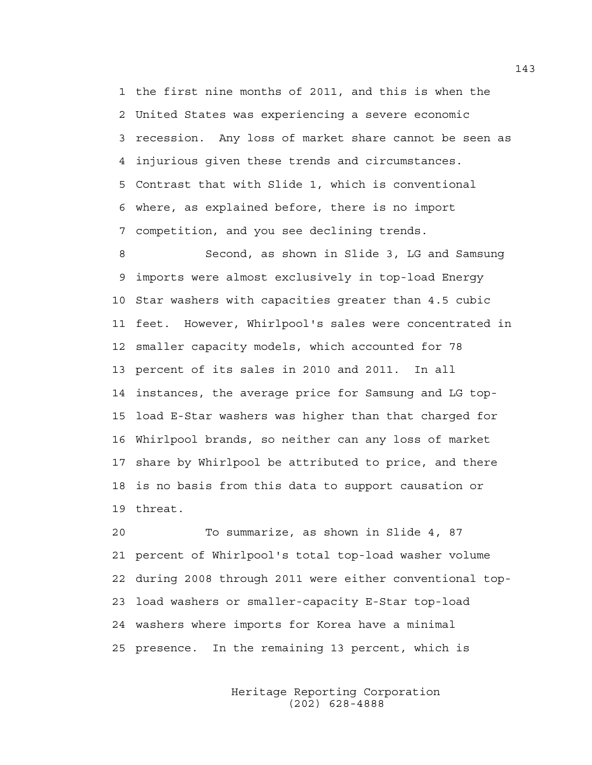1 the first nine months of 2011, and this is when the 2 United States was experiencing a severe economic 3 recession. Any loss of market share cannot be seen as 4 injurious given these trends and circumstances. 5 Contrast that with Slide 1, which is conventional 6 where, as explained before, there is no import 7 competition, and you see declining trends.

8 Second, as shown in Slide 3, LG and Samsung 9 imports were almost exclusively in top-load Energy 10 Star washers with capacities greater than 4.5 cubic 11 feet. However, Whirlpool's sales were concentrated in 12 smaller capacity models, which accounted for 78 13 percent of its sales in 2010 and 2011. In all 14 instances, the average price for Samsung and LG top-15 load E-Star washers was higher than that charged for 16 Whirlpool brands, so neither can any loss of market 17 share by Whirlpool be attributed to price, and there 18 is no basis from this data to support causation or 19 threat.

20 To summarize, as shown in Slide 4, 87 21 percent of Whirlpool's total top-load washer volume 22 during 2008 through 2011 were either conventional top-23 load washers or smaller-capacity E-Star top-load 24 washers where imports for Korea have a minimal 25 presence. In the remaining 13 percent, which is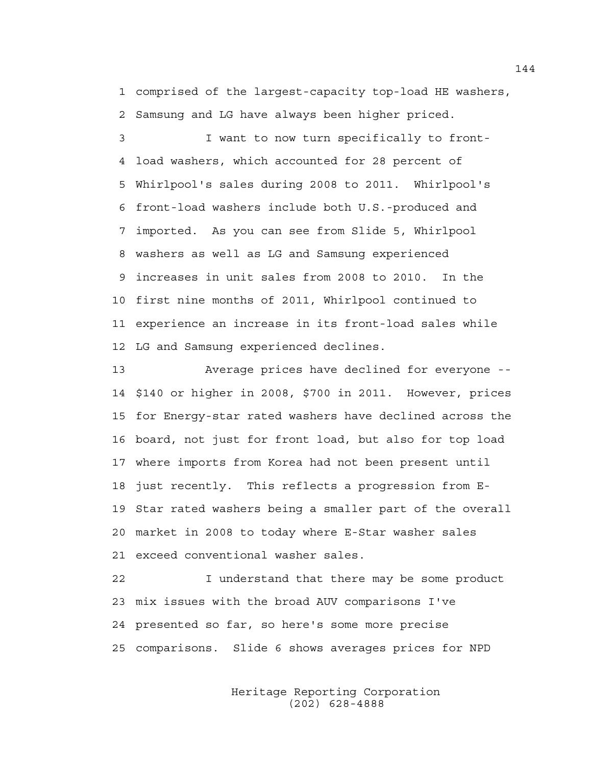1 comprised of the largest-capacity top-load HE washers, 2 Samsung and LG have always been higher priced.

3 I want to now turn specifically to front-4 load washers, which accounted for 28 percent of 5 Whirlpool's sales during 2008 to 2011. Whirlpool's 6 front-load washers include both U.S.-produced and 7 imported. As you can see from Slide 5, Whirlpool 8 washers as well as LG and Samsung experienced 9 increases in unit sales from 2008 to 2010. In the 10 first nine months of 2011, Whirlpool continued to 11 experience an increase in its front-load sales while 12 LG and Samsung experienced declines.

13 Average prices have declined for everyone -- 14 \$140 or higher in 2008, \$700 in 2011. However, prices 15 for Energy-star rated washers have declined across the 16 board, not just for front load, but also for top load 17 where imports from Korea had not been present until 18 just recently. This reflects a progression from E-19 Star rated washers being a smaller part of the overall 20 market in 2008 to today where E-Star washer sales 21 exceed conventional washer sales.

22 I understand that there may be some product 23 mix issues with the broad AUV comparisons I've 24 presented so far, so here's some more precise 25 comparisons. Slide 6 shows averages prices for NPD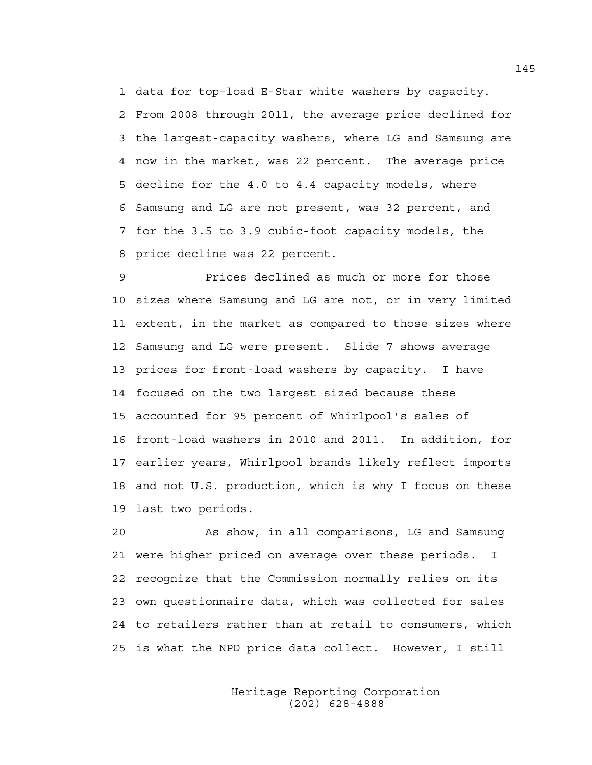1 data for top-load E-Star white washers by capacity. 2 From 2008 through 2011, the average price declined for 3 the largest-capacity washers, where LG and Samsung are 4 now in the market, was 22 percent. The average price 5 decline for the 4.0 to 4.4 capacity models, where 6 Samsung and LG are not present, was 32 percent, and 7 for the 3.5 to 3.9 cubic-foot capacity models, the 8 price decline was 22 percent.

9 Prices declined as much or more for those 10 sizes where Samsung and LG are not, or in very limited 11 extent, in the market as compared to those sizes where 12 Samsung and LG were present. Slide 7 shows average 13 prices for front-load washers by capacity. I have 14 focused on the two largest sized because these 15 accounted for 95 percent of Whirlpool's sales of 16 front-load washers in 2010 and 2011. In addition, for 17 earlier years, Whirlpool brands likely reflect imports 18 and not U.S. production, which is why I focus on these 19 last two periods.

20 As show, in all comparisons, LG and Samsung 21 were higher priced on average over these periods. I 22 recognize that the Commission normally relies on its 23 own questionnaire data, which was collected for sales 24 to retailers rather than at retail to consumers, which 25 is what the NPD price data collect. However, I still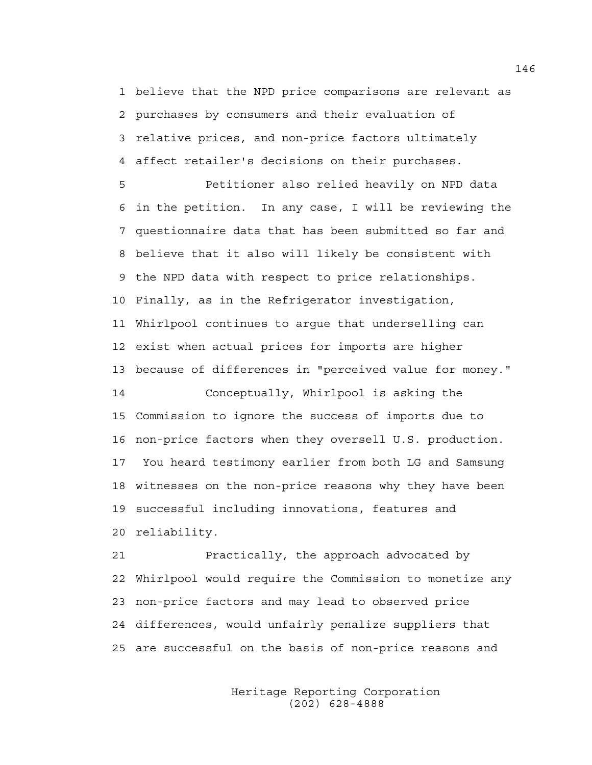1 believe that the NPD price comparisons are relevant as 2 purchases by consumers and their evaluation of 3 relative prices, and non-price factors ultimately 4 affect retailer's decisions on their purchases.

5 Petitioner also relied heavily on NPD data 6 in the petition. In any case, I will be reviewing the 7 questionnaire data that has been submitted so far and 8 believe that it also will likely be consistent with 9 the NPD data with respect to price relationships. 10 Finally, as in the Refrigerator investigation, 11 Whirlpool continues to argue that underselling can 12 exist when actual prices for imports are higher 13 because of differences in "perceived value for money." 14 Conceptually, Whirlpool is asking the 15 Commission to ignore the success of imports due to 16 non-price factors when they oversell U.S. production. 17 You heard testimony earlier from both LG and Samsung 18 witnesses on the non-price reasons why they have been

19 successful including innovations, features and 20 reliability.

21 Practically, the approach advocated by 22 Whirlpool would require the Commission to monetize any 23 non-price factors and may lead to observed price 24 differences, would unfairly penalize suppliers that 25 are successful on the basis of non-price reasons and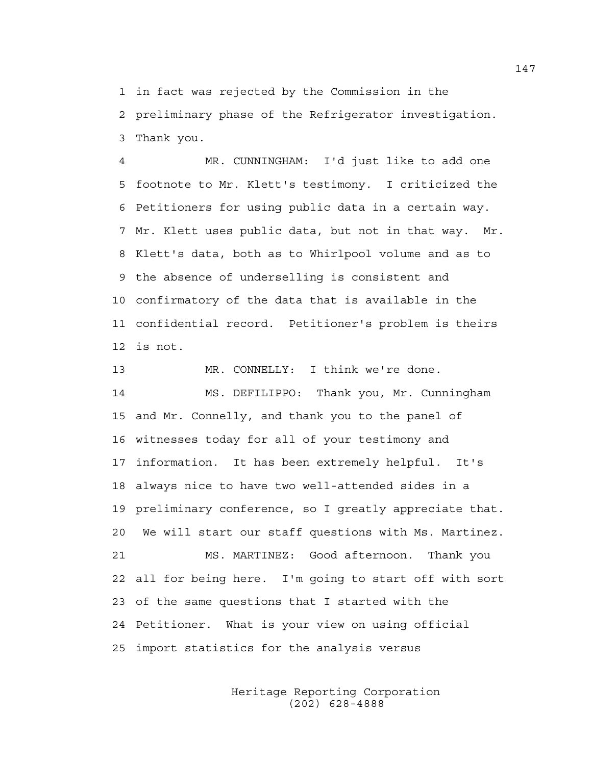1 in fact was rejected by the Commission in the 2 preliminary phase of the Refrigerator investigation. 3 Thank you.

4 MR. CUNNINGHAM: I'd just like to add one 5 footnote to Mr. Klett's testimony. I criticized the 6 Petitioners for using public data in a certain way. 7 Mr. Klett uses public data, but not in that way. Mr. 8 Klett's data, both as to Whirlpool volume and as to 9 the absence of underselling is consistent and 10 confirmatory of the data that is available in the 11 confidential record. Petitioner's problem is theirs 12 is not.

13 MR. CONNELLY: I think we're done. 14 MS. DEFILIPPO: Thank you, Mr. Cunningham 15 and Mr. Connelly, and thank you to the panel of 16 witnesses today for all of your testimony and 17 information. It has been extremely helpful. It's 18 always nice to have two well-attended sides in a 19 preliminary conference, so I greatly appreciate that. 20 We will start our staff questions with Ms. Martinez. 21 MS. MARTINEZ: Good afternoon. Thank you 22 all for being here. I'm going to start off with sort 23 of the same questions that I started with the 24 Petitioner. What is your view on using official 25 import statistics for the analysis versus

> Heritage Reporting Corporation (202) 628-4888

147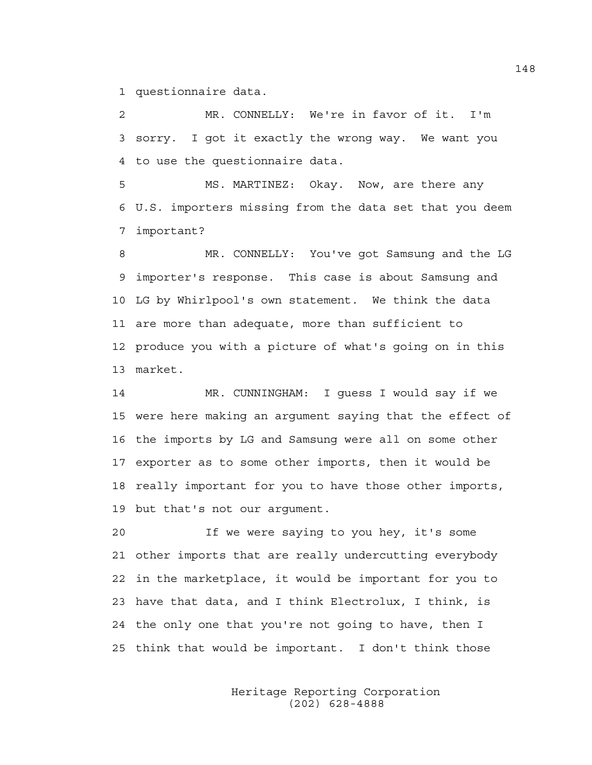1 questionnaire data.

2 MR. CONNELLY: We're in favor of it. I'm 3 sorry. I got it exactly the wrong way. We want you 4 to use the questionnaire data.

5 MS. MARTINEZ: Okay. Now, are there any 6 U.S. importers missing from the data set that you deem 7 important?

8 MR. CONNELLY: You've got Samsung and the LG 9 importer's response. This case is about Samsung and 10 LG by Whirlpool's own statement. We think the data 11 are more than adequate, more than sufficient to 12 produce you with a picture of what's going on in this 13 market.

14 MR. CUNNINGHAM: I guess I would say if we 15 were here making an argument saying that the effect of 16 the imports by LG and Samsung were all on some other 17 exporter as to some other imports, then it would be 18 really important for you to have those other imports, 19 but that's not our argument.

20 If we were saying to you hey, it's some 21 other imports that are really undercutting everybody 22 in the marketplace, it would be important for you to 23 have that data, and I think Electrolux, I think, is 24 the only one that you're not going to have, then I 25 think that would be important. I don't think those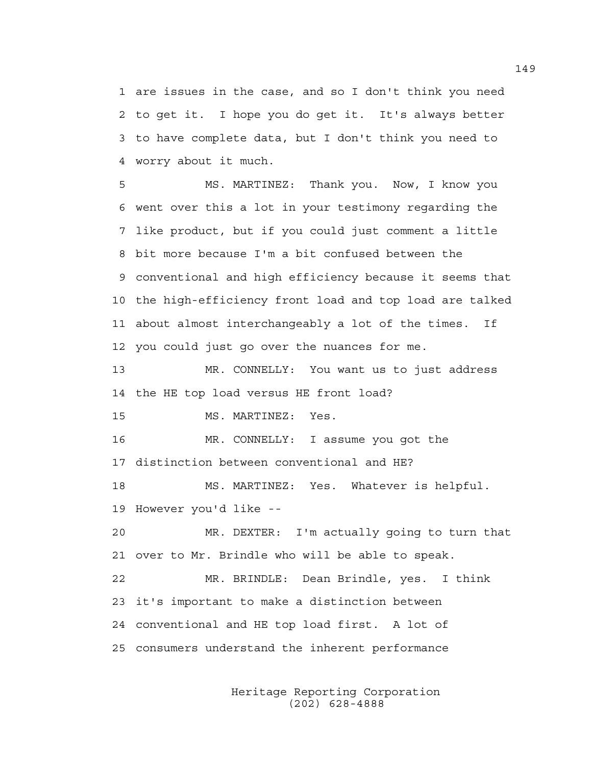1 are issues in the case, and so I don't think you need 2 to get it. I hope you do get it. It's always better 3 to have complete data, but I don't think you need to 4 worry about it much.

5 MS. MARTINEZ: Thank you. Now, I know you 6 went over this a lot in your testimony regarding the 7 like product, but if you could just comment a little 8 bit more because I'm a bit confused between the 9 conventional and high efficiency because it seems that 10 the high-efficiency front load and top load are talked 11 about almost interchangeably a lot of the times. If 12 you could just go over the nuances for me.

13 MR. CONNELLY: You want us to just address 14 the HE top load versus HE front load?

15 MS. MARTINEZ: Yes.

16 MR. CONNELLY: I assume you got the 17 distinction between conventional and HE?

18 MS. MARTINEZ: Yes. Whatever is helpful. 19 However you'd like --

20 MR. DEXTER: I'm actually going to turn that 21 over to Mr. Brindle who will be able to speak.

22 MR. BRINDLE: Dean Brindle, yes. I think 23 it's important to make a distinction between 24 conventional and HE top load first. A lot of 25 consumers understand the inherent performance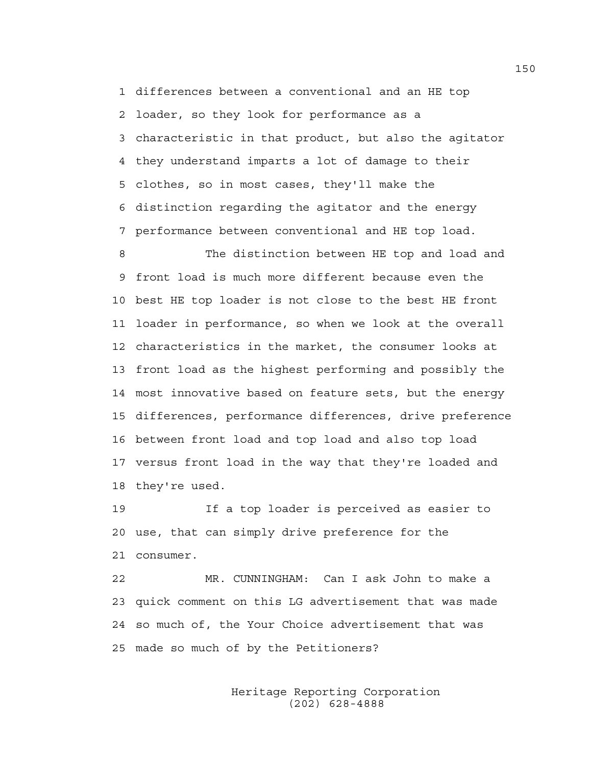1 differences between a conventional and an HE top 2 loader, so they look for performance as a 3 characteristic in that product, but also the agitator 4 they understand imparts a lot of damage to their 5 clothes, so in most cases, they'll make the 6 distinction regarding the agitator and the energy 7 performance between conventional and HE top load.

8 The distinction between HE top and load and 9 front load is much more different because even the 10 best HE top loader is not close to the best HE front 11 loader in performance, so when we look at the overall 12 characteristics in the market, the consumer looks at 13 front load as the highest performing and possibly the 14 most innovative based on feature sets, but the energy 15 differences, performance differences, drive preference 16 between front load and top load and also top load 17 versus front load in the way that they're loaded and 18 they're used.

19 If a top loader is perceived as easier to 20 use, that can simply drive preference for the 21 consumer.

22 MR. CUNNINGHAM: Can I ask John to make a 23 quick comment on this LG advertisement that was made 24 so much of, the Your Choice advertisement that was 25 made so much of by the Petitioners?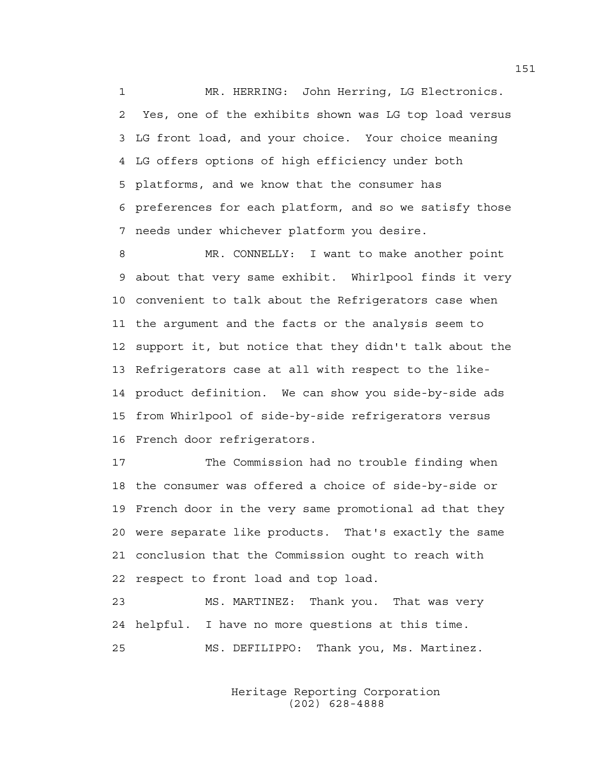1 MR. HERRING: John Herring, LG Electronics. 2 Yes, one of the exhibits shown was LG top load versus 3 LG front load, and your choice. Your choice meaning 4 LG offers options of high efficiency under both 5 platforms, and we know that the consumer has 6 preferences for each platform, and so we satisfy those 7 needs under whichever platform you desire.

8 MR. CONNELLY: I want to make another point 9 about that very same exhibit. Whirlpool finds it very 10 convenient to talk about the Refrigerators case when 11 the argument and the facts or the analysis seem to 12 support it, but notice that they didn't talk about the 13 Refrigerators case at all with respect to the like-14 product definition. We can show you side-by-side ads 15 from Whirlpool of side-by-side refrigerators versus 16 French door refrigerators.

17 The Commission had no trouble finding when 18 the consumer was offered a choice of side-by-side or 19 French door in the very same promotional ad that they 20 were separate like products. That's exactly the same 21 conclusion that the Commission ought to reach with 22 respect to front load and top load.

23 MS. MARTINEZ: Thank you. That was very 24 helpful. I have no more questions at this time. 25 MS. DEFILIPPO: Thank you, Ms. Martinez.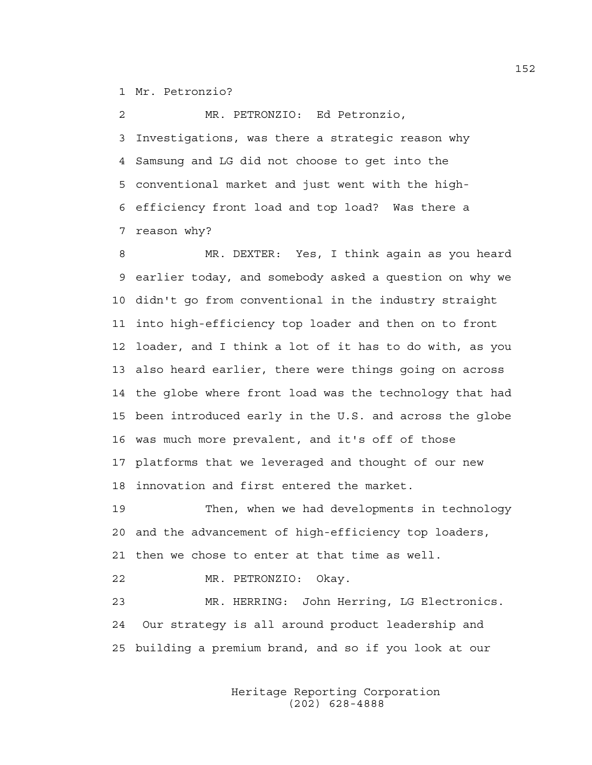1 Mr. Petronzio?

2 MR. PETRONZIO: Ed Petronzio, 3 Investigations, was there a strategic reason why 4 Samsung and LG did not choose to get into the 5 conventional market and just went with the high-6 efficiency front load and top load? Was there a 7 reason why?

8 MR. DEXTER: Yes, I think again as you heard 9 earlier today, and somebody asked a question on why we 10 didn't go from conventional in the industry straight 11 into high-efficiency top loader and then on to front 12 loader, and I think a lot of it has to do with, as you 13 also heard earlier, there were things going on across 14 the globe where front load was the technology that had 15 been introduced early in the U.S. and across the globe 16 was much more prevalent, and it's off of those 17 platforms that we leveraged and thought of our new 18 innovation and first entered the market.

19 Then, when we had developments in technology 20 and the advancement of high-efficiency top loaders, 21 then we chose to enter at that time as well.

22 MR. PETRONZIO: Okay.

23 MR. HERRING: John Herring, LG Electronics. 24 Our strategy is all around product leadership and 25 building a premium brand, and so if you look at our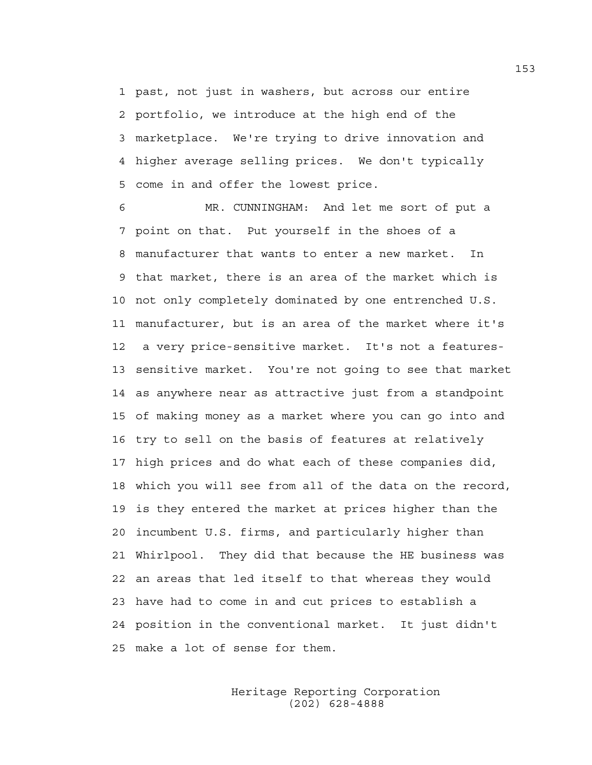1 past, not just in washers, but across our entire 2 portfolio, we introduce at the high end of the 3 marketplace. We're trying to drive innovation and 4 higher average selling prices. We don't typically 5 come in and offer the lowest price.

6 MR. CUNNINGHAM: And let me sort of put a 7 point on that. Put yourself in the shoes of a 8 manufacturer that wants to enter a new market. In 9 that market, there is an area of the market which is 10 not only completely dominated by one entrenched U.S. 11 manufacturer, but is an area of the market where it's 12 a very price-sensitive market. It's not a features-13 sensitive market. You're not going to see that market 14 as anywhere near as attractive just from a standpoint 15 of making money as a market where you can go into and 16 try to sell on the basis of features at relatively 17 high prices and do what each of these companies did, 18 which you will see from all of the data on the record, 19 is they entered the market at prices higher than the 20 incumbent U.S. firms, and particularly higher than 21 Whirlpool. They did that because the HE business was 22 an areas that led itself to that whereas they would 23 have had to come in and cut prices to establish a 24 position in the conventional market. It just didn't 25 make a lot of sense for them.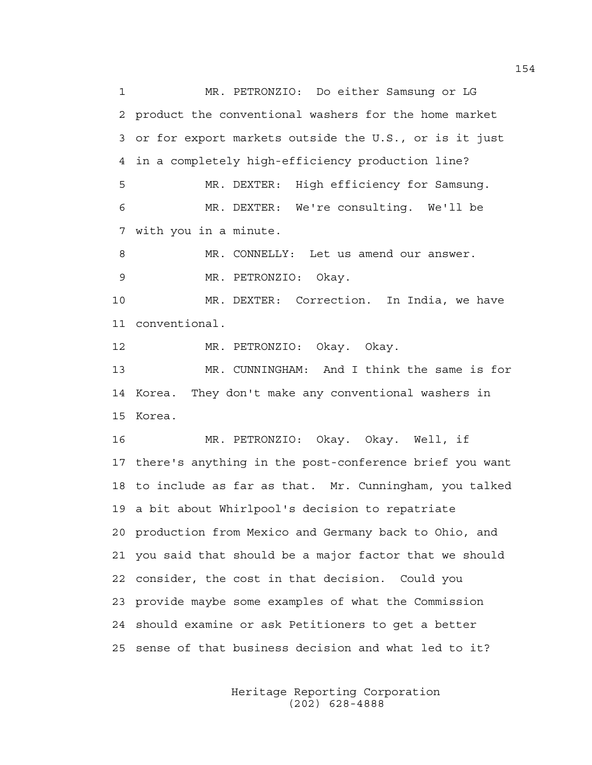1 MR. PETRONZIO: Do either Samsung or LG 2 product the conventional washers for the home market 3 or for export markets outside the U.S., or is it just 4 in a completely high-efficiency production line? 5 MR. DEXTER: High efficiency for Samsung. 6 MR. DEXTER: We're consulting. We'll be 7 with you in a minute. 8 MR. CONNELLY: Let us amend our answer. 9 MR. PETRONZIO: Okay. 10 MR. DEXTER: Correction. In India, we have 11 conventional. 12 MR. PETRONZIO: Okay. Okay. 13 MR. CUNNINGHAM: And I think the same is for 14 Korea. They don't make any conventional washers in 15 Korea. 16 MR. PETRONZIO: Okay. Okay. Well, if 17 there's anything in the post-conference brief you want 18 to include as far as that. Mr. Cunningham, you talked 19 a bit about Whirlpool's decision to repatriate 20 production from Mexico and Germany back to Ohio, and 21 you said that should be a major factor that we should 22 consider, the cost in that decision. Could you 23 provide maybe some examples of what the Commission 24 should examine or ask Petitioners to get a better 25 sense of that business decision and what led to it?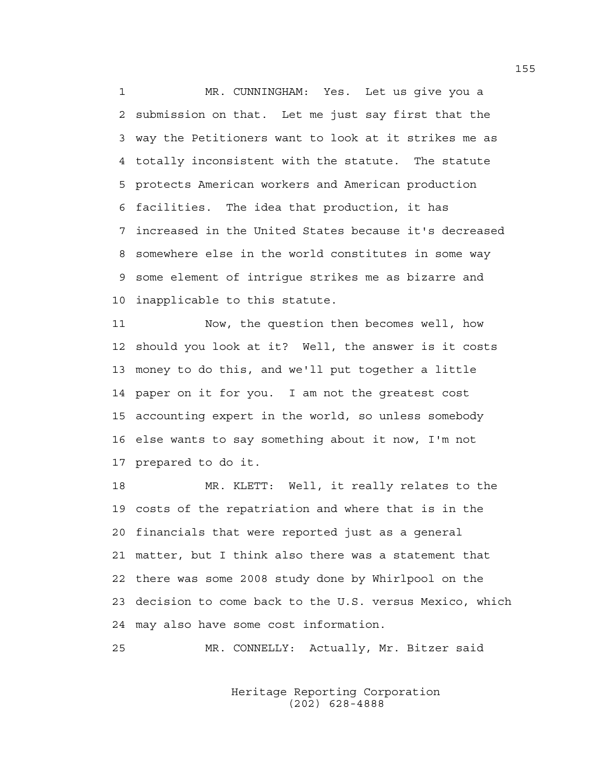1 MR. CUNNINGHAM: Yes. Let us give you a 2 submission on that. Let me just say first that the 3 way the Petitioners want to look at it strikes me as 4 totally inconsistent with the statute. The statute 5 protects American workers and American production 6 facilities. The idea that production, it has 7 increased in the United States because it's decreased 8 somewhere else in the world constitutes in some way 9 some element of intrigue strikes me as bizarre and 10 inapplicable to this statute.

11 Now, the question then becomes well, how 12 should you look at it? Well, the answer is it costs 13 money to do this, and we'll put together a little 14 paper on it for you. I am not the greatest cost 15 accounting expert in the world, so unless somebody 16 else wants to say something about it now, I'm not 17 prepared to do it.

18 MR. KLETT: Well, it really relates to the 19 costs of the repatriation and where that is in the 20 financials that were reported just as a general 21 matter, but I think also there was a statement that 22 there was some 2008 study done by Whirlpool on the 23 decision to come back to the U.S. versus Mexico, which 24 may also have some cost information.

25 MR. CONNELLY: Actually, Mr. Bitzer said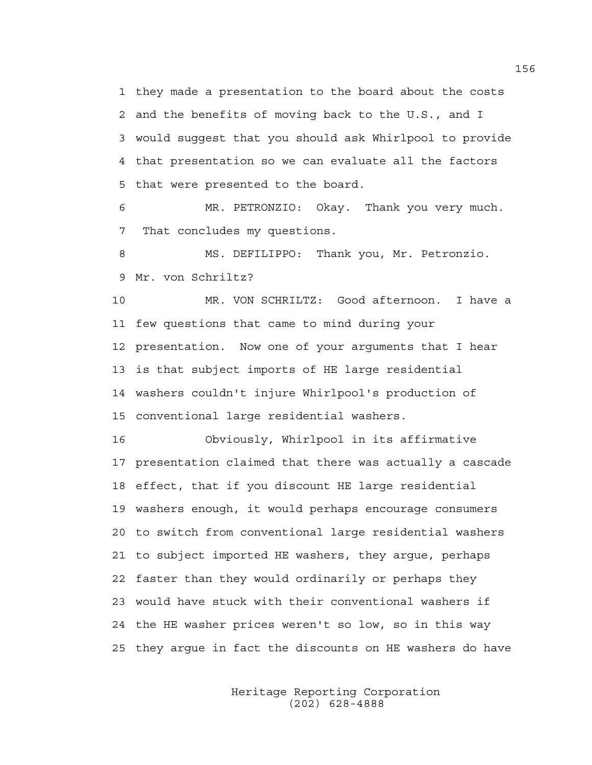1 they made a presentation to the board about the costs 2 and the benefits of moving back to the U.S., and I 3 would suggest that you should ask Whirlpool to provide 4 that presentation so we can evaluate all the factors 5 that were presented to the board.

6 MR. PETRONZIO: Okay. Thank you very much. 7 That concludes my questions.

8 MS. DEFILIPPO: Thank you, Mr. Petronzio. 9 Mr. von Schriltz?

10 MR. VON SCHRILTZ: Good afternoon. I have a 11 few questions that came to mind during your 12 presentation. Now one of your arguments that I hear 13 is that subject imports of HE large residential 14 washers couldn't injure Whirlpool's production of 15 conventional large residential washers.

16 Obviously, Whirlpool in its affirmative 17 presentation claimed that there was actually a cascade 18 effect, that if you discount HE large residential 19 washers enough, it would perhaps encourage consumers 20 to switch from conventional large residential washers 21 to subject imported HE washers, they argue, perhaps 22 faster than they would ordinarily or perhaps they 23 would have stuck with their conventional washers if 24 the HE washer prices weren't so low, so in this way 25 they argue in fact the discounts on HE washers do have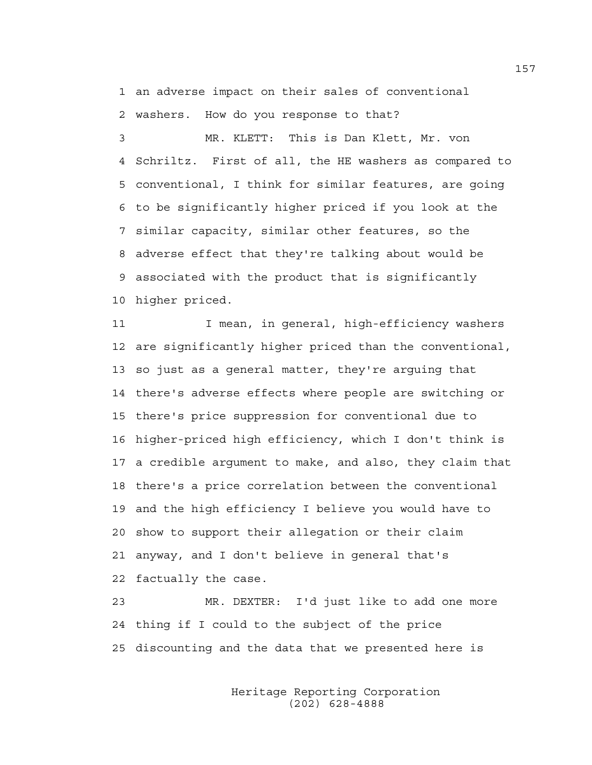1 an adverse impact on their sales of conventional 2 washers. How do you response to that?

3 MR. KLETT: This is Dan Klett, Mr. von 4 Schriltz. First of all, the HE washers as compared to 5 conventional, I think for similar features, are going 6 to be significantly higher priced if you look at the 7 similar capacity, similar other features, so the 8 adverse effect that they're talking about would be 9 associated with the product that is significantly 10 higher priced.

11 I mean, in general, high-efficiency washers 12 are significantly higher priced than the conventional, 13 so just as a general matter, they're arguing that 14 there's adverse effects where people are switching or 15 there's price suppression for conventional due to 16 higher-priced high efficiency, which I don't think is 17 a credible argument to make, and also, they claim that 18 there's a price correlation between the conventional 19 and the high efficiency I believe you would have to 20 show to support their allegation or their claim 21 anyway, and I don't believe in general that's 22 factually the case.

23 MR. DEXTER: I'd just like to add one more 24 thing if I could to the subject of the price 25 discounting and the data that we presented here is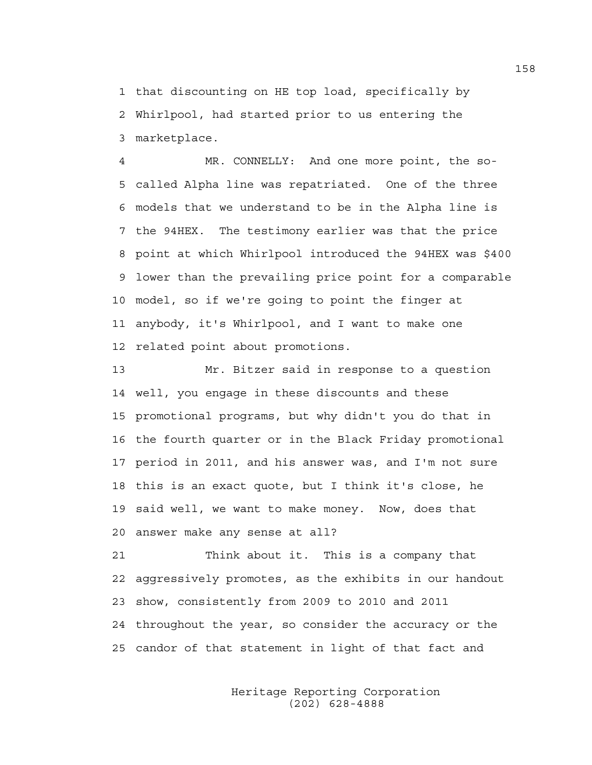1 that discounting on HE top load, specifically by 2 Whirlpool, had started prior to us entering the 3 marketplace.

4 MR. CONNELLY: And one more point, the so-5 called Alpha line was repatriated. One of the three 6 models that we understand to be in the Alpha line is 7 the 94HEX. The testimony earlier was that the price 8 point at which Whirlpool introduced the 94HEX was \$400 9 lower than the prevailing price point for a comparable 10 model, so if we're going to point the finger at 11 anybody, it's Whirlpool, and I want to make one 12 related point about promotions.

13 Mr. Bitzer said in response to a question 14 well, you engage in these discounts and these 15 promotional programs, but why didn't you do that in 16 the fourth quarter or in the Black Friday promotional 17 period in 2011, and his answer was, and I'm not sure 18 this is an exact quote, but I think it's close, he 19 said well, we want to make money. Now, does that 20 answer make any sense at all?

21 Think about it. This is a company that 22 aggressively promotes, as the exhibits in our handout 23 show, consistently from 2009 to 2010 and 2011 24 throughout the year, so consider the accuracy or the 25 candor of that statement in light of that fact and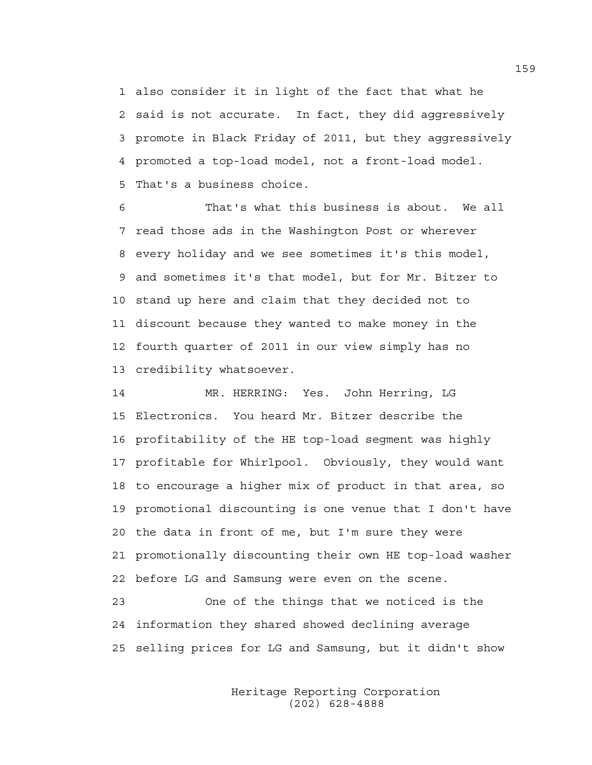1 also consider it in light of the fact that what he 2 said is not accurate. In fact, they did aggressively 3 promote in Black Friday of 2011, but they aggressively 4 promoted a top-load model, not a front-load model. 5 That's a business choice.

6 That's what this business is about. We all 7 read those ads in the Washington Post or wherever 8 every holiday and we see sometimes it's this model, 9 and sometimes it's that model, but for Mr. Bitzer to 10 stand up here and claim that they decided not to 11 discount because they wanted to make money in the 12 fourth quarter of 2011 in our view simply has no 13 credibility whatsoever.

14 MR. HERRING: Yes. John Herring, LG 15 Electronics. You heard Mr. Bitzer describe the 16 profitability of the HE top-load segment was highly 17 profitable for Whirlpool. Obviously, they would want 18 to encourage a higher mix of product in that area, so 19 promotional discounting is one venue that I don't have 20 the data in front of me, but I'm sure they were 21 promotionally discounting their own HE top-load washer 22 before LG and Samsung were even on the scene.

23 One of the things that we noticed is the 24 information they shared showed declining average 25 selling prices for LG and Samsung, but it didn't show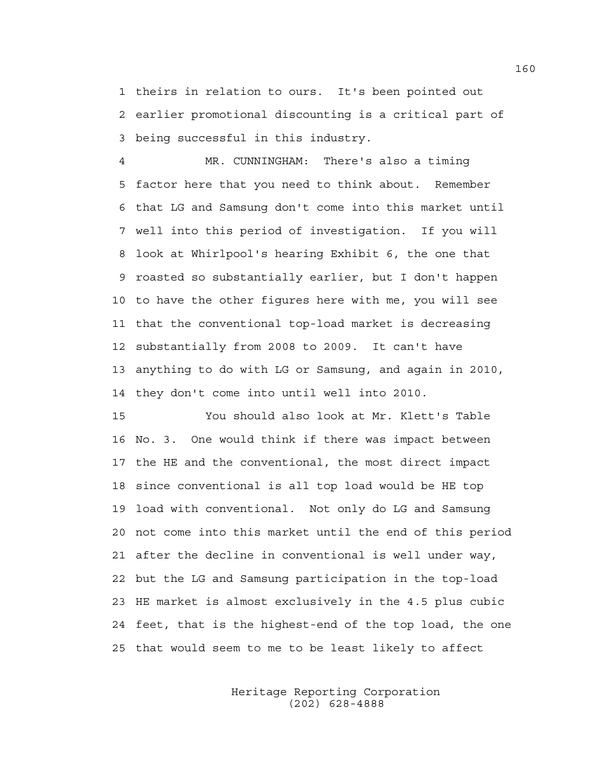1 theirs in relation to ours. It's been pointed out 2 earlier promotional discounting is a critical part of 3 being successful in this industry.

4 MR. CUNNINGHAM: There's also a timing 5 factor here that you need to think about. Remember 6 that LG and Samsung don't come into this market until 7 well into this period of investigation. If you will 8 look at Whirlpool's hearing Exhibit 6, the one that 9 roasted so substantially earlier, but I don't happen 10 to have the other figures here with me, you will see 11 that the conventional top-load market is decreasing 12 substantially from 2008 to 2009. It can't have 13 anything to do with LG or Samsung, and again in 2010, 14 they don't come into until well into 2010.

15 You should also look at Mr. Klett's Table 16 No. 3. One would think if there was impact between 17 the HE and the conventional, the most direct impact 18 since conventional is all top load would be HE top 19 load with conventional. Not only do LG and Samsung 20 not come into this market until the end of this period 21 after the decline in conventional is well under way, 22 but the LG and Samsung participation in the top-load 23 HE market is almost exclusively in the 4.5 plus cubic 24 feet, that is the highest-end of the top load, the one 25 that would seem to me to be least likely to affect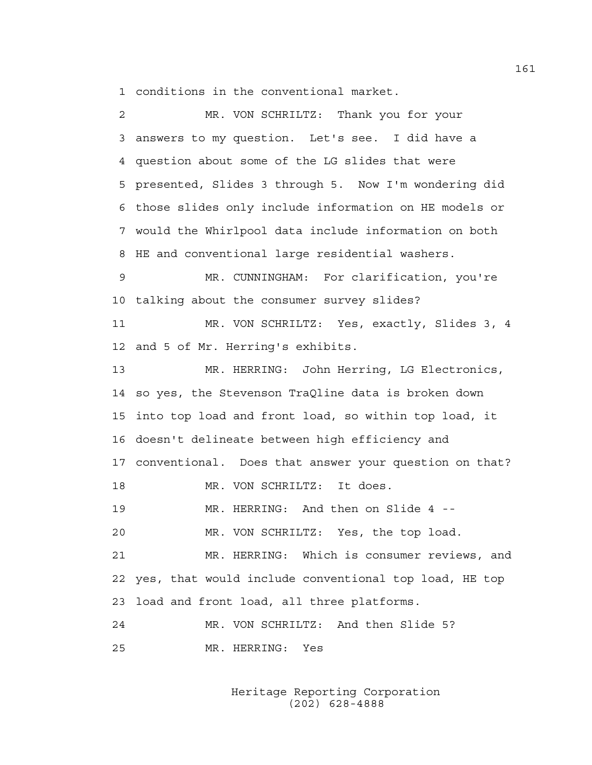1 conditions in the conventional market.

| 2  | MR. VON SCHRILTZ: Thank you for your                  |
|----|-------------------------------------------------------|
| 3  | answers to my question. Let's see. I did have a       |
| 4  | question about some of the LG slides that were        |
| 5  | presented, Slides 3 through 5. Now I'm wondering did  |
| 6  | those slides only include information on HE models or |
| 7  | would the Whirlpool data include information on both  |
| 8  | HE and conventional large residential washers.        |
| 9  | MR. CUNNINGHAM: For clarification, you're             |
| 10 | talking about the consumer survey slides?             |
| 11 | MR. VON SCHRILTZ: Yes, exactly, Slides 3, 4           |
| 12 | and 5 of Mr. Herring's exhibits.                      |
| 13 | MR. HERRING: John Herring, LG Electronics,            |
| 14 | so yes, the Stevenson TraQline data is broken down    |
| 15 | into top load and front load, so within top load, it  |
| 16 | doesn't delineate between high efficiency and         |
| 17 | conventional. Does that answer your question on that? |
| 18 | MR. VON SCHRILTZ: It does.                            |
| 19 | MR. HERRING: And then on Slide 4 --                   |
| 20 | MR. VON SCHRILTZ: Yes, the top load.                  |
| 21 | MR. HERRING: Which is consumer reviews, and           |
| 22 | yes, that would include conventional top load, HE top |
| 23 | load and front load, all three platforms.             |
| 24 | MR. VON SCHRILTZ: And then Slide 5?                   |
| 25 | MR. HERRING:<br>Yes                                   |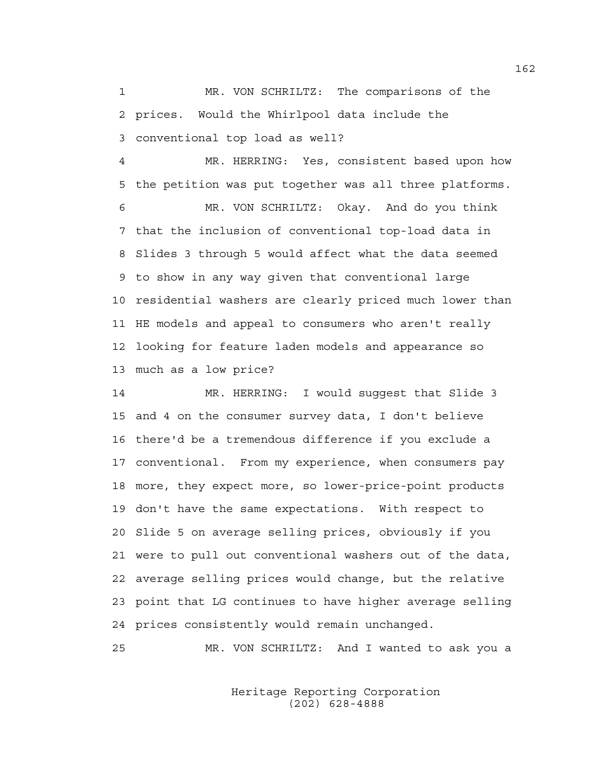1 MR. VON SCHRILTZ: The comparisons of the 2 prices. Would the Whirlpool data include the 3 conventional top load as well?

4 MR. HERRING: Yes, consistent based upon how 5 the petition was put together was all three platforms.

6 MR. VON SCHRILTZ: Okay. And do you think 7 that the inclusion of conventional top-load data in 8 Slides 3 through 5 would affect what the data seemed 9 to show in any way given that conventional large 10 residential washers are clearly priced much lower than 11 HE models and appeal to consumers who aren't really 12 looking for feature laden models and appearance so 13 much as a low price?

14 MR. HERRING: I would suggest that Slide 3 15 and 4 on the consumer survey data, I don't believe 16 there'd be a tremendous difference if you exclude a 17 conventional. From my experience, when consumers pay 18 more, they expect more, so lower-price-point products 19 don't have the same expectations. With respect to 20 Slide 5 on average selling prices, obviously if you 21 were to pull out conventional washers out of the data, 22 average selling prices would change, but the relative 23 point that LG continues to have higher average selling 24 prices consistently would remain unchanged.

25 MR. VON SCHRILTZ: And I wanted to ask you a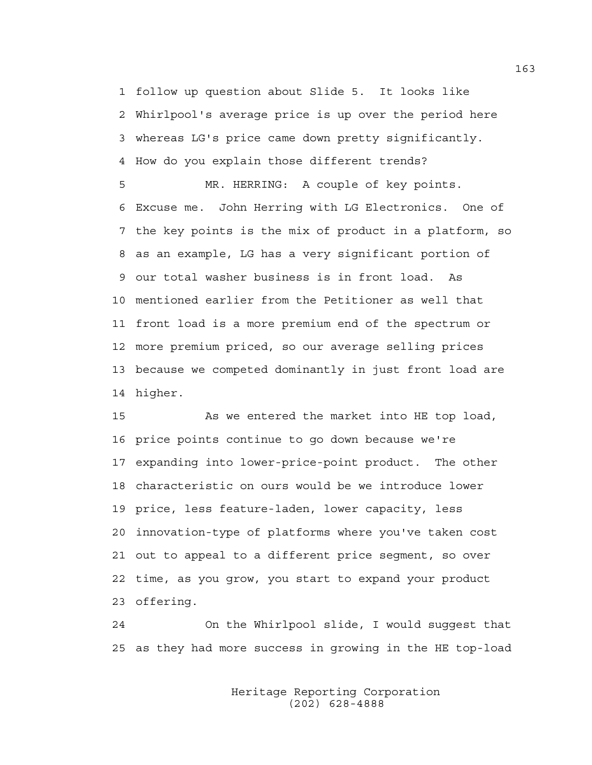1 follow up question about Slide 5. It looks like 2 Whirlpool's average price is up over the period here 3 whereas LG's price came down pretty significantly. 4 How do you explain those different trends?

5 MR. HERRING: A couple of key points. 6 Excuse me. John Herring with LG Electronics. One of 7 the key points is the mix of product in a platform, so 8 as an example, LG has a very significant portion of 9 our total washer business is in front load. As 10 mentioned earlier from the Petitioner as well that 11 front load is a more premium end of the spectrum or 12 more premium priced, so our average selling prices 13 because we competed dominantly in just front load are 14 higher.

15 As we entered the market into HE top load, 16 price points continue to go down because we're 17 expanding into lower-price-point product. The other 18 characteristic on ours would be we introduce lower 19 price, less feature-laden, lower capacity, less 20 innovation-type of platforms where you've taken cost 21 out to appeal to a different price segment, so over 22 time, as you grow, you start to expand your product 23 offering.

24 On the Whirlpool slide, I would suggest that 25 as they had more success in growing in the HE top-load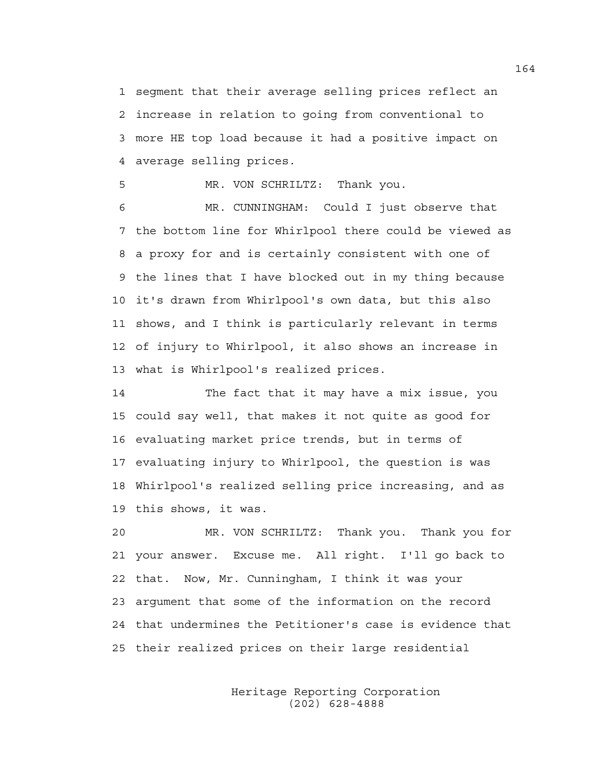1 segment that their average selling prices reflect an 2 increase in relation to going from conventional to 3 more HE top load because it had a positive impact on 4 average selling prices.

5 MR. VON SCHRILTZ: Thank you.

6 MR. CUNNINGHAM: Could I just observe that 7 the bottom line for Whirlpool there could be viewed as 8 a proxy for and is certainly consistent with one of 9 the lines that I have blocked out in my thing because 10 it's drawn from Whirlpool's own data, but this also 11 shows, and I think is particularly relevant in terms 12 of injury to Whirlpool, it also shows an increase in 13 what is Whirlpool's realized prices.

14 The fact that it may have a mix issue, you 15 could say well, that makes it not quite as good for 16 evaluating market price trends, but in terms of 17 evaluating injury to Whirlpool, the question is was 18 Whirlpool's realized selling price increasing, and as 19 this shows, it was.

20 MR. VON SCHRILTZ: Thank you. Thank you for 21 your answer. Excuse me. All right. I'll go back to 22 that. Now, Mr. Cunningham, I think it was your 23 argument that some of the information on the record 24 that undermines the Petitioner's case is evidence that 25 their realized prices on their large residential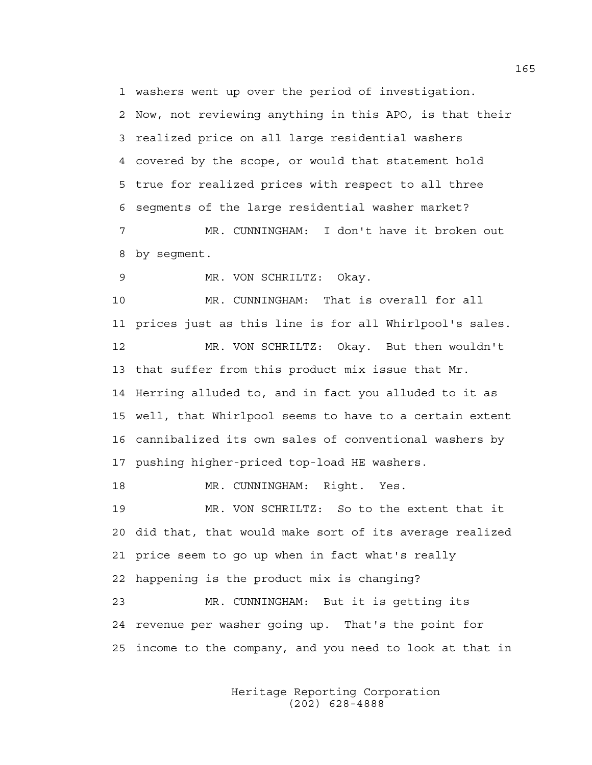1 washers went up over the period of investigation.

2 Now, not reviewing anything in this APO, is that their 3 realized price on all large residential washers 4 covered by the scope, or would that statement hold 5 true for realized prices with respect to all three 6 segments of the large residential washer market? 7 MR. CUNNINGHAM: I don't have it broken out

8 by segment.

9 MR. VON SCHRILTZ: Okay.

10 MR. CUNNINGHAM: That is overall for all 11 prices just as this line is for all Whirlpool's sales. 12 MR. VON SCHRILTZ: Okay. But then wouldn't 13 that suffer from this product mix issue that Mr. 14 Herring alluded to, and in fact you alluded to it as 15 well, that Whirlpool seems to have to a certain extent 16 cannibalized its own sales of conventional washers by 17 pushing higher-priced top-load HE washers.

18 MR. CUNNINGHAM: Right. Yes.

19 MR. VON SCHRILTZ: So to the extent that it 20 did that, that would make sort of its average realized 21 price seem to go up when in fact what's really 22 happening is the product mix is changing? 23 MR. CUNNINGHAM: But it is getting its 24 revenue per washer going up. That's the point for

25 income to the company, and you need to look at that in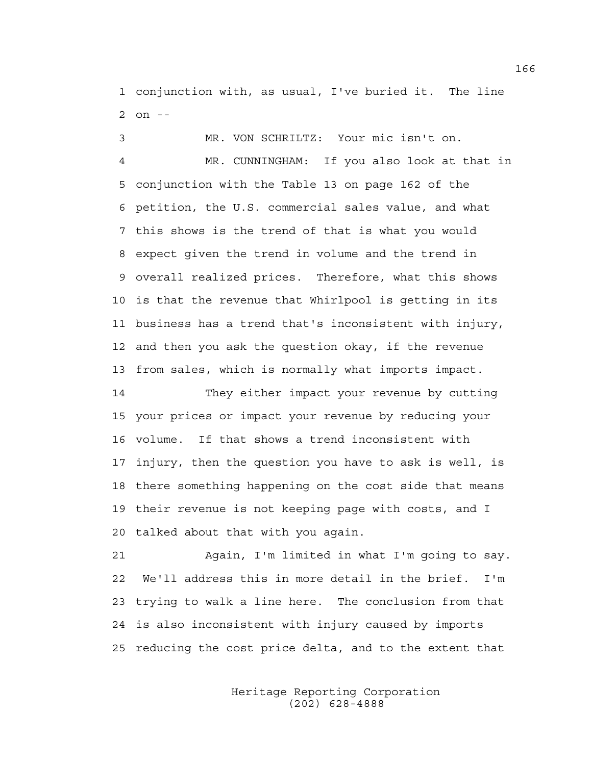1 conjunction with, as usual, I've buried it. The line 2 on --

3 MR. VON SCHRILTZ: Your mic isn't on.

4 MR. CUNNINGHAM: If you also look at that in 5 conjunction with the Table 13 on page 162 of the 6 petition, the U.S. commercial sales value, and what 7 this shows is the trend of that is what you would 8 expect given the trend in volume and the trend in 9 overall realized prices. Therefore, what this shows 10 is that the revenue that Whirlpool is getting in its 11 business has a trend that's inconsistent with injury, 12 and then you ask the question okay, if the revenue 13 from sales, which is normally what imports impact.

14 They either impact your revenue by cutting 15 your prices or impact your revenue by reducing your 16 volume. If that shows a trend inconsistent with 17 injury, then the question you have to ask is well, is 18 there something happening on the cost side that means 19 their revenue is not keeping page with costs, and I 20 talked about that with you again.

21 Again, I'm limited in what I'm going to say. 22 We'll address this in more detail in the brief. I'm 23 trying to walk a line here. The conclusion from that 24 is also inconsistent with injury caused by imports 25 reducing the cost price delta, and to the extent that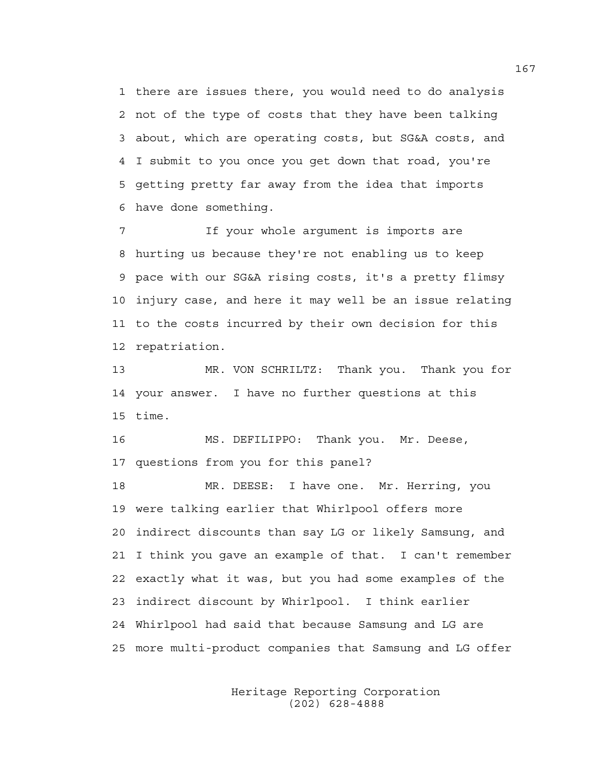1 there are issues there, you would need to do analysis 2 not of the type of costs that they have been talking 3 about, which are operating costs, but SG&A costs, and 4 I submit to you once you get down that road, you're 5 getting pretty far away from the idea that imports 6 have done something.

7 If your whole argument is imports are 8 hurting us because they're not enabling us to keep 9 pace with our SG&A rising costs, it's a pretty flimsy 10 injury case, and here it may well be an issue relating 11 to the costs incurred by their own decision for this 12 repatriation.

13 MR. VON SCHRILTZ: Thank you. Thank you for 14 your answer. I have no further questions at this 15 time.

16 MS. DEFILIPPO: Thank you. Mr. Deese, 17 questions from you for this panel?

18 MR. DEESE: I have one. Mr. Herring, you 19 were talking earlier that Whirlpool offers more 20 indirect discounts than say LG or likely Samsung, and 21 I think you gave an example of that. I can't remember 22 exactly what it was, but you had some examples of the 23 indirect discount by Whirlpool. I think earlier 24 Whirlpool had said that because Samsung and LG are 25 more multi-product companies that Samsung and LG offer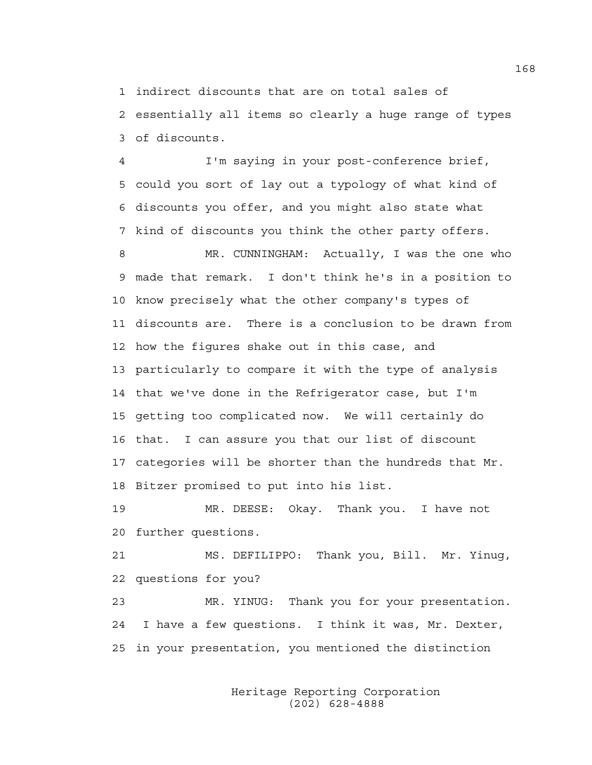1 indirect discounts that are on total sales of

2 essentially all items so clearly a huge range of types 3 of discounts.

4 I'm saying in your post-conference brief, 5 could you sort of lay out a typology of what kind of 6 discounts you offer, and you might also state what 7 kind of discounts you think the other party offers.

8 MR. CUNNINGHAM: Actually, I was the one who 9 made that remark. I don't think he's in a position to 10 know precisely what the other company's types of 11 discounts are. There is a conclusion to be drawn from 12 how the figures shake out in this case, and 13 particularly to compare it with the type of analysis 14 that we've done in the Refrigerator case, but I'm 15 getting too complicated now. We will certainly do 16 that. I can assure you that our list of discount 17 categories will be shorter than the hundreds that Mr. 18 Bitzer promised to put into his list.

19 MR. DEESE: Okay. Thank you. I have not 20 further questions.

21 MS. DEFILIPPO: Thank you, Bill. Mr. Yinug, 22 questions for you?

23 MR. YINUG: Thank you for your presentation. 24 I have a few questions. I think it was, Mr. Dexter, 25 in your presentation, you mentioned the distinction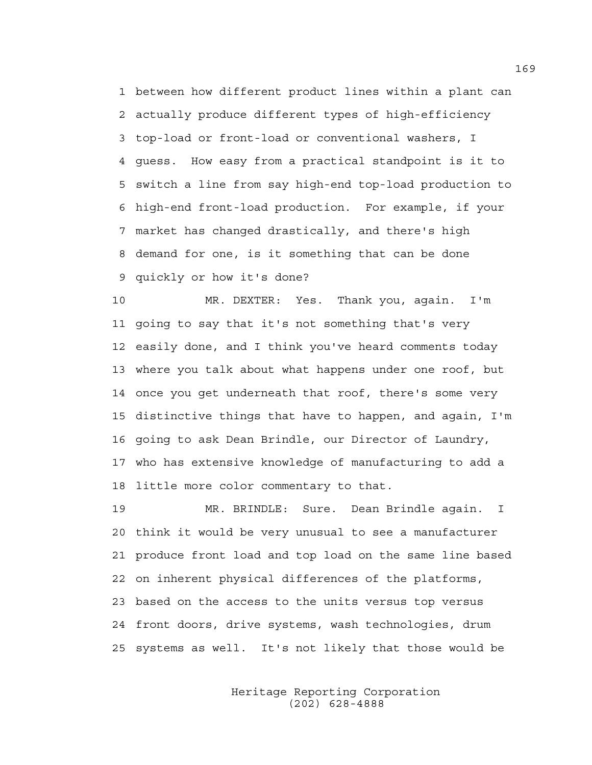1 between how different product lines within a plant can 2 actually produce different types of high-efficiency 3 top-load or front-load or conventional washers, I 4 guess. How easy from a practical standpoint is it to 5 switch a line from say high-end top-load production to 6 high-end front-load production. For example, if your 7 market has changed drastically, and there's high 8 demand for one, is it something that can be done 9 quickly or how it's done?

10 MR. DEXTER: Yes. Thank you, again. I'm 11 going to say that it's not something that's very 12 easily done, and I think you've heard comments today 13 where you talk about what happens under one roof, but 14 once you get underneath that roof, there's some very 15 distinctive things that have to happen, and again, I'm 16 going to ask Dean Brindle, our Director of Laundry, 17 who has extensive knowledge of manufacturing to add a 18 little more color commentary to that.

19 MR. BRINDLE: Sure. Dean Brindle again. I 20 think it would be very unusual to see a manufacturer 21 produce front load and top load on the same line based 22 on inherent physical differences of the platforms, 23 based on the access to the units versus top versus 24 front doors, drive systems, wash technologies, drum 25 systems as well. It's not likely that those would be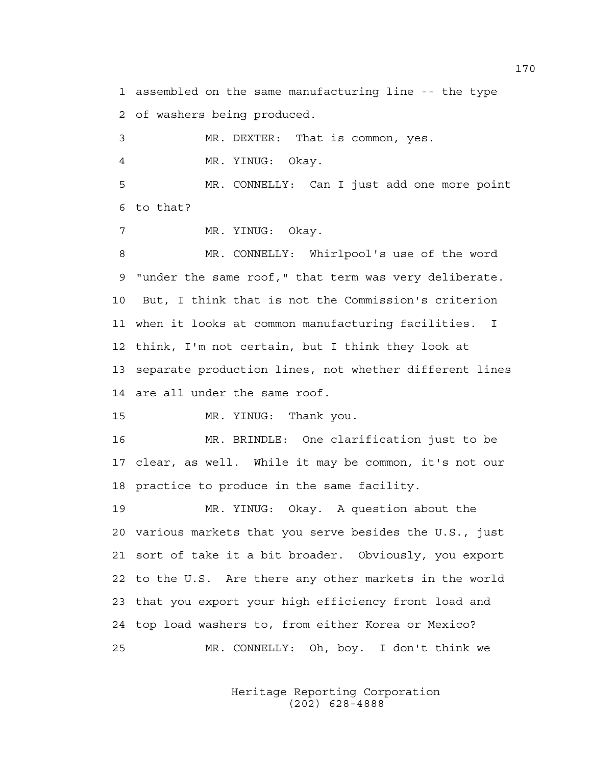1 assembled on the same manufacturing line -- the type 2 of washers being produced.

3 MR. DEXTER: That is common, yes.

4 MR. YINUG: Okay.

5 MR. CONNELLY: Can I just add one more point 6 to that?

7 MR. YINUG: Okay.

8 MR. CONNELLY: Whirlpool's use of the word 9 "under the same roof," that term was very deliberate. 10 But, I think that is not the Commission's criterion 11 when it looks at common manufacturing facilities. I 12 think, I'm not certain, but I think they look at 13 separate production lines, not whether different lines 14 are all under the same roof.

15 MR. YINUG: Thank you.

16 MR. BRINDLE: One clarification just to be 17 clear, as well. While it may be common, it's not our 18 practice to produce in the same facility.

19 MR. YINUG: Okay. A question about the 20 various markets that you serve besides the U.S., just 21 sort of take it a bit broader. Obviously, you export 22 to the U.S. Are there any other markets in the world 23 that you export your high efficiency front load and 24 top load washers to, from either Korea or Mexico? 25 MR. CONNELLY: Oh, boy. I don't think we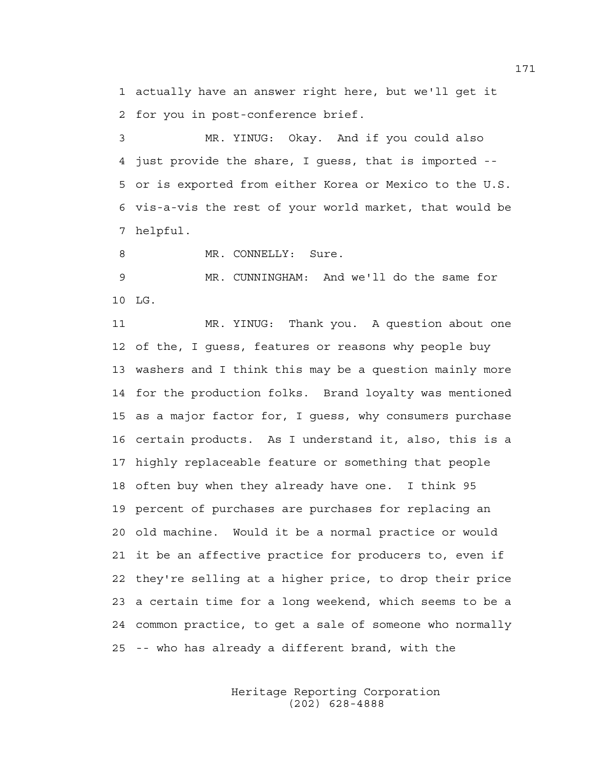1 actually have an answer right here, but we'll get it 2 for you in post-conference brief.

3 MR. YINUG: Okay. And if you could also 4 just provide the share, I guess, that is imported -- 5 or is exported from either Korea or Mexico to the U.S. 6 vis-a-vis the rest of your world market, that would be 7 helpful.

8 MR. CONNELLY: Sure.

9 MR. CUNNINGHAM: And we'll do the same for 10 LG.

11 MR. YINUG: Thank you. A question about one 12 of the, I guess, features or reasons why people buy 13 washers and I think this may be a question mainly more 14 for the production folks. Brand loyalty was mentioned 15 as a major factor for, I guess, why consumers purchase 16 certain products. As I understand it, also, this is a 17 highly replaceable feature or something that people 18 often buy when they already have one. I think 95 19 percent of purchases are purchases for replacing an 20 old machine. Would it be a normal practice or would 21 it be an affective practice for producers to, even if 22 they're selling at a higher price, to drop their price 23 a certain time for a long weekend, which seems to be a 24 common practice, to get a sale of someone who normally 25 -- who has already a different brand, with the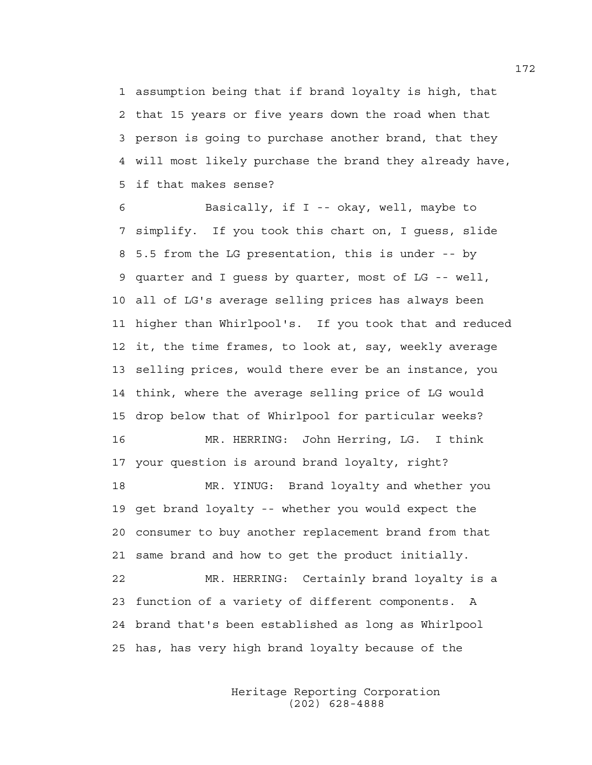1 assumption being that if brand loyalty is high, that 2 that 15 years or five years down the road when that 3 person is going to purchase another brand, that they 4 will most likely purchase the brand they already have, 5 if that makes sense?

6 Basically, if I -- okay, well, maybe to 7 simplify. If you took this chart on, I guess, slide 8 5.5 from the LG presentation, this is under -- by 9 quarter and I guess by quarter, most of LG -- well, 10 all of LG's average selling prices has always been 11 higher than Whirlpool's. If you took that and reduced 12 it, the time frames, to look at, say, weekly average 13 selling prices, would there ever be an instance, you 14 think, where the average selling price of LG would 15 drop below that of Whirlpool for particular weeks? 16 MR. HERRING: John Herring, LG. I think 17 your question is around brand loyalty, right? 18 MR. YINUG: Brand loyalty and whether you 19 get brand loyalty -- whether you would expect the 20 consumer to buy another replacement brand from that 21 same brand and how to get the product initially. 22 MR. HERRING: Certainly brand loyalty is a 23 function of a variety of different components. A 24 brand that's been established as long as Whirlpool 25 has, has very high brand loyalty because of the

> Heritage Reporting Corporation (202) 628-4888

172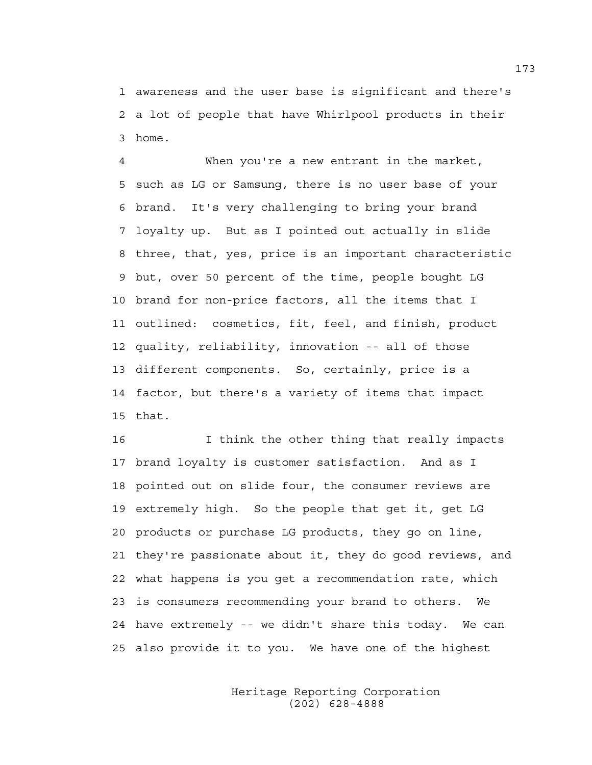1 awareness and the user base is significant and there's 2 a lot of people that have Whirlpool products in their 3 home.

4 When you're a new entrant in the market, 5 such as LG or Samsung, there is no user base of your 6 brand. It's very challenging to bring your brand 7 loyalty up. But as I pointed out actually in slide 8 three, that, yes, price is an important characteristic 9 but, over 50 percent of the time, people bought LG 10 brand for non-price factors, all the items that I 11 outlined: cosmetics, fit, feel, and finish, product 12 quality, reliability, innovation -- all of those 13 different components. So, certainly, price is a 14 factor, but there's a variety of items that impact 15 that.

16 I think the other thing that really impacts 17 brand loyalty is customer satisfaction. And as I 18 pointed out on slide four, the consumer reviews are 19 extremely high. So the people that get it, get LG 20 products or purchase LG products, they go on line, 21 they're passionate about it, they do good reviews, and 22 what happens is you get a recommendation rate, which 23 is consumers recommending your brand to others. We 24 have extremely -- we didn't share this today. We can 25 also provide it to you. We have one of the highest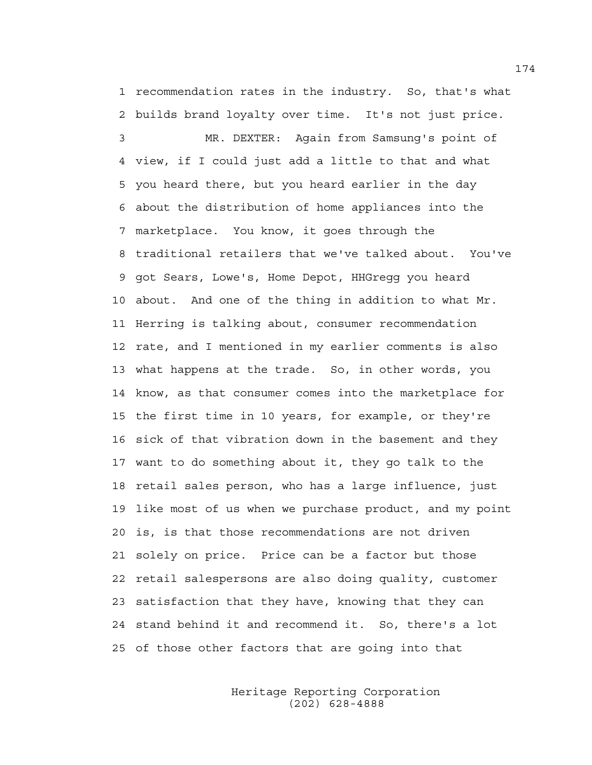1 recommendation rates in the industry. So, that's what 2 builds brand loyalty over time. It's not just price.

3 MR. DEXTER: Again from Samsung's point of 4 view, if I could just add a little to that and what 5 you heard there, but you heard earlier in the day 6 about the distribution of home appliances into the 7 marketplace. You know, it goes through the 8 traditional retailers that we've talked about. You've 9 got Sears, Lowe's, Home Depot, HHGregg you heard 10 about. And one of the thing in addition to what Mr. 11 Herring is talking about, consumer recommendation 12 rate, and I mentioned in my earlier comments is also 13 what happens at the trade. So, in other words, you 14 know, as that consumer comes into the marketplace for 15 the first time in 10 years, for example, or they're 16 sick of that vibration down in the basement and they 17 want to do something about it, they go talk to the 18 retail sales person, who has a large influence, just 19 like most of us when we purchase product, and my point 20 is, is that those recommendations are not driven 21 solely on price. Price can be a factor but those 22 retail salespersons are also doing quality, customer 23 satisfaction that they have, knowing that they can 24 stand behind it and recommend it. So, there's a lot 25 of those other factors that are going into that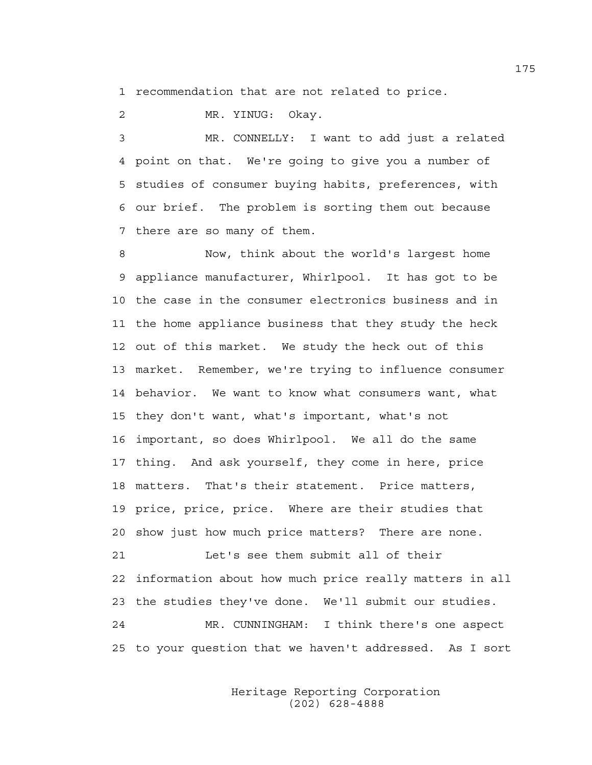1 recommendation that are not related to price.

2 MR. YINUG: Okay.

3 MR. CONNELLY: I want to add just a related 4 point on that. We're going to give you a number of 5 studies of consumer buying habits, preferences, with 6 our brief. The problem is sorting them out because 7 there are so many of them.

8 Now, think about the world's largest home 9 appliance manufacturer, Whirlpool. It has got to be 10 the case in the consumer electronics business and in 11 the home appliance business that they study the heck 12 out of this market. We study the heck out of this 13 market. Remember, we're trying to influence consumer 14 behavior. We want to know what consumers want, what 15 they don't want, what's important, what's not 16 important, so does Whirlpool. We all do the same 17 thing. And ask yourself, they come in here, price 18 matters. That's their statement. Price matters, 19 price, price, price. Where are their studies that 20 show just how much price matters? There are none. 21 Let's see them submit all of their 22 information about how much price really matters in all 23 the studies they've done. We'll submit our studies. 24 MR. CUNNINGHAM: I think there's one aspect 25 to your question that we haven't addressed. As I sort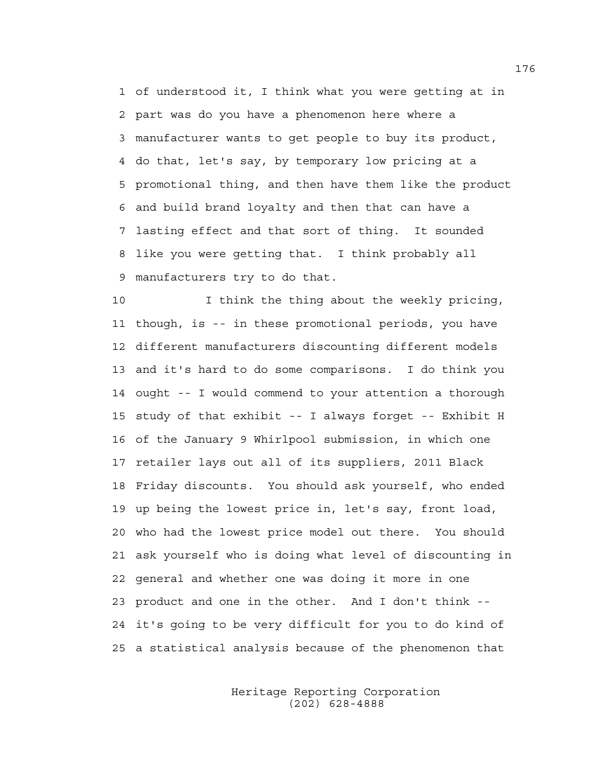1 of understood it, I think what you were getting at in 2 part was do you have a phenomenon here where a 3 manufacturer wants to get people to buy its product, 4 do that, let's say, by temporary low pricing at a 5 promotional thing, and then have them like the product 6 and build brand loyalty and then that can have a 7 lasting effect and that sort of thing. It sounded 8 like you were getting that. I think probably all 9 manufacturers try to do that.

10 I think the thing about the weekly pricing, 11 though, is -- in these promotional periods, you have 12 different manufacturers discounting different models 13 and it's hard to do some comparisons. I do think you 14 ought -- I would commend to your attention a thorough 15 study of that exhibit -- I always forget -- Exhibit H 16 of the January 9 Whirlpool submission, in which one 17 retailer lays out all of its suppliers, 2011 Black 18 Friday discounts. You should ask yourself, who ended 19 up being the lowest price in, let's say, front load, 20 who had the lowest price model out there. You should 21 ask yourself who is doing what level of discounting in 22 general and whether one was doing it more in one 23 product and one in the other. And I don't think -- 24 it's going to be very difficult for you to do kind of 25 a statistical analysis because of the phenomenon that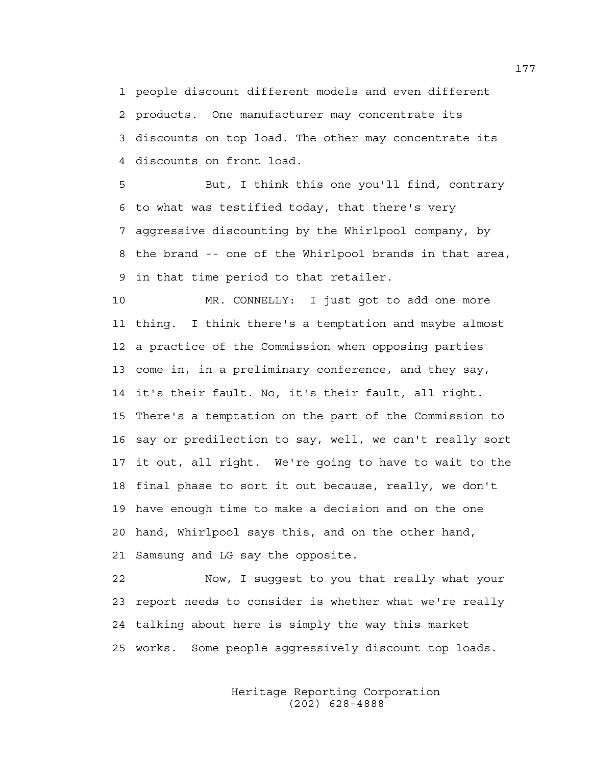1 people discount different models and even different 2 products. One manufacturer may concentrate its 3 discounts on top load. The other may concentrate its 4 discounts on front load.

5 But, I think this one you'll find, contrary 6 to what was testified today, that there's very 7 aggressive discounting by the Whirlpool company, by 8 the brand -- one of the Whirlpool brands in that area, 9 in that time period to that retailer.

10 MR. CONNELLY: I just got to add one more 11 thing. I think there's a temptation and maybe almost 12 a practice of the Commission when opposing parties 13 come in, in a preliminary conference, and they say, 14 it's their fault. No, it's their fault, all right. 15 There's a temptation on the part of the Commission to 16 say or predilection to say, well, we can't really sort 17 it out, all right. We're going to have to wait to the 18 final phase to sort it out because, really, we don't 19 have enough time to make a decision and on the one 20 hand, Whirlpool says this, and on the other hand, 21 Samsung and LG say the opposite.

22 Now, I suggest to you that really what your 23 report needs to consider is whether what we're really 24 talking about here is simply the way this market 25 works. Some people aggressively discount top loads.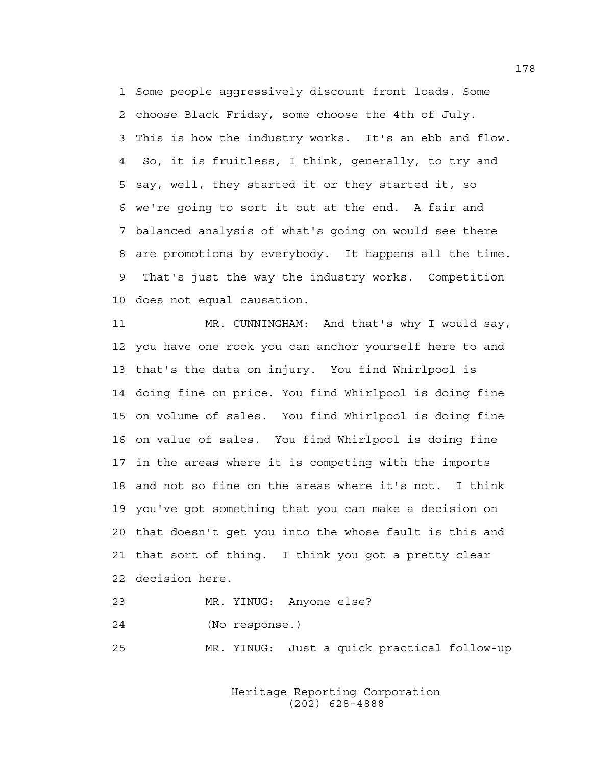1 Some people aggressively discount front loads. Some 2 choose Black Friday, some choose the 4th of July. 3 This is how the industry works. It's an ebb and flow. 4 So, it is fruitless, I think, generally, to try and 5 say, well, they started it or they started it, so 6 we're going to sort it out at the end. A fair and 7 balanced analysis of what's going on would see there 8 are promotions by everybody. It happens all the time. 9 That's just the way the industry works. Competition 10 does not equal causation.

11 MR. CUNNINGHAM: And that's why I would say, 12 you have one rock you can anchor yourself here to and 13 that's the data on injury. You find Whirlpool is 14 doing fine on price. You find Whirlpool is doing fine 15 on volume of sales. You find Whirlpool is doing fine 16 on value of sales. You find Whirlpool is doing fine 17 in the areas where it is competing with the imports 18 and not so fine on the areas where it's not. I think 19 you've got something that you can make a decision on 20 that doesn't get you into the whose fault is this and 21 that sort of thing. I think you got a pretty clear 22 decision here.

23 MR. YINUG: Anyone else?

24 (No response.)

25 MR. YINUG: Just a quick practical follow-up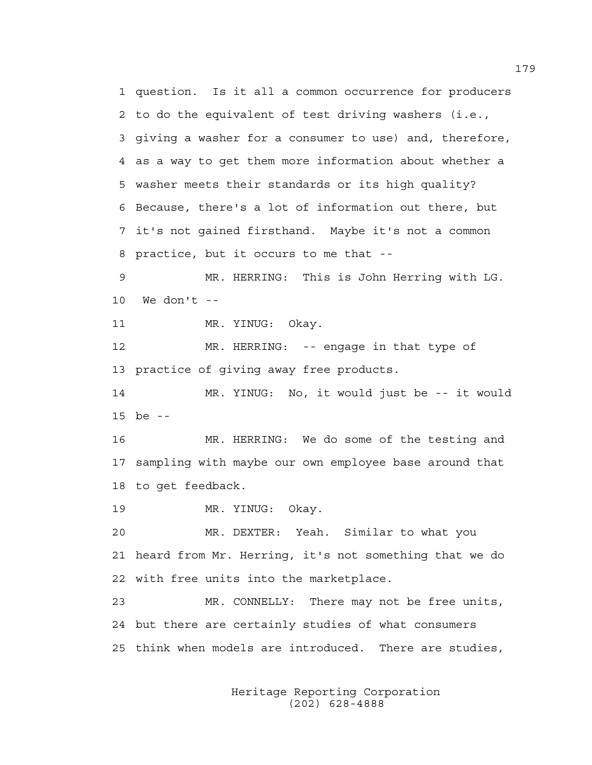1 question. Is it all a common occurrence for producers 2 to do the equivalent of test driving washers (i.e., 3 giving a washer for a consumer to use) and, therefore, 4 as a way to get them more information about whether a 5 washer meets their standards or its high quality? 6 Because, there's a lot of information out there, but 7 it's not gained firsthand. Maybe it's not a common 8 practice, but it occurs to me that -- 9 MR. HERRING: This is John Herring with LG. 10 We don't -- 11 MR. YINUG: Okay. 12 MR. HERRING: -- engage in that type of 13 practice of giving away free products. 14 MR. YINUG: No, it would just be -- it would 15 be -- 16 MR. HERRING: We do some of the testing and 17 sampling with maybe our own employee base around that 18 to get feedback. 19 MR. YINUG: Okay. 20 MR. DEXTER: Yeah. Similar to what you 21 heard from Mr. Herring, it's not something that we do 22 with free units into the marketplace. 23 MR. CONNELLY: There may not be free units, 24 but there are certainly studies of what consumers 25 think when models are introduced. There are studies,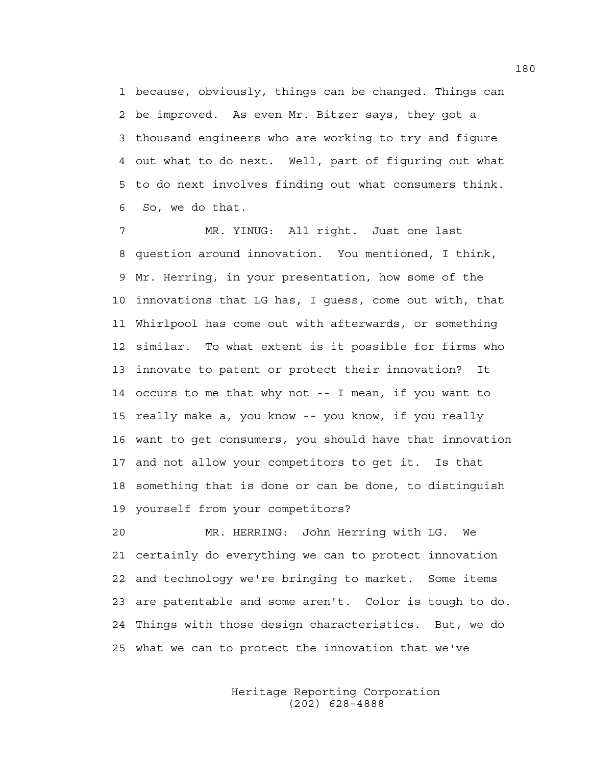1 because, obviously, things can be changed. Things can 2 be improved. As even Mr. Bitzer says, they got a 3 thousand engineers who are working to try and figure 4 out what to do next. Well, part of figuring out what 5 to do next involves finding out what consumers think. 6 So, we do that.

7 MR. YINUG: All right. Just one last 8 question around innovation. You mentioned, I think, 9 Mr. Herring, in your presentation, how some of the 10 innovations that LG has, I guess, come out with, that 11 Whirlpool has come out with afterwards, or something 12 similar. To what extent is it possible for firms who 13 innovate to patent or protect their innovation? It 14 occurs to me that why not -- I mean, if you want to 15 really make a, you know -- you know, if you really 16 want to get consumers, you should have that innovation 17 and not allow your competitors to get it. Is that 18 something that is done or can be done, to distinguish 19 yourself from your competitors?

20 MR. HERRING: John Herring with LG. We 21 certainly do everything we can to protect innovation 22 and technology we're bringing to market. Some items 23 are patentable and some aren't. Color is tough to do. 24 Things with those design characteristics. But, we do 25 what we can to protect the innovation that we've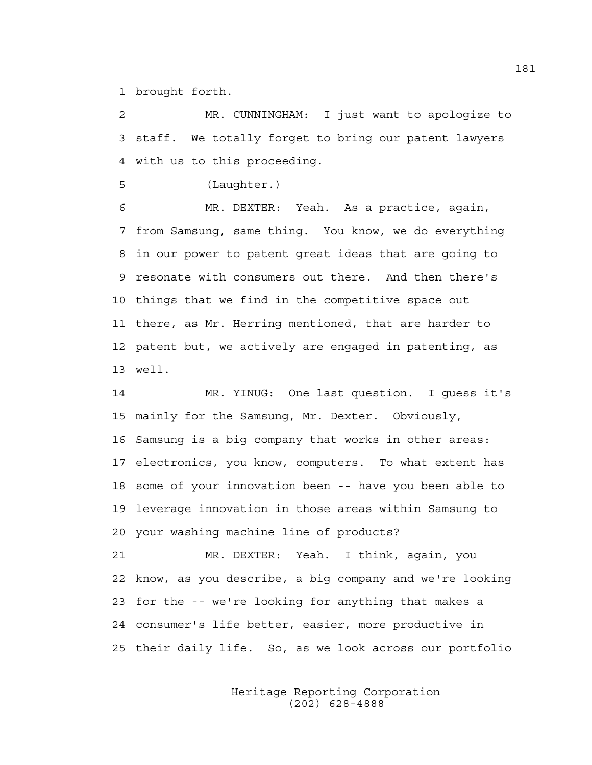1 brought forth.

2 MR. CUNNINGHAM: I just want to apologize to 3 staff. We totally forget to bring our patent lawyers 4 with us to this proceeding.

5 (Laughter.)

6 MR. DEXTER: Yeah. As a practice, again, 7 from Samsung, same thing. You know, we do everything 8 in our power to patent great ideas that are going to 9 resonate with consumers out there. And then there's 10 things that we find in the competitive space out 11 there, as Mr. Herring mentioned, that are harder to 12 patent but, we actively are engaged in patenting, as 13 well.

14 MR. YINUG: One last question. I guess it's 15 mainly for the Samsung, Mr. Dexter. Obviously, 16 Samsung is a big company that works in other areas: 17 electronics, you know, computers. To what extent has 18 some of your innovation been -- have you been able to 19 leverage innovation in those areas within Samsung to 20 your washing machine line of products?

21 MR. DEXTER: Yeah. I think, again, you 22 know, as you describe, a big company and we're looking 23 for the -- we're looking for anything that makes a 24 consumer's life better, easier, more productive in 25 their daily life. So, as we look across our portfolio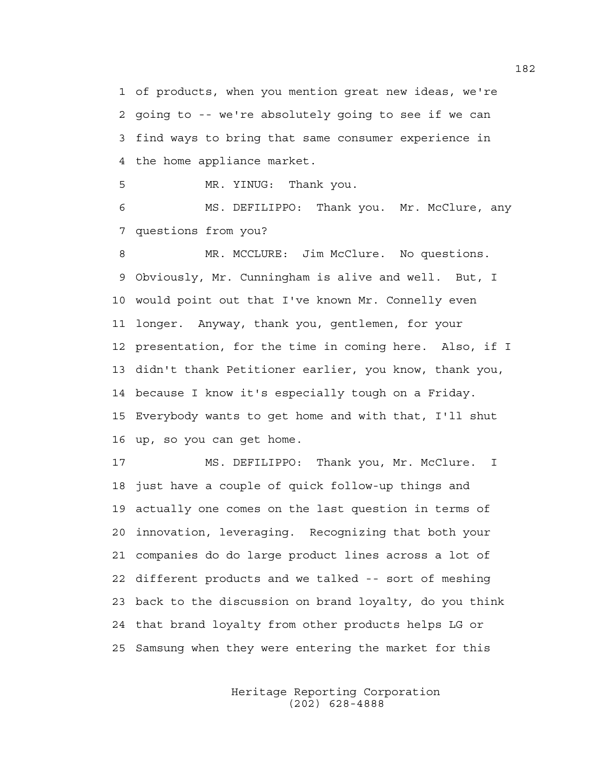1 of products, when you mention great new ideas, we're 2 going to -- we're absolutely going to see if we can 3 find ways to bring that same consumer experience in 4 the home appliance market.

5 MR. YINUG: Thank you.

6 MS. DEFILIPPO: Thank you. Mr. McClure, any 7 questions from you?

8 MR. MCCLURE: Jim McClure. No questions. 9 Obviously, Mr. Cunningham is alive and well. But, I 10 would point out that I've known Mr. Connelly even 11 longer. Anyway, thank you, gentlemen, for your 12 presentation, for the time in coming here. Also, if I 13 didn't thank Petitioner earlier, you know, thank you, 14 because I know it's especially tough on a Friday. 15 Everybody wants to get home and with that, I'll shut 16 up, so you can get home.

17 MS. DEFILIPPO: Thank you, Mr. McClure. I 18 just have a couple of quick follow-up things and 19 actually one comes on the last question in terms of 20 innovation, leveraging. Recognizing that both your 21 companies do do large product lines across a lot of 22 different products and we talked -- sort of meshing 23 back to the discussion on brand loyalty, do you think 24 that brand loyalty from other products helps LG or 25 Samsung when they were entering the market for this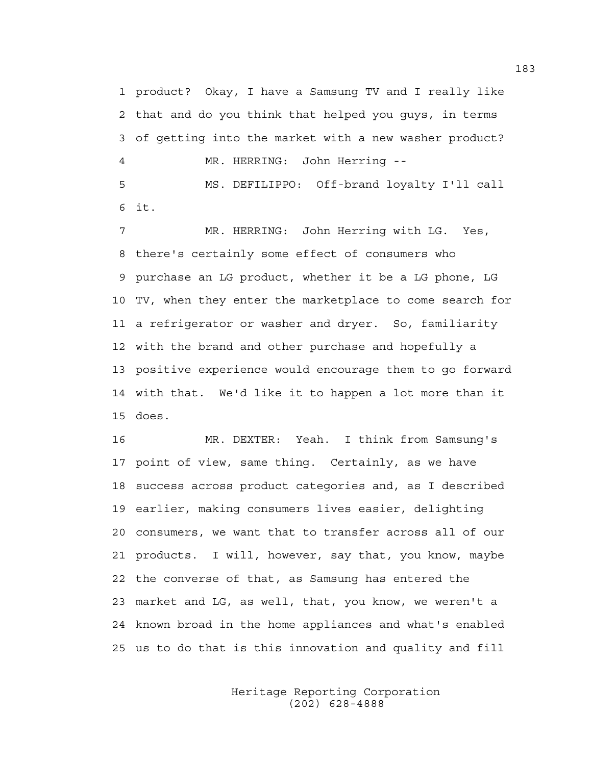1 product? Okay, I have a Samsung TV and I really like 2 that and do you think that helped you guys, in terms 3 of getting into the market with a new washer product? 4 MR. HERRING: John Herring -- 5 MS. DEFILIPPO: Off-brand loyalty I'll call 6 it.

7 MR. HERRING: John Herring with LG. Yes, 8 there's certainly some effect of consumers who 9 purchase an LG product, whether it be a LG phone, LG 10 TV, when they enter the marketplace to come search for 11 a refrigerator or washer and dryer. So, familiarity 12 with the brand and other purchase and hopefully a 13 positive experience would encourage them to go forward 14 with that. We'd like it to happen a lot more than it 15 does.

16 MR. DEXTER: Yeah. I think from Samsung's 17 point of view, same thing. Certainly, as we have 18 success across product categories and, as I described 19 earlier, making consumers lives easier, delighting 20 consumers, we want that to transfer across all of our 21 products. I will, however, say that, you know, maybe 22 the converse of that, as Samsung has entered the 23 market and LG, as well, that, you know, we weren't a 24 known broad in the home appliances and what's enabled 25 us to do that is this innovation and quality and fill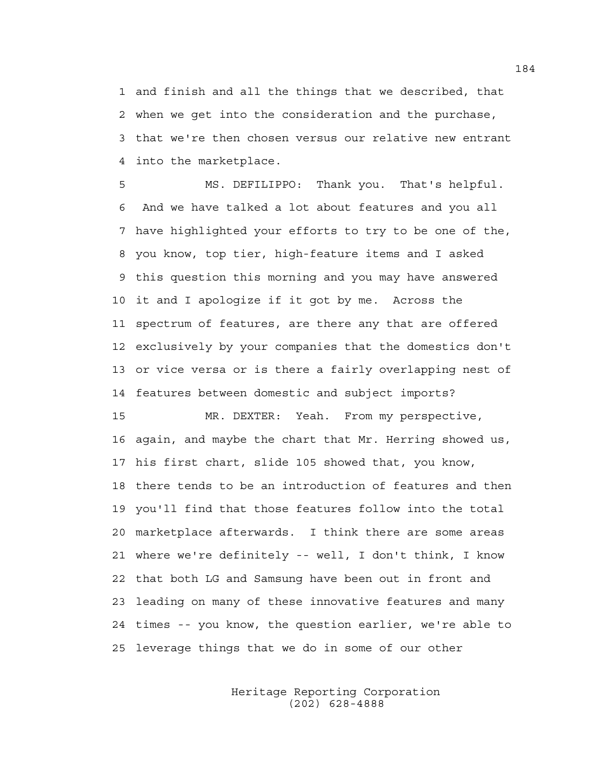1 and finish and all the things that we described, that 2 when we get into the consideration and the purchase, 3 that we're then chosen versus our relative new entrant 4 into the marketplace.

5 MS. DEFILIPPO: Thank you. That's helpful. 6 And we have talked a lot about features and you all 7 have highlighted your efforts to try to be one of the, 8 you know, top tier, high-feature items and I asked 9 this question this morning and you may have answered 10 it and I apologize if it got by me. Across the 11 spectrum of features, are there any that are offered 12 exclusively by your companies that the domestics don't 13 or vice versa or is there a fairly overlapping nest of 14 features between domestic and subject imports?

15 MR. DEXTER: Yeah. From my perspective, 16 again, and maybe the chart that Mr. Herring showed us, 17 his first chart, slide 105 showed that, you know, 18 there tends to be an introduction of features and then 19 you'll find that those features follow into the total 20 marketplace afterwards. I think there are some areas 21 where we're definitely -- well, I don't think, I know 22 that both LG and Samsung have been out in front and 23 leading on many of these innovative features and many 24 times -- you know, the question earlier, we're able to 25 leverage things that we do in some of our other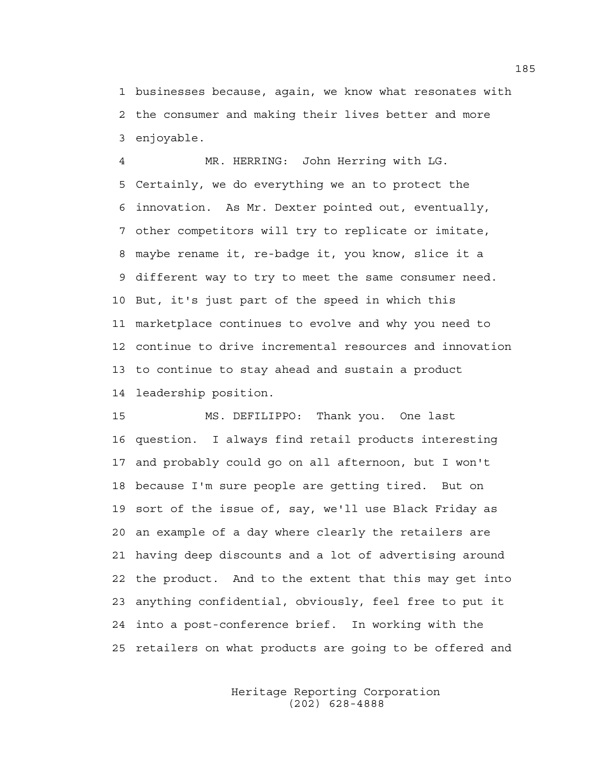1 businesses because, again, we know what resonates with 2 the consumer and making their lives better and more 3 enjoyable.

4 MR. HERRING: John Herring with LG. 5 Certainly, we do everything we an to protect the 6 innovation. As Mr. Dexter pointed out, eventually, 7 other competitors will try to replicate or imitate, 8 maybe rename it, re-badge it, you know, slice it a 9 different way to try to meet the same consumer need. 10 But, it's just part of the speed in which this 11 marketplace continues to evolve and why you need to 12 continue to drive incremental resources and innovation 13 to continue to stay ahead and sustain a product 14 leadership position.

15 MS. DEFILIPPO: Thank you. One last 16 question. I always find retail products interesting 17 and probably could go on all afternoon, but I won't 18 because I'm sure people are getting tired. But on 19 sort of the issue of, say, we'll use Black Friday as 20 an example of a day where clearly the retailers are 21 having deep discounts and a lot of advertising around 22 the product. And to the extent that this may get into 23 anything confidential, obviously, feel free to put it 24 into a post-conference brief. In working with the 25 retailers on what products are going to be offered and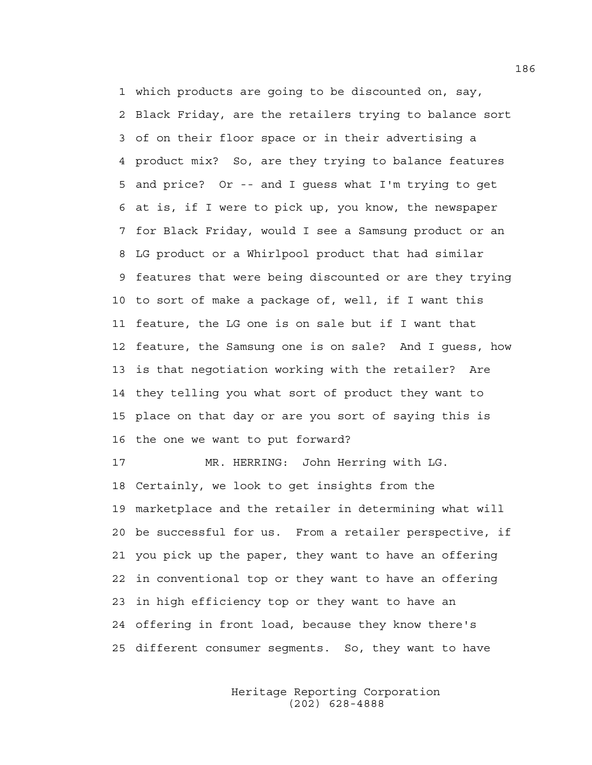1 which products are going to be discounted on, say, 2 Black Friday, are the retailers trying to balance sort 3 of on their floor space or in their advertising a 4 product mix? So, are they trying to balance features 5 and price? Or -- and I guess what I'm trying to get 6 at is, if I were to pick up, you know, the newspaper 7 for Black Friday, would I see a Samsung product or an 8 LG product or a Whirlpool product that had similar 9 features that were being discounted or are they trying 10 to sort of make a package of, well, if I want this 11 feature, the LG one is on sale but if I want that 12 feature, the Samsung one is on sale? And I guess, how 13 is that negotiation working with the retailer? Are 14 they telling you what sort of product they want to 15 place on that day or are you sort of saying this is 16 the one we want to put forward?

17 MR. HERRING: John Herring with LG. 18 Certainly, we look to get insights from the 19 marketplace and the retailer in determining what will 20 be successful for us. From a retailer perspective, if 21 you pick up the paper, they want to have an offering 22 in conventional top or they want to have an offering 23 in high efficiency top or they want to have an 24 offering in front load, because they know there's 25 different consumer segments. So, they want to have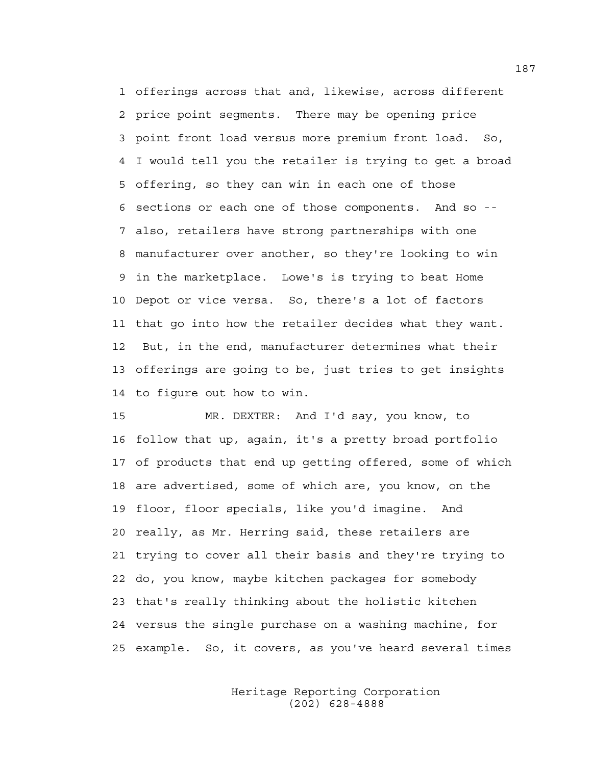1 offerings across that and, likewise, across different 2 price point segments. There may be opening price 3 point front load versus more premium front load. So, 4 I would tell you the retailer is trying to get a broad 5 offering, so they can win in each one of those 6 sections or each one of those components. And so -- 7 also, retailers have strong partnerships with one 8 manufacturer over another, so they're looking to win 9 in the marketplace. Lowe's is trying to beat Home 10 Depot or vice versa. So, there's a lot of factors 11 that go into how the retailer decides what they want. 12 But, in the end, manufacturer determines what their 13 offerings are going to be, just tries to get insights 14 to figure out how to win.

15 MR. DEXTER: And I'd say, you know, to 16 follow that up, again, it's a pretty broad portfolio 17 of products that end up getting offered, some of which 18 are advertised, some of which are, you know, on the 19 floor, floor specials, like you'd imagine. And 20 really, as Mr. Herring said, these retailers are 21 trying to cover all their basis and they're trying to 22 do, you know, maybe kitchen packages for somebody 23 that's really thinking about the holistic kitchen 24 versus the single purchase on a washing machine, for 25 example. So, it covers, as you've heard several times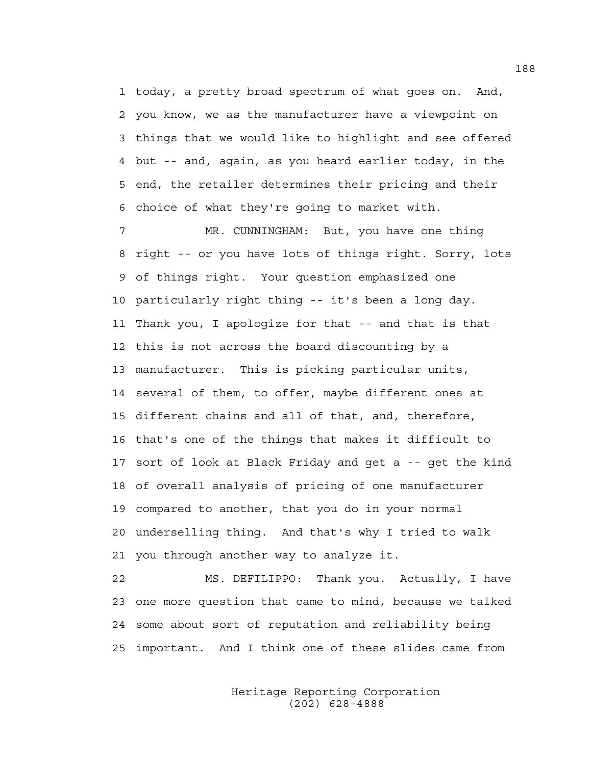1 today, a pretty broad spectrum of what goes on. And, 2 you know, we as the manufacturer have a viewpoint on 3 things that we would like to highlight and see offered 4 but -- and, again, as you heard earlier today, in the 5 end, the retailer determines their pricing and their 6 choice of what they're going to market with.

7 MR. CUNNINGHAM: But, you have one thing 8 right -- or you have lots of things right. Sorry, lots 9 of things right. Your question emphasized one 10 particularly right thing -- it's been a long day. 11 Thank you, I apologize for that -- and that is that 12 this is not across the board discounting by a 13 manufacturer. This is picking particular units, 14 several of them, to offer, maybe different ones at 15 different chains and all of that, and, therefore, 16 that's one of the things that makes it difficult to 17 sort of look at Black Friday and get a -- get the kind 18 of overall analysis of pricing of one manufacturer 19 compared to another, that you do in your normal 20 underselling thing. And that's why I tried to walk 21 you through another way to analyze it.

22 MS. DEFILIPPO: Thank you. Actually, I have 23 one more question that came to mind, because we talked 24 some about sort of reputation and reliability being 25 important. And I think one of these slides came from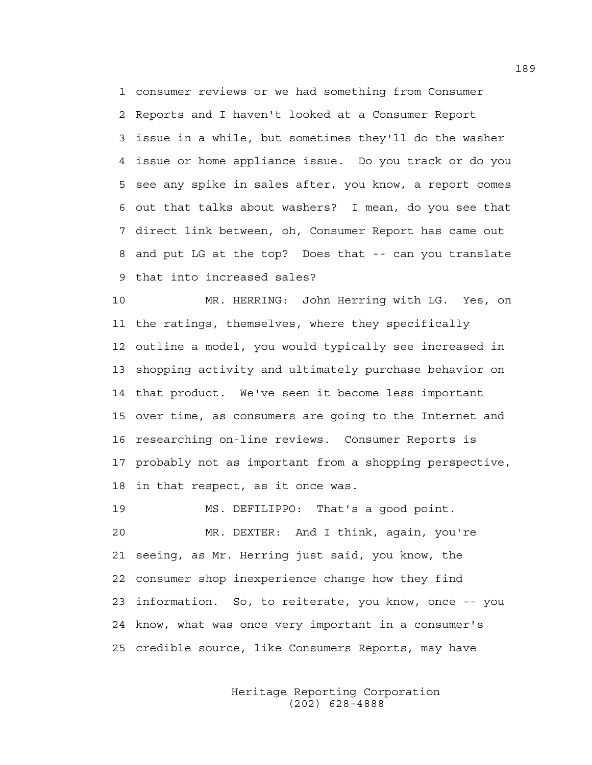1 consumer reviews or we had something from Consumer 2 Reports and I haven't looked at a Consumer Report 3 issue in a while, but sometimes they'll do the washer 4 issue or home appliance issue. Do you track or do you 5 see any spike in sales after, you know, a report comes 6 out that talks about washers? I mean, do you see that 7 direct link between, oh, Consumer Report has came out 8 and put LG at the top? Does that -- can you translate 9 that into increased sales?

10 MR. HERRING: John Herring with LG. Yes, on 11 the ratings, themselves, where they specifically 12 outline a model, you would typically see increased in 13 shopping activity and ultimately purchase behavior on 14 that product. We've seen it become less important 15 over time, as consumers are going to the Internet and 16 researching on-line reviews. Consumer Reports is 17 probably not as important from a shopping perspective, 18 in that respect, as it once was.

19 MS. DEFILIPPO: That's a good point. 20 MR. DEXTER: And I think, again, you're 21 seeing, as Mr. Herring just said, you know, the 22 consumer shop inexperience change how they find 23 information. So, to reiterate, you know, once -- you 24 know, what was once very important in a consumer's 25 credible source, like Consumers Reports, may have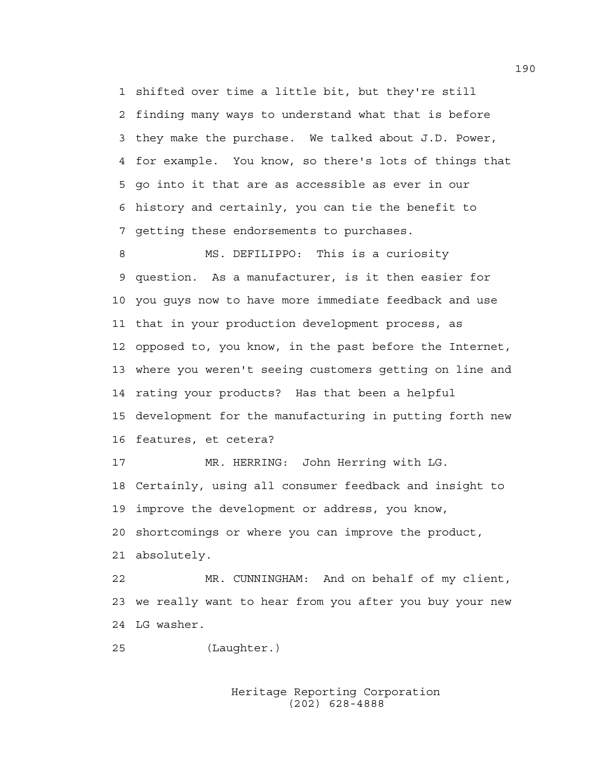1 shifted over time a little bit, but they're still 2 finding many ways to understand what that is before 3 they make the purchase. We talked about J.D. Power, 4 for example. You know, so there's lots of things that 5 go into it that are as accessible as ever in our 6 history and certainly, you can tie the benefit to 7 getting these endorsements to purchases.

8 MS. DEFILIPPO: This is a curiosity 9 question. As a manufacturer, is it then easier for 10 you guys now to have more immediate feedback and use 11 that in your production development process, as 12 opposed to, you know, in the past before the Internet, 13 where you weren't seeing customers getting on line and 14 rating your products? Has that been a helpful 15 development for the manufacturing in putting forth new 16 features, et cetera?

17 MR. HERRING: John Herring with LG. 18 Certainly, using all consumer feedback and insight to 19 improve the development or address, you know, 20 shortcomings or where you can improve the product, 21 absolutely.

22 MR. CUNNINGHAM: And on behalf of my client, 23 we really want to hear from you after you buy your new 24 LG washer.

25 (Laughter.)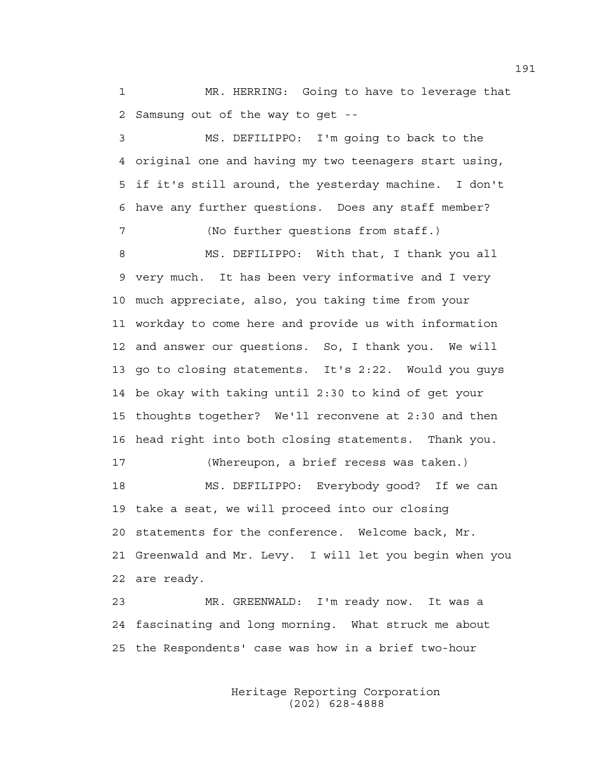1 MR. HERRING: Going to have to leverage that 2 Samsung out of the way to get --

3 MS. DEFILIPPO: I'm going to back to the 4 original one and having my two teenagers start using, 5 if it's still around, the yesterday machine. I don't 6 have any further questions. Does any staff member? 7 (No further questions from staff.) 8 MS. DEFILIPPO: With that, I thank you all 9 very much. It has been very informative and I very 10 much appreciate, also, you taking time from your 11 workday to come here and provide us with information 12 and answer our questions. So, I thank you. We will 13 go to closing statements. It's 2:22. Would you guys 14 be okay with taking until 2:30 to kind of get your 15 thoughts together? We'll reconvene at 2:30 and then 16 head right into both closing statements. Thank you. 17 (Whereupon, a brief recess was taken.) 18 MS. DEFILIPPO: Everybody good? If we can 19 take a seat, we will proceed into our closing 20 statements for the conference. Welcome back, Mr. 21 Greenwald and Mr. Levy. I will let you begin when you 22 are ready.

23 MR. GREENWALD: I'm ready now. It was a 24 fascinating and long morning. What struck me about 25 the Respondents' case was how in a brief two-hour

> Heritage Reporting Corporation (202) 628-4888

191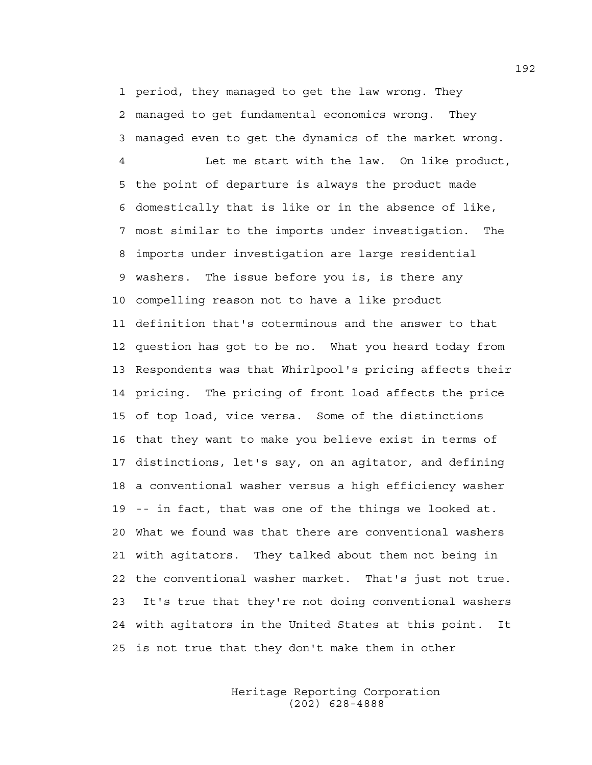1 period, they managed to get the law wrong. They 2 managed to get fundamental economics wrong. They 3 managed even to get the dynamics of the market wrong.

4 Let me start with the law. On like product, 5 the point of departure is always the product made 6 domestically that is like or in the absence of like, 7 most similar to the imports under investigation. The 8 imports under investigation are large residential 9 washers. The issue before you is, is there any 10 compelling reason not to have a like product 11 definition that's coterminous and the answer to that 12 question has got to be no. What you heard today from 13 Respondents was that Whirlpool's pricing affects their 14 pricing. The pricing of front load affects the price 15 of top load, vice versa. Some of the distinctions 16 that they want to make you believe exist in terms of 17 distinctions, let's say, on an agitator, and defining 18 a conventional washer versus a high efficiency washer 19 -- in fact, that was one of the things we looked at. 20 What we found was that there are conventional washers 21 with agitators. They talked about them not being in 22 the conventional washer market. That's just not true. 23 It's true that they're not doing conventional washers 24 with agitators in the United States at this point. It 25 is not true that they don't make them in other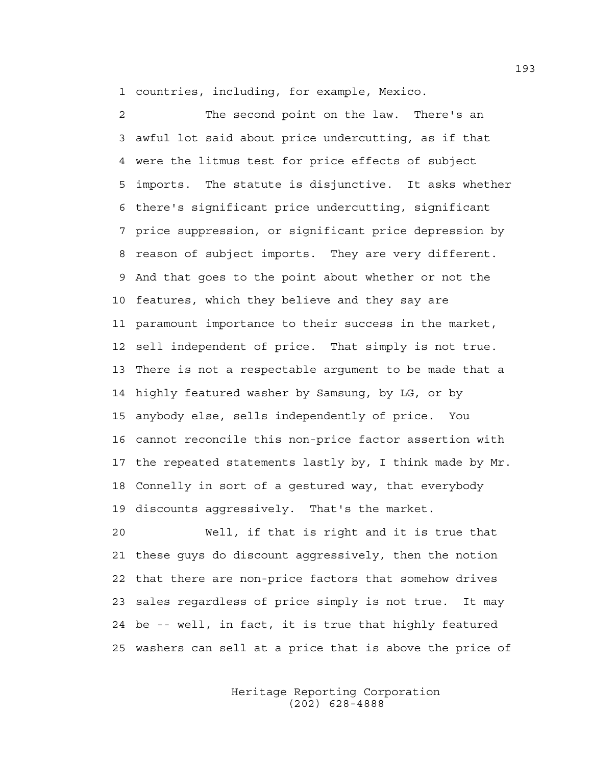1 countries, including, for example, Mexico.

2 The second point on the law. There's an 3 awful lot said about price undercutting, as if that 4 were the litmus test for price effects of subject 5 imports. The statute is disjunctive. It asks whether 6 there's significant price undercutting, significant 7 price suppression, or significant price depression by 8 reason of subject imports. They are very different. 9 And that goes to the point about whether or not the 10 features, which they believe and they say are 11 paramount importance to their success in the market, 12 sell independent of price. That simply is not true. 13 There is not a respectable argument to be made that a 14 highly featured washer by Samsung, by LG, or by 15 anybody else, sells independently of price. You 16 cannot reconcile this non-price factor assertion with 17 the repeated statements lastly by, I think made by Mr. 18 Connelly in sort of a gestured way, that everybody 19 discounts aggressively. That's the market.

20 Well, if that is right and it is true that 21 these guys do discount aggressively, then the notion 22 that there are non-price factors that somehow drives 23 sales regardless of price simply is not true. It may 24 be -- well, in fact, it is true that highly featured 25 washers can sell at a price that is above the price of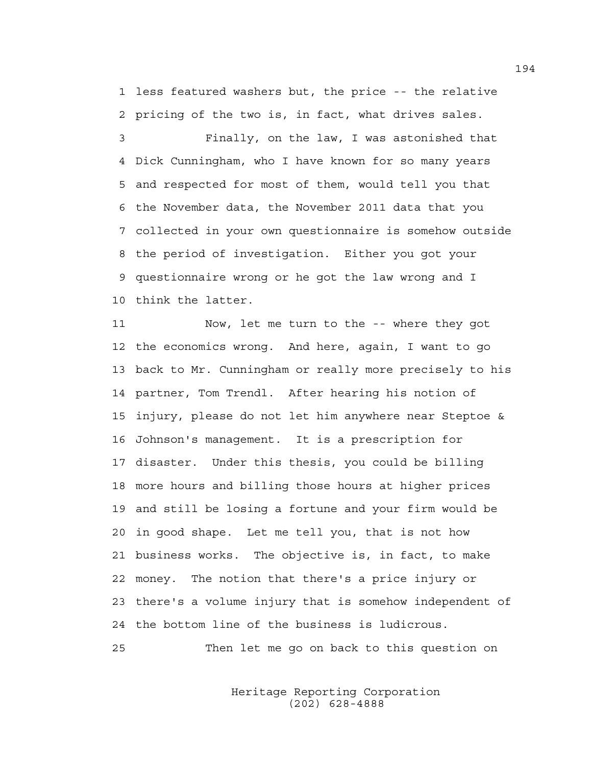1 less featured washers but, the price -- the relative 2 pricing of the two is, in fact, what drives sales.

3 Finally, on the law, I was astonished that 4 Dick Cunningham, who I have known for so many years 5 and respected for most of them, would tell you that 6 the November data, the November 2011 data that you 7 collected in your own questionnaire is somehow outside 8 the period of investigation. Either you got your 9 questionnaire wrong or he got the law wrong and I 10 think the latter.

11 Now, let me turn to the -- where they got 12 the economics wrong. And here, again, I want to go 13 back to Mr. Cunningham or really more precisely to his 14 partner, Tom Trendl. After hearing his notion of 15 injury, please do not let him anywhere near Steptoe & 16 Johnson's management. It is a prescription for 17 disaster. Under this thesis, you could be billing 18 more hours and billing those hours at higher prices 19 and still be losing a fortune and your firm would be 20 in good shape. Let me tell you, that is not how 21 business works. The objective is, in fact, to make 22 money. The notion that there's a price injury or 23 there's a volume injury that is somehow independent of 24 the bottom line of the business is ludicrous.

25 Then let me go on back to this question on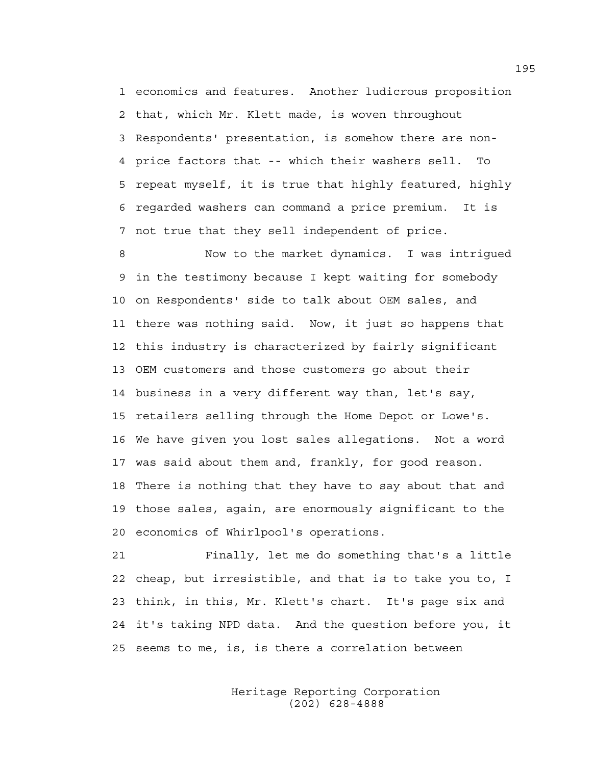1 economics and features. Another ludicrous proposition 2 that, which Mr. Klett made, is woven throughout 3 Respondents' presentation, is somehow there are non-4 price factors that -- which their washers sell. To 5 repeat myself, it is true that highly featured, highly 6 regarded washers can command a price premium. It is 7 not true that they sell independent of price.

8 Now to the market dynamics. I was intrigued 9 in the testimony because I kept waiting for somebody 10 on Respondents' side to talk about OEM sales, and 11 there was nothing said. Now, it just so happens that 12 this industry is characterized by fairly significant 13 OEM customers and those customers go about their 14 business in a very different way than, let's say, 15 retailers selling through the Home Depot or Lowe's. 16 We have given you lost sales allegations. Not a word 17 was said about them and, frankly, for good reason. 18 There is nothing that they have to say about that and 19 those sales, again, are enormously significant to the 20 economics of Whirlpool's operations.

21 Finally, let me do something that's a little 22 cheap, but irresistible, and that is to take you to, I 23 think, in this, Mr. Klett's chart. It's page six and 24 it's taking NPD data. And the question before you, it 25 seems to me, is, is there a correlation between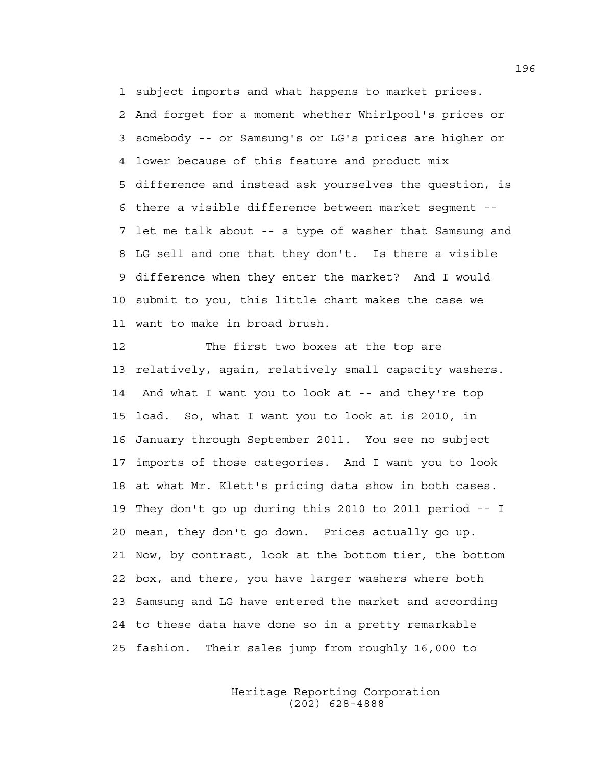1 subject imports and what happens to market prices. 2 And forget for a moment whether Whirlpool's prices or

3 somebody -- or Samsung's or LG's prices are higher or 4 lower because of this feature and product mix 5 difference and instead ask yourselves the question, is 6 there a visible difference between market segment -- 7 let me talk about -- a type of washer that Samsung and 8 LG sell and one that they don't. Is there a visible 9 difference when they enter the market? And I would 10 submit to you, this little chart makes the case we 11 want to make in broad brush.

12 The first two boxes at the top are 13 relatively, again, relatively small capacity washers. 14 And what I want you to look at -- and they're top 15 load. So, what I want you to look at is 2010, in 16 January through September 2011. You see no subject 17 imports of those categories. And I want you to look 18 at what Mr. Klett's pricing data show in both cases. 19 They don't go up during this 2010 to 2011 period -- I 20 mean, they don't go down. Prices actually go up. 21 Now, by contrast, look at the bottom tier, the bottom 22 box, and there, you have larger washers where both 23 Samsung and LG have entered the market and according 24 to these data have done so in a pretty remarkable 25 fashion. Their sales jump from roughly 16,000 to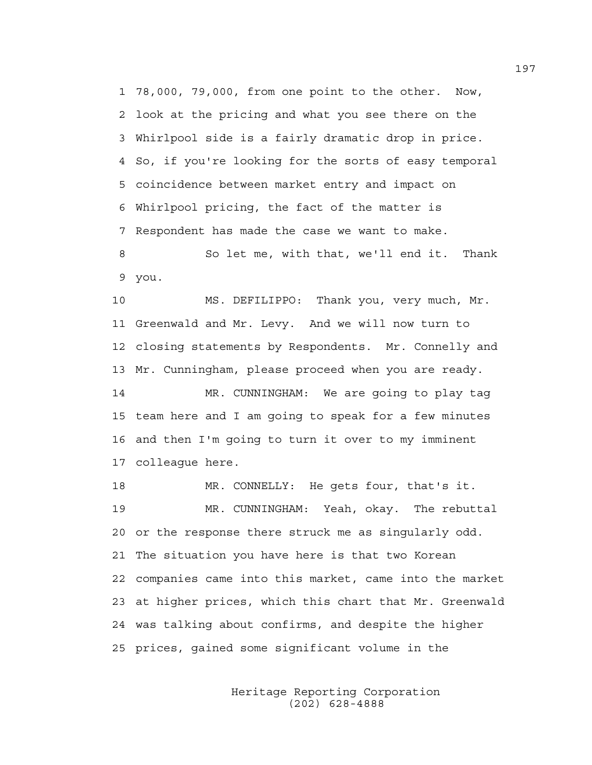1 78,000, 79,000, from one point to the other. Now, 2 look at the pricing and what you see there on the 3 Whirlpool side is a fairly dramatic drop in price. 4 So, if you're looking for the sorts of easy temporal 5 coincidence between market entry and impact on 6 Whirlpool pricing, the fact of the matter is 7 Respondent has made the case we want to make.

8 So let me, with that, we'll end it. Thank 9 you.

10 MS. DEFILIPPO: Thank you, very much, Mr. 11 Greenwald and Mr. Levy. And we will now turn to 12 closing statements by Respondents. Mr. Connelly and 13 Mr. Cunningham, please proceed when you are ready.

14 MR. CUNNINGHAM: We are going to play tag 15 team here and I am going to speak for a few minutes 16 and then I'm going to turn it over to my imminent 17 colleague here.

18 MR. CONNELLY: He gets four, that's it. 19 MR. CUNNINGHAM: Yeah, okay. The rebuttal 20 or the response there struck me as singularly odd. 21 The situation you have here is that two Korean 22 companies came into this market, came into the market 23 at higher prices, which this chart that Mr. Greenwald 24 was talking about confirms, and despite the higher 25 prices, gained some significant volume in the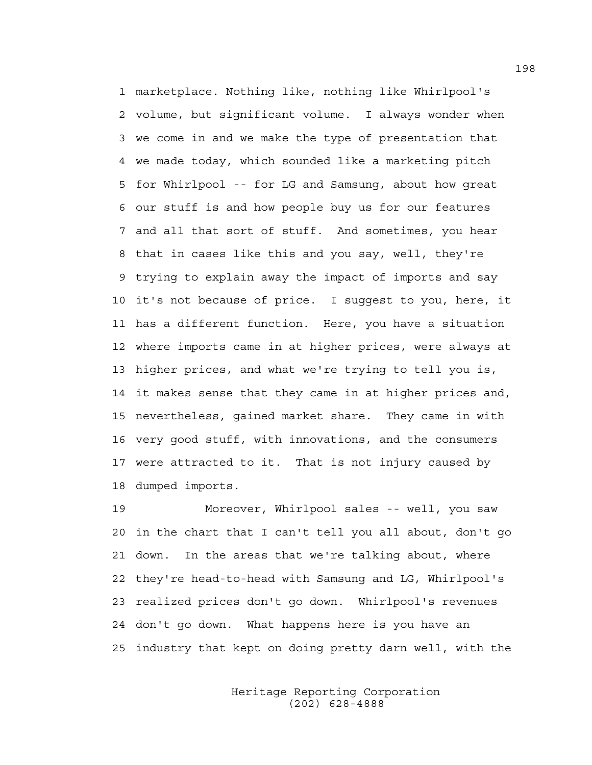1 marketplace. Nothing like, nothing like Whirlpool's 2 volume, but significant volume. I always wonder when 3 we come in and we make the type of presentation that 4 we made today, which sounded like a marketing pitch 5 for Whirlpool -- for LG and Samsung, about how great 6 our stuff is and how people buy us for our features 7 and all that sort of stuff. And sometimes, you hear 8 that in cases like this and you say, well, they're 9 trying to explain away the impact of imports and say 10 it's not because of price. I suggest to you, here, it 11 has a different function. Here, you have a situation 12 where imports came in at higher prices, were always at 13 higher prices, and what we're trying to tell you is, 14 it makes sense that they came in at higher prices and, 15 nevertheless, gained market share. They came in with 16 very good stuff, with innovations, and the consumers 17 were attracted to it. That is not injury caused by 18 dumped imports.

19 Moreover, Whirlpool sales -- well, you saw 20 in the chart that I can't tell you all about, don't go 21 down. In the areas that we're talking about, where 22 they're head-to-head with Samsung and LG, Whirlpool's 23 realized prices don't go down. Whirlpool's revenues 24 don't go down. What happens here is you have an 25 industry that kept on doing pretty darn well, with the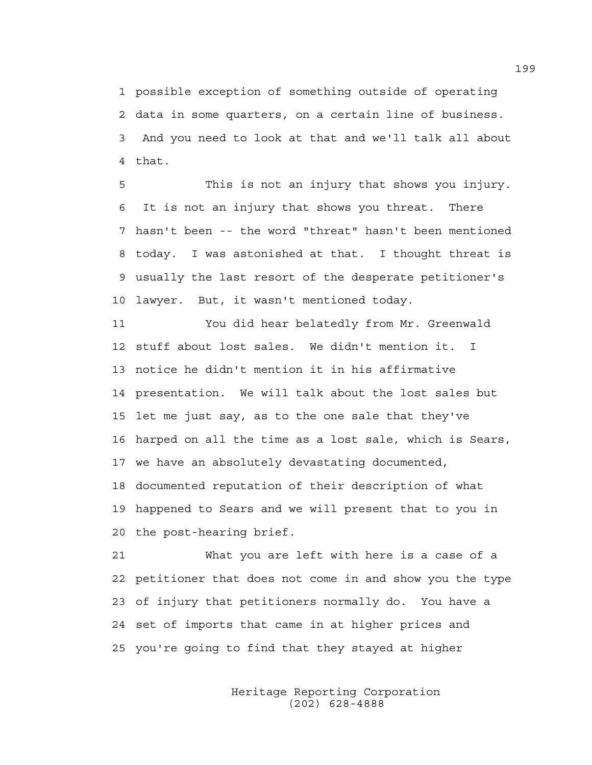1 possible exception of something outside of operating 2 data in some quarters, on a certain line of business. 3 And you need to look at that and we'll talk all about 4 that.

5 This is not an injury that shows you injury. 6 It is not an injury that shows you threat. There 7 hasn't been -- the word "threat" hasn't been mentioned 8 today. I was astonished at that. I thought threat is 9 usually the last resort of the desperate petitioner's 10 lawyer. But, it wasn't mentioned today.

11 You did hear belatedly from Mr. Greenwald 12 stuff about lost sales. We didn't mention it. I 13 notice he didn't mention it in his affirmative 14 presentation. We will talk about the lost sales but 15 let me just say, as to the one sale that they've 16 harped on all the time as a lost sale, which is Sears, 17 we have an absolutely devastating documented, 18 documented reputation of their description of what 19 happened to Sears and we will present that to you in 20 the post-hearing brief.

21 What you are left with here is a case of a 22 petitioner that does not come in and show you the type 23 of injury that petitioners normally do. You have a 24 set of imports that came in at higher prices and 25 you're going to find that they stayed at higher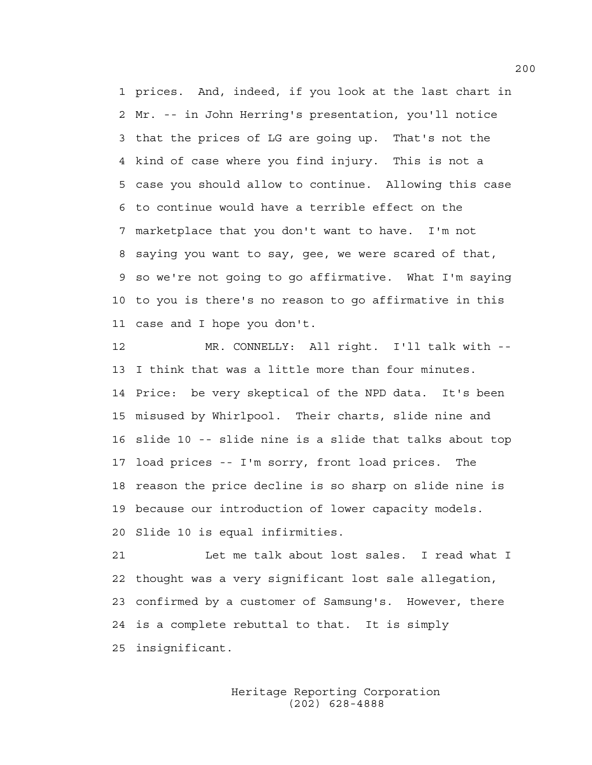1 prices. And, indeed, if you look at the last chart in 2 Mr. -- in John Herring's presentation, you'll notice 3 that the prices of LG are going up. That's not the 4 kind of case where you find injury. This is not a 5 case you should allow to continue. Allowing this case 6 to continue would have a terrible effect on the 7 marketplace that you don't want to have. I'm not 8 saying you want to say, gee, we were scared of that, 9 so we're not going to go affirmative. What I'm saying 10 to you is there's no reason to go affirmative in this 11 case and I hope you don't.

12 MR. CONNELLY: All right. I'll talk with -- 13 I think that was a little more than four minutes. 14 Price: be very skeptical of the NPD data. It's been 15 misused by Whirlpool. Their charts, slide nine and 16 slide 10 -- slide nine is a slide that talks about top 17 load prices -- I'm sorry, front load prices. The 18 reason the price decline is so sharp on slide nine is 19 because our introduction of lower capacity models. 20 Slide 10 is equal infirmities.

21 Let me talk about lost sales. I read what I 22 thought was a very significant lost sale allegation, 23 confirmed by a customer of Samsung's. However, there 24 is a complete rebuttal to that. It is simply 25 insignificant.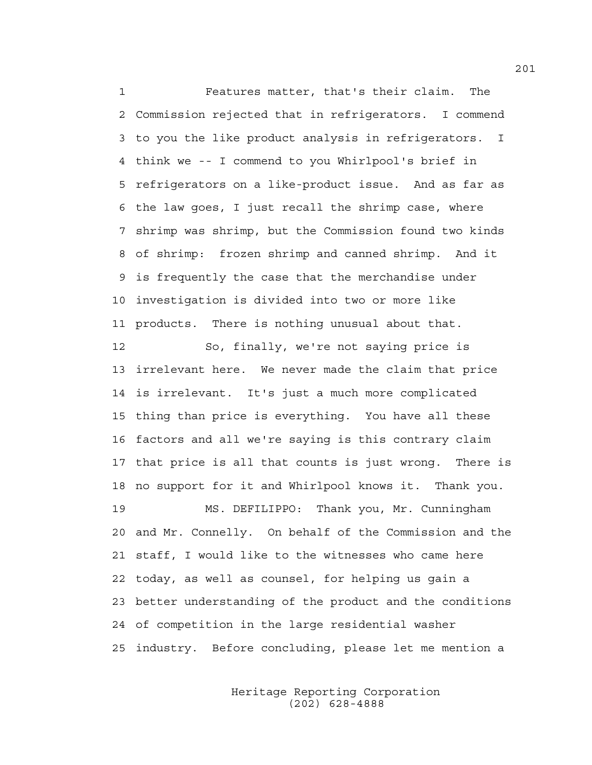1 Features matter, that's their claim. The 2 Commission rejected that in refrigerators. I commend 3 to you the like product analysis in refrigerators. I 4 think we -- I commend to you Whirlpool's brief in 5 refrigerators on a like-product issue. And as far as 6 the law goes, I just recall the shrimp case, where 7 shrimp was shrimp, but the Commission found two kinds 8 of shrimp: frozen shrimp and canned shrimp. And it 9 is frequently the case that the merchandise under 10 investigation is divided into two or more like 11 products. There is nothing unusual about that. 12 So, finally, we're not saying price is 13 irrelevant here. We never made the claim that price

14 is irrelevant. It's just a much more complicated 15 thing than price is everything. You have all these 16 factors and all we're saying is this contrary claim 17 that price is all that counts is just wrong. There is 18 no support for it and Whirlpool knows it. Thank you.

19 MS. DEFILIPPO: Thank you, Mr. Cunningham 20 and Mr. Connelly. On behalf of the Commission and the 21 staff, I would like to the witnesses who came here 22 today, as well as counsel, for helping us gain a 23 better understanding of the product and the conditions 24 of competition in the large residential washer 25 industry. Before concluding, please let me mention a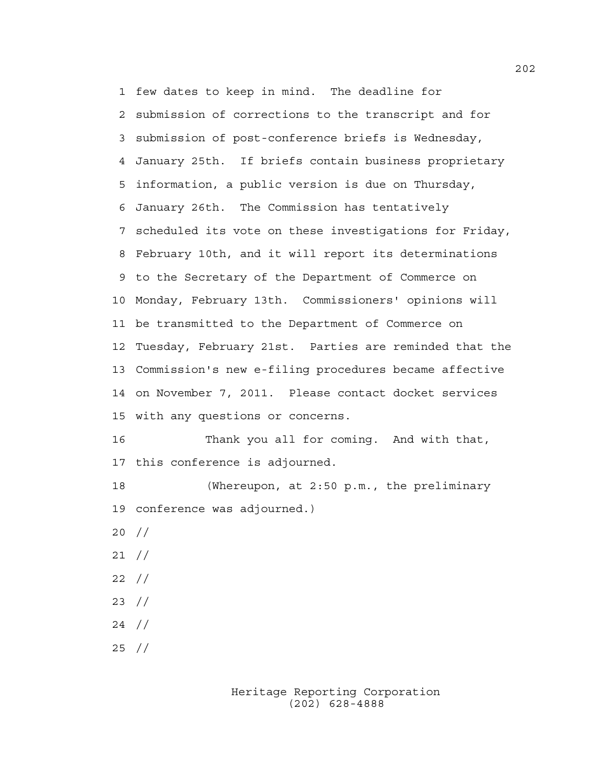1 few dates to keep in mind. The deadline for 2 submission of corrections to the transcript and for 3 submission of post-conference briefs is Wednesday, 4 January 25th. If briefs contain business proprietary 5 information, a public version is due on Thursday, 6 January 26th. The Commission has tentatively 7 scheduled its vote on these investigations for Friday, 8 February 10th, and it will report its determinations 9 to the Secretary of the Department of Commerce on 10 Monday, February 13th. Commissioners' opinions will 11 be transmitted to the Department of Commerce on 12 Tuesday, February 21st. Parties are reminded that the 13 Commission's new e-filing procedures became affective 14 on November 7, 2011. Please contact docket services 15 with any questions or concerns. 16 Thank you all for coming. And with that,

17 this conference is adjourned.

18 (Whereupon, at 2:50 p.m., the preliminary 19 conference was adjourned.) 20 // 21 // 22 // 23 // 24 // 25 //